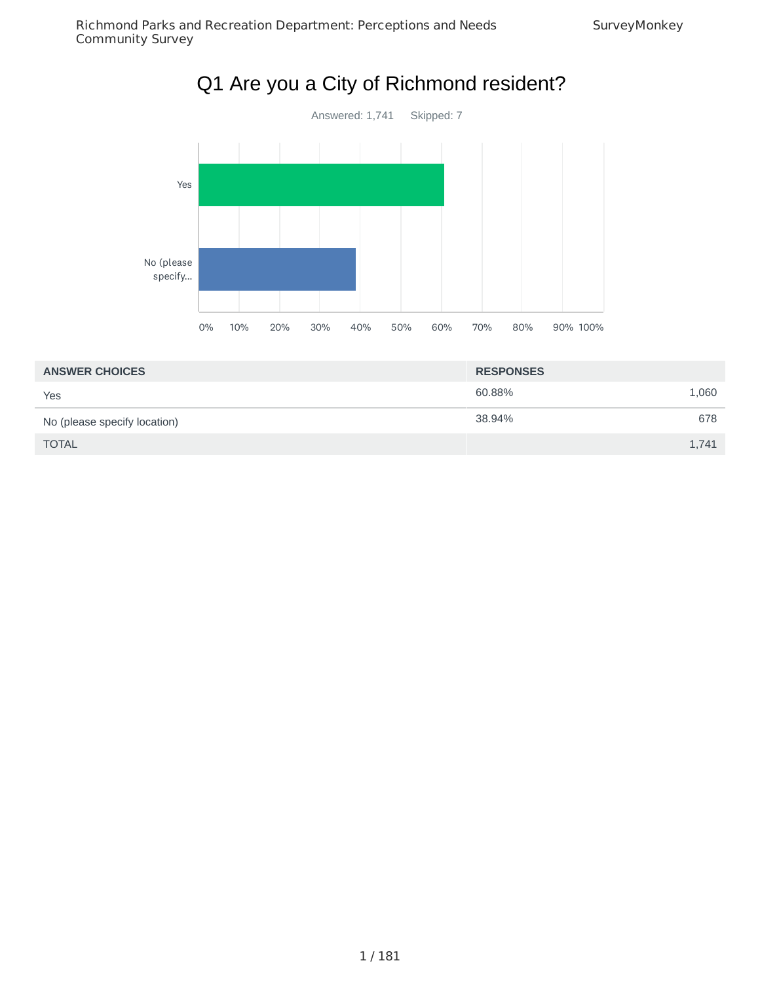

| <b>ANSWER CHOICES</b>        | <b>RESPONSES</b> |       |
|------------------------------|------------------|-------|
| Yes                          | 60.88%           | 1,060 |
| No (please specify location) | 38.94%           | 678   |
| <b>TOTAL</b>                 |                  | 1,741 |

#### 1 / 181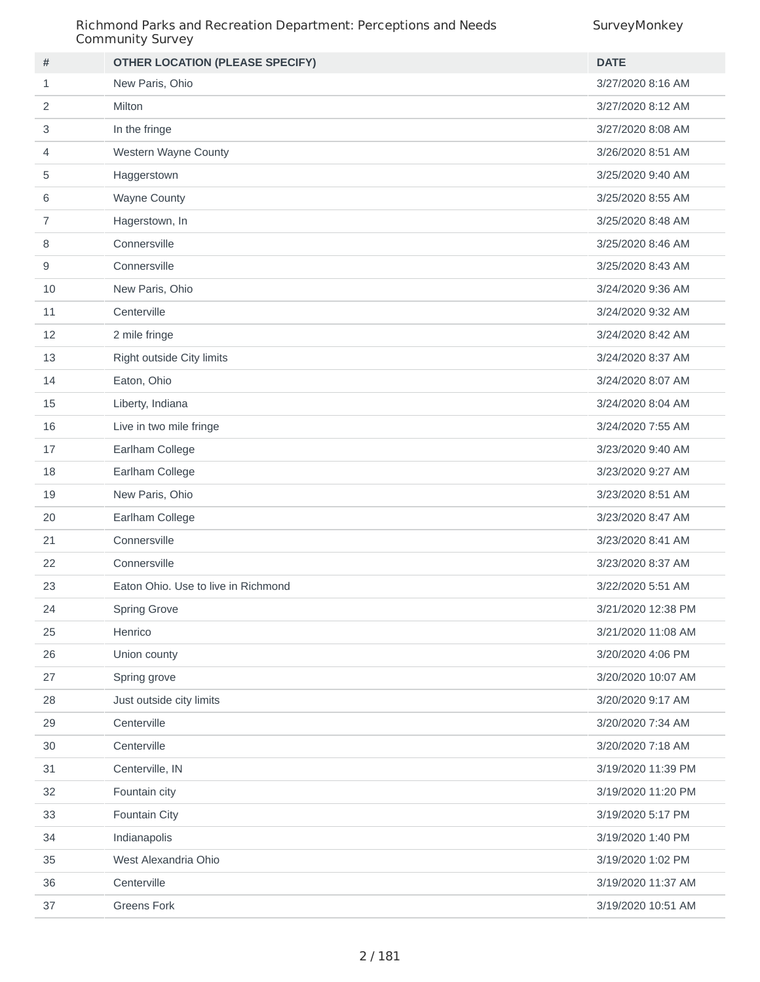#### Richmond Parks and Recreation Department: Perceptions and Needs Community Survey

| #  | <b>OTHER LOCATION (PLEASE SPECIFY)</b> | <b>DATE</b>        |
|----|----------------------------------------|--------------------|
| 1  | New Paris, Ohio                        | 3/27/2020 8:16 AM  |
| 2  | Milton                                 | 3/27/2020 8:12 AM  |
| 3  | In the fringe                          | 3/27/2020 8:08 AM  |
| 4  | Western Wayne County                   | 3/26/2020 8:51 AM  |
| 5  | Haggerstown                            | 3/25/2020 9:40 AM  |
| 6  | <b>Wayne County</b>                    | 3/25/2020 8:55 AM  |
| 7  | Hagerstown, In                         | 3/25/2020 8:48 AM  |
| 8  | Connersville                           | 3/25/2020 8:46 AM  |
| 9  | Connersville                           | 3/25/2020 8:43 AM  |
| 10 | New Paris, Ohio                        | 3/24/2020 9:36 AM  |
| 11 | Centerville                            | 3/24/2020 9:32 AM  |
| 12 | 2 mile fringe                          | 3/24/2020 8:42 AM  |
| 13 | Right outside City limits              | 3/24/2020 8:37 AM  |
| 14 | Eaton, Ohio                            | 3/24/2020 8:07 AM  |
| 15 | Liberty, Indiana                       | 3/24/2020 8:04 AM  |
| 16 | Live in two mile fringe                | 3/24/2020 7:55 AM  |
| 17 | Earlham College                        | 3/23/2020 9:40 AM  |
| 18 | Earlham College                        | 3/23/2020 9:27 AM  |
| 19 | New Paris, Ohio                        | 3/23/2020 8:51 AM  |
| 20 | Earlham College                        | 3/23/2020 8:47 AM  |
| 21 | Connersville                           | 3/23/2020 8:41 AM  |
| 22 | Connersville                           | 3/23/2020 8:37 AM  |
| 23 | Eaton Ohio. Use to live in Richmond    | 3/22/2020 5:51 AM  |
| 24 | Spring Grove                           | 3/21/2020 12:38 PM |
| 25 | Henrico                                | 3/21/2020 11:08 AM |
| 26 | Union county                           | 3/20/2020 4:06 PM  |
| 27 | Spring grove                           | 3/20/2020 10:07 AM |
| 28 | Just outside city limits               | 3/20/2020 9:17 AM  |
| 29 | Centerville                            | 3/20/2020 7:34 AM  |
| 30 | Centerville                            | 3/20/2020 7:18 AM  |
| 31 | Centerville, IN                        | 3/19/2020 11:39 PM |
| 32 | Fountain city                          | 3/19/2020 11:20 PM |
| 33 | Fountain City                          | 3/19/2020 5:17 PM  |
| 34 | Indianapolis                           | 3/19/2020 1:40 PM  |
| 35 | West Alexandria Ohio                   | 3/19/2020 1:02 PM  |
| 36 | Centerville                            | 3/19/2020 11:37 AM |
| 37 | <b>Greens Fork</b>                     | 3/19/2020 10:51 AM |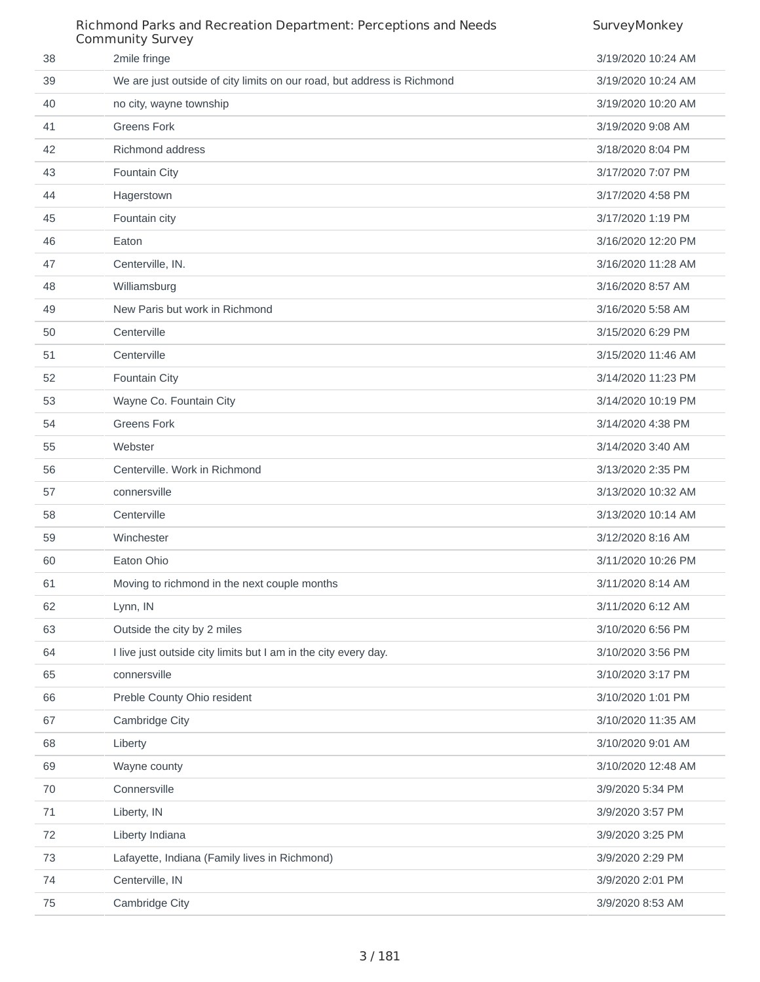|    | Richmond Parks and Recreation Department: Perceptions and Needs<br><b>Community Survey</b> | SurveyMonkey       |
|----|--------------------------------------------------------------------------------------------|--------------------|
| 38 | 2mile fringe                                                                               | 3/19/2020 10:24 AM |
| 39 | We are just outside of city limits on our road, but address is Richmond                    | 3/19/2020 10:24 AM |
| 40 | no city, wayne township                                                                    | 3/19/2020 10:20 AM |
| 41 | <b>Greens Fork</b>                                                                         | 3/19/2020 9:08 AM  |
| 42 | <b>Richmond address</b>                                                                    | 3/18/2020 8:04 PM  |
| 43 | <b>Fountain City</b>                                                                       | 3/17/2020 7:07 PM  |
| 44 | Hagerstown                                                                                 | 3/17/2020 4:58 PM  |
| 45 | Fountain city                                                                              | 3/17/2020 1:19 PM  |
| 46 | Eaton                                                                                      | 3/16/2020 12:20 PM |
| 47 | Centerville, IN.                                                                           | 3/16/2020 11:28 AM |
| 48 | Williamsburg                                                                               | 3/16/2020 8:57 AM  |
| 49 | New Paris but work in Richmond                                                             | 3/16/2020 5:58 AM  |
| 50 | Centerville                                                                                | 3/15/2020 6:29 PM  |
| 51 | Centerville                                                                                | 3/15/2020 11:46 AM |
| 52 | Fountain City                                                                              | 3/14/2020 11:23 PM |
| 53 | Wayne Co. Fountain City                                                                    | 3/14/2020 10:19 PM |
| 54 | <b>Greens Fork</b>                                                                         | 3/14/2020 4:38 PM  |
| 55 | Webster                                                                                    | 3/14/2020 3:40 AM  |
| 56 | Centerville. Work in Richmond                                                              | 3/13/2020 2:35 PM  |
| 57 | connersville                                                                               | 3/13/2020 10:32 AM |
| 58 | Centerville                                                                                | 3/13/2020 10:14 AM |
| 59 | Winchester                                                                                 | 3/12/2020 8:16 AM  |
| 60 | Eaton Ohio                                                                                 | 3/11/2020 10:26 PM |
| 61 | Moving to richmond in the next couple months                                               | 3/11/2020 8:14 AM  |
| 62 | Lynn, IN                                                                                   | 3/11/2020 6:12 AM  |
| 63 | Outside the city by 2 miles                                                                | 3/10/2020 6:56 PM  |
| 64 | I live just outside city limits but I am in the city every day.                            | 3/10/2020 3:56 PM  |
| 65 | connersville                                                                               | 3/10/2020 3:17 PM  |
| 66 | Preble County Ohio resident                                                                | 3/10/2020 1:01 PM  |
| 67 | Cambridge City                                                                             | 3/10/2020 11:35 AM |
| 68 | Liberty                                                                                    | 3/10/2020 9:01 AM  |
| 69 | Wayne county                                                                               | 3/10/2020 12:48 AM |
| 70 | Connersville                                                                               | 3/9/2020 5:34 PM   |
| 71 | Liberty, IN                                                                                | 3/9/2020 3:57 PM   |
| 72 | Liberty Indiana                                                                            | 3/9/2020 3:25 PM   |
| 73 | Lafayette, Indiana (Family lives in Richmond)                                              | 3/9/2020 2:29 PM   |
| 74 | Centerville, IN                                                                            | 3/9/2020 2:01 PM   |
| 75 | Cambridge City                                                                             | 3/9/2020 8:53 AM   |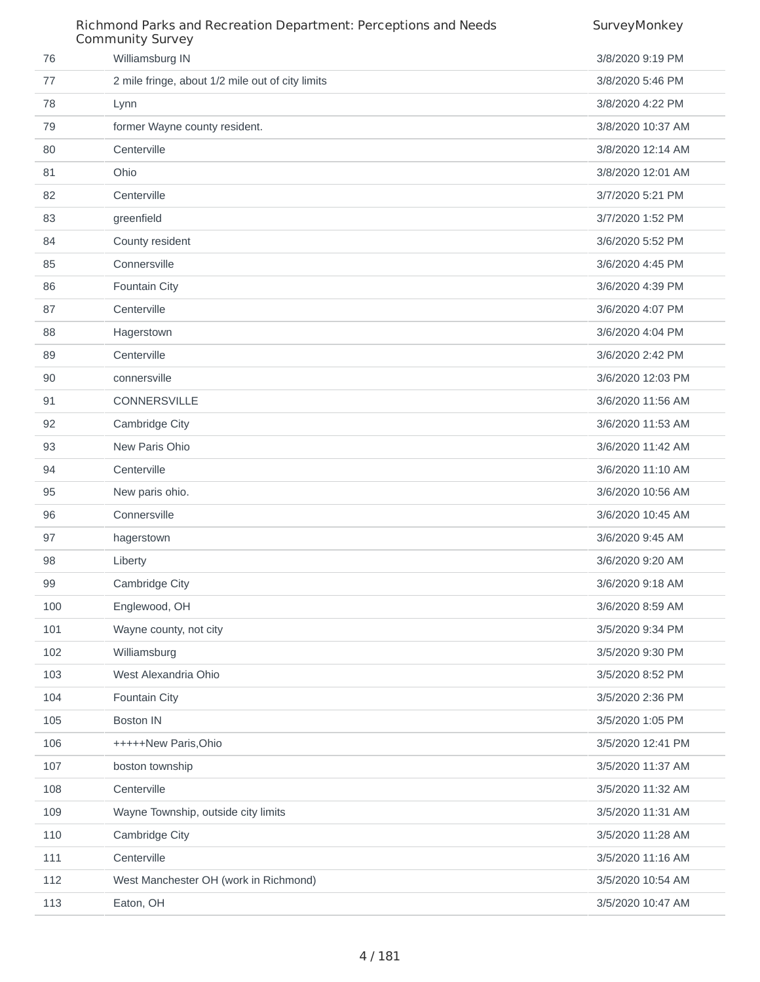|     | Richmond Parks and Recreation Department: Perceptions and Needs<br><b>Community Survey</b> | SurveyMonkey      |
|-----|--------------------------------------------------------------------------------------------|-------------------|
| 76  | Williamsburg IN                                                                            | 3/8/2020 9:19 PM  |
| 77  | 2 mile fringe, about 1/2 mile out of city limits                                           | 3/8/2020 5:46 PM  |
| 78  | Lynn                                                                                       | 3/8/2020 4:22 PM  |
| 79  | former Wayne county resident.                                                              | 3/8/2020 10:37 AM |
| 80  | Centerville                                                                                | 3/8/2020 12:14 AM |
| 81  | Ohio                                                                                       | 3/8/2020 12:01 AM |
| 82  | Centerville                                                                                | 3/7/2020 5:21 PM  |
| 83  | greenfield                                                                                 | 3/7/2020 1:52 PM  |
| 84  | County resident                                                                            | 3/6/2020 5:52 PM  |
| 85  | Connersville                                                                               | 3/6/2020 4:45 PM  |
| 86  | Fountain City                                                                              | 3/6/2020 4:39 PM  |
| 87  | Centerville                                                                                | 3/6/2020 4:07 PM  |
| 88  | Hagerstown                                                                                 | 3/6/2020 4:04 PM  |
| 89  | Centerville                                                                                | 3/6/2020 2:42 PM  |
| 90  | connersville                                                                               | 3/6/2020 12:03 PM |
| 91  | CONNERSVILLE                                                                               | 3/6/2020 11:56 AM |
| 92  | Cambridge City                                                                             | 3/6/2020 11:53 AM |
| 93  | New Paris Ohio                                                                             | 3/6/2020 11:42 AM |
| 94  | Centerville                                                                                | 3/6/2020 11:10 AM |
| 95  | New paris ohio.                                                                            | 3/6/2020 10:56 AM |
| 96  | Connersville                                                                               | 3/6/2020 10:45 AM |
| 97  | hagerstown                                                                                 | 3/6/2020 9:45 AM  |
| 98  | Liberty                                                                                    | 3/6/2020 9:20 AM  |
| 99  | Cambridge City                                                                             | 3/6/2020 9:18 AM  |
| 100 | Englewood, OH                                                                              | 3/6/2020 8:59 AM  |
| 101 | Wayne county, not city                                                                     | 3/5/2020 9:34 PM  |
| 102 | Williamsburg                                                                               | 3/5/2020 9:30 PM  |
| 103 | West Alexandria Ohio                                                                       | 3/5/2020 8:52 PM  |
| 104 | Fountain City                                                                              | 3/5/2020 2:36 PM  |
| 105 | <b>Boston IN</b>                                                                           | 3/5/2020 1:05 PM  |
| 106 | +++++New Paris, Ohio                                                                       | 3/5/2020 12:41 PM |
| 107 | boston township                                                                            | 3/5/2020 11:37 AM |
| 108 | Centerville                                                                                | 3/5/2020 11:32 AM |
| 109 | Wayne Township, outside city limits                                                        | 3/5/2020 11:31 AM |
| 110 | Cambridge City                                                                             | 3/5/2020 11:28 AM |
| 111 | Centerville                                                                                | 3/5/2020 11:16 AM |
| 112 | West Manchester OH (work in Richmond)                                                      | 3/5/2020 10:54 AM |
| 113 | Eaton, OH                                                                                  | 3/5/2020 10:47 AM |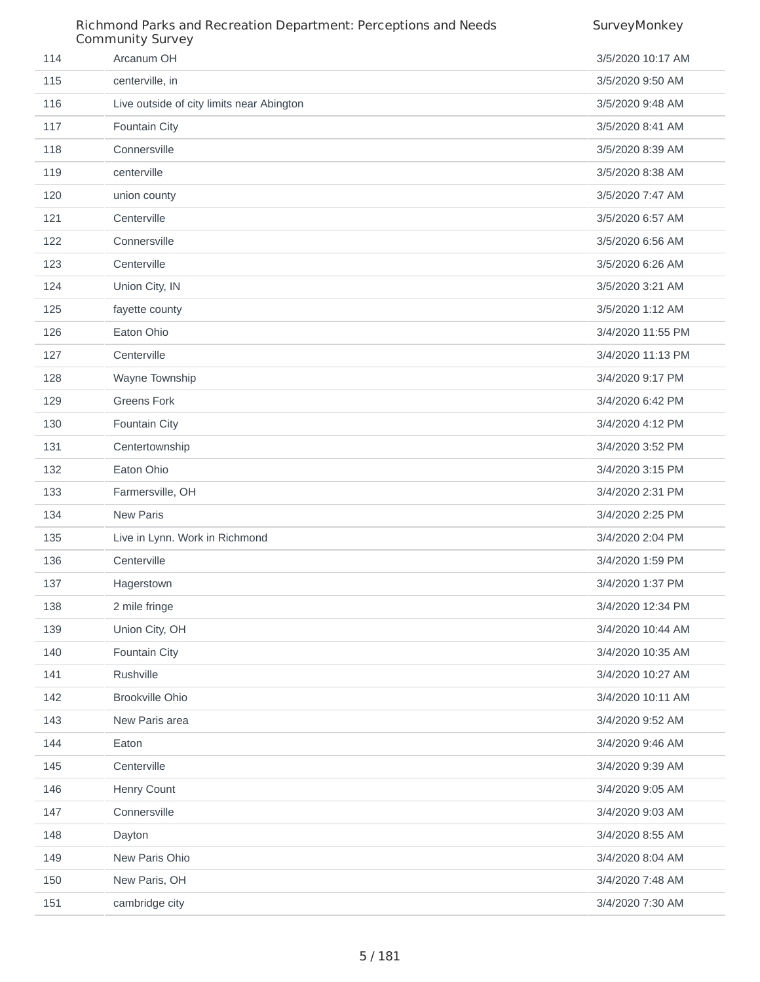|     | Richmond Parks and Recreation Department: Perceptions and Needs<br><b>Community Survey</b> | SurveyMonkey      |
|-----|--------------------------------------------------------------------------------------------|-------------------|
| 114 | Arcanum OH                                                                                 | 3/5/2020 10:17 AM |
| 115 | centerville, in                                                                            | 3/5/2020 9:50 AM  |
| 116 | Live outside of city limits near Abington                                                  | 3/5/2020 9:48 AM  |
| 117 | Fountain City                                                                              | 3/5/2020 8:41 AM  |
| 118 | Connersville                                                                               | 3/5/2020 8:39 AM  |
| 119 | centerville                                                                                | 3/5/2020 8:38 AM  |
| 120 | union county                                                                               | 3/5/2020 7:47 AM  |
| 121 | Centerville                                                                                | 3/5/2020 6:57 AM  |
| 122 | Connersville                                                                               | 3/5/2020 6:56 AM  |
| 123 | Centerville                                                                                | 3/5/2020 6:26 AM  |
| 124 | Union City, IN                                                                             | 3/5/2020 3:21 AM  |
| 125 | fayette county                                                                             | 3/5/2020 1:12 AM  |
| 126 | Eaton Ohio                                                                                 | 3/4/2020 11:55 PM |
| 127 | Centerville                                                                                | 3/4/2020 11:13 PM |
| 128 | Wayne Township                                                                             | 3/4/2020 9:17 PM  |
| 129 | <b>Greens Fork</b>                                                                         | 3/4/2020 6:42 PM  |
| 130 | Fountain City                                                                              | 3/4/2020 4:12 PM  |
| 131 | Centertownship                                                                             | 3/4/2020 3:52 PM  |
| 132 | Eaton Ohio                                                                                 | 3/4/2020 3:15 PM  |
| 133 | Farmersville, OH                                                                           | 3/4/2020 2:31 PM  |
| 134 | <b>New Paris</b>                                                                           | 3/4/2020 2:25 PM  |
| 135 | Live in Lynn. Work in Richmond                                                             | 3/4/2020 2:04 PM  |
| 136 | Centerville                                                                                | 3/4/2020 1:59 PM  |
| 137 | Hagerstown                                                                                 | 3/4/2020 1:37 PM  |
| 138 | 2 mile fringe                                                                              | 3/4/2020 12:34 PM |
| 139 | Union City, OH                                                                             | 3/4/2020 10:44 AM |
| 140 | Fountain City                                                                              | 3/4/2020 10:35 AM |
| 141 | Rushville                                                                                  | 3/4/2020 10:27 AM |
| 142 | <b>Brookville Ohio</b>                                                                     | 3/4/2020 10:11 AM |
| 143 | New Paris area                                                                             | 3/4/2020 9:52 AM  |
| 144 | Eaton                                                                                      | 3/4/2020 9:46 AM  |
| 145 | Centerville                                                                                | 3/4/2020 9:39 AM  |
| 146 | Henry Count                                                                                | 3/4/2020 9:05 AM  |
| 147 | Connersville                                                                               | 3/4/2020 9:03 AM  |
| 148 | Dayton                                                                                     | 3/4/2020 8:55 AM  |
| 149 | New Paris Ohio                                                                             | 3/4/2020 8:04 AM  |
| 150 | New Paris, OH                                                                              | 3/4/2020 7:48 AM  |
| 151 | cambridge city                                                                             | 3/4/2020 7:30 AM  |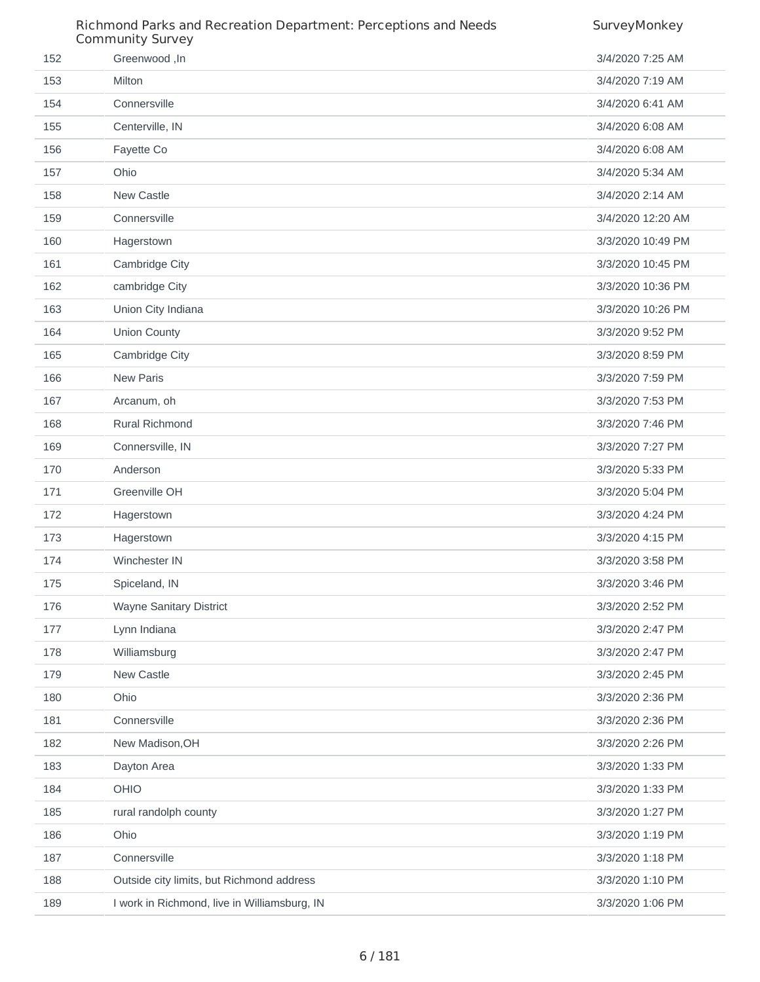|     | Richmond Parks and Recreation Department: Perceptions and Needs<br><b>Community Survey</b> | SurveyMonkey      |
|-----|--------------------------------------------------------------------------------------------|-------------------|
| 152 | Greenwood, In                                                                              | 3/4/2020 7:25 AM  |
| 153 | Milton                                                                                     | 3/4/2020 7:19 AM  |
| 154 | Connersville                                                                               | 3/4/2020 6:41 AM  |
| 155 | Centerville, IN                                                                            | 3/4/2020 6:08 AM  |
| 156 | Fayette Co                                                                                 | 3/4/2020 6:08 AM  |
| 157 | Ohio                                                                                       | 3/4/2020 5:34 AM  |
| 158 | New Castle                                                                                 | 3/4/2020 2:14 AM  |
| 159 | Connersville                                                                               | 3/4/2020 12:20 AM |
| 160 | Hagerstown                                                                                 | 3/3/2020 10:49 PM |
| 161 | Cambridge City                                                                             | 3/3/2020 10:45 PM |
| 162 | cambridge City                                                                             | 3/3/2020 10:36 PM |
| 163 | Union City Indiana                                                                         | 3/3/2020 10:26 PM |
| 164 | Union County                                                                               | 3/3/2020 9:52 PM  |
| 165 | Cambridge City                                                                             | 3/3/2020 8:59 PM  |
| 166 | <b>New Paris</b>                                                                           | 3/3/2020 7:59 PM  |
| 167 | Arcanum, oh                                                                                | 3/3/2020 7:53 PM  |
| 168 | <b>Rural Richmond</b>                                                                      | 3/3/2020 7:46 PM  |
| 169 | Connersville, IN                                                                           | 3/3/2020 7:27 PM  |
| 170 | Anderson                                                                                   | 3/3/2020 5:33 PM  |
| 171 | Greenville OH                                                                              | 3/3/2020 5:04 PM  |
| 172 | Hagerstown                                                                                 | 3/3/2020 4:24 PM  |
| 173 | Hagerstown                                                                                 | 3/3/2020 4:15 PM  |
| 174 | Winchester IN                                                                              | 3/3/2020 3:58 PM  |
| 175 | Spiceland, IN                                                                              | 3/3/2020 3:46 PM  |
| 176 | Wayne Sanitary District                                                                    | 3/3/2020 2:52 PM  |
| 177 | Lynn Indiana                                                                               | 3/3/2020 2:47 PM  |
| 178 | Williamsburg                                                                               | 3/3/2020 2:47 PM  |
| 179 | New Castle                                                                                 | 3/3/2020 2:45 PM  |
| 180 | Ohio                                                                                       | 3/3/2020 2:36 PM  |
| 181 | Connersville                                                                               | 3/3/2020 2:36 PM  |
| 182 | New Madison, OH                                                                            | 3/3/2020 2:26 PM  |
| 183 | Dayton Area                                                                                | 3/3/2020 1:33 PM  |
| 184 | OHIO                                                                                       | 3/3/2020 1:33 PM  |
| 185 | rural randolph county                                                                      | 3/3/2020 1:27 PM  |
| 186 | Ohio                                                                                       | 3/3/2020 1:19 PM  |
| 187 | Connersville                                                                               | 3/3/2020 1:18 PM  |
| 188 | Outside city limits, but Richmond address                                                  | 3/3/2020 1:10 PM  |
| 189 | I work in Richmond, live in Williamsburg, IN                                               | 3/3/2020 1:06 PM  |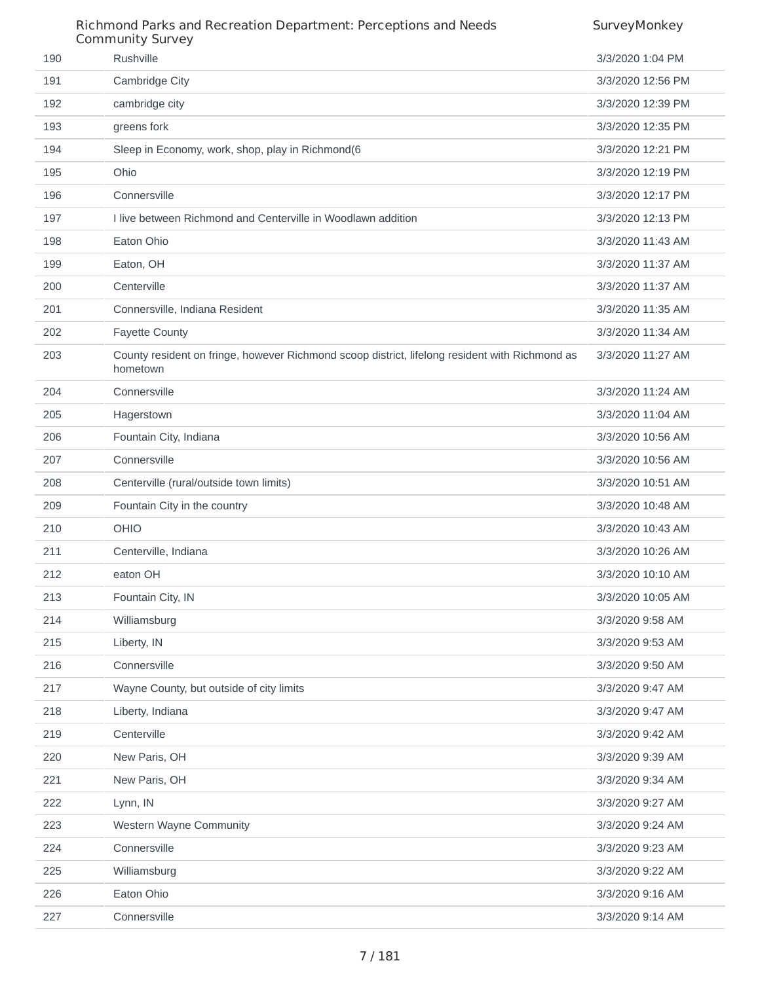|     | Richmond Parks and Recreation Department: Perceptions and Needs<br><b>Community Survey</b>                 | SurveyMonkey      |
|-----|------------------------------------------------------------------------------------------------------------|-------------------|
| 190 | Rushville                                                                                                  | 3/3/2020 1:04 PM  |
| 191 | Cambridge City                                                                                             | 3/3/2020 12:56 PM |
| 192 | cambridge city                                                                                             | 3/3/2020 12:39 PM |
| 193 | greens fork                                                                                                | 3/3/2020 12:35 PM |
| 194 | Sleep in Economy, work, shop, play in Richmond(6                                                           | 3/3/2020 12:21 PM |
| 195 | Ohio                                                                                                       | 3/3/2020 12:19 PM |
| 196 | Connersville                                                                                               | 3/3/2020 12:17 PM |
| 197 | I live between Richmond and Centerville in Woodlawn addition                                               | 3/3/2020 12:13 PM |
| 198 | Eaton Ohio                                                                                                 | 3/3/2020 11:43 AM |
| 199 | Eaton, OH                                                                                                  | 3/3/2020 11:37 AM |
| 200 | Centerville                                                                                                | 3/3/2020 11:37 AM |
| 201 | Connersville, Indiana Resident                                                                             | 3/3/2020 11:35 AM |
| 202 | <b>Fayette County</b>                                                                                      | 3/3/2020 11:34 AM |
| 203 | County resident on fringe, however Richmond scoop district, lifelong resident with Richmond as<br>hometown | 3/3/2020 11:27 AM |
| 204 | Connersville                                                                                               | 3/3/2020 11:24 AM |
| 205 | Hagerstown                                                                                                 | 3/3/2020 11:04 AM |
| 206 | Fountain City, Indiana                                                                                     | 3/3/2020 10:56 AM |
| 207 | Connersville                                                                                               | 3/3/2020 10:56 AM |
| 208 | Centerville (rural/outside town limits)                                                                    | 3/3/2020 10:51 AM |
| 209 | Fountain City in the country                                                                               | 3/3/2020 10:48 AM |
| 210 | <b>OHIO</b>                                                                                                | 3/3/2020 10:43 AM |
| 211 | Centerville, Indiana                                                                                       | 3/3/2020 10:26 AM |
| 212 | eaton OH                                                                                                   | 3/3/2020 10:10 AM |
| 213 | Fountain City, IN                                                                                          | 3/3/2020 10:05 AM |
| 214 | Williamsburg                                                                                               | 3/3/2020 9:58 AM  |
| 215 | Liberty, IN                                                                                                | 3/3/2020 9:53 AM  |
| 216 | Connersville                                                                                               | 3/3/2020 9:50 AM  |
| 217 | Wayne County, but outside of city limits                                                                   | 3/3/2020 9:47 AM  |
| 218 | Liberty, Indiana                                                                                           | 3/3/2020 9:47 AM  |
| 219 | Centerville                                                                                                | 3/3/2020 9:42 AM  |
| 220 | New Paris, OH                                                                                              | 3/3/2020 9:39 AM  |
| 221 | New Paris, OH                                                                                              | 3/3/2020 9:34 AM  |
| 222 | Lynn, IN                                                                                                   | 3/3/2020 9:27 AM  |
| 223 | Western Wayne Community                                                                                    | 3/3/2020 9:24 AM  |
| 224 | Connersville                                                                                               | 3/3/2020 9:23 AM  |
| 225 | Williamsburg                                                                                               | 3/3/2020 9:22 AM  |
| 226 | Eaton Ohio                                                                                                 | 3/3/2020 9:16 AM  |
| 227 | Connersville                                                                                               | 3/3/2020 9:14 AM  |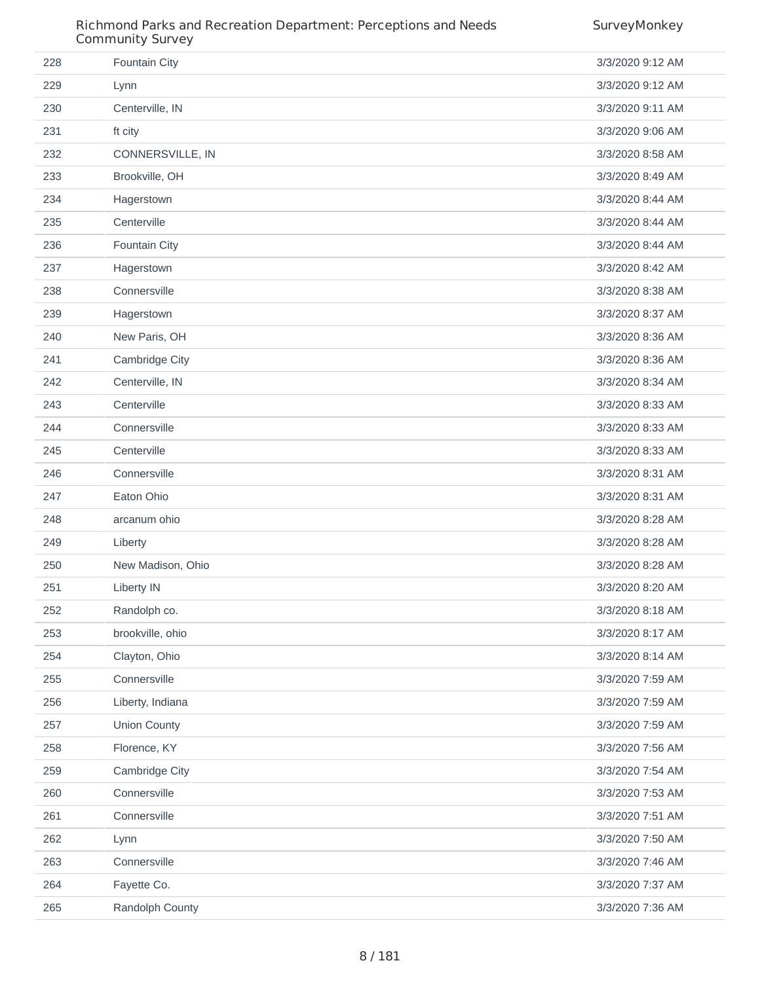#### Richmond Parks and Recreation Department: Perceptions and Needs Community Survey

| 228 | Fountain City       | 3/3/2020 9:12 AM |
|-----|---------------------|------------------|
| 229 | Lynn                | 3/3/2020 9:12 AM |
| 230 | Centerville, IN     | 3/3/2020 9:11 AM |
| 231 | ft city             | 3/3/2020 9:06 AM |
| 232 | CONNERSVILLE, IN    | 3/3/2020 8:58 AM |
| 233 | Brookville, OH      | 3/3/2020 8:49 AM |
| 234 | Hagerstown          | 3/3/2020 8:44 AM |
| 235 | Centerville         | 3/3/2020 8:44 AM |
| 236 | Fountain City       | 3/3/2020 8:44 AM |
| 237 | Hagerstown          | 3/3/2020 8:42 AM |
| 238 | Connersville        | 3/3/2020 8:38 AM |
| 239 | Hagerstown          | 3/3/2020 8:37 AM |
| 240 | New Paris, OH       | 3/3/2020 8:36 AM |
| 241 | Cambridge City      | 3/3/2020 8:36 AM |
| 242 | Centerville, IN     | 3/3/2020 8:34 AM |
| 243 | Centerville         | 3/3/2020 8:33 AM |
| 244 | Connersville        | 3/3/2020 8:33 AM |
| 245 | Centerville         | 3/3/2020 8:33 AM |
| 246 | Connersville        | 3/3/2020 8:31 AM |
| 247 | Eaton Ohio          | 3/3/2020 8:31 AM |
| 248 | arcanum ohio        | 3/3/2020 8:28 AM |
| 249 | Liberty             | 3/3/2020 8:28 AM |
| 250 | New Madison, Ohio   | 3/3/2020 8:28 AM |
| 251 | <b>Liberty IN</b>   | 3/3/2020 8:20 AM |
| 252 | Randolph co.        | 3/3/2020 8:18 AM |
| 253 | brookville, ohio    | 3/3/2020 8:17 AM |
| 254 | Clayton, Ohio       | 3/3/2020 8:14 AM |
| 255 | Connersville        | 3/3/2020 7:59 AM |
| 256 | Liberty, Indiana    | 3/3/2020 7:59 AM |
| 257 | <b>Union County</b> | 3/3/2020 7:59 AM |
| 258 | Florence, KY        | 3/3/2020 7:56 AM |
| 259 | Cambridge City      | 3/3/2020 7:54 AM |
| 260 | Connersville        | 3/3/2020 7:53 AM |
| 261 | Connersville        | 3/3/2020 7:51 AM |
| 262 | Lynn                | 3/3/2020 7:50 AM |
| 263 | Connersville        | 3/3/2020 7:46 AM |
| 264 | Fayette Co.         | 3/3/2020 7:37 AM |
| 265 | Randolph County     | 3/3/2020 7:36 AM |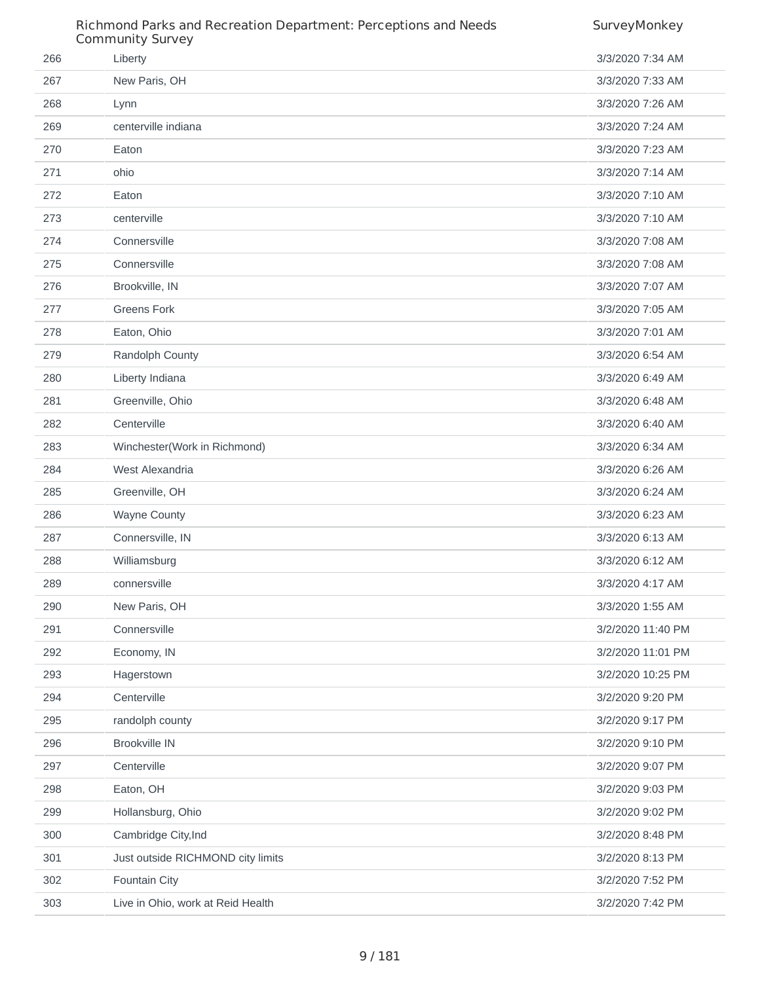|     | Richmond Parks and Recreation Department: Perceptions and Needs<br><b>Community Survey</b> | SurveyMonkey      |
|-----|--------------------------------------------------------------------------------------------|-------------------|
| 266 | Liberty                                                                                    | 3/3/2020 7:34 AM  |
| 267 | New Paris, OH                                                                              | 3/3/2020 7:33 AM  |
| 268 | Lynn                                                                                       | 3/3/2020 7:26 AM  |
| 269 | centerville indiana                                                                        | 3/3/2020 7:24 AM  |
| 270 | Eaton                                                                                      | 3/3/2020 7:23 AM  |
| 271 | ohio                                                                                       | 3/3/2020 7:14 AM  |
| 272 | Eaton                                                                                      | 3/3/2020 7:10 AM  |
| 273 | centerville                                                                                | 3/3/2020 7:10 AM  |
| 274 | Connersville                                                                               | 3/3/2020 7:08 AM  |
| 275 | Connersville                                                                               | 3/3/2020 7:08 AM  |
| 276 | Brookville, IN                                                                             | 3/3/2020 7:07 AM  |
| 277 | <b>Greens Fork</b>                                                                         | 3/3/2020 7:05 AM  |
| 278 | Eaton, Ohio                                                                                | 3/3/2020 7:01 AM  |
| 279 | Randolph County                                                                            | 3/3/2020 6:54 AM  |
| 280 | Liberty Indiana                                                                            | 3/3/2020 6:49 AM  |
| 281 | Greenville, Ohio                                                                           | 3/3/2020 6:48 AM  |
| 282 | Centerville                                                                                | 3/3/2020 6:40 AM  |
| 283 | Winchester(Work in Richmond)                                                               | 3/3/2020 6:34 AM  |
| 284 | West Alexandria                                                                            | 3/3/2020 6:26 AM  |
| 285 | Greenville, OH                                                                             | 3/3/2020 6:24 AM  |
| 286 | Wayne County                                                                               | 3/3/2020 6:23 AM  |
| 287 | Connersville, IN                                                                           | 3/3/2020 6:13 AM  |
| 288 | Williamsburg                                                                               | 3/3/2020 6:12 AM  |
| 289 | connersville                                                                               | 3/3/2020 4:17 AM  |
| 290 | New Paris, OH                                                                              | 3/3/2020 1:55 AM  |
| 291 | Connersville                                                                               | 3/2/2020 11:40 PM |
| 292 | Economy, IN                                                                                | 3/2/2020 11:01 PM |
| 293 | Hagerstown                                                                                 | 3/2/2020 10:25 PM |
| 294 | Centerville                                                                                | 3/2/2020 9:20 PM  |
| 295 | randolph county                                                                            | 3/2/2020 9:17 PM  |
| 296 | <b>Brookville IN</b>                                                                       | 3/2/2020 9:10 PM  |
| 297 | Centerville                                                                                | 3/2/2020 9:07 PM  |
| 298 | Eaton, OH                                                                                  | 3/2/2020 9:03 PM  |
| 299 | Hollansburg, Ohio                                                                          | 3/2/2020 9:02 PM  |
| 300 | Cambridge City, Ind                                                                        | 3/2/2020 8:48 PM  |
| 301 | Just outside RICHMOND city limits                                                          | 3/2/2020 8:13 PM  |
| 302 | Fountain City                                                                              | 3/2/2020 7:52 PM  |
| 303 | Live in Ohio, work at Reid Health                                                          | 3/2/2020 7:42 PM  |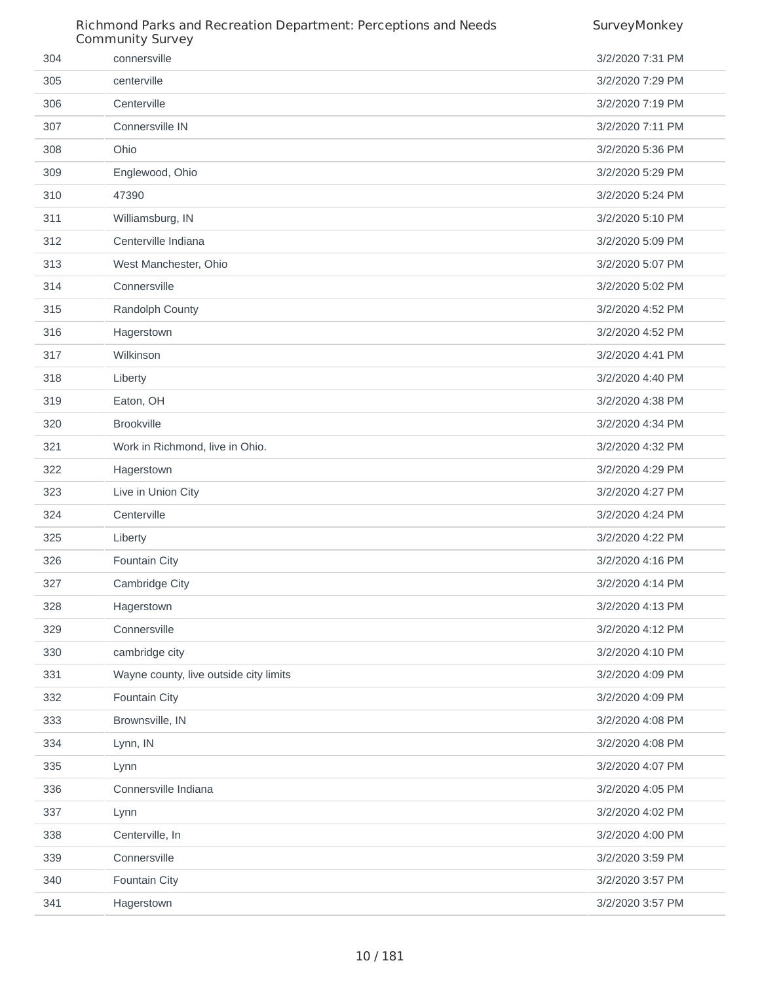|     | Richmond Parks and Recreation Department: Perceptions and Needs<br><b>Community Survey</b> | SurveyMonkey     |
|-----|--------------------------------------------------------------------------------------------|------------------|
| 304 | connersville                                                                               | 3/2/2020 7:31 PM |
| 305 | centerville                                                                                | 3/2/2020 7:29 PM |
| 306 | Centerville                                                                                | 3/2/2020 7:19 PM |
| 307 | Connersville IN                                                                            | 3/2/2020 7:11 PM |
| 308 | Ohio                                                                                       | 3/2/2020 5:36 PM |
| 309 | Englewood, Ohio                                                                            | 3/2/2020 5:29 PM |
| 310 | 47390                                                                                      | 3/2/2020 5:24 PM |
| 311 | Williamsburg, IN                                                                           | 3/2/2020 5:10 PM |
| 312 | Centerville Indiana                                                                        | 3/2/2020 5:09 PM |
| 313 | West Manchester, Ohio                                                                      | 3/2/2020 5:07 PM |
| 314 | Connersville                                                                               | 3/2/2020 5:02 PM |
| 315 | Randolph County                                                                            | 3/2/2020 4:52 PM |
| 316 | Hagerstown                                                                                 | 3/2/2020 4:52 PM |
| 317 | Wilkinson                                                                                  | 3/2/2020 4:41 PM |
| 318 | Liberty                                                                                    | 3/2/2020 4:40 PM |
| 319 | Eaton, OH                                                                                  | 3/2/2020 4:38 PM |
| 320 | <b>Brookville</b>                                                                          | 3/2/2020 4:34 PM |
| 321 | Work in Richmond, live in Ohio.                                                            | 3/2/2020 4:32 PM |
| 322 | Hagerstown                                                                                 | 3/2/2020 4:29 PM |
| 323 | Live in Union City                                                                         | 3/2/2020 4:27 PM |
| 324 | Centerville                                                                                | 3/2/2020 4:24 PM |
| 325 | Liberty                                                                                    | 3/2/2020 4:22 PM |
| 326 | Fountain City                                                                              | 3/2/2020 4:16 PM |
| 327 | Cambridge City                                                                             | 3/2/2020 4:14 PM |
| 328 | Hagerstown                                                                                 | 3/2/2020 4:13 PM |
| 329 | Connersville                                                                               | 3/2/2020 4:12 PM |
| 330 | cambridge city                                                                             | 3/2/2020 4:10 PM |
| 331 | Wayne county, live outside city limits                                                     | 3/2/2020 4:09 PM |
| 332 | Fountain City                                                                              | 3/2/2020 4:09 PM |
| 333 | Brownsville, IN                                                                            | 3/2/2020 4:08 PM |
| 334 | Lynn, IN                                                                                   | 3/2/2020 4:08 PM |
| 335 | Lynn                                                                                       | 3/2/2020 4:07 PM |
| 336 | Connersville Indiana                                                                       | 3/2/2020 4:05 PM |
| 337 | Lynn                                                                                       | 3/2/2020 4:02 PM |
| 338 | Centerville, In                                                                            | 3/2/2020 4:00 PM |
| 339 | Connersville                                                                               | 3/2/2020 3:59 PM |
| 340 | Fountain City                                                                              | 3/2/2020 3:57 PM |
| 341 | Hagerstown                                                                                 | 3/2/2020 3:57 PM |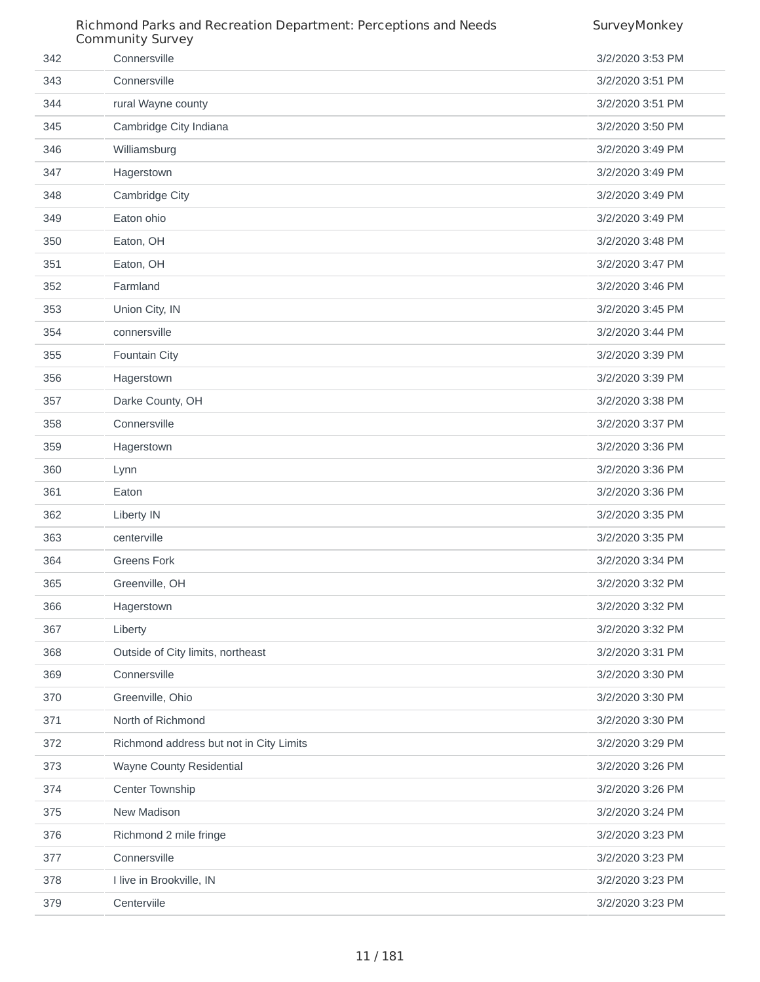|     | Richmond Parks and Recreation Department: Perceptions and Needs<br>Community Survey | SurveyMonkey     |
|-----|-------------------------------------------------------------------------------------|------------------|
| 342 | Connersville                                                                        | 3/2/2020 3:53 PM |
| 343 | Connersville                                                                        | 3/2/2020 3:51 PM |
| 344 | rural Wayne county                                                                  | 3/2/2020 3:51 PM |
| 345 | Cambridge City Indiana                                                              | 3/2/2020 3:50 PM |
| 346 | Williamsburg                                                                        | 3/2/2020 3:49 PM |
| 347 | Hagerstown                                                                          | 3/2/2020 3:49 PM |
| 348 | Cambridge City                                                                      | 3/2/2020 3:49 PM |
| 349 | Eaton ohio                                                                          | 3/2/2020 3:49 PM |
| 350 | Eaton, OH                                                                           | 3/2/2020 3:48 PM |
| 351 | Eaton, OH                                                                           | 3/2/2020 3:47 PM |
| 352 | Farmland                                                                            | 3/2/2020 3:46 PM |
| 353 | Union City, IN                                                                      | 3/2/2020 3:45 PM |
| 354 | connersville                                                                        | 3/2/2020 3:44 PM |
| 355 | Fountain City                                                                       | 3/2/2020 3:39 PM |
| 356 | Hagerstown                                                                          | 3/2/2020 3:39 PM |
| 357 | Darke County, OH                                                                    | 3/2/2020 3:38 PM |
| 358 | Connersville                                                                        | 3/2/2020 3:37 PM |
| 359 | Hagerstown                                                                          | 3/2/2020 3:36 PM |
| 360 | Lynn                                                                                | 3/2/2020 3:36 PM |
| 361 | Eaton                                                                               | 3/2/2020 3:36 PM |
| 362 | Liberty IN                                                                          | 3/2/2020 3:35 PM |
| 363 | centerville                                                                         | 3/2/2020 3:35 PM |
| 364 | <b>Greens Fork</b>                                                                  | 3/2/2020 3:34 PM |
| 365 | Greenville, OH                                                                      | 3/2/2020 3:32 PM |
| 366 | Hagerstown                                                                          | 3/2/2020 3:32 PM |
| 367 | Liberty                                                                             | 3/2/2020 3:32 PM |
| 368 | Outside of City limits, northeast                                                   | 3/2/2020 3:31 PM |
| 369 | Connersville                                                                        | 3/2/2020 3:30 PM |
| 370 | Greenville, Ohio                                                                    | 3/2/2020 3:30 PM |
| 371 | North of Richmond                                                                   | 3/2/2020 3:30 PM |
| 372 | Richmond address but not in City Limits                                             | 3/2/2020 3:29 PM |
| 373 | Wayne County Residential                                                            | 3/2/2020 3:26 PM |
| 374 | Center Township                                                                     | 3/2/2020 3:26 PM |
| 375 | New Madison                                                                         | 3/2/2020 3:24 PM |
| 376 | Richmond 2 mile fringe                                                              | 3/2/2020 3:23 PM |
| 377 | Connersville                                                                        | 3/2/2020 3:23 PM |
| 378 | I live in Brookville, IN                                                            | 3/2/2020 3:23 PM |
| 379 | Centerviile                                                                         | 3/2/2020 3:23 PM |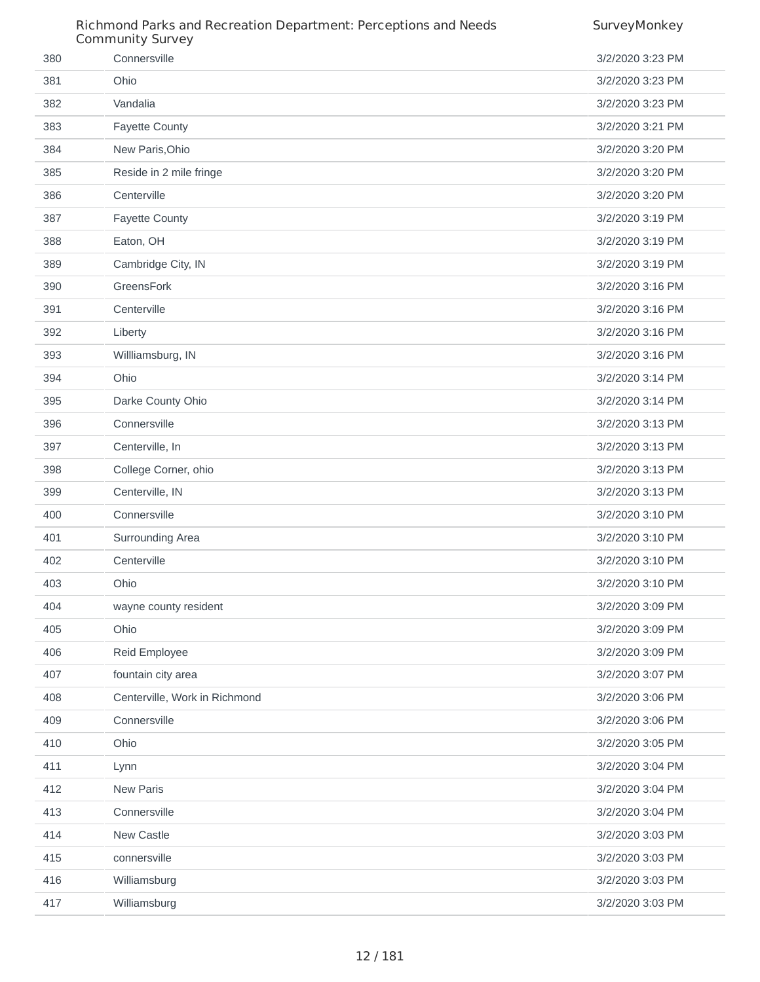|     | Richmond Parks and Recreation Department: Perceptions and Needs<br><b>Community Survey</b> | SurveyMonkey     |
|-----|--------------------------------------------------------------------------------------------|------------------|
| 380 | Connersville                                                                               | 3/2/2020 3:23 PM |
| 381 | Ohio                                                                                       | 3/2/2020 3:23 PM |
| 382 | Vandalia                                                                                   | 3/2/2020 3:23 PM |
| 383 | <b>Fayette County</b>                                                                      | 3/2/2020 3:21 PM |
| 384 | New Paris, Ohio                                                                            | 3/2/2020 3:20 PM |
| 385 | Reside in 2 mile fringe                                                                    | 3/2/2020 3:20 PM |
| 386 | Centerville                                                                                | 3/2/2020 3:20 PM |
| 387 | <b>Fayette County</b>                                                                      | 3/2/2020 3:19 PM |
| 388 | Eaton, OH                                                                                  | 3/2/2020 3:19 PM |
| 389 | Cambridge City, IN                                                                         | 3/2/2020 3:19 PM |
| 390 | GreensFork                                                                                 | 3/2/2020 3:16 PM |
| 391 | Centerville                                                                                | 3/2/2020 3:16 PM |
| 392 | Liberty                                                                                    | 3/2/2020 3:16 PM |
| 393 | Willliamsburg, IN                                                                          | 3/2/2020 3:16 PM |
| 394 | Ohio                                                                                       | 3/2/2020 3:14 PM |
| 395 | Darke County Ohio                                                                          | 3/2/2020 3:14 PM |
| 396 | Connersville                                                                               | 3/2/2020 3:13 PM |
| 397 | Centerville, In                                                                            | 3/2/2020 3:13 PM |
| 398 | College Corner, ohio                                                                       | 3/2/2020 3:13 PM |
| 399 | Centerville, IN                                                                            | 3/2/2020 3:13 PM |
| 400 | Connersville                                                                               | 3/2/2020 3:10 PM |
| 401 | Surrounding Area                                                                           | 3/2/2020 3:10 PM |
| 402 | Centerville                                                                                | 3/2/2020 3:10 PM |
| 403 | Ohio                                                                                       | 3/2/2020 3:10 PM |
| 404 | wayne county resident                                                                      | 3/2/2020 3:09 PM |
| 405 | Ohio                                                                                       | 3/2/2020 3:09 PM |
| 406 | Reid Employee                                                                              | 3/2/2020 3:09 PM |
| 407 | fountain city area                                                                         | 3/2/2020 3:07 PM |
| 408 | Centerville, Work in Richmond                                                              | 3/2/2020 3:06 PM |
| 409 | Connersville                                                                               | 3/2/2020 3:06 PM |
| 410 | Ohio                                                                                       | 3/2/2020 3:05 PM |
| 411 | Lynn                                                                                       | 3/2/2020 3:04 PM |
| 412 | <b>New Paris</b>                                                                           | 3/2/2020 3:04 PM |
| 413 | Connersville                                                                               | 3/2/2020 3:04 PM |
| 414 | New Castle                                                                                 | 3/2/2020 3:03 PM |
| 415 | connersville                                                                               | 3/2/2020 3:03 PM |
| 416 | Williamsburg                                                                               | 3/2/2020 3:03 PM |
| 417 | Williamsburg                                                                               | 3/2/2020 3:03 PM |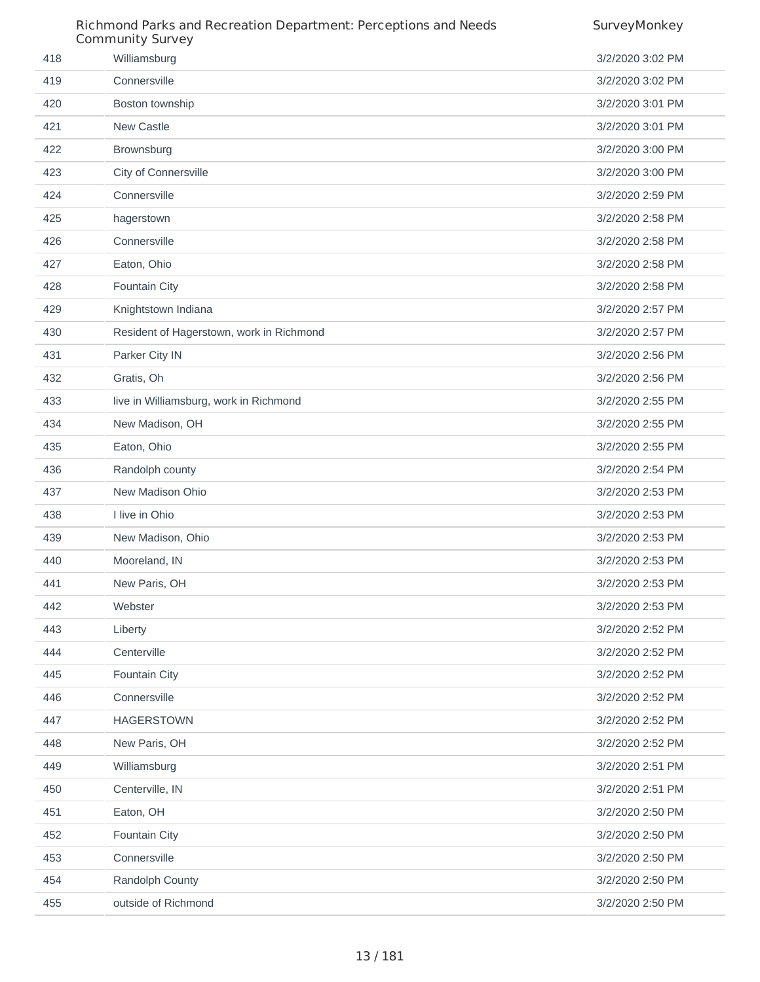|     | Richmond Parks and Recreation Department: Perceptions and Needs<br><b>Community Survey</b> | SurveyMonkey     |
|-----|--------------------------------------------------------------------------------------------|------------------|
| 418 | Williamsburg                                                                               | 3/2/2020 3:02 PM |
| 419 | Connersville                                                                               | 3/2/2020 3:02 PM |
| 420 | Boston township                                                                            | 3/2/2020 3:01 PM |
| 421 | New Castle                                                                                 | 3/2/2020 3:01 PM |
| 422 | Brownsburg                                                                                 | 3/2/2020 3:00 PM |
| 423 | City of Connersville                                                                       | 3/2/2020 3:00 PM |
| 424 | Connersville                                                                               | 3/2/2020 2:59 PM |
| 425 | hagerstown                                                                                 | 3/2/2020 2:58 PM |
| 426 | Connersville                                                                               | 3/2/2020 2:58 PM |
| 427 | Eaton, Ohio                                                                                | 3/2/2020 2:58 PM |
| 428 | Fountain City                                                                              | 3/2/2020 2:58 PM |
| 429 | Knightstown Indiana                                                                        | 3/2/2020 2:57 PM |
| 430 | Resident of Hagerstown, work in Richmond                                                   | 3/2/2020 2:57 PM |
| 431 | Parker City IN                                                                             | 3/2/2020 2:56 PM |
| 432 | Gratis, Oh                                                                                 | 3/2/2020 2:56 PM |
| 433 | live in Williamsburg, work in Richmond                                                     | 3/2/2020 2:55 PM |
| 434 | New Madison, OH                                                                            | 3/2/2020 2:55 PM |
| 435 | Eaton, Ohio                                                                                | 3/2/2020 2:55 PM |
| 436 | Randolph county                                                                            | 3/2/2020 2:54 PM |
| 437 | New Madison Ohio                                                                           | 3/2/2020 2:53 PM |
| 438 | I live in Ohio                                                                             | 3/2/2020 2:53 PM |
| 439 | New Madison, Ohio                                                                          | 3/2/2020 2:53 PM |
| 440 | Mooreland, IN                                                                              | 3/2/2020 2:53 PM |
| 441 | New Paris, OH                                                                              | 3/2/2020 2:53 PM |
| 442 | Webster                                                                                    | 3/2/2020 2:53 PM |
| 443 | Liberty                                                                                    | 3/2/2020 2:52 PM |
| 444 | Centerville                                                                                | 3/2/2020 2:52 PM |
| 445 | Fountain City                                                                              | 3/2/2020 2:52 PM |
| 446 | Connersville                                                                               | 3/2/2020 2:52 PM |
| 447 | <b>HAGERSTOWN</b>                                                                          | 3/2/2020 2:52 PM |
| 448 | New Paris, OH                                                                              | 3/2/2020 2:52 PM |
| 449 | Williamsburg                                                                               | 3/2/2020 2:51 PM |
| 450 | Centerville, IN                                                                            | 3/2/2020 2:51 PM |
| 451 | Eaton, OH                                                                                  | 3/2/2020 2:50 PM |
| 452 | Fountain City                                                                              | 3/2/2020 2:50 PM |
| 453 | Connersville                                                                               | 3/2/2020 2:50 PM |
| 454 | Randolph County                                                                            | 3/2/2020 2:50 PM |
| 455 | outside of Richmond                                                                        | 3/2/2020 2:50 PM |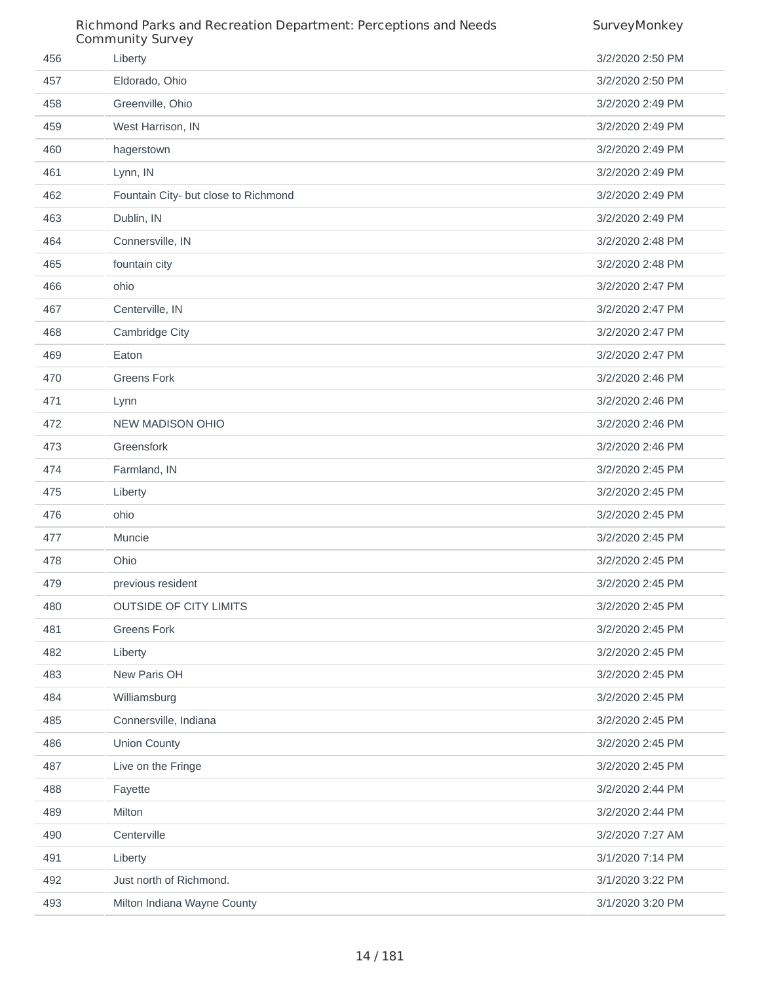|     | Richmond Parks and Recreation Department: Perceptions and Needs<br><b>Community Survey</b> | SurveyMonkey     |
|-----|--------------------------------------------------------------------------------------------|------------------|
| 456 | Liberty                                                                                    | 3/2/2020 2:50 PM |
| 457 | Eldorado, Ohio                                                                             | 3/2/2020 2:50 PM |
| 458 | Greenville, Ohio                                                                           | 3/2/2020 2:49 PM |
| 459 | West Harrison, IN                                                                          | 3/2/2020 2:49 PM |
| 460 | hagerstown                                                                                 | 3/2/2020 2:49 PM |
| 461 | Lynn, IN                                                                                   | 3/2/2020 2:49 PM |
| 462 | Fountain City- but close to Richmond                                                       | 3/2/2020 2:49 PM |
| 463 | Dublin, IN                                                                                 | 3/2/2020 2:49 PM |
| 464 | Connersville, IN                                                                           | 3/2/2020 2:48 PM |
| 465 | fountain city                                                                              | 3/2/2020 2:48 PM |
| 466 | ohio                                                                                       | 3/2/2020 2:47 PM |
| 467 | Centerville, IN                                                                            | 3/2/2020 2:47 PM |
| 468 | Cambridge City                                                                             | 3/2/2020 2:47 PM |
| 469 | Eaton                                                                                      | 3/2/2020 2:47 PM |
| 470 | <b>Greens Fork</b>                                                                         | 3/2/2020 2:46 PM |
| 471 | Lynn                                                                                       | 3/2/2020 2:46 PM |
| 472 | <b>NEW MADISON OHIO</b>                                                                    | 3/2/2020 2:46 PM |
| 473 | Greensfork                                                                                 | 3/2/2020 2:46 PM |
| 474 | Farmland, IN                                                                               | 3/2/2020 2:45 PM |
| 475 | Liberty                                                                                    | 3/2/2020 2:45 PM |
| 476 | ohio                                                                                       | 3/2/2020 2:45 PM |
| 477 | Muncie                                                                                     | 3/2/2020 2:45 PM |
| 478 | Ohio                                                                                       | 3/2/2020 2:45 PM |
| 479 | previous resident                                                                          | 3/2/2020 2:45 PM |
| 480 | <b>OUTSIDE OF CITY LIMITS</b>                                                              | 3/2/2020 2:45 PM |
| 481 | <b>Greens Fork</b>                                                                         | 3/2/2020 2:45 PM |
| 482 | Liberty                                                                                    | 3/2/2020 2:45 PM |
| 483 | New Paris OH                                                                               | 3/2/2020 2:45 PM |
| 484 | Williamsburg                                                                               | 3/2/2020 2:45 PM |
| 485 | Connersville, Indiana                                                                      | 3/2/2020 2:45 PM |
| 486 | <b>Union County</b>                                                                        | 3/2/2020 2:45 PM |
| 487 | Live on the Fringe                                                                         | 3/2/2020 2:45 PM |
| 488 | Fayette                                                                                    | 3/2/2020 2:44 PM |
| 489 | Milton                                                                                     | 3/2/2020 2:44 PM |
| 490 | Centerville                                                                                | 3/2/2020 7:27 AM |
| 491 | Liberty                                                                                    | 3/1/2020 7:14 PM |
| 492 | Just north of Richmond.                                                                    | 3/1/2020 3:22 PM |
| 493 | Milton Indiana Wayne County                                                                | 3/1/2020 3:20 PM |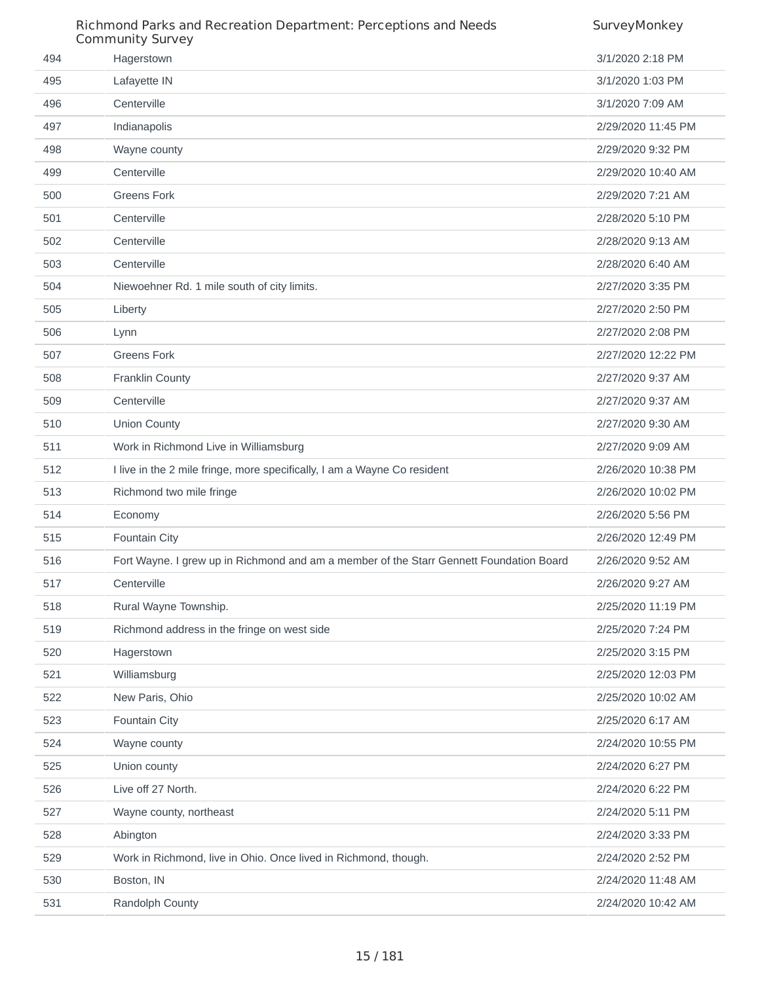|     | Richmond Parks and Recreation Department: Perceptions and Needs<br><b>Community Survey</b> | SurveyMonkey       |
|-----|--------------------------------------------------------------------------------------------|--------------------|
| 494 | Hagerstown                                                                                 | 3/1/2020 2:18 PM   |
| 495 | Lafayette IN                                                                               | 3/1/2020 1:03 PM   |
| 496 | Centerville                                                                                | 3/1/2020 7:09 AM   |
| 497 | Indianapolis                                                                               | 2/29/2020 11:45 PM |
| 498 | Wayne county                                                                               | 2/29/2020 9:32 PM  |
| 499 | Centerville                                                                                | 2/29/2020 10:40 AM |
| 500 | <b>Greens Fork</b>                                                                         | 2/29/2020 7:21 AM  |
| 501 | Centerville                                                                                | 2/28/2020 5:10 PM  |
| 502 | Centerville                                                                                | 2/28/2020 9:13 AM  |
| 503 | Centerville                                                                                | 2/28/2020 6:40 AM  |
| 504 | Niewoehner Rd. 1 mile south of city limits.                                                | 2/27/2020 3:35 PM  |
| 505 | Liberty                                                                                    | 2/27/2020 2:50 PM  |
| 506 | Lynn                                                                                       | 2/27/2020 2:08 PM  |
| 507 | <b>Greens Fork</b>                                                                         | 2/27/2020 12:22 PM |
| 508 | <b>Franklin County</b>                                                                     | 2/27/2020 9:37 AM  |
| 509 | Centerville                                                                                | 2/27/2020 9:37 AM  |
| 510 | Union County                                                                               | 2/27/2020 9:30 AM  |
| 511 | Work in Richmond Live in Williamsburg                                                      | 2/27/2020 9:09 AM  |
| 512 | I live in the 2 mile fringe, more specifically, I am a Wayne Co resident                   | 2/26/2020 10:38 PM |
| 513 | Richmond two mile fringe                                                                   | 2/26/2020 10:02 PM |
| 514 | Economy                                                                                    | 2/26/2020 5:56 PM  |
| 515 | Fountain City                                                                              | 2/26/2020 12:49 PM |
| 516 | Fort Wayne. I grew up in Richmond and am a member of the Starr Gennett Foundation Board    | 2/26/2020 9:52 AM  |
| 517 | Centerville                                                                                | 2/26/2020 9:27 AM  |
| 518 | Rural Wayne Township.                                                                      | 2/25/2020 11:19 PM |
| 519 | Richmond address in the fringe on west side                                                | 2/25/2020 7:24 PM  |
| 520 | Hagerstown                                                                                 | 2/25/2020 3:15 PM  |
| 521 | Williamsburg                                                                               | 2/25/2020 12:03 PM |
| 522 | New Paris, Ohio                                                                            | 2/25/2020 10:02 AM |
| 523 | Fountain City                                                                              | 2/25/2020 6:17 AM  |
| 524 | Wayne county                                                                               | 2/24/2020 10:55 PM |
| 525 | Union county                                                                               | 2/24/2020 6:27 PM  |
| 526 | Live off 27 North.                                                                         | 2/24/2020 6:22 PM  |
| 527 | Wayne county, northeast                                                                    | 2/24/2020 5:11 PM  |
| 528 | Abington                                                                                   | 2/24/2020 3:33 PM  |
| 529 | Work in Richmond, live in Ohio. Once lived in Richmond, though.                            | 2/24/2020 2:52 PM  |
| 530 | Boston, IN                                                                                 | 2/24/2020 11:48 AM |
| 531 | Randolph County                                                                            | 2/24/2020 10:42 AM |

#### / 181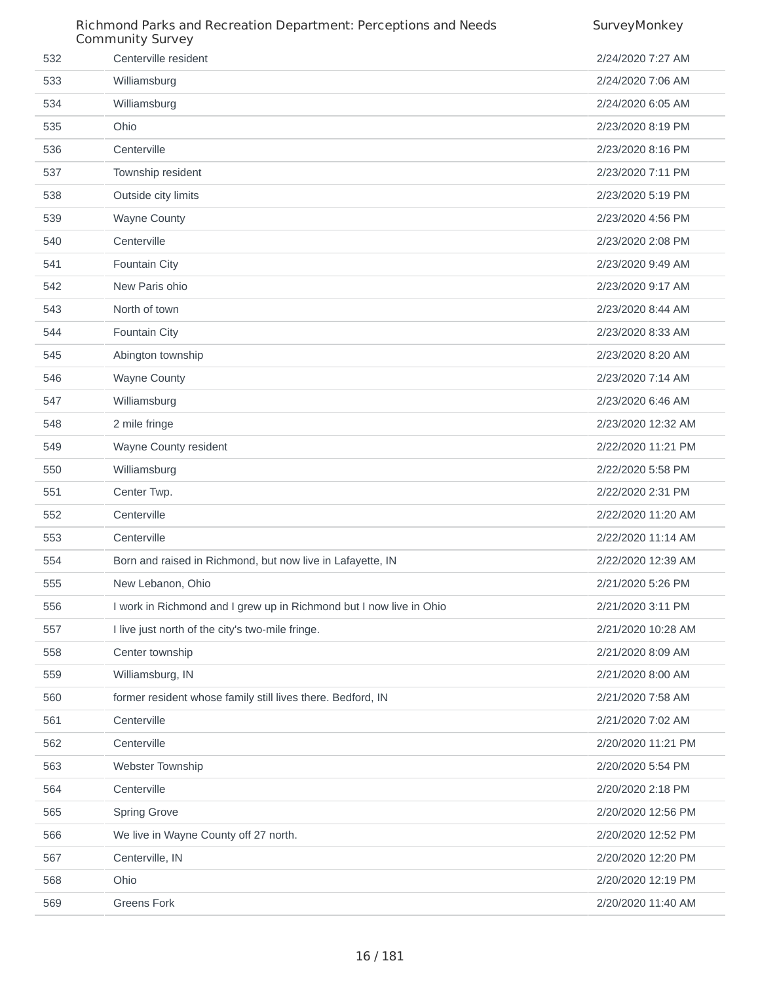|     | Richmond Parks and Recreation Department: Perceptions and Needs<br><b>Community Survey</b> | SurveyMonkey       |
|-----|--------------------------------------------------------------------------------------------|--------------------|
| 532 | Centerville resident                                                                       | 2/24/2020 7:27 AM  |
| 533 | Williamsburg                                                                               | 2/24/2020 7:06 AM  |
| 534 | Williamsburg                                                                               | 2/24/2020 6:05 AM  |
| 535 | Ohio                                                                                       | 2/23/2020 8:19 PM  |
| 536 | Centerville                                                                                | 2/23/2020 8:16 PM  |
| 537 | Township resident                                                                          | 2/23/2020 7:11 PM  |
| 538 | Outside city limits                                                                        | 2/23/2020 5:19 PM  |
| 539 | <b>Wayne County</b>                                                                        | 2/23/2020 4:56 PM  |
| 540 | Centerville                                                                                | 2/23/2020 2:08 PM  |
| 541 | Fountain City                                                                              | 2/23/2020 9:49 AM  |
| 542 | New Paris ohio                                                                             | 2/23/2020 9:17 AM  |
| 543 | North of town                                                                              | 2/23/2020 8:44 AM  |
| 544 | Fountain City                                                                              | 2/23/2020 8:33 AM  |
| 545 | Abington township                                                                          | 2/23/2020 8:20 AM  |
| 546 | <b>Wayne County</b>                                                                        | 2/23/2020 7:14 AM  |
| 547 | Williamsburg                                                                               | 2/23/2020 6:46 AM  |
| 548 | 2 mile fringe                                                                              | 2/23/2020 12:32 AM |
| 549 | Wayne County resident                                                                      | 2/22/2020 11:21 PM |
| 550 | Williamsburg                                                                               | 2/22/2020 5:58 PM  |
| 551 | Center Twp.                                                                                | 2/22/2020 2:31 PM  |
| 552 | Centerville                                                                                | 2/22/2020 11:20 AM |
| 553 | Centerville                                                                                | 2/22/2020 11:14 AM |
| 554 | Born and raised in Richmond, but now live in Lafayette, IN                                 | 2/22/2020 12:39 AM |
| 555 | New Lebanon, Ohio                                                                          | 2/21/2020 5:26 PM  |
| 556 | I work in Richmond and I grew up in Richmond but I now live in Ohio                        | 2/21/2020 3:11 PM  |
| 557 | I live just north of the city's two-mile fringe.                                           | 2/21/2020 10:28 AM |
| 558 | Center township                                                                            | 2/21/2020 8:09 AM  |
| 559 | Williamsburg, IN                                                                           | 2/21/2020 8:00 AM  |
| 560 | former resident whose family still lives there. Bedford, IN                                | 2/21/2020 7:58 AM  |
| 561 | Centerville                                                                                | 2/21/2020 7:02 AM  |
| 562 | Centerville                                                                                | 2/20/2020 11:21 PM |
| 563 | Webster Township                                                                           | 2/20/2020 5:54 PM  |
| 564 | Centerville                                                                                | 2/20/2020 2:18 PM  |
| 565 | <b>Spring Grove</b>                                                                        | 2/20/2020 12:56 PM |
| 566 | We live in Wayne County off 27 north.                                                      | 2/20/2020 12:52 PM |
| 567 | Centerville, IN                                                                            | 2/20/2020 12:20 PM |
| 568 | Ohio                                                                                       | 2/20/2020 12:19 PM |
| 569 | <b>Greens Fork</b>                                                                         | 2/20/2020 11:40 AM |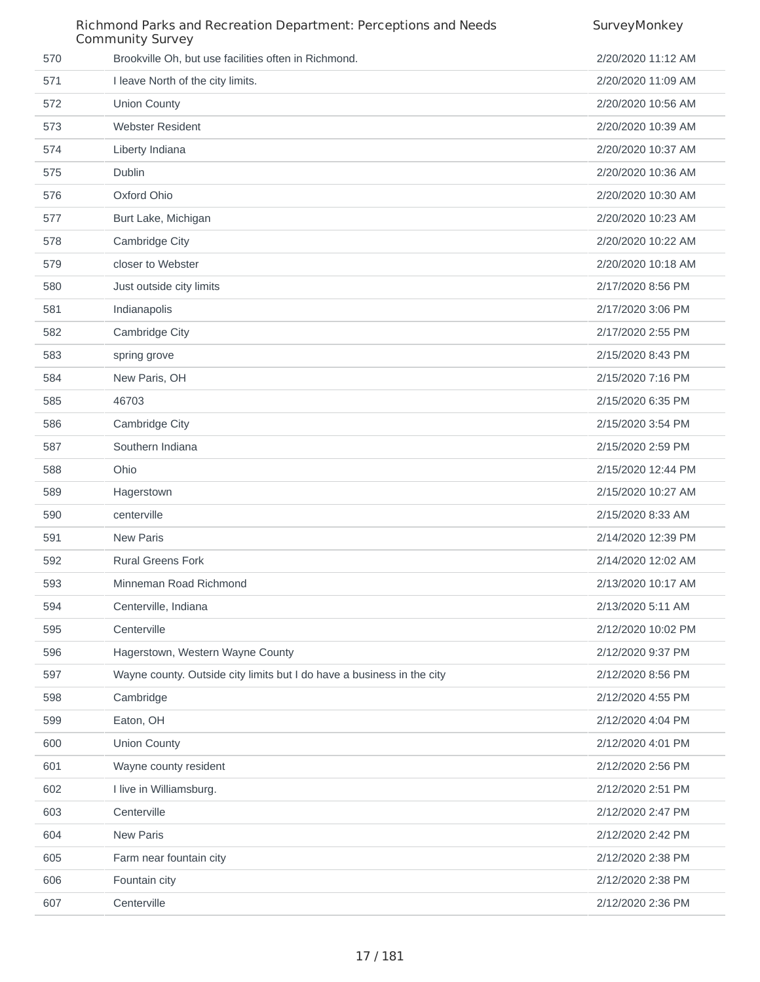|     | Richmond Parks and Recreation Department: Perceptions and Needs<br><b>Community Survey</b> | SurveyMonkey       |
|-----|--------------------------------------------------------------------------------------------|--------------------|
| 570 | Brookville Oh, but use facilities often in Richmond.                                       | 2/20/2020 11:12 AM |
| 571 | I leave North of the city limits.                                                          | 2/20/2020 11:09 AM |
| 572 | Union County                                                                               | 2/20/2020 10:56 AM |
| 573 | <b>Webster Resident</b>                                                                    | 2/20/2020 10:39 AM |
| 574 | Liberty Indiana                                                                            | 2/20/2020 10:37 AM |
| 575 | <b>Dublin</b>                                                                              | 2/20/2020 10:36 AM |
| 576 | Oxford Ohio                                                                                | 2/20/2020 10:30 AM |
| 577 | Burt Lake, Michigan                                                                        | 2/20/2020 10:23 AM |
| 578 | Cambridge City                                                                             | 2/20/2020 10:22 AM |
| 579 | closer to Webster                                                                          | 2/20/2020 10:18 AM |
| 580 | Just outside city limits                                                                   | 2/17/2020 8:56 PM  |
| 581 | Indianapolis                                                                               | 2/17/2020 3:06 PM  |
| 582 | Cambridge City                                                                             | 2/17/2020 2:55 PM  |
| 583 | spring grove                                                                               | 2/15/2020 8:43 PM  |
| 584 | New Paris, OH                                                                              | 2/15/2020 7:16 PM  |
| 585 | 46703                                                                                      | 2/15/2020 6:35 PM  |
| 586 | Cambridge City                                                                             | 2/15/2020 3:54 PM  |
| 587 | Southern Indiana                                                                           | 2/15/2020 2:59 PM  |
| 588 | Ohio                                                                                       | 2/15/2020 12:44 PM |
| 589 | Hagerstown                                                                                 | 2/15/2020 10:27 AM |
| 590 | centerville                                                                                | 2/15/2020 8:33 AM  |
| 591 | <b>New Paris</b>                                                                           | 2/14/2020 12:39 PM |
| 592 | <b>Rural Greens Fork</b>                                                                   | 2/14/2020 12:02 AM |
| 593 | Minneman Road Richmond                                                                     | 2/13/2020 10:17 AM |
| 594 | Centerville, Indiana                                                                       | 2/13/2020 5:11 AM  |
| 595 | Centerville                                                                                | 2/12/2020 10:02 PM |
| 596 | Hagerstown, Western Wayne County                                                           | 2/12/2020 9:37 PM  |
| 597 | Wayne county. Outside city limits but I do have a business in the city                     | 2/12/2020 8:56 PM  |
| 598 | Cambridge                                                                                  | 2/12/2020 4:55 PM  |
| 599 | Eaton, OH                                                                                  | 2/12/2020 4:04 PM  |
| 600 | <b>Union County</b>                                                                        | 2/12/2020 4:01 PM  |
| 601 | Wayne county resident                                                                      | 2/12/2020 2:56 PM  |
| 602 | I live in Williamsburg.                                                                    | 2/12/2020 2:51 PM  |
| 603 | Centerville                                                                                | 2/12/2020 2:47 PM  |
| 604 | <b>New Paris</b>                                                                           | 2/12/2020 2:42 PM  |
| 605 | Farm near fountain city                                                                    | 2/12/2020 2:38 PM  |
| 606 | Fountain city                                                                              | 2/12/2020 2:38 PM  |
| 607 | Centerville                                                                                | 2/12/2020 2:36 PM  |
|     |                                                                                            |                    |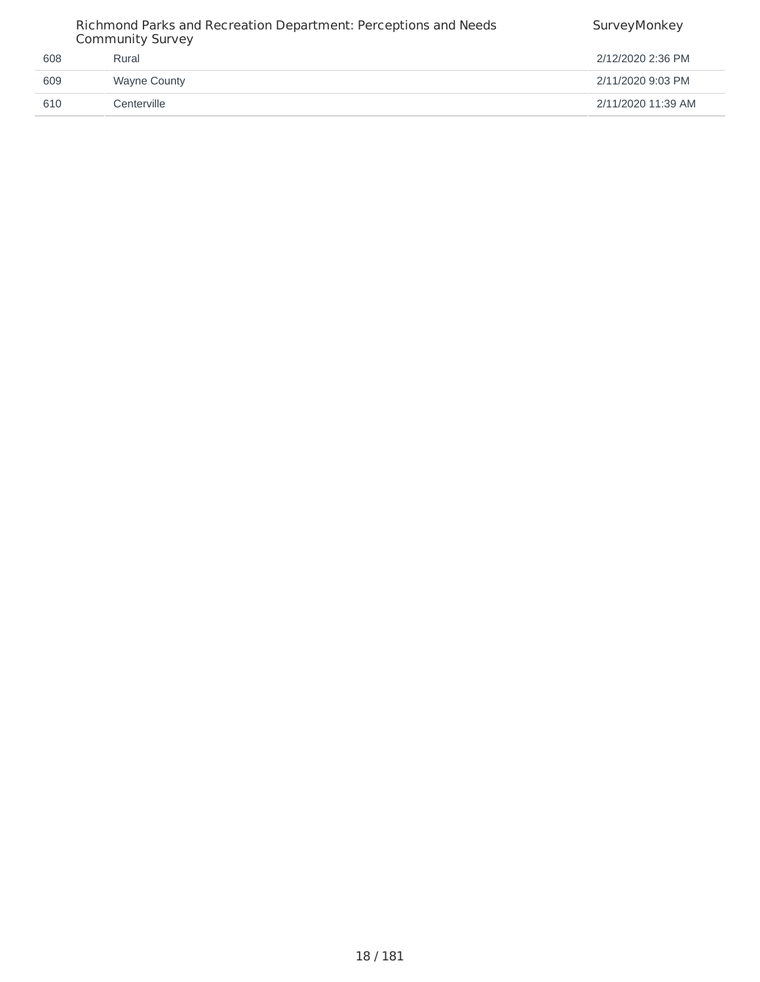| 608<br>Rural               | Richmond Parks and Recreation Department: Perceptions and Needs<br><b>Community Survey</b> | SurveyMonkey       |
|----------------------------|--------------------------------------------------------------------------------------------|--------------------|
|                            |                                                                                            | 2/12/2020 2:36 PM  |
| 609<br><b>Wayne County</b> |                                                                                            | 2/11/2020 9:03 PM  |
| 610<br>Centerville         |                                                                                            | 2/11/2020 11:39 AM |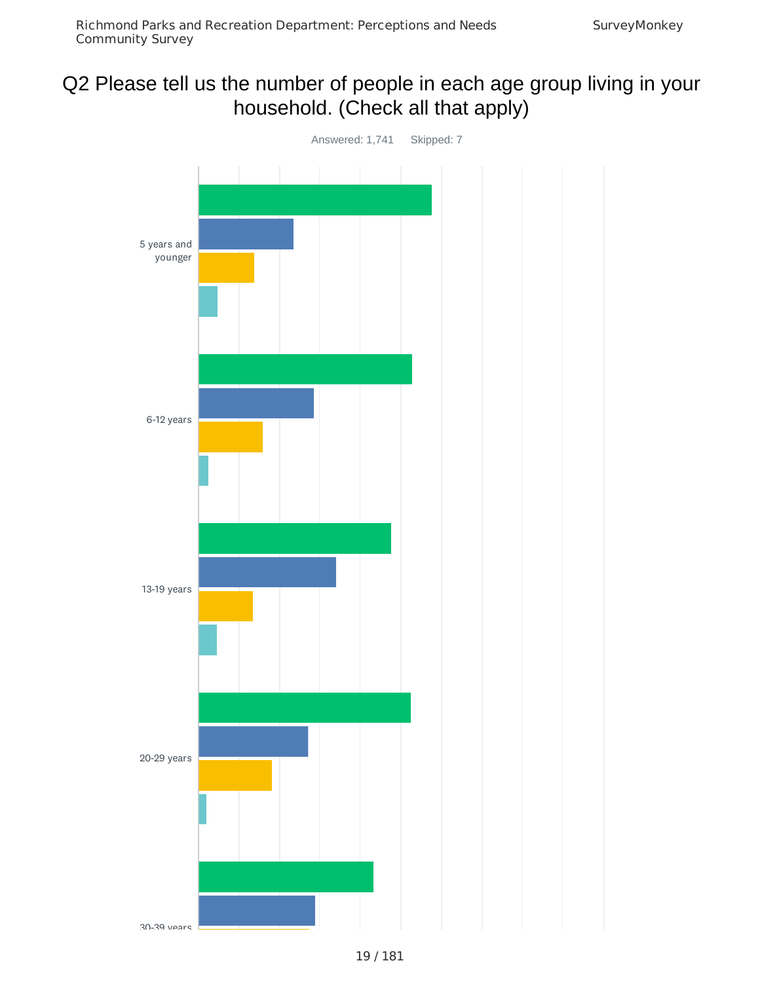# Q2 Please tell us the number of people in each age group living in your household. (Check all that apply)

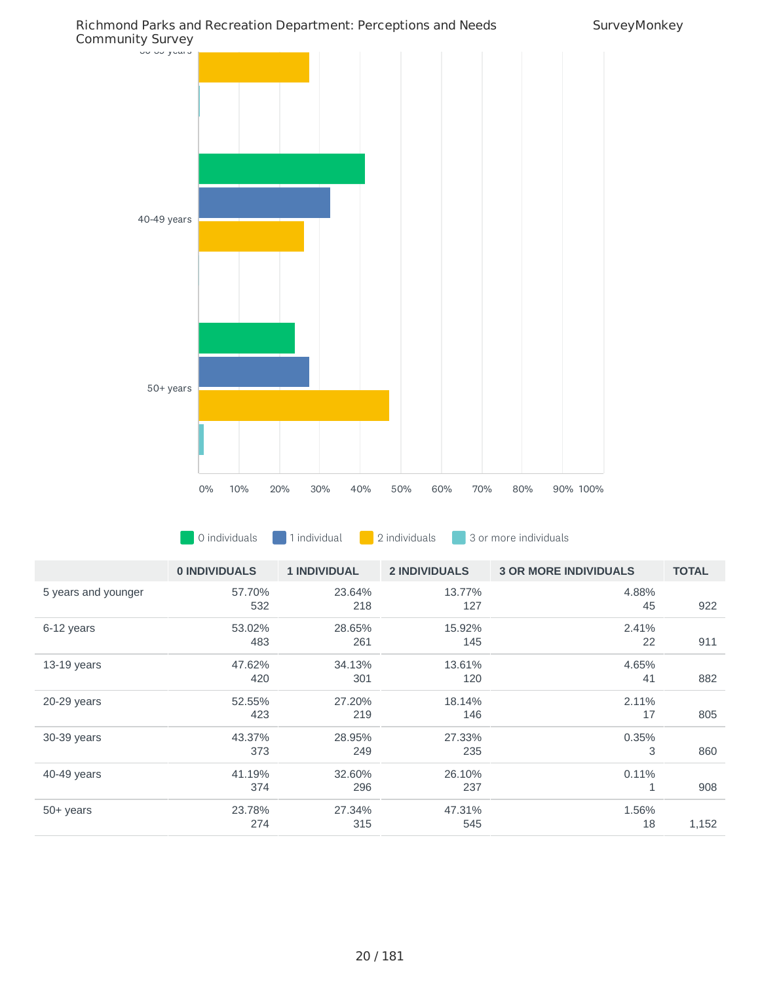



**0** 0 individuals **1** individual **1** 2 individuals **1** 3 or more individuals

|                     | 0 INDIVIDUALS | <b>1 INDIVIDUAL</b> | <b>2 INDIVIDUALS</b> | <b>3 OR MORE INDIVIDUALS</b> | <b>TOTAL</b> |
|---------------------|---------------|---------------------|----------------------|------------------------------|--------------|
| 5 years and younger | 57.70%<br>532 | 23.64%<br>218       | 13.77%<br>127        | 4.88%<br>45                  | 922          |
| 6-12 years          | 53.02%<br>483 | 28.65%<br>261       | 15.92%<br>145        | 2.41%<br>22                  | 911          |
| $13-19$ years       | 47.62%<br>420 | 34.13%<br>301       | 13.61%<br>120        | 4.65%<br>41                  | 882          |
| 20-29 years         | 52.55%<br>423 | 27.20%<br>219       | 18.14%<br>146        | 2.11%<br>17                  | 805          |
| 30-39 years         | 43.37%<br>373 | 28.95%<br>249       | 27.33%<br>235        | 0.35%<br>3                   | 860          |
| 40-49 years         | 41.19%<br>374 | 32.60%<br>296       | 26.10%<br>237        | 0.11%<br>1                   | 908          |
| $50+$ years         | 23.78%<br>274 | 27.34%<br>315       | 47.31%<br>545        | 1.56%<br>18                  | 1,152        |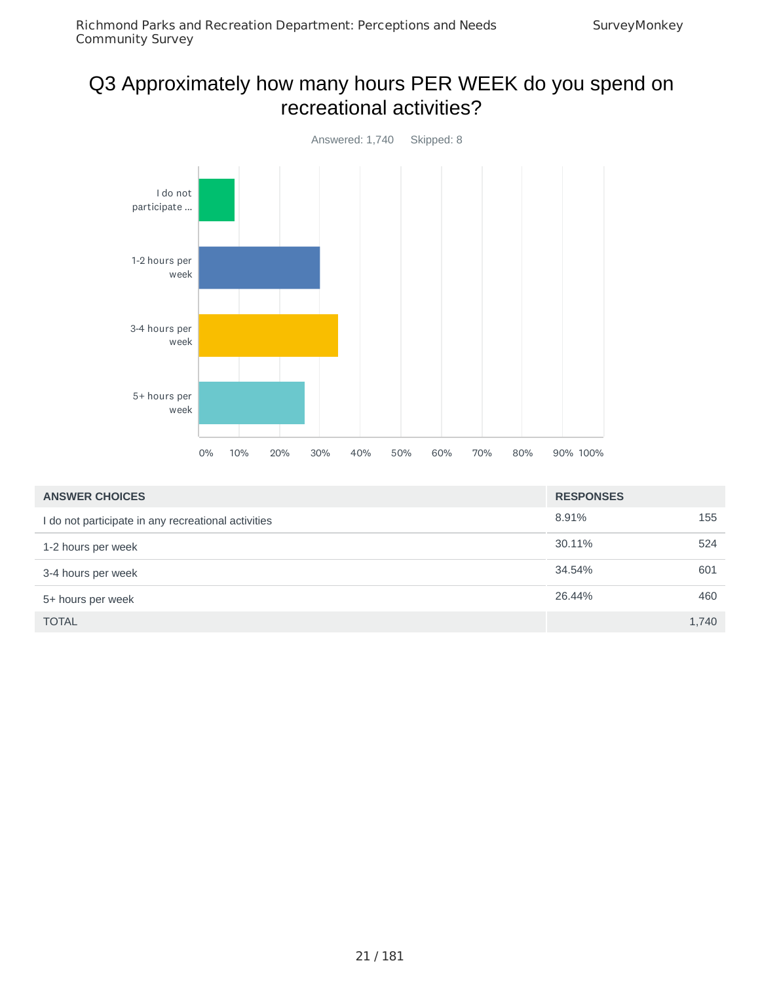### Q3 Approximately how many hours PER WEEK do you spend on recreational activities?



| <b>ANSWER CHOICES</b>                               | <b>RESPONSES</b> |       |
|-----------------------------------------------------|------------------|-------|
| I do not participate in any recreational activities | 8.91%            | 155   |
| 1-2 hours per week                                  | 30.11%           | 524   |
| 3-4 hours per week                                  | 34.54%           | 601   |
| 5+ hours per week                                   | 26.44%           | 460   |
| <b>TOTAL</b>                                        |                  | 1,740 |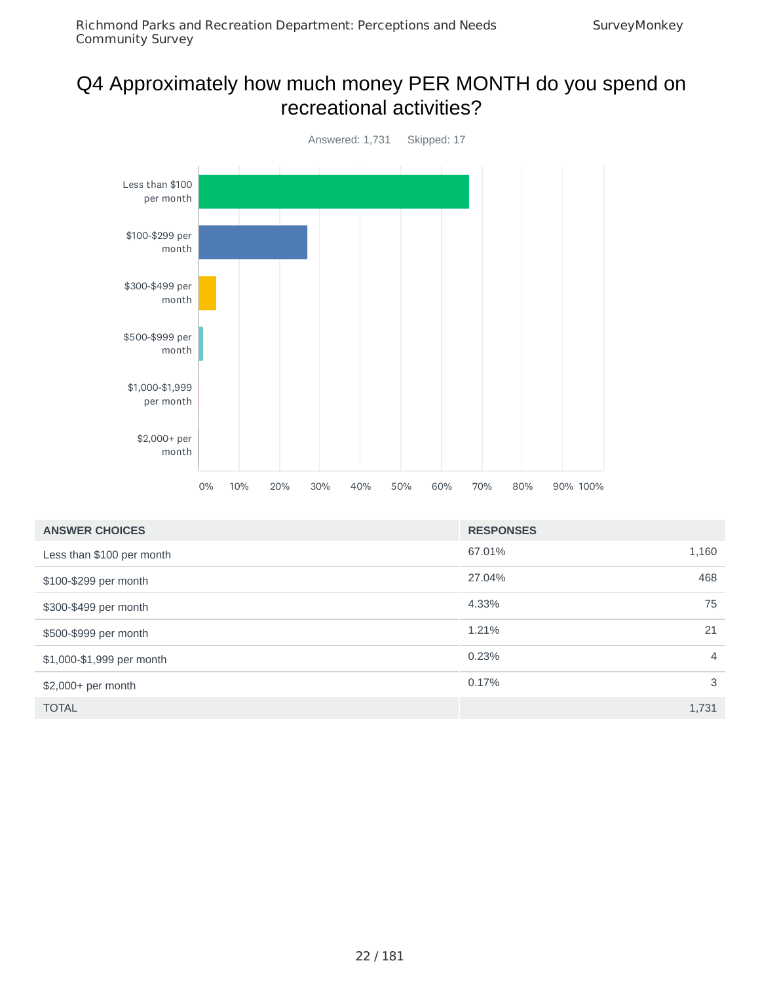#### Q4 Approximately how much money PER MONTH do you spend on recreational activities?



| <b>ANSWER CHOICES</b>     | <b>RESPONSES</b> |                |
|---------------------------|------------------|----------------|
| Less than \$100 per month | 67.01%           | 1,160          |
| \$100-\$299 per month     | 27.04%           | 468            |
| \$300-\$499 per month     | 4.33%            | 75             |
| \$500-\$999 per month     | 1.21%            | 21             |
| \$1,000-\$1,999 per month | 0.23%            | $\overline{4}$ |
| \$2,000+ per month        | 0.17%            | 3              |
| <b>TOTAL</b>              |                  | 1,731          |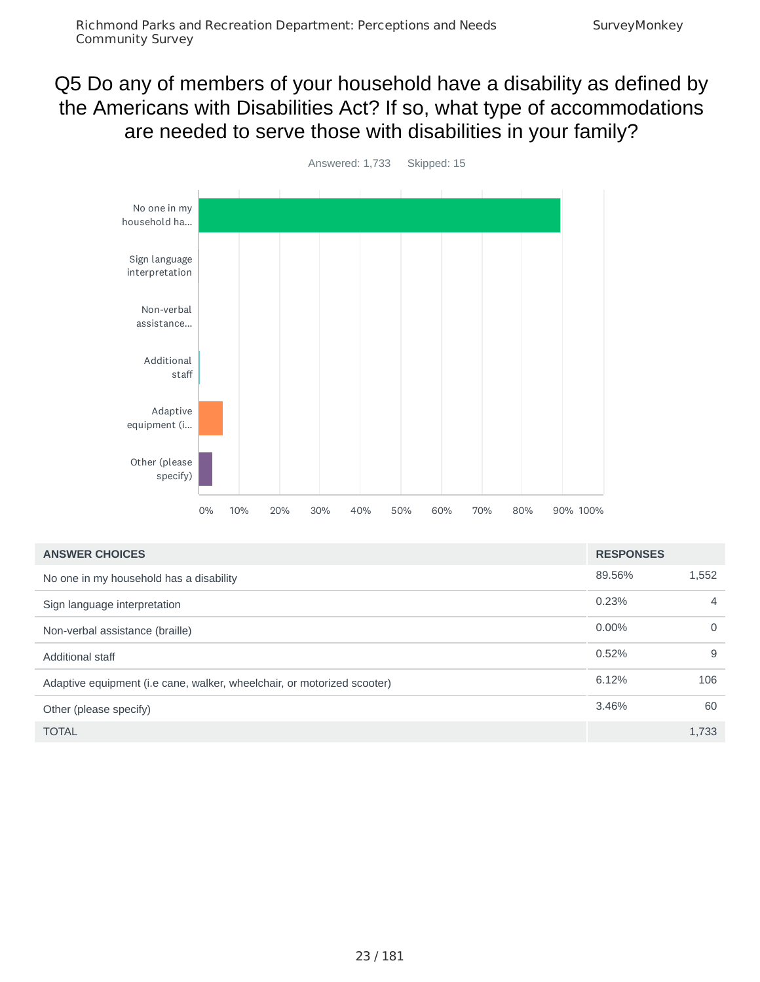### Q5 Do any of members of your household have a disability as defined by the Americans with Disabilities Act? If so, what type of accommodations are needed to serve those with disabilities in your family?

Community Survey



| <b>ANSWER CHOICES</b>                                                   | <b>RESPONSES</b> |          |
|-------------------------------------------------------------------------|------------------|----------|
| No one in my household has a disability                                 | 89.56%           | 1,552    |
| Sign language interpretation                                            | 0.23%            | 4        |
| Non-verbal assistance (braille)                                         | $0.00\%$         | $\Omega$ |
| <b>Additional staff</b>                                                 | 0.52%            | 9        |
| Adaptive equipment (i.e cane, walker, wheelchair, or motorized scooter) | 6.12%            | 106      |
| Other (please specify)                                                  | 3.46%            | 60       |
| <b>TOTAL</b>                                                            |                  | 1,733    |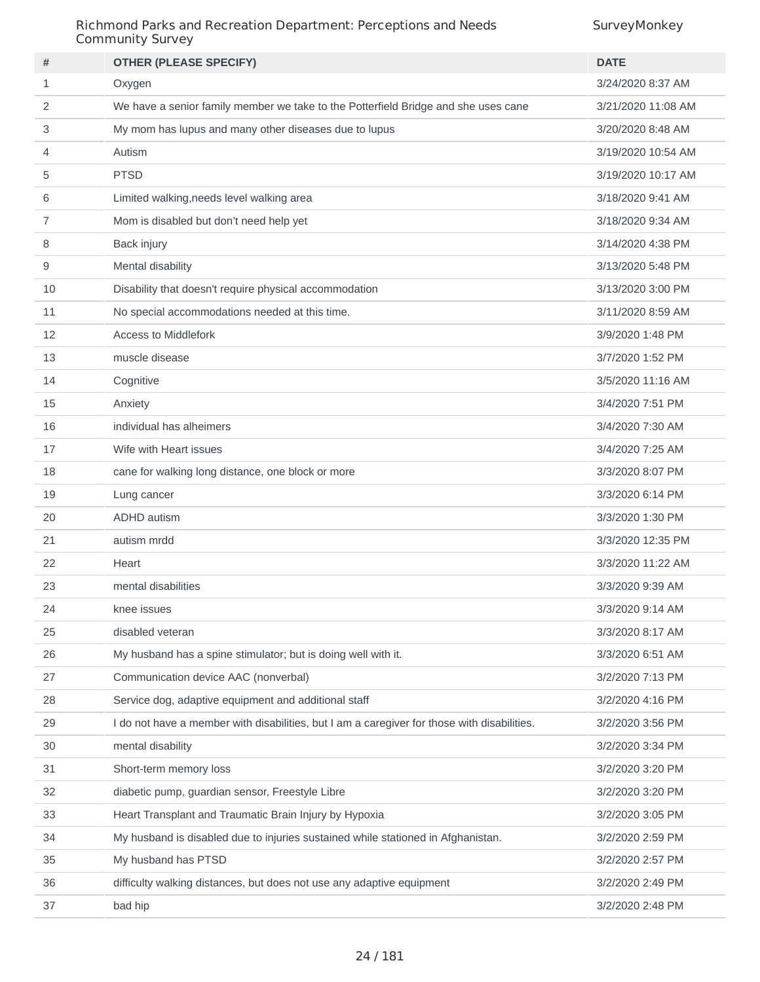#### Richmond Parks and Recreation Department: Perceptions and Needs Community Survey

| #  | <b>OTHER (PLEASE SPECIFY)</b>                                                               | <b>DATE</b>        |
|----|---------------------------------------------------------------------------------------------|--------------------|
| 1  | Oxygen                                                                                      | 3/24/2020 8:37 AM  |
| 2  | We have a senior family member we take to the Potterfield Bridge and she uses cane          | 3/21/2020 11:08 AM |
| 3  | My mom has lupus and many other diseases due to lupus                                       | 3/20/2020 8:48 AM  |
| 4  | Autism                                                                                      | 3/19/2020 10:54 AM |
| 5  | <b>PTSD</b>                                                                                 | 3/19/2020 10:17 AM |
| 6  | Limited walking, needs level walking area                                                   | 3/18/2020 9:41 AM  |
| 7  | Mom is disabled but don't need help yet                                                     | 3/18/2020 9:34 AM  |
| 8  | Back injury                                                                                 | 3/14/2020 4:38 PM  |
| 9  | Mental disability                                                                           | 3/13/2020 5:48 PM  |
| 10 | Disability that doesn't require physical accommodation                                      | 3/13/2020 3:00 PM  |
| 11 | No special accommodations needed at this time.                                              | 3/11/2020 8:59 AM  |
| 12 | <b>Access to Middlefork</b>                                                                 | 3/9/2020 1:48 PM   |
| 13 | muscle disease                                                                              | 3/7/2020 1:52 PM   |
| 14 | Cognitive                                                                                   | 3/5/2020 11:16 AM  |
| 15 | Anxiety                                                                                     | 3/4/2020 7:51 PM   |
| 16 | individual has alheimers                                                                    | 3/4/2020 7:30 AM   |
| 17 | Wife with Heart issues                                                                      | 3/4/2020 7:25 AM   |
| 18 | cane for walking long distance, one block or more                                           | 3/3/2020 8:07 PM   |
| 19 | Lung cancer                                                                                 | 3/3/2020 6:14 PM   |
| 20 | <b>ADHD</b> autism                                                                          | 3/3/2020 1:30 PM   |
| 21 | autism mrdd                                                                                 | 3/3/2020 12:35 PM  |
| 22 | Heart                                                                                       | 3/3/2020 11:22 AM  |
| 23 | mental disabilities                                                                         | 3/3/2020 9:39 AM   |
| 24 | knee issues                                                                                 | 3/3/2020 9:14 AM   |
| 25 | disabled veteran                                                                            | 3/3/2020 8:17 AM   |
| 26 | My husband has a spine stimulator; but is doing well with it.                               | 3/3/2020 6:51 AM   |
| 27 | Communication device AAC (nonverbal)                                                        | 3/2/2020 7:13 PM   |
| 28 | Service dog, adaptive equipment and additional staff                                        | 3/2/2020 4:16 PM   |
| 29 | I do not have a member with disabilities, but I am a caregiver for those with disabilities. | 3/2/2020 3:56 PM   |
| 30 | mental disability                                                                           | 3/2/2020 3:34 PM   |
| 31 | Short-term memory loss                                                                      | 3/2/2020 3:20 PM   |
| 32 | diabetic pump, guardian sensor, Freestyle Libre                                             | 3/2/2020 3:20 PM   |
| 33 | Heart Transplant and Traumatic Brain Injury by Hypoxia                                      | 3/2/2020 3:05 PM   |
| 34 | My husband is disabled due to injuries sustained while stationed in Afghanistan.            | 3/2/2020 2:59 PM   |
| 35 | My husband has PTSD                                                                         | 3/2/2020 2:57 PM   |
| 36 | difficulty walking distances, but does not use any adaptive equipment                       | 3/2/2020 2:49 PM   |
| 37 | bad hip                                                                                     | 3/2/2020 2:48 PM   |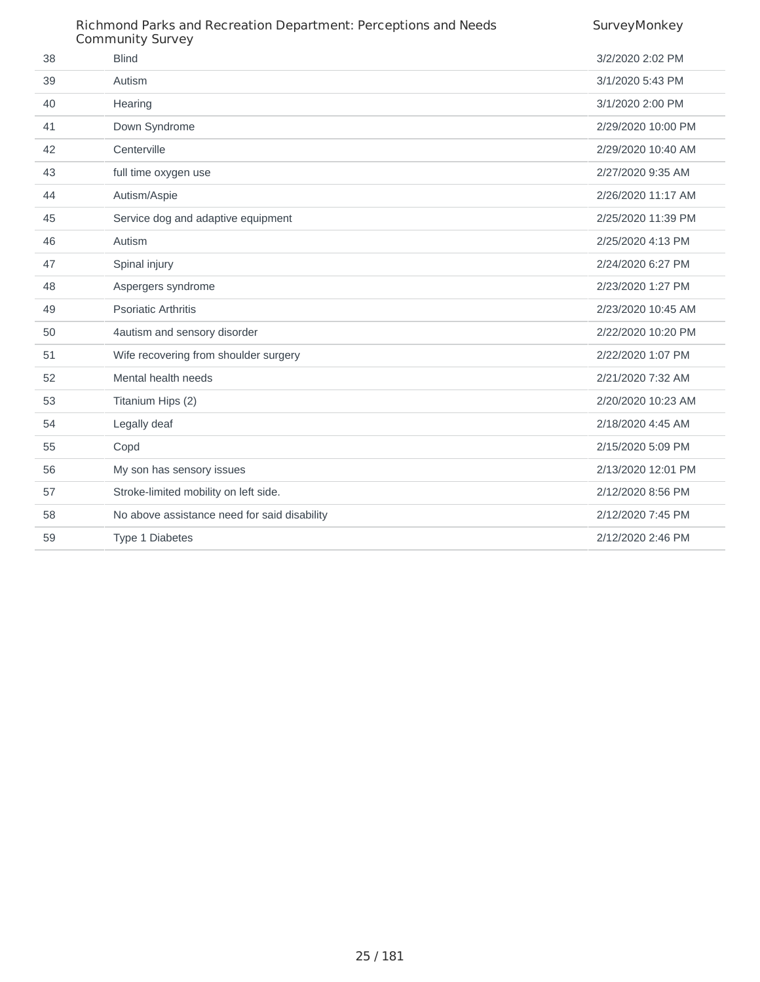|    | Richmond Parks and Recreation Department: Perceptions and Needs<br><b>Community Survey</b> | SurveyMonkey       |
|----|--------------------------------------------------------------------------------------------|--------------------|
| 38 | <b>Blind</b>                                                                               | 3/2/2020 2:02 PM   |
| 39 | Autism                                                                                     | 3/1/2020 5:43 PM   |
| 40 | Hearing                                                                                    | 3/1/2020 2:00 PM   |
| 41 | Down Syndrome                                                                              | 2/29/2020 10:00 PM |
| 42 | Centerville                                                                                | 2/29/2020 10:40 AM |
| 43 | full time oxygen use                                                                       | 2/27/2020 9:35 AM  |
| 44 | Autism/Aspie                                                                               | 2/26/2020 11:17 AM |
| 45 | Service dog and adaptive equipment                                                         | 2/25/2020 11:39 PM |
| 46 | Autism                                                                                     | 2/25/2020 4:13 PM  |
| 47 | Spinal injury                                                                              | 2/24/2020 6:27 PM  |
| 48 | Aspergers syndrome                                                                         | 2/23/2020 1:27 PM  |
| 49 | <b>Psoriatic Arthritis</b>                                                                 | 2/23/2020 10:45 AM |
| 50 | 4autism and sensory disorder                                                               | 2/22/2020 10:20 PM |
| 51 | Wife recovering from shoulder surgery                                                      | 2/22/2020 1:07 PM  |
| 52 | Mental health needs                                                                        | 2/21/2020 7:32 AM  |
| 53 | Titanium Hips (2)                                                                          | 2/20/2020 10:23 AM |
| 54 | Legally deaf                                                                               | 2/18/2020 4:45 AM  |
| 55 | Copd                                                                                       | 2/15/2020 5:09 PM  |
| 56 | My son has sensory issues                                                                  | 2/13/2020 12:01 PM |
| 57 | Stroke-limited mobility on left side.                                                      | 2/12/2020 8:56 PM  |
| 58 | No above assistance need for said disability                                               | 2/12/2020 7:45 PM  |
| 59 | <b>Type 1 Diabetes</b>                                                                     | 2/12/2020 2:46 PM  |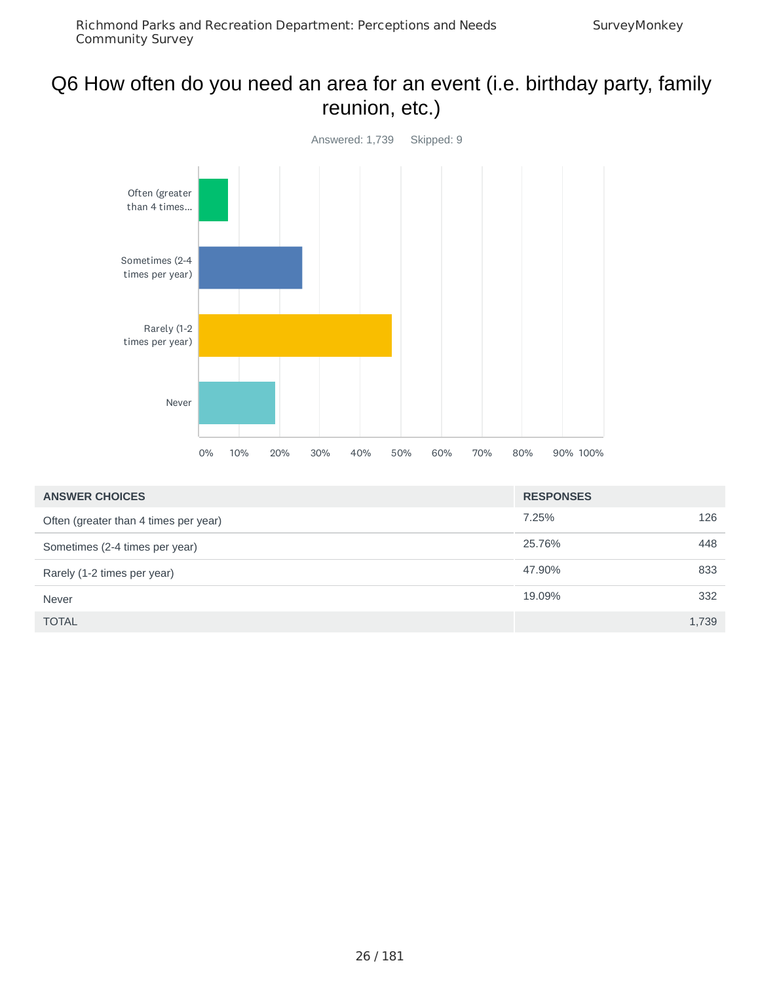#### Q6 How often do you need an area for an event (i.e. birthday party, family reunion, etc.)



| <b>ANSWER CHOICES</b>                 | <b>RESPONSES</b> |       |
|---------------------------------------|------------------|-------|
| Often (greater than 4 times per year) | 7.25%            | 126   |
| Sometimes (2-4 times per year)        | 25.76%           | 448   |
| Rarely (1-2 times per year)           | 47.90%           | 833   |
| Never                                 | 19.09%           | 332   |
| <b>TOTAL</b>                          |                  | 1,739 |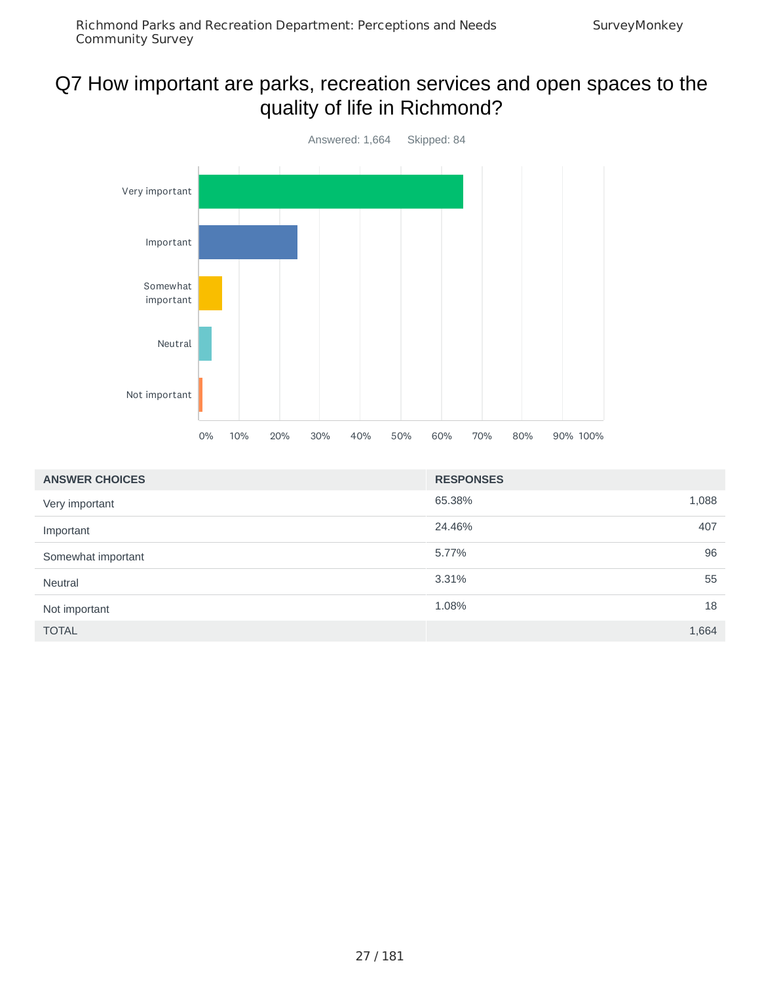### Q7 How important are parks, recreation services and open spaces to the quality of life in Richmond?



| <b>ANSWER CHOICES</b> | <b>RESPONSES</b> |       |
|-----------------------|------------------|-------|
| Very important        | 65.38%           | 1,088 |
| Important             | 24.46%           | 407   |
| Somewhat important    | 5.77%            | 96    |
| Neutral               | 3.31%            | 55    |
| Not important         | 1.08%            | 18    |
| <b>TOTAL</b>          |                  | 1,664 |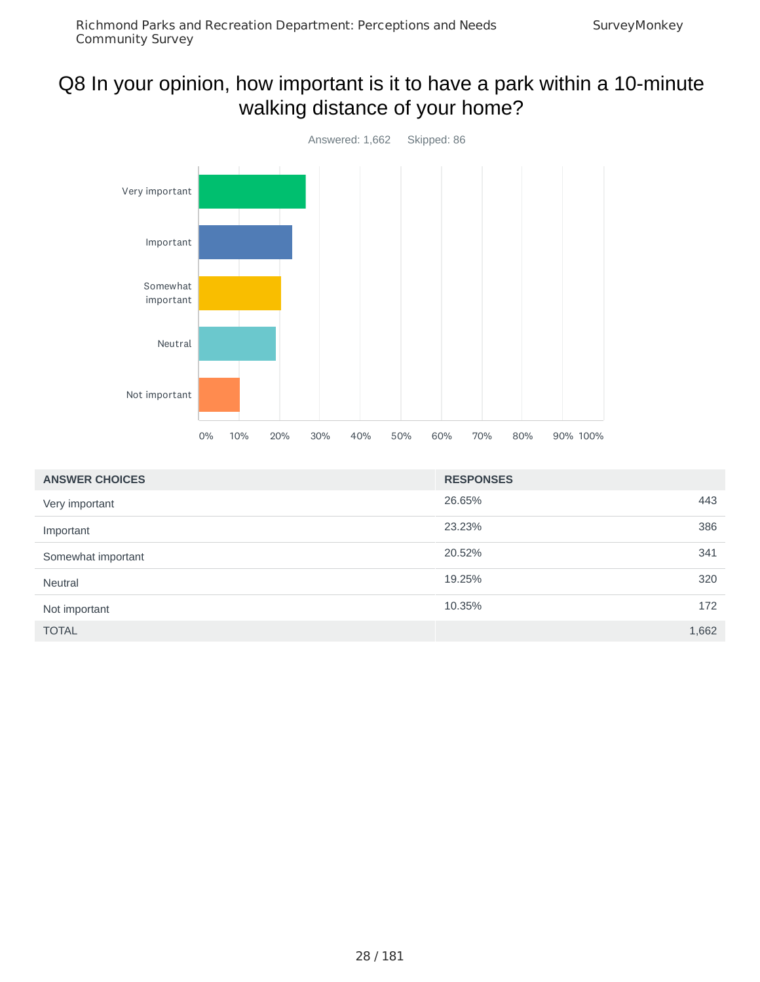### Q8 In your opinion, how important is it to have a park within a 10-minute walking distance of your home?



| <b>ANSWER CHOICES</b> | <b>RESPONSES</b> |
|-----------------------|------------------|
| Very important        | 26.65%<br>443    |
| Important             | 23.23%<br>386    |
| Somewhat important    | 20.52%<br>341    |
| Neutral               | 19.25%<br>320    |
| Not important         | 10.35%<br>172    |
| <b>TOTAL</b>          | 1,662            |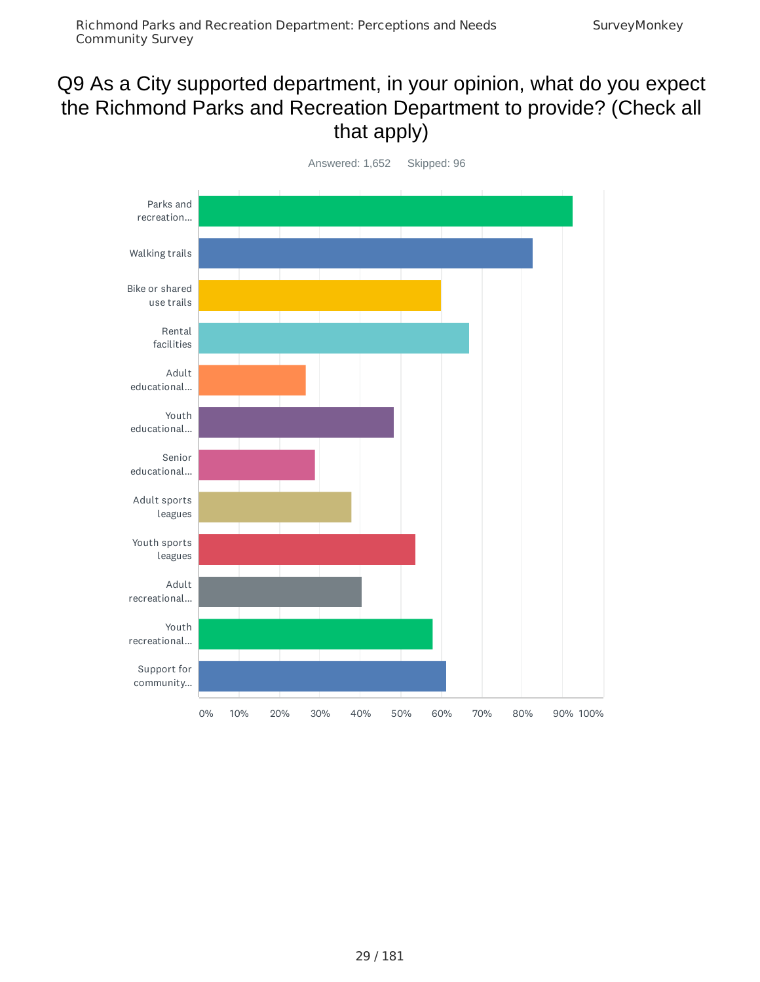#### Q9 As a City supported department, in your opinion, what do you expect the Richmond Parks and Recreation Department to provide? (Check all that apply)

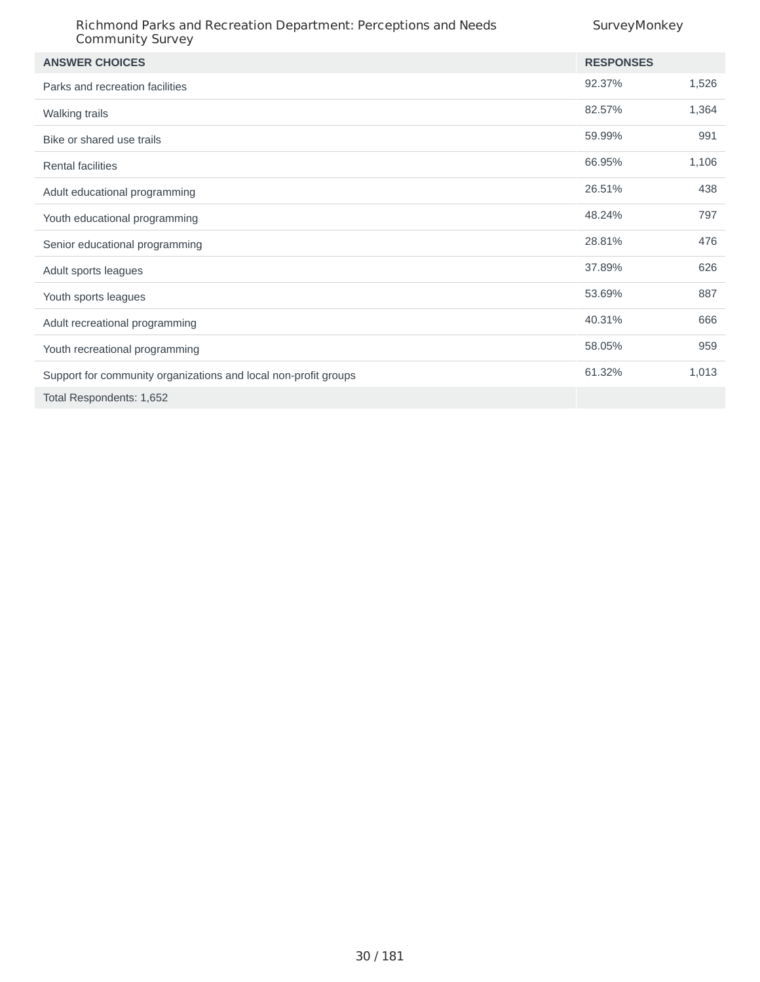| Richmond Parks and Recreation Department: Perceptions and Needs<br><b>Community Survey</b> | SurveyMonkey     |       |
|--------------------------------------------------------------------------------------------|------------------|-------|
| <b>ANSWER CHOICES</b>                                                                      | <b>RESPONSES</b> |       |
| Parks and recreation facilities                                                            | 92.37%           | 1,526 |
| Walking trails                                                                             | 82.57%           | 1,364 |
| Bike or shared use trails                                                                  | 59.99%           | 991   |
| <b>Rental facilities</b>                                                                   | 66.95%           | 1,106 |
| Adult educational programming                                                              | 26.51%           | 438   |
| Youth educational programming                                                              | 48.24%           | 797   |
| Senior educational programming                                                             | 28.81%           | 476   |
| Adult sports leagues                                                                       | 37.89%           | 626   |
| Youth sports leagues                                                                       | 53.69%           | 887   |
| Adult recreational programming                                                             | 40.31%           | 666   |
| Youth recreational programming                                                             | 58.05%           | 959   |
| Support for community organizations and local non-profit groups                            | 61.32%           | 1,013 |
| Total Respondents: 1,652                                                                   |                  |       |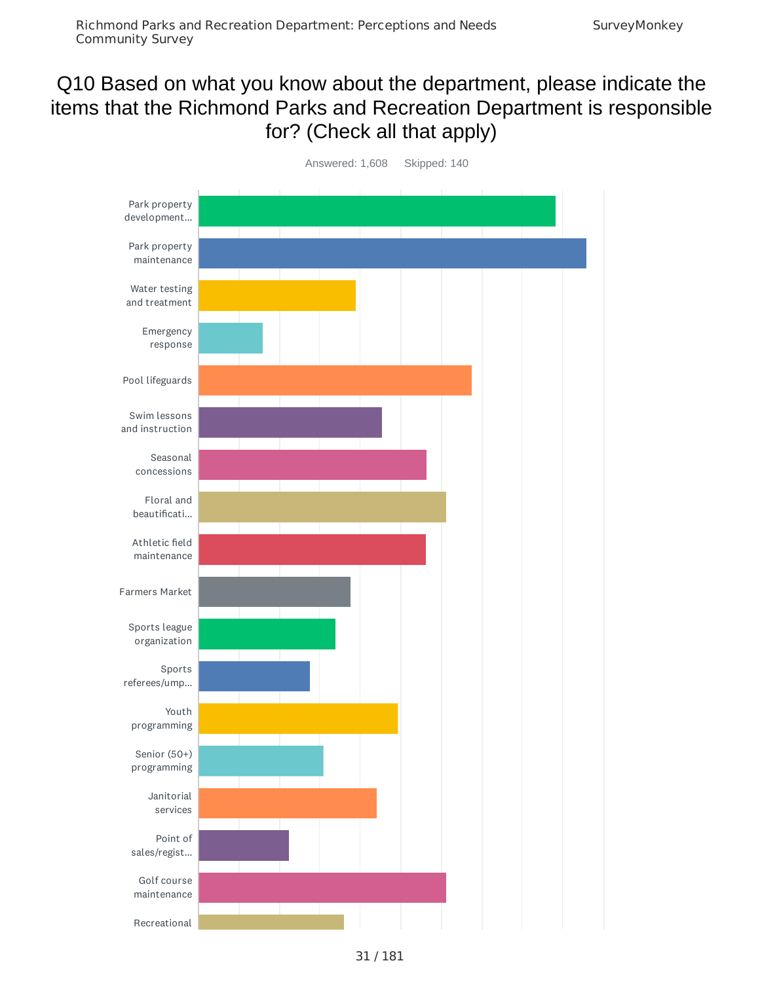### Q10 Based on what you know about the department, please indicate the items that the Richmond Parks and Recreation Department is responsible for? (Check all that apply)

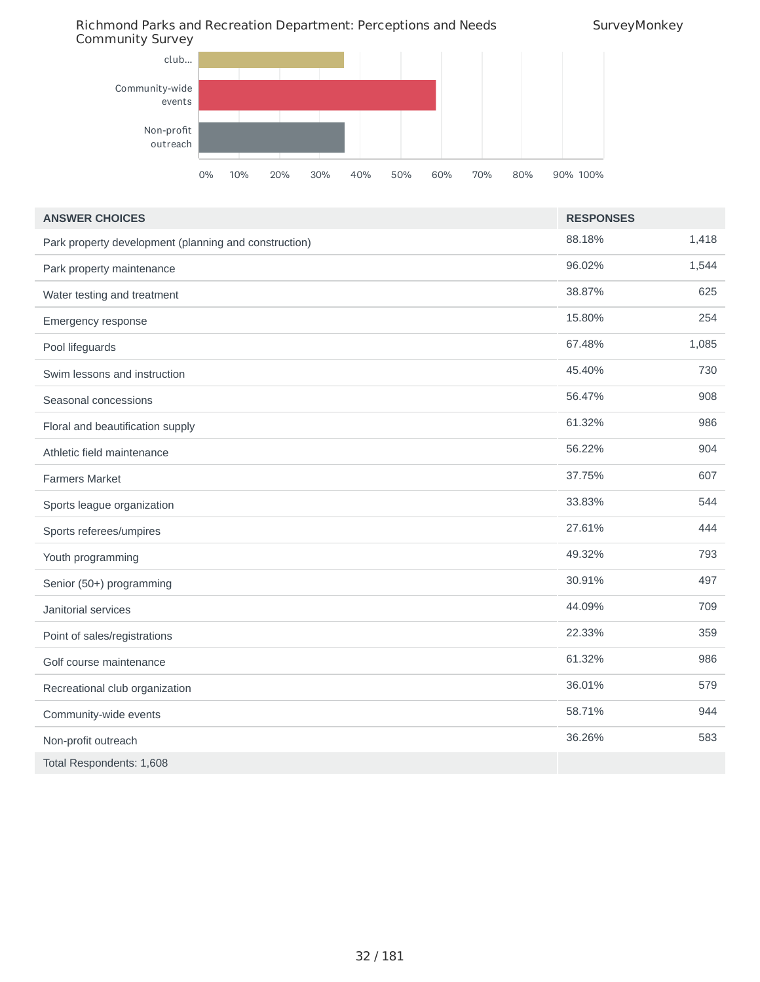Richmond Parks and Recreation Department: Perceptions and Needs Community Survey



| <b>ANSWER CHOICES</b>                                 | <b>RESPONSES</b> |       |
|-------------------------------------------------------|------------------|-------|
| Park property development (planning and construction) | 88.18%           | 1,418 |
| Park property maintenance                             | 96.02%           | 1,544 |
| Water testing and treatment                           | 38.87%           | 625   |
| Emergency response                                    | 15.80%           | 254   |
| Pool lifeguards                                       | 67.48%           | 1,085 |
| Swim lessons and instruction                          | 45.40%           | 730   |
| Seasonal concessions                                  | 56.47%           | 908   |
| Floral and beautification supply                      | 61.32%           | 986   |
| Athletic field maintenance                            | 56.22%           | 904   |
| <b>Farmers Market</b>                                 | 37.75%           | 607   |
| Sports league organization                            | 33.83%           | 544   |
| Sports referees/umpires                               | 27.61%           | 444   |
| Youth programming                                     | 49.32%           | 793   |
| Senior (50+) programming                              | 30.91%           | 497   |
| Janitorial services                                   | 44.09%           | 709   |
| Point of sales/registrations                          | 22.33%           | 359   |
| Golf course maintenance                               | 61.32%           | 986   |
| Recreational club organization                        | 36.01%           | 579   |
| Community-wide events                                 | 58.71%           | 944   |
| Non-profit outreach                                   | 36.26%           | 583   |
| Total Respondents: 1,608                              |                  |       |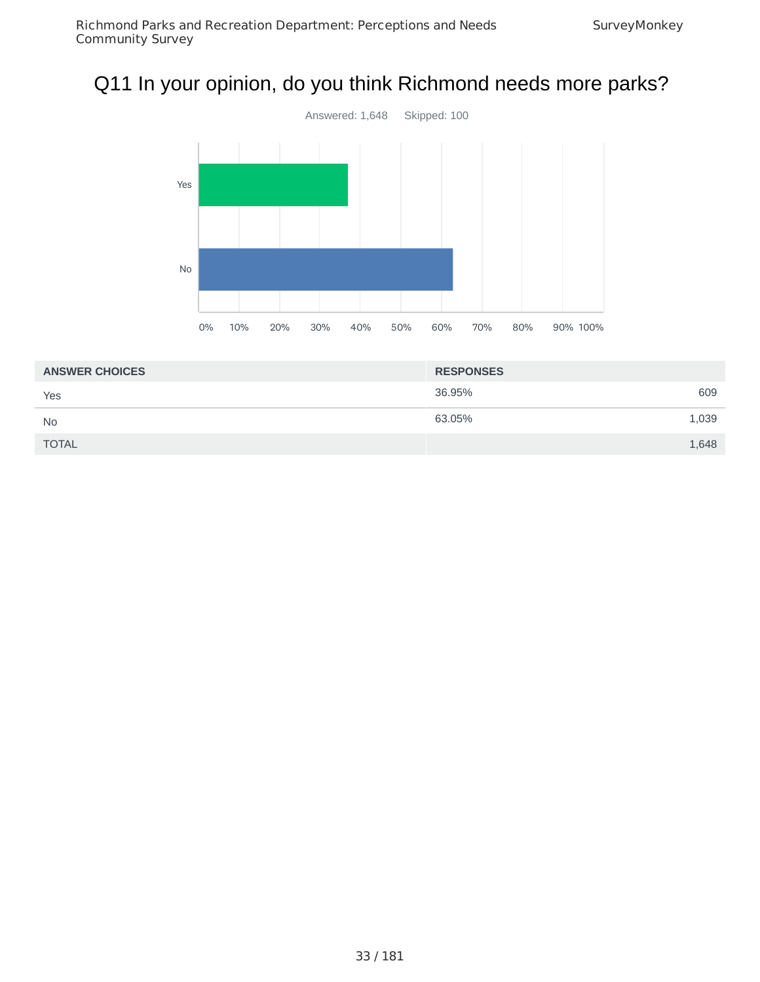# Q11 In your opinion, do you think Richmond needs more parks?



| <b>ANSWER CHOICES</b> | <b>RESPONSES</b> |  |
|-----------------------|------------------|--|
| Yes                   | 36.95%<br>609    |  |
| <b>No</b>             | 63.05%<br>1,039  |  |
| <b>TOTAL</b>          | 1,648            |  |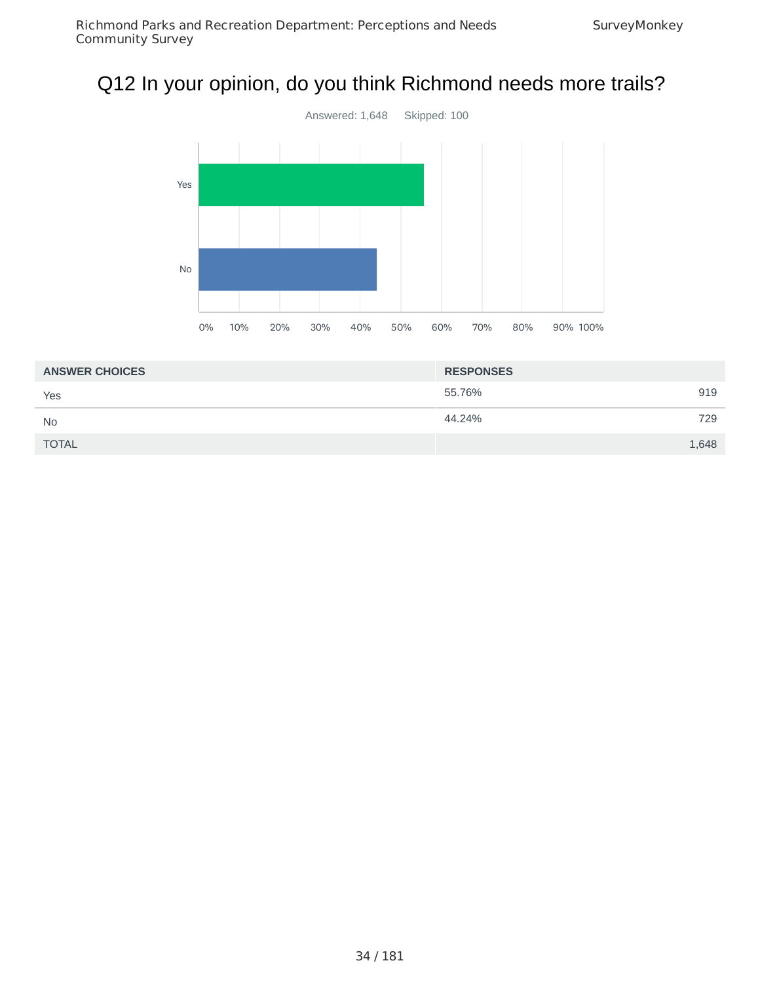# Q12 In your opinion, do you think Richmond needs more trails?



| <b>ANSWER CHOICES</b> | <b>RESPONSES</b> |
|-----------------------|------------------|
| Yes                   | 55.76%<br>919    |
| <b>No</b>             | 44.24%<br>729    |
| <b>TOTAL</b>          | 1,648            |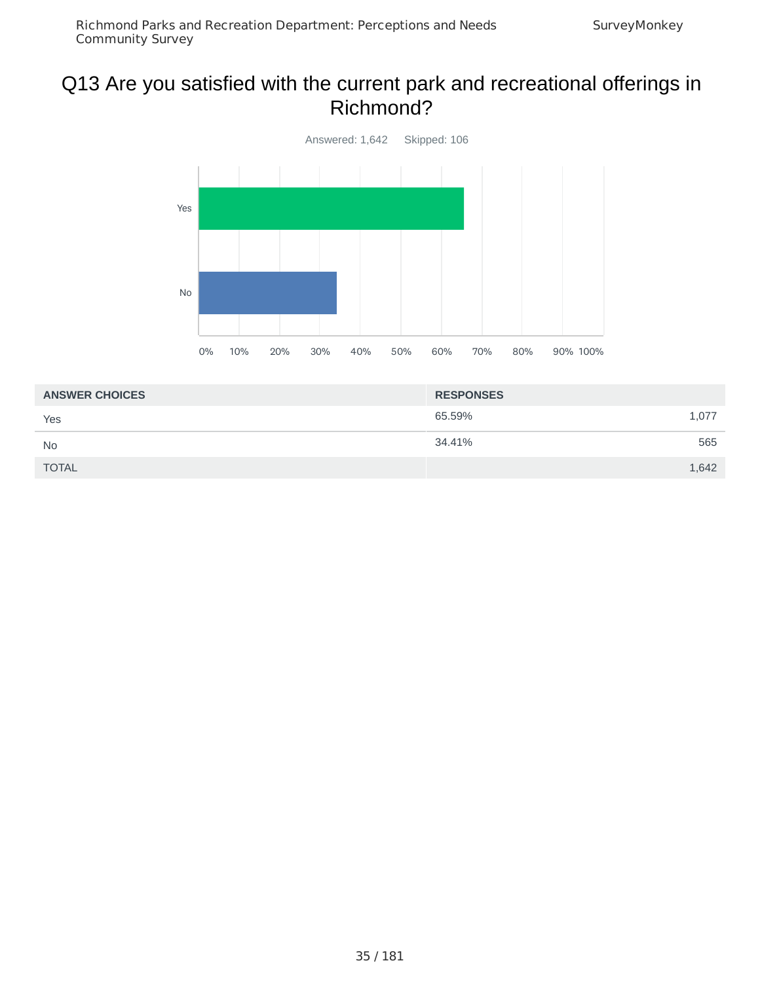#### Q13 Are you satisfied with the current park and recreational offerings in Richmond?



| <b>ANSWER CHOICES</b> | <b>RESPONSES</b> |
|-----------------------|------------------|
| Yes                   | 65.59%<br>1,077  |
| <b>No</b>             | 34.41%<br>565    |
| <b>TOTAL</b>          | 1,642            |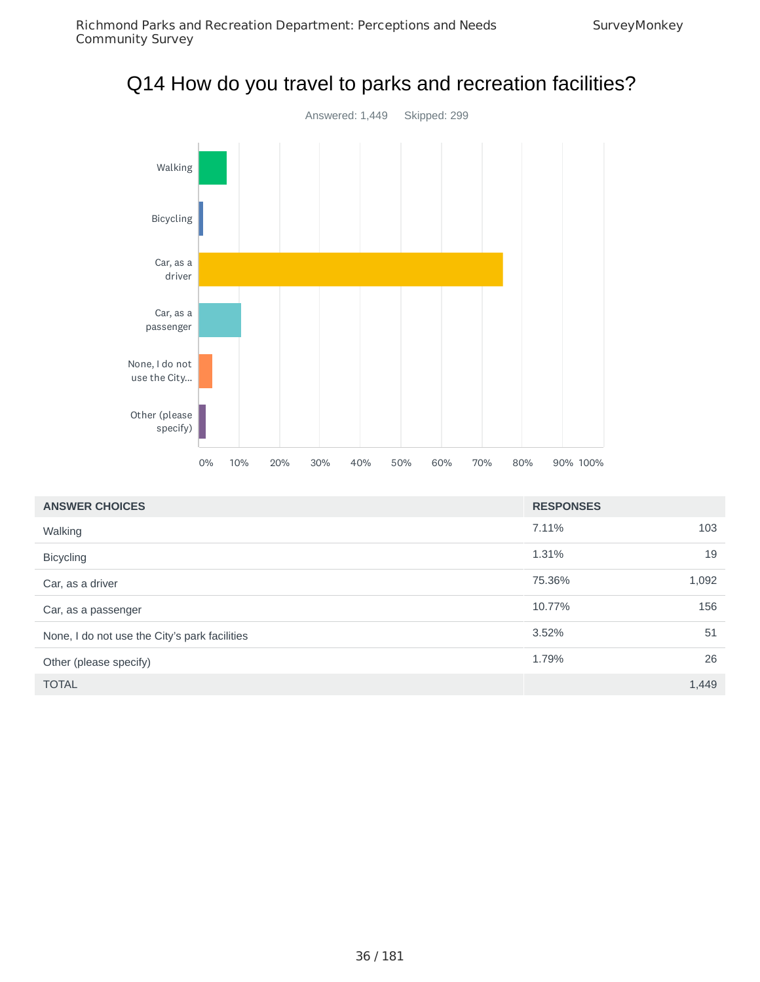### Q14 How do you travel to parks and recreation facilities?



| <b>ANSWER CHOICES</b>                         | <b>RESPONSES</b> |       |
|-----------------------------------------------|------------------|-------|
| Walking                                       | 7.11%            | 103   |
| <b>Bicycling</b>                              | 1.31%            | 19    |
| Car, as a driver                              | 75.36%           | 1,092 |
| Car, as a passenger                           | 10.77%           | 156   |
| None, I do not use the City's park facilities | 3.52%            | 51    |
| Other (please specify)                        | 1.79%            | 26    |
| <b>TOTAL</b>                                  |                  | 1,449 |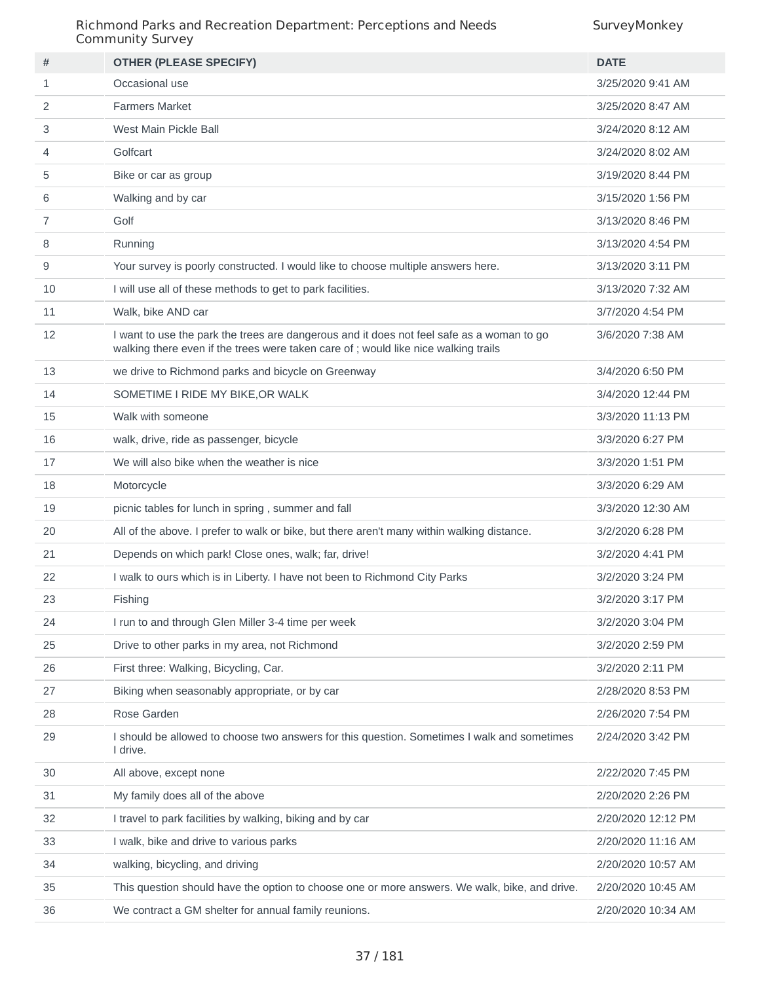| #  | <b>OTHER (PLEASE SPECIFY)</b>                                                                                                                                                   | <b>DATE</b>        |
|----|---------------------------------------------------------------------------------------------------------------------------------------------------------------------------------|--------------------|
| 1  | Occasional use                                                                                                                                                                  | 3/25/2020 9:41 AM  |
| 2  | <b>Farmers Market</b>                                                                                                                                                           | 3/25/2020 8:47 AM  |
| 3  | West Main Pickle Ball                                                                                                                                                           | 3/24/2020 8:12 AM  |
| 4  | Golfcart                                                                                                                                                                        | 3/24/2020 8:02 AM  |
| 5  | Bike or car as group                                                                                                                                                            | 3/19/2020 8:44 PM  |
| 6  | Walking and by car                                                                                                                                                              | 3/15/2020 1:56 PM  |
| 7  | Golf                                                                                                                                                                            | 3/13/2020 8:46 PM  |
| 8  | Running                                                                                                                                                                         | 3/13/2020 4:54 PM  |
| 9  | Your survey is poorly constructed. I would like to choose multiple answers here.                                                                                                | 3/13/2020 3:11 PM  |
| 10 | I will use all of these methods to get to park facilities.                                                                                                                      | 3/13/2020 7:32 AM  |
| 11 | Walk, bike AND car                                                                                                                                                              | 3/7/2020 4:54 PM   |
| 12 | I want to use the park the trees are dangerous and it does not feel safe as a woman to go<br>walking there even if the trees were taken care of; would like nice walking trails | 3/6/2020 7:38 AM   |
| 13 | we drive to Richmond parks and bicycle on Greenway                                                                                                                              | 3/4/2020 6:50 PM   |
| 14 | SOMETIME I RIDE MY BIKE, OR WALK                                                                                                                                                | 3/4/2020 12:44 PM  |
| 15 | Walk with someone                                                                                                                                                               | 3/3/2020 11:13 PM  |
| 16 | walk, drive, ride as passenger, bicycle                                                                                                                                         | 3/3/2020 6:27 PM   |
| 17 | We will also bike when the weather is nice                                                                                                                                      | 3/3/2020 1:51 PM   |
| 18 | Motorcycle                                                                                                                                                                      | 3/3/2020 6:29 AM   |
| 19 | picnic tables for lunch in spring, summer and fall                                                                                                                              | 3/3/2020 12:30 AM  |
| 20 | All of the above. I prefer to walk or bike, but there aren't many within walking distance.                                                                                      | 3/2/2020 6:28 PM   |
| 21 | Depends on which park! Close ones, walk; far, drive!                                                                                                                            | 3/2/2020 4:41 PM   |
| 22 | I walk to ours which is in Liberty. I have not been to Richmond City Parks                                                                                                      | 3/2/2020 3:24 PM   |
| 23 | Fishing                                                                                                                                                                         | 3/2/2020 3:17 PM   |
| 24 | I run to and through Glen Miller 3-4 time per week                                                                                                                              | 3/2/2020 3:04 PM   |
| 25 | Drive to other parks in my area, not Richmond                                                                                                                                   | 3/2/2020 2:59 PM   |
| 26 | First three: Walking, Bicycling, Car.                                                                                                                                           | 3/2/2020 2:11 PM   |
| 27 | Biking when seasonably appropriate, or by car                                                                                                                                   | 2/28/2020 8:53 PM  |
| 28 | Rose Garden                                                                                                                                                                     | 2/26/2020 7:54 PM  |
| 29 | I should be allowed to choose two answers for this question. Sometimes I walk and sometimes<br>I drive.                                                                         | 2/24/2020 3:42 PM  |
| 30 | All above, except none                                                                                                                                                          | 2/22/2020 7:45 PM  |
| 31 | My family does all of the above                                                                                                                                                 | 2/20/2020 2:26 PM  |
| 32 | I travel to park facilities by walking, biking and by car                                                                                                                       | 2/20/2020 12:12 PM |
| 33 | I walk, bike and drive to various parks                                                                                                                                         | 2/20/2020 11:16 AM |
| 34 | walking, bicycling, and driving                                                                                                                                                 | 2/20/2020 10:57 AM |
| 35 | This question should have the option to choose one or more answers. We walk, bike, and drive.                                                                                   | 2/20/2020 10:45 AM |
| 36 | We contract a GM shelter for annual family reunions.                                                                                                                            | 2/20/2020 10:34 AM |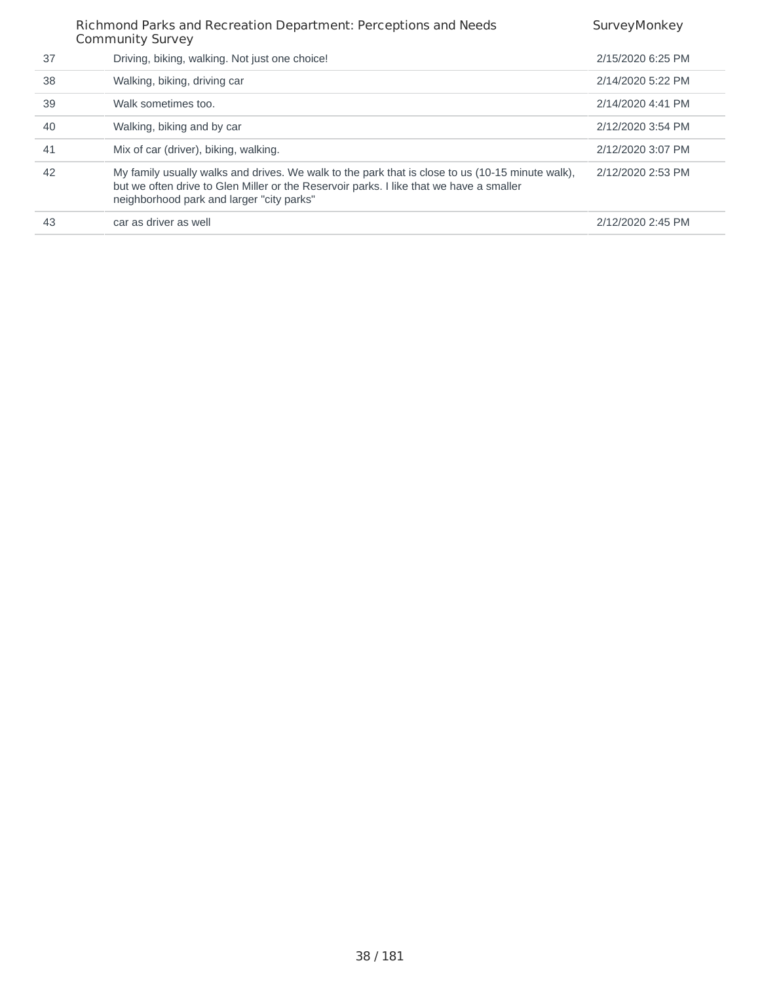|    | Richmond Parks and Recreation Department: Perceptions and Needs<br><b>Community Survey</b>                                                                                                                                               | SurveyMonkey      |
|----|------------------------------------------------------------------------------------------------------------------------------------------------------------------------------------------------------------------------------------------|-------------------|
| 37 | Driving, biking, walking. Not just one choice!                                                                                                                                                                                           | 2/15/2020 6:25 PM |
| 38 | Walking, biking, driving car                                                                                                                                                                                                             | 2/14/2020 5:22 PM |
| 39 | Walk sometimes too.                                                                                                                                                                                                                      | 2/14/2020 4:41 PM |
| 40 | Walking, biking and by car                                                                                                                                                                                                               | 2/12/2020 3:54 PM |
| 41 | Mix of car (driver), biking, walking.                                                                                                                                                                                                    | 2/12/2020 3:07 PM |
| 42 | My family usually walks and drives. We walk to the park that is close to us (10-15 minute walk),<br>but we often drive to Glen Miller or the Reservoir parks. I like that we have a smaller<br>neighborhood park and larger "city parks" | 2/12/2020 2:53 PM |
| 43 | car as driver as well                                                                                                                                                                                                                    | 2/12/2020 2:45 PM |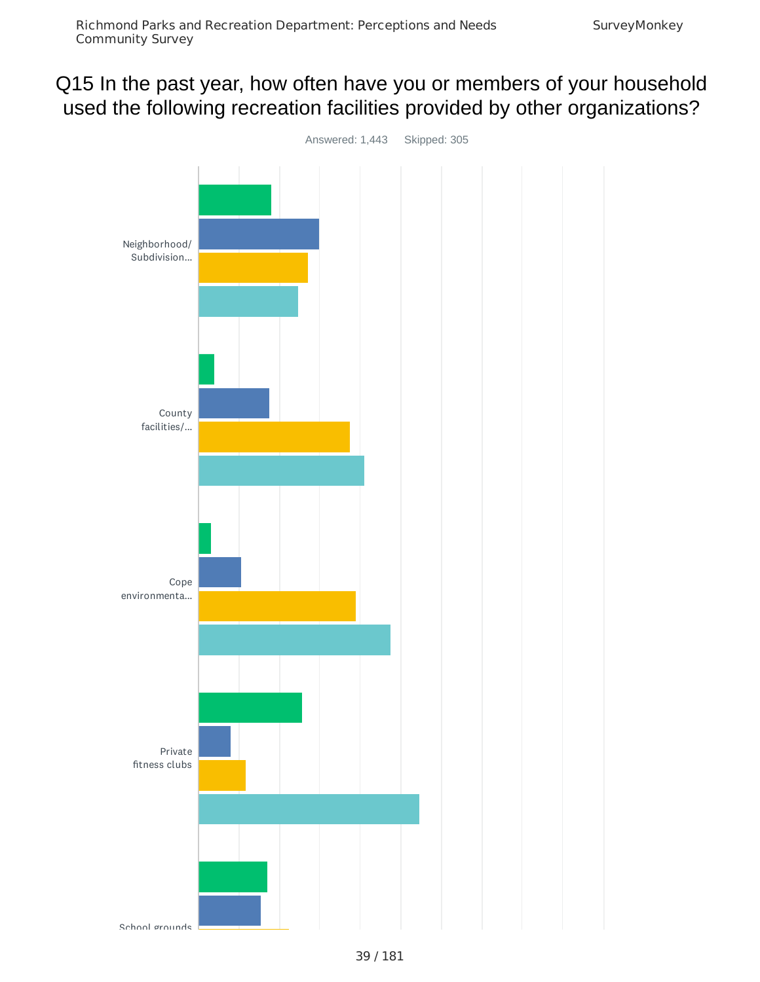# Q15 In the past year, how often have you or members of your household used the following recreation facilities provided by other organizations?

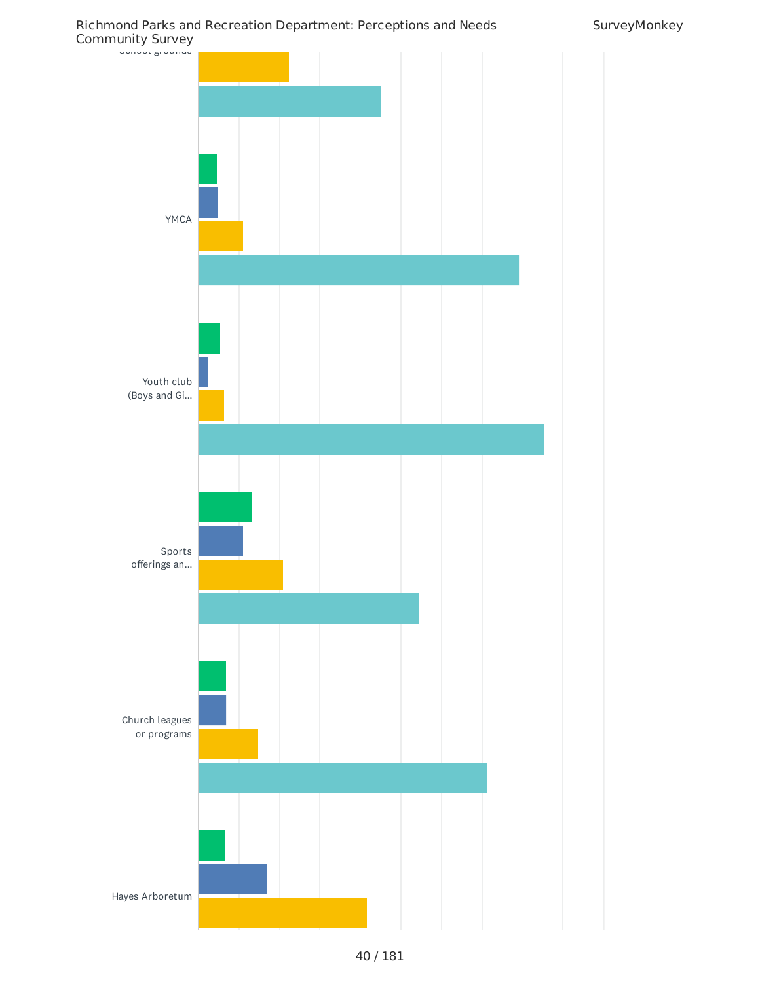Richmond Parks and Recreation Department: Perceptions and Needs Community Survey

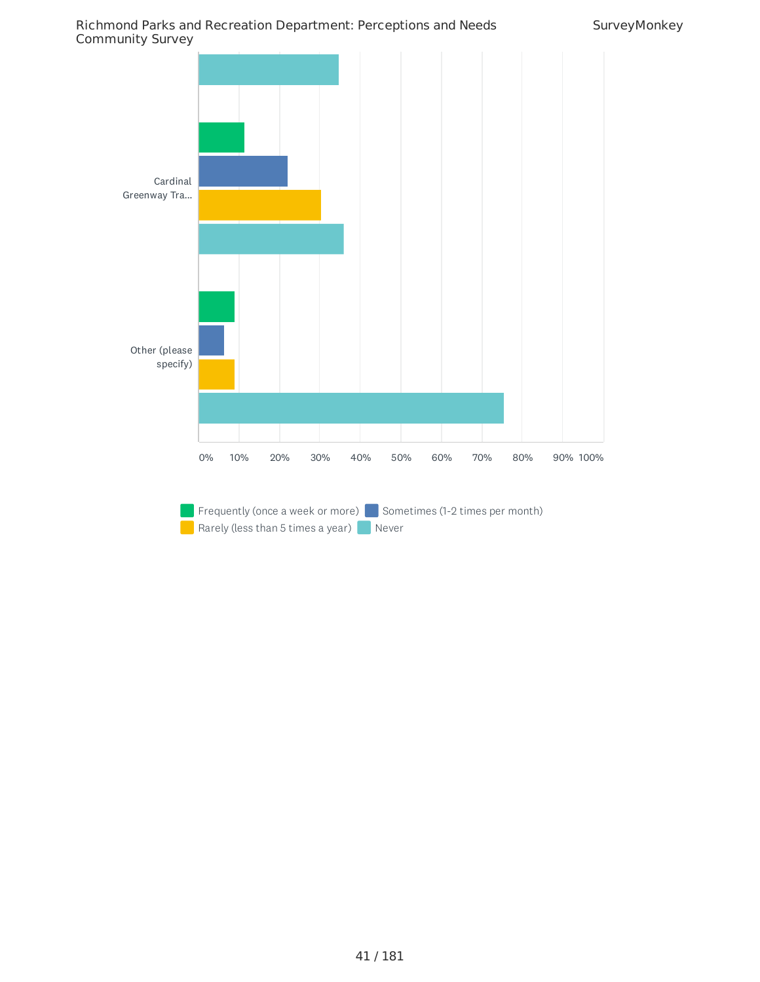

Rarely (less than 5 times a year) Never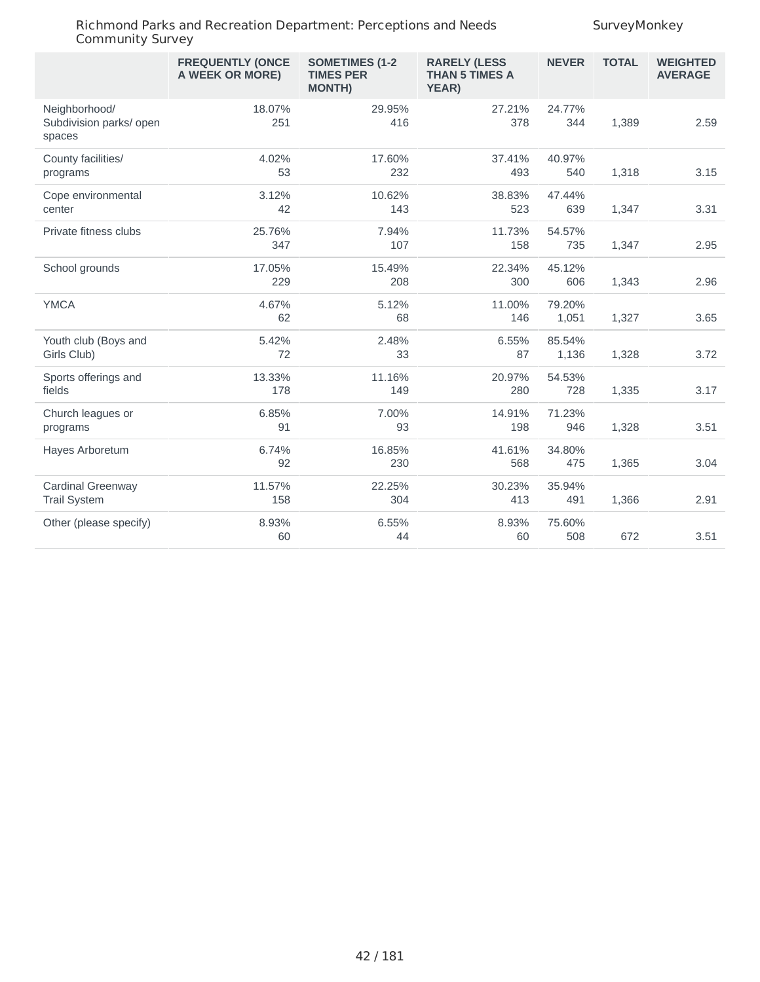|                                                    | <b>FREQUENTLY (ONCE</b><br>A WEEK OR MORE) | <b>SOMETIMES (1-2</b><br><b>TIMES PER</b><br><b>MONTH)</b> | <b>RARELY (LESS</b><br><b>THAN 5 TIMES A</b><br>YEAR) | <b>NEVER</b>    | <b>TOTAL</b> | <b>WEIGHTED</b><br><b>AVERAGE</b> |
|----------------------------------------------------|--------------------------------------------|------------------------------------------------------------|-------------------------------------------------------|-----------------|--------------|-----------------------------------|
| Neighborhood/<br>Subdivision parks/ open<br>spaces | 18.07%<br>251                              | 29.95%<br>416                                              | 27.21%<br>378                                         | 24.77%<br>344   | 1,389        | 2.59                              |
| County facilities/<br>programs                     | 4.02%<br>53                                | 17.60%<br>232                                              | 37.41%<br>493                                         | 40.97%<br>540   | 1,318        | 3.15                              |
| Cope environmental<br>center                       | 3.12%<br>42                                | 10.62%<br>143                                              | 38.83%<br>523                                         | 47.44%<br>639   | 1,347        | 3.31                              |
| Private fitness clubs                              | 25.76%<br>347                              | 7.94%<br>107                                               | 11.73%<br>158                                         | 54.57%<br>735   | 1,347        | 2.95                              |
| School grounds                                     | 17.05%<br>229                              | 15.49%<br>208                                              | 22.34%<br>300                                         | 45.12%<br>606   | 1,343        | 2.96                              |
| <b>YMCA</b>                                        | 4.67%<br>62                                | 5.12%<br>68                                                | 11.00%<br>146                                         | 79.20%<br>1,051 | 1,327        | 3.65                              |
| Youth club (Boys and<br>Girls Club)                | 5.42%<br>72                                | 2.48%<br>33                                                | 6.55%<br>87                                           | 85.54%<br>1,136 | 1,328        | 3.72                              |
| Sports offerings and<br>fields                     | 13.33%<br>178                              | 11.16%<br>149                                              | 20.97%<br>280                                         | 54.53%<br>728   | 1,335        | 3.17                              |
| Church leagues or<br>programs                      | 6.85%<br>91                                | 7.00%<br>93                                                | 14.91%<br>198                                         | 71.23%<br>946   | 1,328        | 3.51                              |
| Hayes Arboretum                                    | 6.74%<br>92                                | 16.85%<br>230                                              | 41.61%<br>568                                         | 34.80%<br>475   | 1,365        | 3.04                              |
| Cardinal Greenway<br><b>Trail System</b>           | 11.57%<br>158                              | 22.25%<br>304                                              | 30.23%<br>413                                         | 35.94%<br>491   | 1,366        | 2.91                              |
| Other (please specify)                             | 8.93%<br>60                                | 6.55%<br>44                                                | 8.93%<br>60                                           | 75.60%<br>508   | 672          | 3.51                              |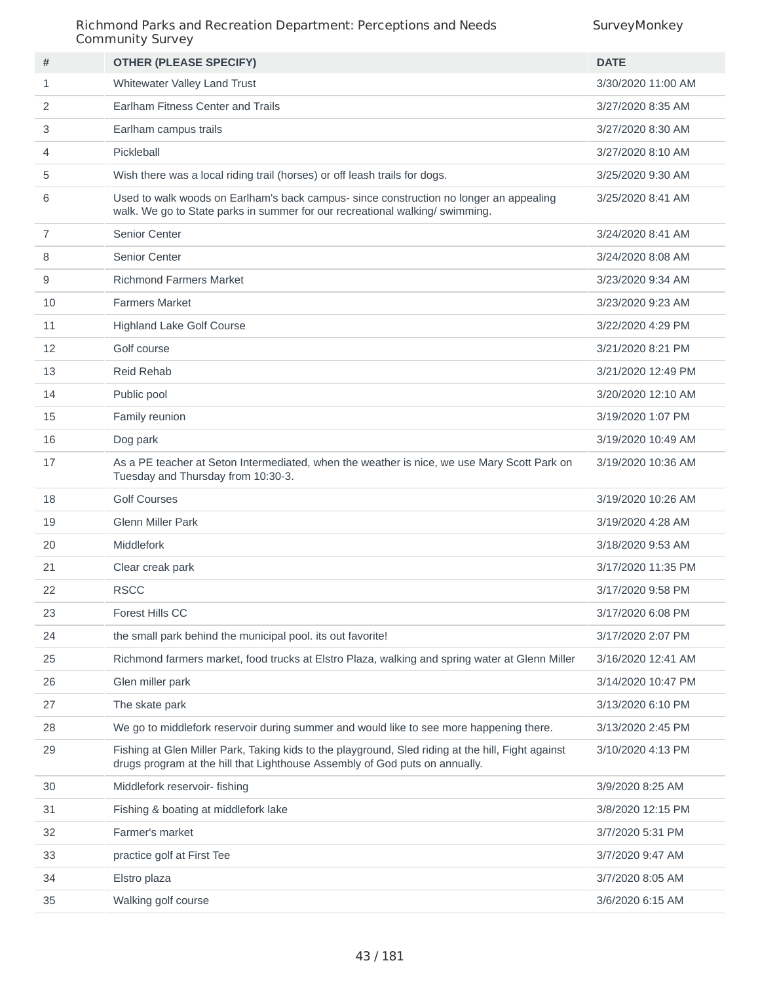| #              | <b>OTHER (PLEASE SPECIFY)</b>                                                                                                                                                     | <b>DATE</b>        |
|----------------|-----------------------------------------------------------------------------------------------------------------------------------------------------------------------------------|--------------------|
| $\mathbf{1}$   | Whitewater Valley Land Trust                                                                                                                                                      | 3/30/2020 11:00 AM |
| 2              | Earlham Fitness Center and Trails                                                                                                                                                 | 3/27/2020 8:35 AM  |
| 3              | Earlham campus trails                                                                                                                                                             | 3/27/2020 8:30 AM  |
| 4              | Pickleball                                                                                                                                                                        | 3/27/2020 8:10 AM  |
| 5              | Wish there was a local riding trail (horses) or off leash trails for dogs.                                                                                                        | 3/25/2020 9:30 AM  |
| 6              | Used to walk woods on Earlham's back campus- since construction no longer an appealing<br>walk. We go to State parks in summer for our recreational walking/swimming.             | 3/25/2020 8:41 AM  |
| $\overline{7}$ | Senior Center                                                                                                                                                                     | 3/24/2020 8:41 AM  |
| 8              | Senior Center                                                                                                                                                                     | 3/24/2020 8:08 AM  |
| 9              | <b>Richmond Farmers Market</b>                                                                                                                                                    | 3/23/2020 9:34 AM  |
| 10             | <b>Farmers Market</b>                                                                                                                                                             | 3/23/2020 9:23 AM  |
| 11             | <b>Highland Lake Golf Course</b>                                                                                                                                                  | 3/22/2020 4:29 PM  |
| 12             | Golf course                                                                                                                                                                       | 3/21/2020 8:21 PM  |
| 13             | Reid Rehab                                                                                                                                                                        | 3/21/2020 12:49 PM |
| 14             | Public pool                                                                                                                                                                       | 3/20/2020 12:10 AM |
| 15             | Family reunion                                                                                                                                                                    | 3/19/2020 1:07 PM  |
| 16             | Dog park                                                                                                                                                                          | 3/19/2020 10:49 AM |
| 17             | As a PE teacher at Seton Intermediated, when the weather is nice, we use Mary Scott Park on<br>Tuesday and Thursday from 10:30-3.                                                 | 3/19/2020 10:36 AM |
| 18             | <b>Golf Courses</b>                                                                                                                                                               | 3/19/2020 10:26 AM |
| 19             | <b>Glenn Miller Park</b>                                                                                                                                                          | 3/19/2020 4:28 AM  |
| 20             | Middlefork                                                                                                                                                                        | 3/18/2020 9:53 AM  |
| 21             | Clear creak park                                                                                                                                                                  | 3/17/2020 11:35 PM |
| 22             | <b>RSCC</b>                                                                                                                                                                       | 3/17/2020 9:58 PM  |
| 23             | Forest Hills CC                                                                                                                                                                   | 3/17/2020 6:08 PM  |
| 24             | the small park behind the municipal pool. its out favorite!                                                                                                                       | 3/17/2020 2:07 PM  |
| 25             | Richmond farmers market, food trucks at Elstro Plaza, walking and spring water at Glenn Miller                                                                                    | 3/16/2020 12:41 AM |
| 26             | Glen miller park                                                                                                                                                                  | 3/14/2020 10:47 PM |
| 27             | The skate park                                                                                                                                                                    | 3/13/2020 6:10 PM  |
| 28             | We go to middlefork reservoir during summer and would like to see more happening there.                                                                                           | 3/13/2020 2:45 PM  |
| 29             | Fishing at Glen Miller Park, Taking kids to the playground, Sled riding at the hill, Fight against<br>drugs program at the hill that Lighthouse Assembly of God puts on annually. | 3/10/2020 4:13 PM  |
| 30             | Middlefork reservoir- fishing                                                                                                                                                     | 3/9/2020 8:25 AM   |
| 31             | Fishing & boating at middlefork lake                                                                                                                                              | 3/8/2020 12:15 PM  |
| 32             | Farmer's market                                                                                                                                                                   | 3/7/2020 5:31 PM   |
| 33             | practice golf at First Tee                                                                                                                                                        | 3/7/2020 9:47 AM   |
| 34             | Elstro plaza                                                                                                                                                                      | 3/7/2020 8:05 AM   |
| 35             | Walking golf course                                                                                                                                                               | 3/6/2020 6:15 AM   |
|                |                                                                                                                                                                                   |                    |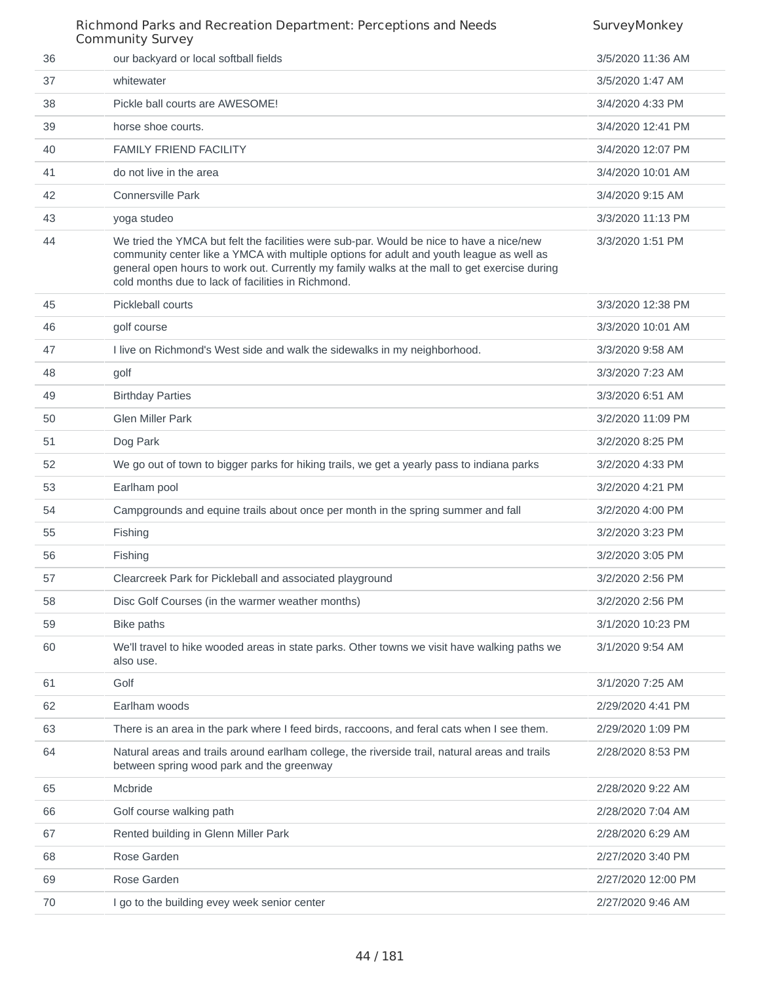|    | Richmond Parks and Recreation Department: Perceptions and Needs<br><b>Community Survey</b>                                                                                                                                                                                                                                                 | SurveyMonkey       |
|----|--------------------------------------------------------------------------------------------------------------------------------------------------------------------------------------------------------------------------------------------------------------------------------------------------------------------------------------------|--------------------|
| 36 | our backyard or local softball fields                                                                                                                                                                                                                                                                                                      | 3/5/2020 11:36 AM  |
| 37 | whitewater                                                                                                                                                                                                                                                                                                                                 | 3/5/2020 1:47 AM   |
| 38 | Pickle ball courts are AWESOME!                                                                                                                                                                                                                                                                                                            | 3/4/2020 4:33 PM   |
| 39 | horse shoe courts.                                                                                                                                                                                                                                                                                                                         | 3/4/2020 12:41 PM  |
| 40 | <b>FAMILY FRIEND FACILITY</b>                                                                                                                                                                                                                                                                                                              | 3/4/2020 12:07 PM  |
| 41 | do not live in the area                                                                                                                                                                                                                                                                                                                    | 3/4/2020 10:01 AM  |
| 42 | <b>Connersville Park</b>                                                                                                                                                                                                                                                                                                                   | 3/4/2020 9:15 AM   |
| 43 | yoga studeo                                                                                                                                                                                                                                                                                                                                | 3/3/2020 11:13 PM  |
| 44 | We tried the YMCA but felt the facilities were sub-par. Would be nice to have a nice/new<br>community center like a YMCA with multiple options for adult and youth league as well as<br>general open hours to work out. Currently my family walks at the mall to get exercise during<br>cold months due to lack of facilities in Richmond. | 3/3/2020 1:51 PM   |
| 45 | Pickleball courts                                                                                                                                                                                                                                                                                                                          | 3/3/2020 12:38 PM  |
| 46 | golf course                                                                                                                                                                                                                                                                                                                                | 3/3/2020 10:01 AM  |
| 47 | I live on Richmond's West side and walk the sidewalks in my neighborhood.                                                                                                                                                                                                                                                                  | 3/3/2020 9:58 AM   |
| 48 | golf                                                                                                                                                                                                                                                                                                                                       | 3/3/2020 7:23 AM   |
| 49 | <b>Birthday Parties</b>                                                                                                                                                                                                                                                                                                                    | 3/3/2020 6:51 AM   |
| 50 | <b>Glen Miller Park</b>                                                                                                                                                                                                                                                                                                                    | 3/2/2020 11:09 PM  |
| 51 | Dog Park                                                                                                                                                                                                                                                                                                                                   | 3/2/2020 8:25 PM   |
| 52 | We go out of town to bigger parks for hiking trails, we get a yearly pass to indiana parks                                                                                                                                                                                                                                                 | 3/2/2020 4:33 PM   |
| 53 | Earlham pool                                                                                                                                                                                                                                                                                                                               | 3/2/2020 4:21 PM   |
| 54 | Campgrounds and equine trails about once per month in the spring summer and fall                                                                                                                                                                                                                                                           | 3/2/2020 4:00 PM   |
| 55 | Fishing                                                                                                                                                                                                                                                                                                                                    | 3/2/2020 3:23 PM   |
| 56 | Fishing                                                                                                                                                                                                                                                                                                                                    | 3/2/2020 3:05 PM   |
| 57 | Clearcreek Park for Pickleball and associated playground                                                                                                                                                                                                                                                                                   | 3/2/2020 2:56 PM   |
| 58 | Disc Golf Courses (in the warmer weather months)                                                                                                                                                                                                                                                                                           | 3/2/2020 2:56 PM   |
| 59 | Bike paths                                                                                                                                                                                                                                                                                                                                 | 3/1/2020 10:23 PM  |
| 60 | We'll travel to hike wooded areas in state parks. Other towns we visit have walking paths we<br>also use.                                                                                                                                                                                                                                  | 3/1/2020 9:54 AM   |
| 61 | Golf                                                                                                                                                                                                                                                                                                                                       | 3/1/2020 7:25 AM   |
| 62 | Earlham woods                                                                                                                                                                                                                                                                                                                              | 2/29/2020 4:41 PM  |
| 63 | There is an area in the park where I feed birds, raccoons, and feral cats when I see them.                                                                                                                                                                                                                                                 | 2/29/2020 1:09 PM  |
| 64 | Natural areas and trails around earlham college, the riverside trail, natural areas and trails<br>between spring wood park and the greenway                                                                                                                                                                                                | 2/28/2020 8:53 PM  |
| 65 | Mcbride                                                                                                                                                                                                                                                                                                                                    | 2/28/2020 9:22 AM  |
| 66 | Golf course walking path                                                                                                                                                                                                                                                                                                                   | 2/28/2020 7:04 AM  |
| 67 | Rented building in Glenn Miller Park                                                                                                                                                                                                                                                                                                       | 2/28/2020 6:29 AM  |
| 68 | Rose Garden                                                                                                                                                                                                                                                                                                                                | 2/27/2020 3:40 PM  |
| 69 | Rose Garden                                                                                                                                                                                                                                                                                                                                | 2/27/2020 12:00 PM |
| 70 | I go to the building evey week senior center                                                                                                                                                                                                                                                                                               | 2/27/2020 9:46 AM  |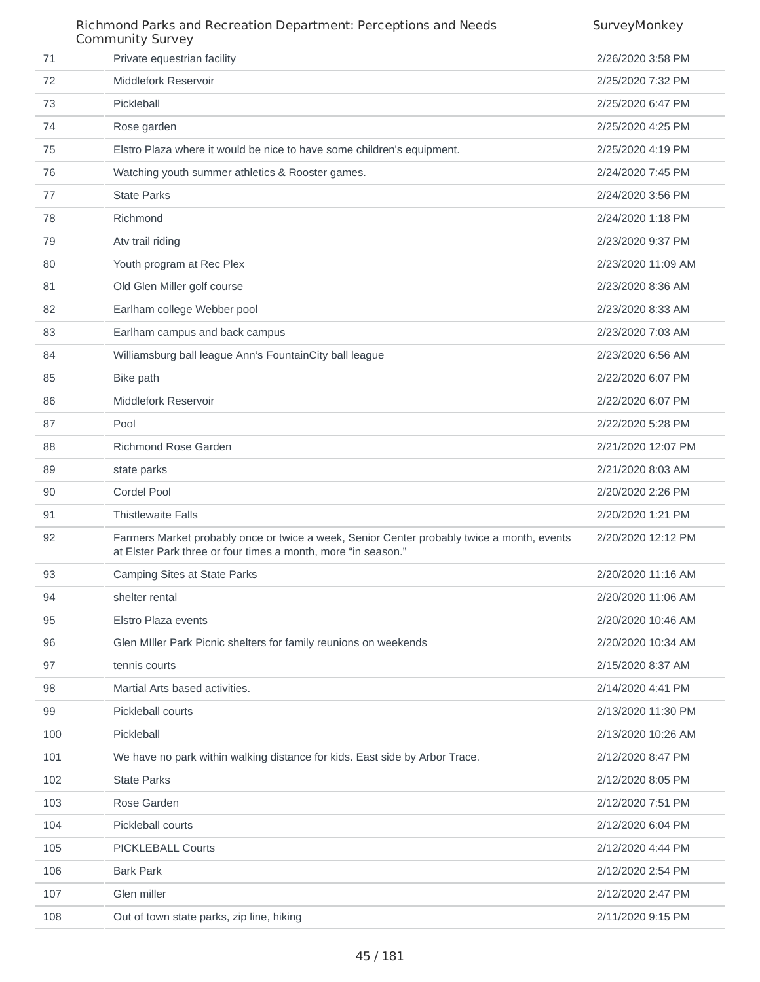### Richmond Parks and Recreation Department: Perceptions and Needs Community Survey **SurveyMonkey**  Private equestrian facility 2/26/2020 3:58 PM Middlefork Reservoir 2/25/2020 7:32 PM Pickleball 2/25/2020 6:47 PM Rose garden 2/25/2020 4:25 PM Elstro Plaza where it would be nice to have some children's equipment. 2/25/2020 4:19 PM Watching youth summer athletics & Rooster games. 2/24/2020 7:45 PM State Parks 2/24/2020 3:56 PM Richmond 2/24/2020 1:18 PM Atv trail riding 2/23/2020 9:37 PM Youth program at Rec Plex 2/23/2020 11:09 AM 81 Old Glen Miller golf course 2/23/2020 8:36 AM Earlham college Webber pool 2/23/2020 8:33 AM Earlham campus and back campus 2/23/2020 7:03 AM 84 Williamsburg ball league Ann's FountainCity ball league 2/23/2020 6:56 AM Bike path 2/22/2020 6:07 PM Middlefork Reservoir 2/22/2020 6:07 PM Pool 2/22/2020 5:28 PM Richmond Rose Garden 2/21/2020 12:07 PM 89 state parks 2/21/2020 8:03 AM Cordel Pool 2/20/2020 2:26 PM Thistlewaite Falls 2/20/2020 1:21 PM Farmers Market probably once or twice a week, Senior Center probably twice a month, events at Elster Park three or four times a month, more "in season." 2/20/2020 12:12 PM Camping Sites at State Parks 2/20/2020 11:16 AM shelter rental 2/20/2020 11:06 AM Elstro Plaza events 2/20/2020 10:46 AM Glen MIller Park Picnic shelters for family reunions on weekends 2/20/2020 10:34 AM tennis courts 2/15/2020 8:37 AM Martial Arts based activities. 2/14/2020 4:41 PM Pickleball courts 2/13/2020 11:30 PM Pickleball 2/13/2020 10:26 AM We have no park within walking distance for kids. East side by Arbor Trace. 2/12/2020 8:47 PM State Parks 2/12/2020 8:05 PM Rose Garden 2/12/2020 7:51 PM Pickleball courts 2/12/2020 6:04 PM PICKLEBALL Courts 2/12/2020 4:44 PM Bark Park 2/12/2020 2:54 PM Glen miller 2/12/2020 2:47 PM Out of town state parks, zip line, hiking 2/11/2020 9:15 PM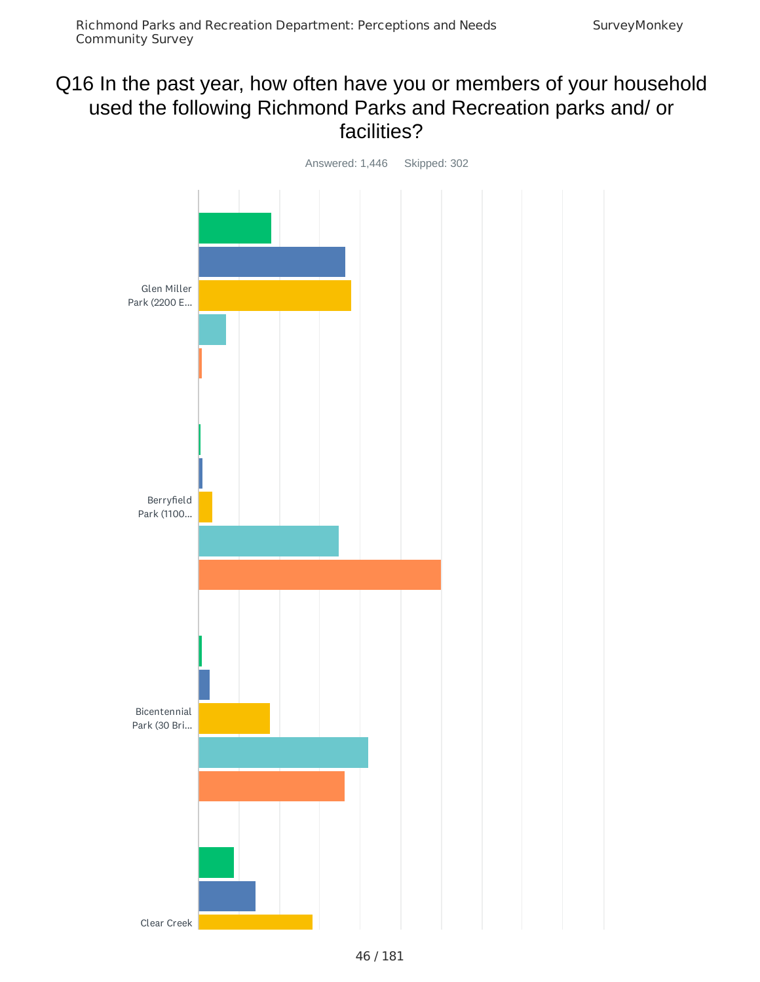# Q16 In the past year, how often have you or members of your household used the following Richmond Parks and Recreation parks and/ or facilities?

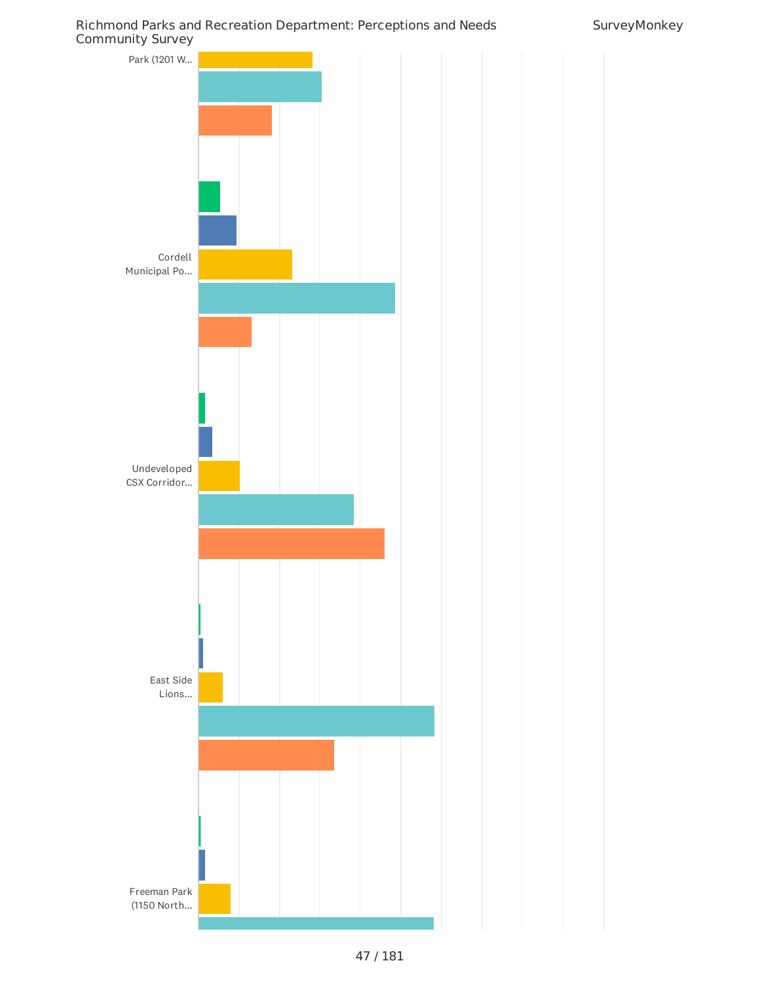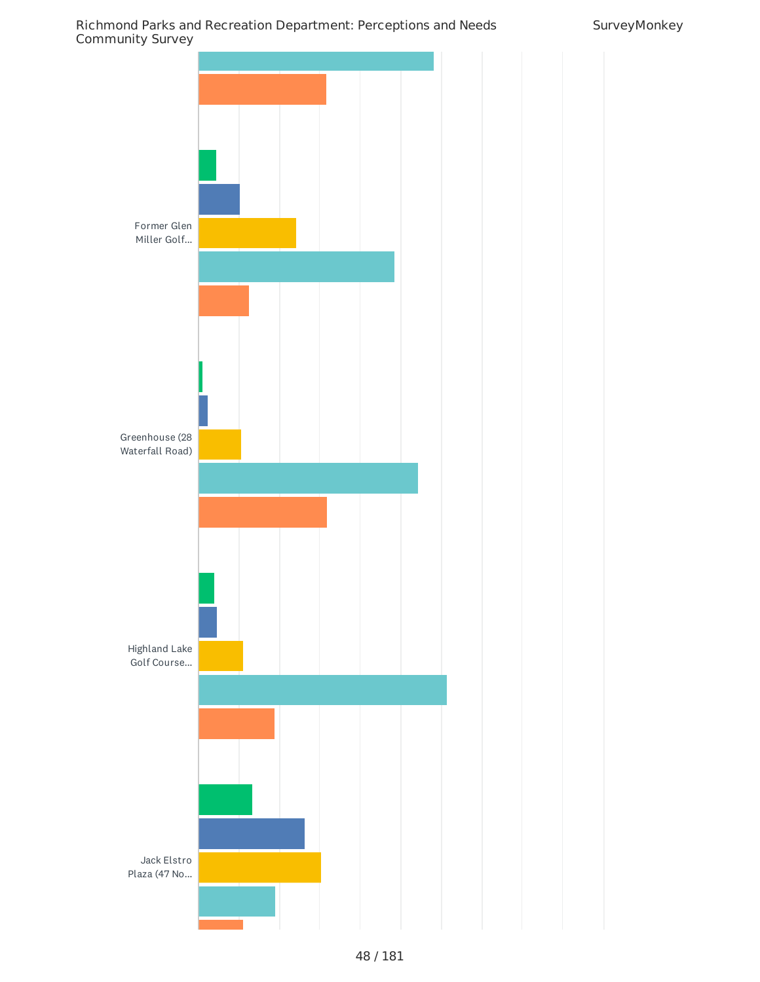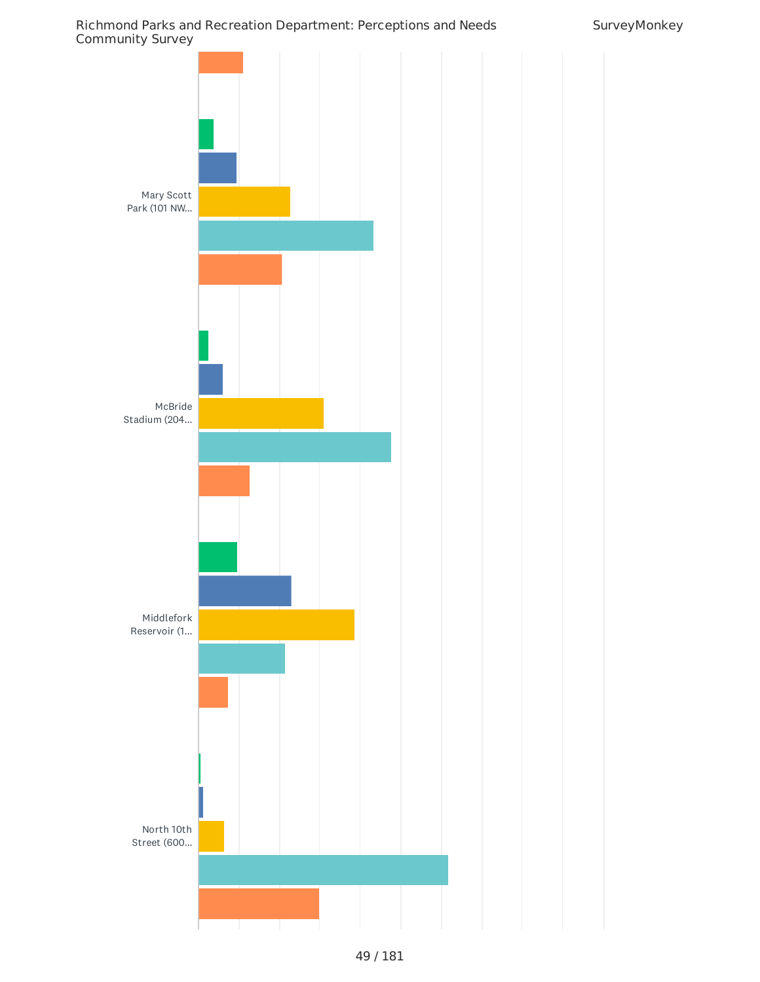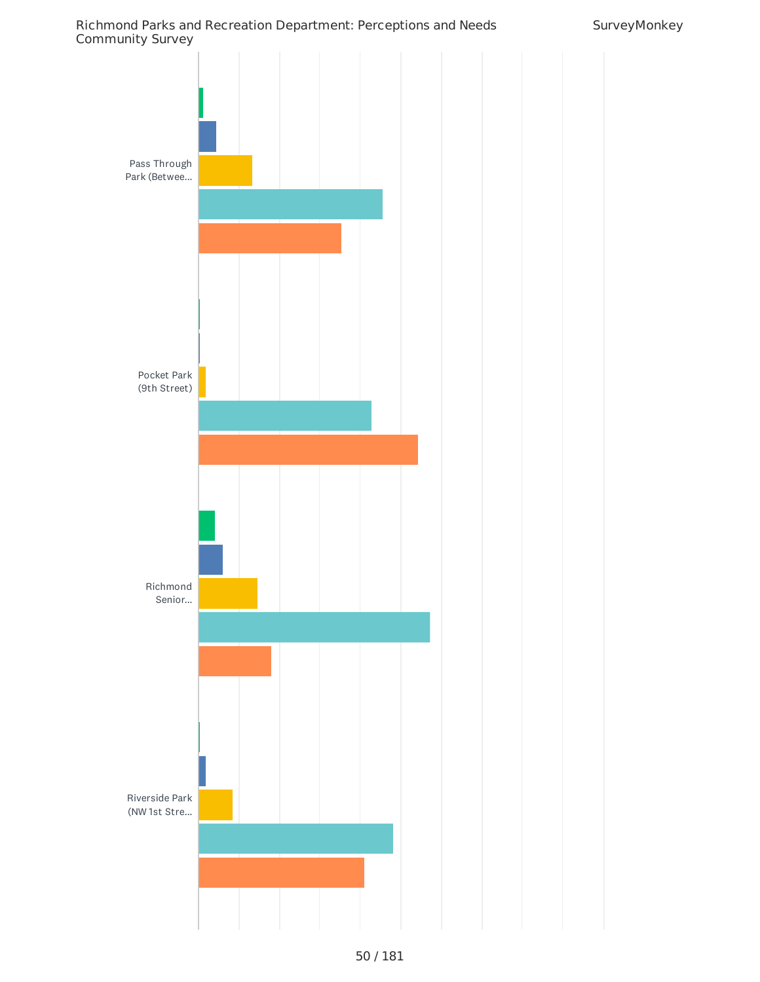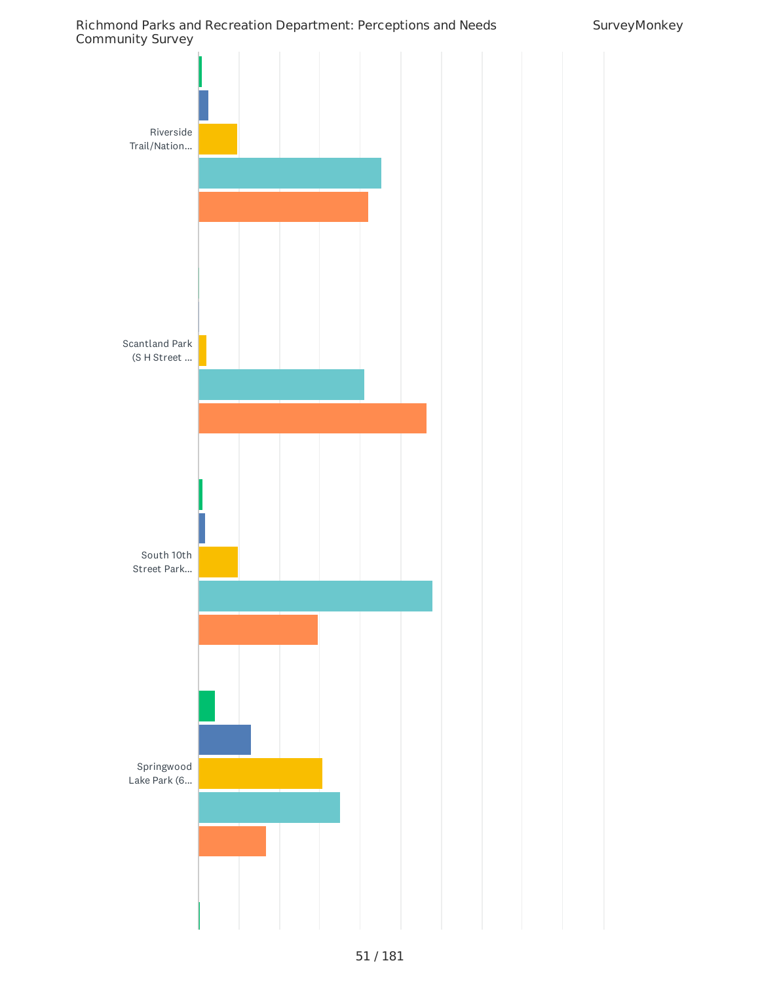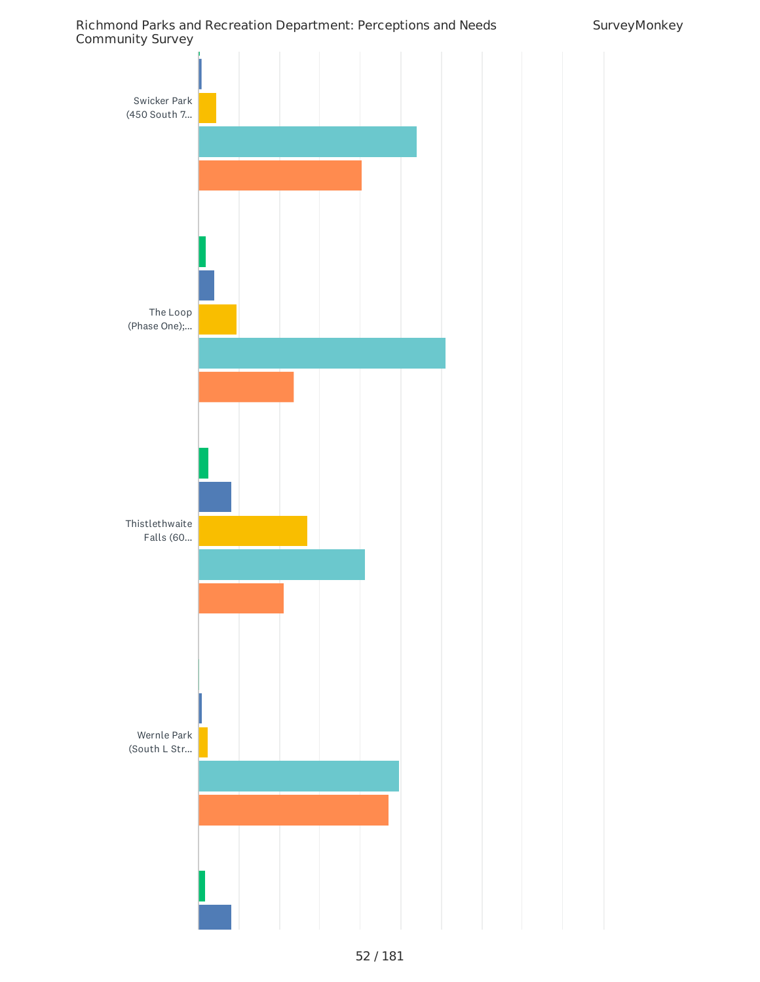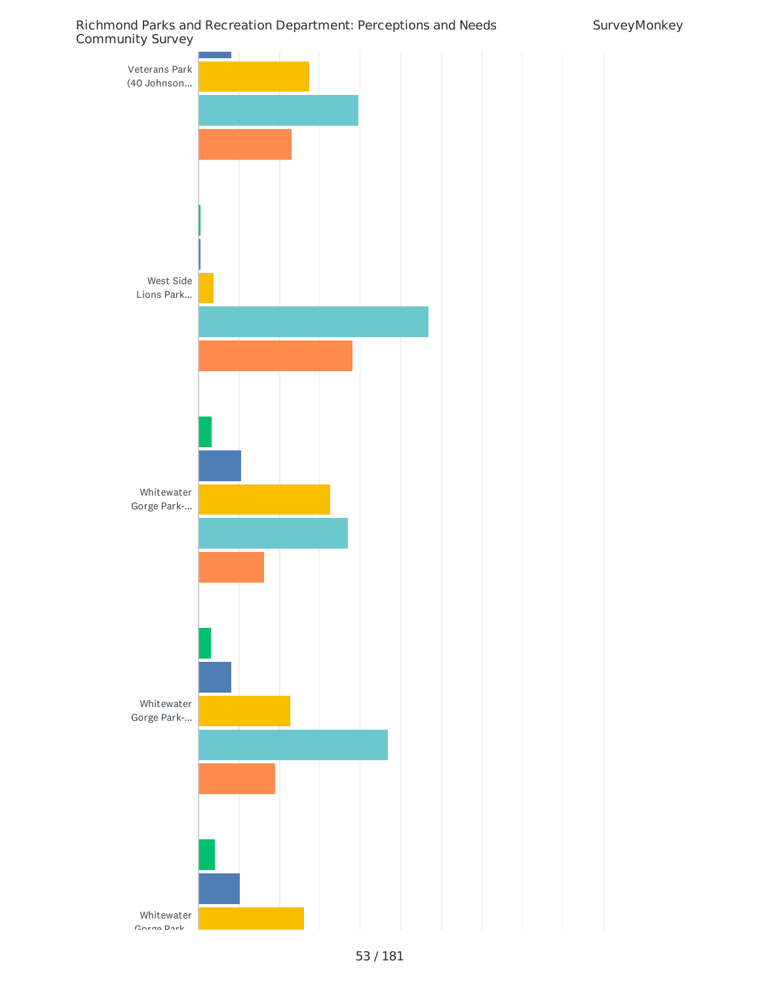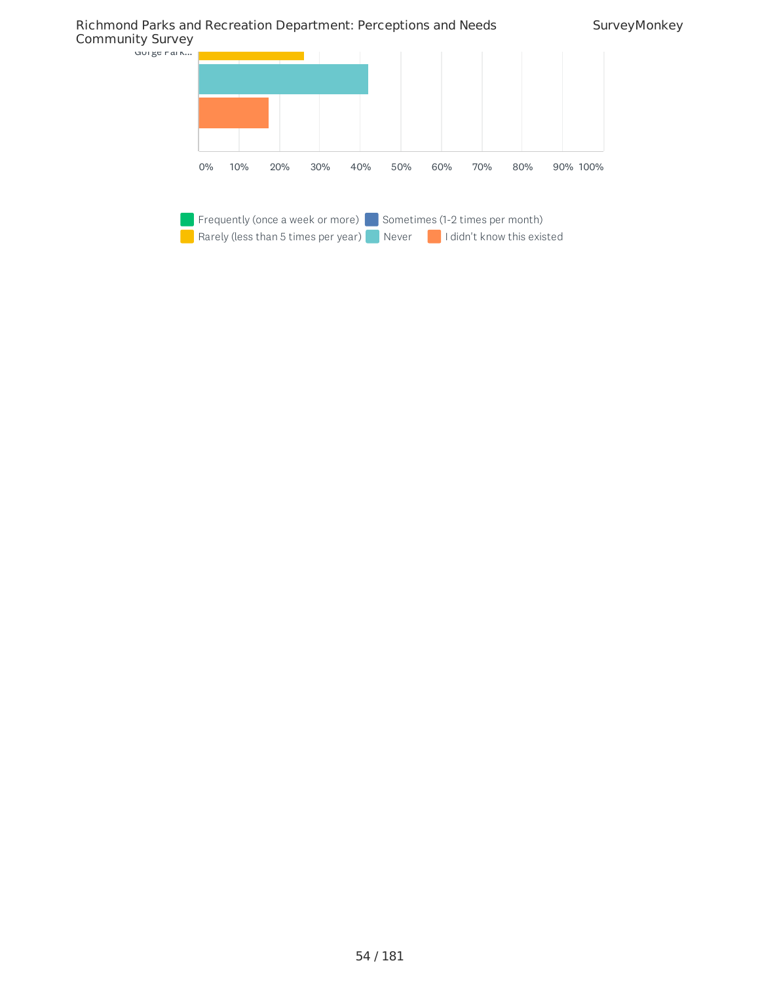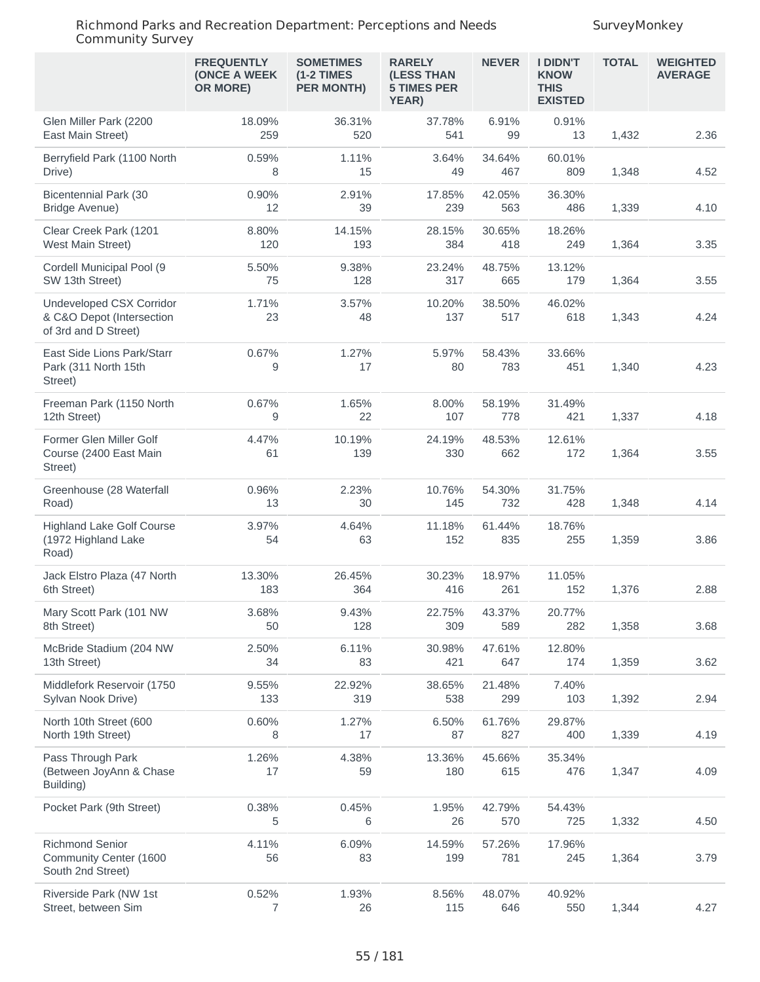|                                                                               | <b>FREQUENTLY</b><br>(ONCE A WEEK<br>OR MORE) | <b>SOMETIMES</b><br>$(1-2)$ TIMES<br><b>PER MONTH)</b> | <b>RARELY</b><br>(LESS THAN<br><b>5 TIMES PER</b><br>YEAR) | <b>NEVER</b>  | <b>I DIDN'T</b><br><b>KNOW</b><br><b>THIS</b><br><b>EXISTED</b> | <b>TOTAL</b> | <b>WEIGHTED</b><br><b>AVERAGE</b> |
|-------------------------------------------------------------------------------|-----------------------------------------------|--------------------------------------------------------|------------------------------------------------------------|---------------|-----------------------------------------------------------------|--------------|-----------------------------------|
| Glen Miller Park (2200<br>East Main Street)                                   | 18.09%<br>259                                 | 36.31%<br>520                                          | 37.78%<br>541                                              | 6.91%<br>99   | 0.91%<br>13                                                     | 1,432        | 2.36                              |
| Berryfield Park (1100 North<br>Drive)                                         | 0.59%<br>8                                    | 1.11%<br>15                                            | 3.64%<br>49                                                | 34.64%<br>467 | 60.01%<br>809                                                   | 1,348        | 4.52                              |
| <b>Bicentennial Park (30</b><br><b>Bridge Avenue)</b>                         | 0.90%<br>12                                   | 2.91%<br>39                                            | 17.85%<br>239                                              | 42.05%<br>563 | 36.30%<br>486                                                   | 1,339        | 4.10                              |
| Clear Creek Park (1201<br>West Main Street)                                   | 8.80%<br>120                                  | 14.15%<br>193                                          | 28.15%<br>384                                              | 30.65%<br>418 | 18.26%<br>249                                                   | 1,364        | 3.35                              |
| Cordell Municipal Pool (9<br>SW 13th Street)                                  | 5.50%<br>75                                   | 9.38%<br>128                                           | 23.24%<br>317                                              | 48.75%<br>665 | 13.12%<br>179                                                   | 1,364        | 3.55                              |
| Undeveloped CSX Corridor<br>& C&O Depot (Intersection<br>of 3rd and D Street) | 1.71%<br>23                                   | 3.57%<br>48                                            | 10.20%<br>137                                              | 38.50%<br>517 | 46.02%<br>618                                                   | 1,343        | 4.24                              |
| East Side Lions Park/Starr<br>Park (311 North 15th<br>Street)                 | 0.67%<br>9                                    | 1.27%<br>17                                            | 5.97%<br>80                                                | 58.43%<br>783 | 33.66%<br>451                                                   | 1,340        | 4.23                              |
| Freeman Park (1150 North<br>12th Street)                                      | 0.67%<br>9                                    | 1.65%<br>22                                            | 8.00%<br>107                                               | 58.19%<br>778 | 31.49%<br>421                                                   | 1,337        | 4.18                              |
| Former Glen Miller Golf<br>Course (2400 East Main<br>Street)                  | 4.47%<br>61                                   | 10.19%<br>139                                          | 24.19%<br>330                                              | 48.53%<br>662 | 12.61%<br>172                                                   | 1,364        | 3.55                              |
| Greenhouse (28 Waterfall<br>Road)                                             | 0.96%<br>13                                   | 2.23%<br>30                                            | 10.76%<br>145                                              | 54.30%<br>732 | 31.75%<br>428                                                   | 1,348        | 4.14                              |
| <b>Highland Lake Golf Course</b><br>(1972 Highland Lake<br>Road)              | 3.97%<br>54                                   | 4.64%<br>63                                            | 11.18%<br>152                                              | 61.44%<br>835 | 18.76%<br>255                                                   | 1,359        | 3.86                              |
| Jack Elstro Plaza (47 North<br>6th Street)                                    | 13.30%<br>183                                 | 26.45%<br>364                                          | 30.23%<br>416                                              | 18.97%<br>261 | 11.05%<br>152                                                   | 1,376        | 2.88                              |
| Mary Scott Park (101 NW<br>8th Street)                                        | 3.68%<br>50                                   | 9.43%<br>128                                           | 22.75%<br>309                                              | 43.37%<br>589 | 20.77%<br>282                                                   | 1,358        | 3.68                              |
| McBride Stadium (204 NW<br>13th Street)                                       | 2.50%<br>34                                   | 6.11%<br>83                                            | 30.98%<br>421                                              | 47.61%<br>647 | 12.80%<br>174                                                   | 1,359        | 3.62                              |
| Middlefork Reservoir (1750<br>Sylvan Nook Drive)                              | 9.55%<br>133                                  | 22.92%<br>319                                          | 38.65%<br>538                                              | 21.48%<br>299 | 7.40%<br>103                                                    | 1,392        | 2.94                              |
| North 10th Street (600<br>North 19th Street)                                  | 0.60%<br>8                                    | 1.27%<br>17                                            | 6.50%<br>87                                                | 61.76%<br>827 | 29.87%<br>400                                                   | 1,339        | 4.19                              |
| Pass Through Park<br>(Between JoyAnn & Chase<br>Building)                     | 1.26%<br>17                                   | 4.38%<br>59                                            | 13.36%<br>180                                              | 45.66%<br>615 | 35.34%<br>476                                                   | 1,347        | 4.09                              |
| Pocket Park (9th Street)                                                      | 0.38%<br>5                                    | 0.45%<br>6                                             | 1.95%<br>26                                                | 42.79%<br>570 | 54.43%<br>725                                                   | 1,332        | 4.50                              |
| <b>Richmond Senior</b><br>Community Center (1600<br>South 2nd Street)         | 4.11%<br>56                                   | 6.09%<br>83                                            | 14.59%<br>199                                              | 57.26%<br>781 | 17.96%<br>245                                                   | 1,364        | 3.79                              |
| Riverside Park (NW 1st<br>Street, between Sim                                 | 0.52%<br>7                                    | 1.93%<br>26                                            | 8.56%<br>115                                               | 48.07%<br>646 | 40.92%<br>550                                                   | 1,344        | 4.27                              |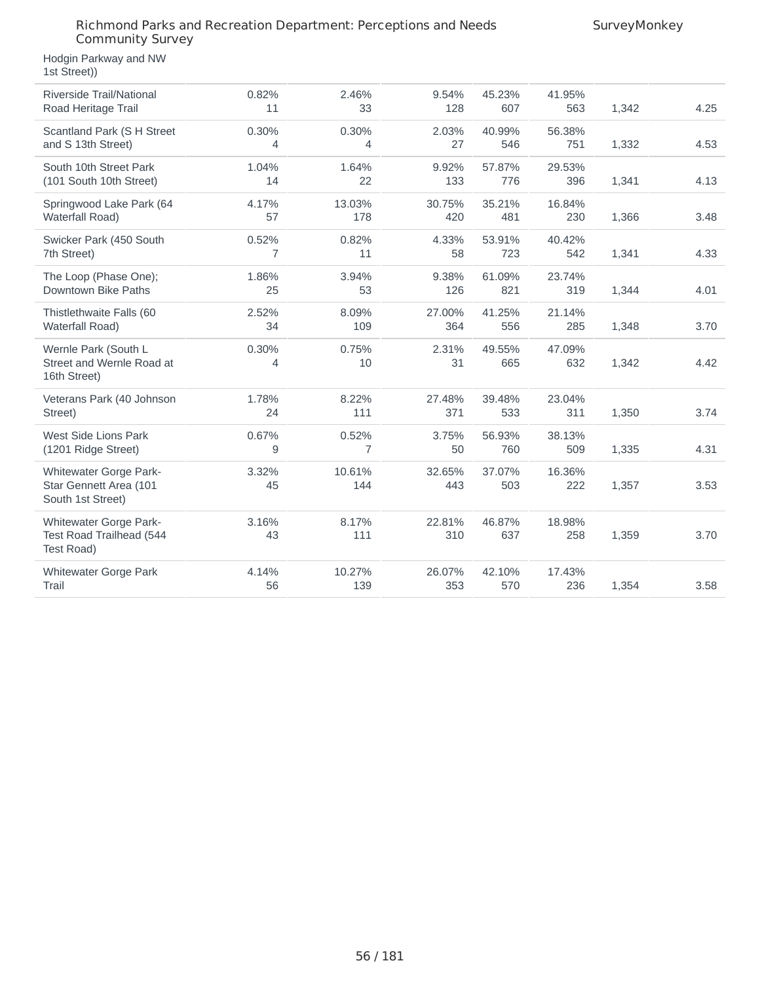Hodgin Parkway and NW 1st Street))

| Riverside Trail/National<br>Road Heritage Trail                       | 0.82%<br>11 | 2.46%<br>33             | 9.54%<br>128  | 45.23%<br>607 | 41.95%<br>563 | 1,342 | 4.25 |
|-----------------------------------------------------------------------|-------------|-------------------------|---------------|---------------|---------------|-------|------|
| Scantland Park (S H Street<br>and S 13th Street)                      | 0.30%<br>4  | 0.30%<br>4              | 2.03%<br>27   | 40.99%<br>546 | 56.38%<br>751 | 1,332 | 4.53 |
| South 10th Street Park<br>(101 South 10th Street)                     | 1.04%<br>14 | 1.64%<br>22             | 9.92%<br>133  | 57.87%<br>776 | 29.53%<br>396 | 1,341 | 4.13 |
| Springwood Lake Park (64<br><b>Waterfall Road)</b>                    | 4.17%<br>57 | 13.03%<br>178           | 30.75%<br>420 | 35.21%<br>481 | 16.84%<br>230 | 1,366 | 3.48 |
| Swicker Park (450 South<br>7th Street)                                | 0.52%<br>7  | 0.82%<br>11             | 4.33%<br>58   | 53.91%<br>723 | 40.42%<br>542 | 1,341 | 4.33 |
| The Loop (Phase One);<br>Downtown Bike Paths                          | 1.86%<br>25 | 3.94%<br>53             | 9.38%<br>126  | 61.09%<br>821 | 23.74%<br>319 | 1,344 | 4.01 |
| Thistlethwaite Falls (60<br><b>Waterfall Road)</b>                    | 2.52%<br>34 | 8.09%<br>109            | 27.00%<br>364 | 41.25%<br>556 | 21.14%<br>285 | 1,348 | 3.70 |
| Wernle Park (South L<br>Street and Wernle Road at<br>16th Street)     | 0.30%<br>4  | 0.75%<br>10             | 2.31%<br>31   | 49.55%<br>665 | 47.09%<br>632 | 1,342 | 4.42 |
| Veterans Park (40 Johnson<br>Street)                                  | 1.78%<br>24 | 8.22%<br>111            | 27.48%<br>371 | 39.48%<br>533 | 23.04%<br>311 | 1,350 | 3.74 |
| West Side Lions Park<br>(1201 Ridge Street)                           | 0.67%<br>9  | 0.52%<br>$\overline{7}$ | 3.75%<br>50   | 56.93%<br>760 | 38.13%<br>509 | 1,335 | 4.31 |
| Whitewater Gorge Park-<br>Star Gennett Area (101<br>South 1st Street) | 3.32%<br>45 | 10.61%<br>144           | 32.65%<br>443 | 37.07%<br>503 | 16.36%<br>222 | 1,357 | 3.53 |
| Whitewater Gorge Park-<br>Test Road Trailhead (544<br>Test Road)      | 3.16%<br>43 | 8.17%<br>111            | 22.81%<br>310 | 46.87%<br>637 | 18.98%<br>258 | 1,359 | 3.70 |
| Whitewater Gorge Park<br>Trail                                        | 4.14%<br>56 | 10.27%<br>139           | 26.07%<br>353 | 42.10%<br>570 | 17.43%<br>236 | 1,354 | 3.58 |
|                                                                       |             |                         |               |               |               |       |      |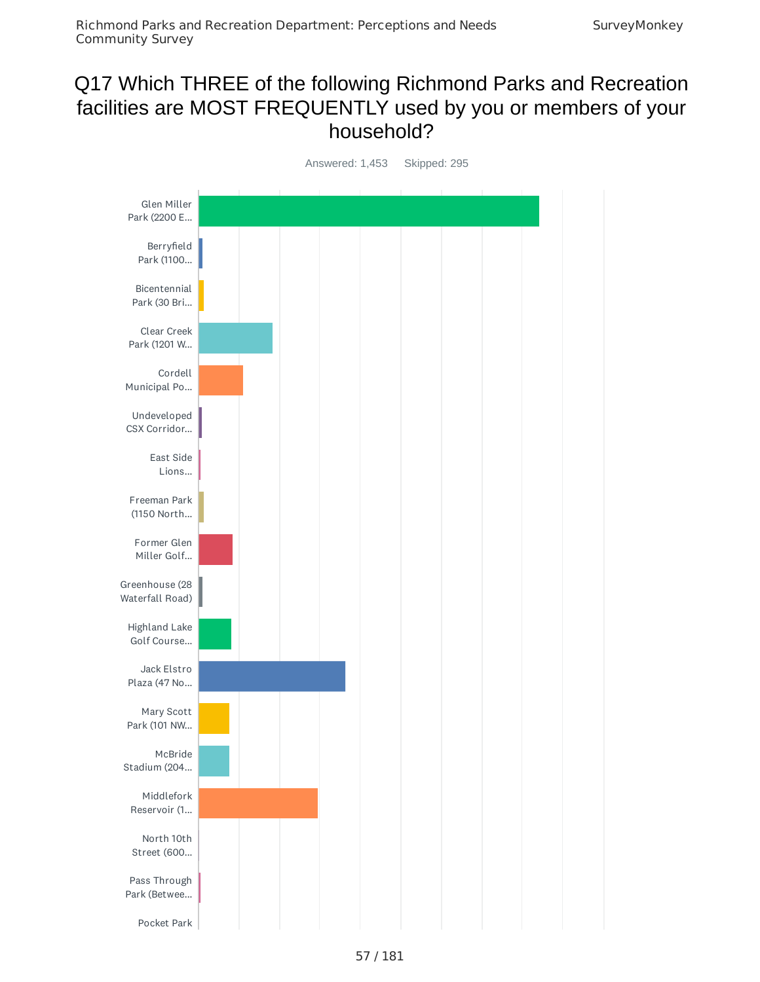# Q17 Which THREE of the following Richmond Parks and Recreation facilities are MOST FREQUENTLY used by you or members of your household?

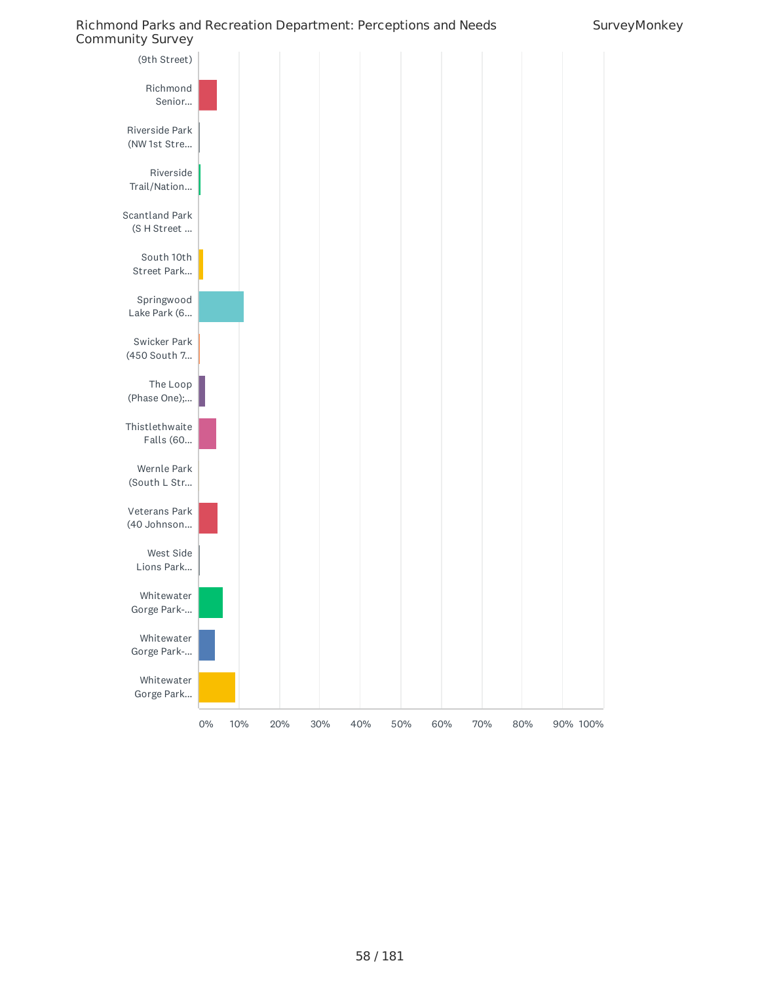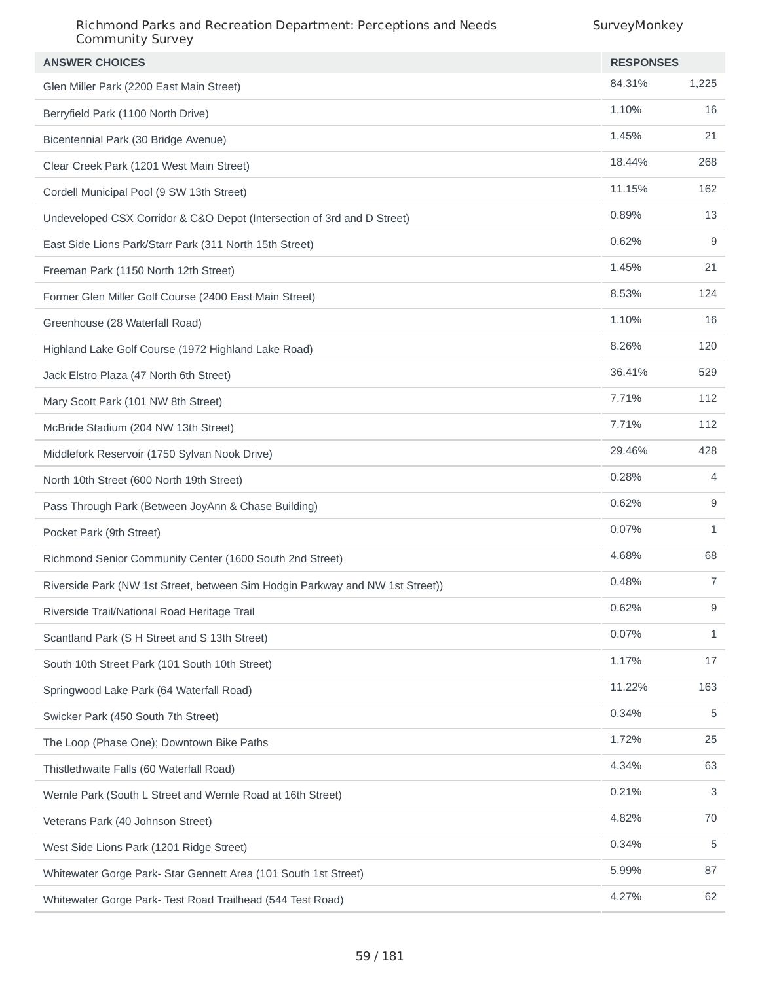| <b>ANSWER CHOICES</b>                                                         | <b>RESPONSES</b> |              |
|-------------------------------------------------------------------------------|------------------|--------------|
| Glen Miller Park (2200 East Main Street)                                      | 84.31%           | 1,225        |
| Berryfield Park (1100 North Drive)                                            | 1.10%            | 16           |
| Bicentennial Park (30 Bridge Avenue)                                          | 1.45%            | 21           |
| Clear Creek Park (1201 West Main Street)                                      | 18.44%           | 268          |
| Cordell Municipal Pool (9 SW 13th Street)                                     | 11.15%           | 162          |
| Undeveloped CSX Corridor & C&O Depot (Intersection of 3rd and D Street)       | 0.89%            | 13           |
| East Side Lions Park/Starr Park (311 North 15th Street)                       | 0.62%            | 9            |
| Freeman Park (1150 North 12th Street)                                         | 1.45%            | 21           |
| Former Glen Miller Golf Course (2400 East Main Street)                        | 8.53%            | 124          |
| Greenhouse (28 Waterfall Road)                                                | 1.10%            | 16           |
| Highland Lake Golf Course (1972 Highland Lake Road)                           | 8.26%            | 120          |
| Jack Elstro Plaza (47 North 6th Street)                                       | 36.41%           | 529          |
| Mary Scott Park (101 NW 8th Street)                                           | 7.71%            | 112          |
| McBride Stadium (204 NW 13th Street)                                          | 7.71%            | 112          |
| Middlefork Reservoir (1750 Sylvan Nook Drive)                                 | 29.46%           | 428          |
| North 10th Street (600 North 19th Street)                                     | 0.28%            | 4            |
| Pass Through Park (Between JoyAnn & Chase Building)                           | 0.62%            | 9            |
| Pocket Park (9th Street)                                                      | 0.07%            | $\mathbf{1}$ |
| Richmond Senior Community Center (1600 South 2nd Street)                      | 4.68%            | 68           |
| Riverside Park (NW 1st Street, between Sim Hodgin Parkway and NW 1st Street)) | 0.48%            | 7            |
| Riverside Trail/National Road Heritage Trail                                  | 0.62%            | 9            |
| Scantland Park (S H Street and S 13th Street)                                 | 0.07%            | 1            |
| South 10th Street Park (101 South 10th Street)                                | 1.17%            | 17           |
| Springwood Lake Park (64 Waterfall Road)                                      | 11.22%           | 163          |
| Swicker Park (450 South 7th Street)                                           | 0.34%            | 5            |
| The Loop (Phase One); Downtown Bike Paths                                     | 1.72%            | 25           |
| Thistlethwaite Falls (60 Waterfall Road)                                      | 4.34%            | 63           |
| Wernle Park (South L Street and Wernle Road at 16th Street)                   | 0.21%            | 3            |
| Veterans Park (40 Johnson Street)                                             | 4.82%            | 70           |
| West Side Lions Park (1201 Ridge Street)                                      | 0.34%            | 5            |
| Whitewater Gorge Park- Star Gennett Area (101 South 1st Street)               | 5.99%            | 87           |
| Whitewater Gorge Park- Test Road Trailhead (544 Test Road)                    | 4.27%            | 62           |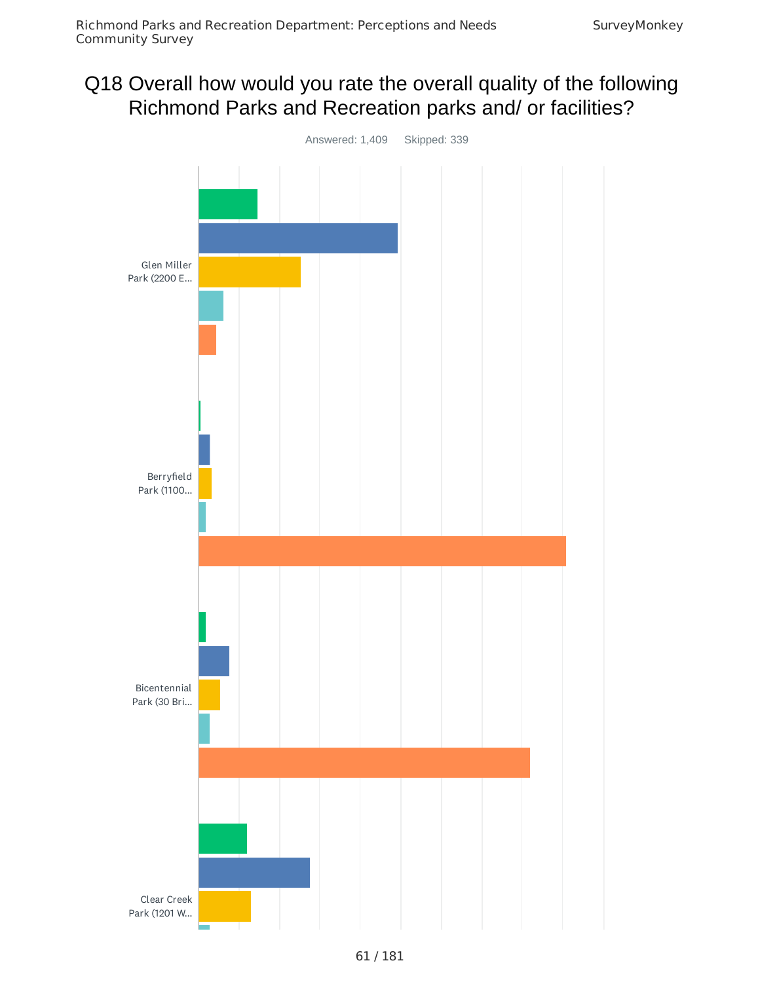# Q18 Overall how would you rate the overall quality of the following Richmond Parks and Recreation parks and/ or facilities?

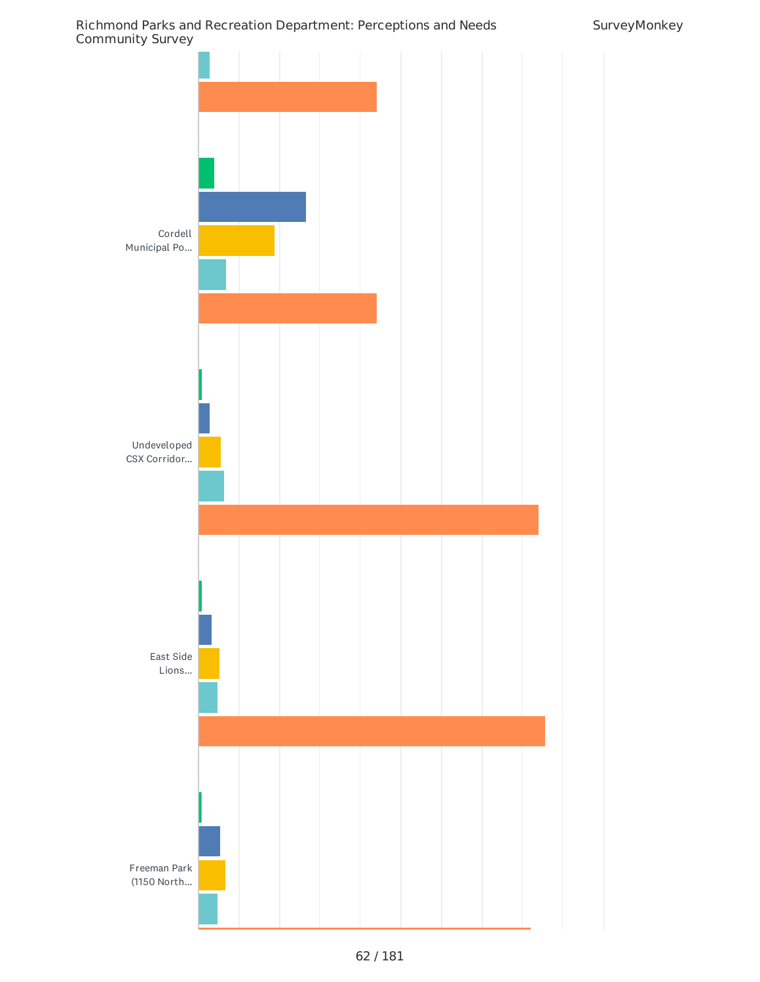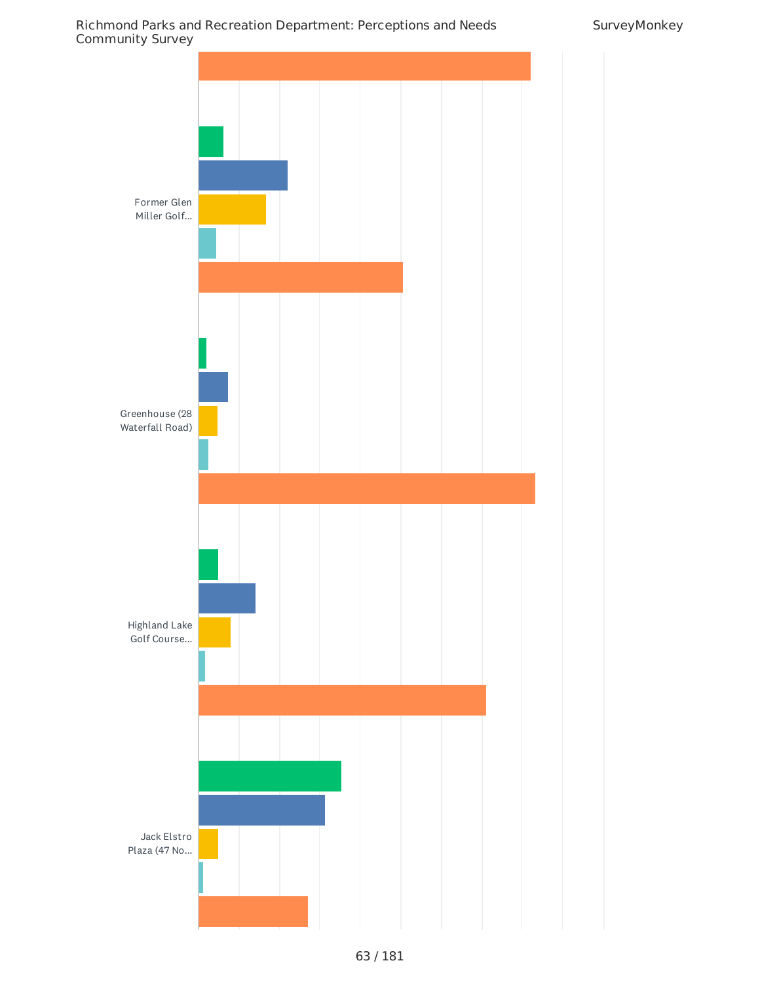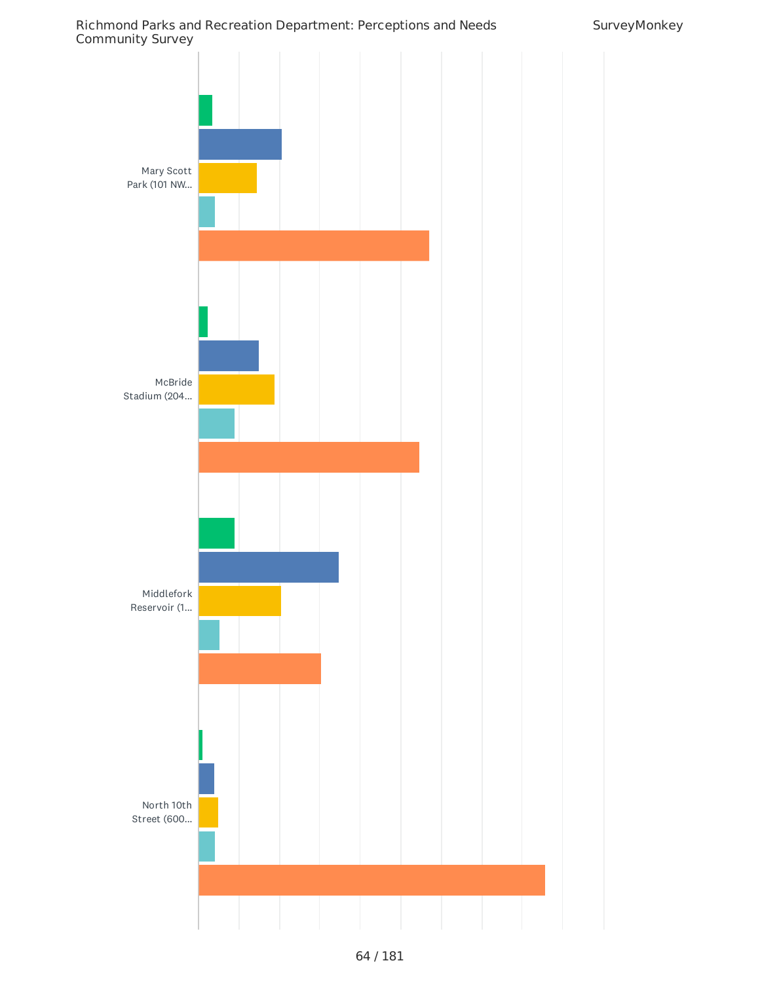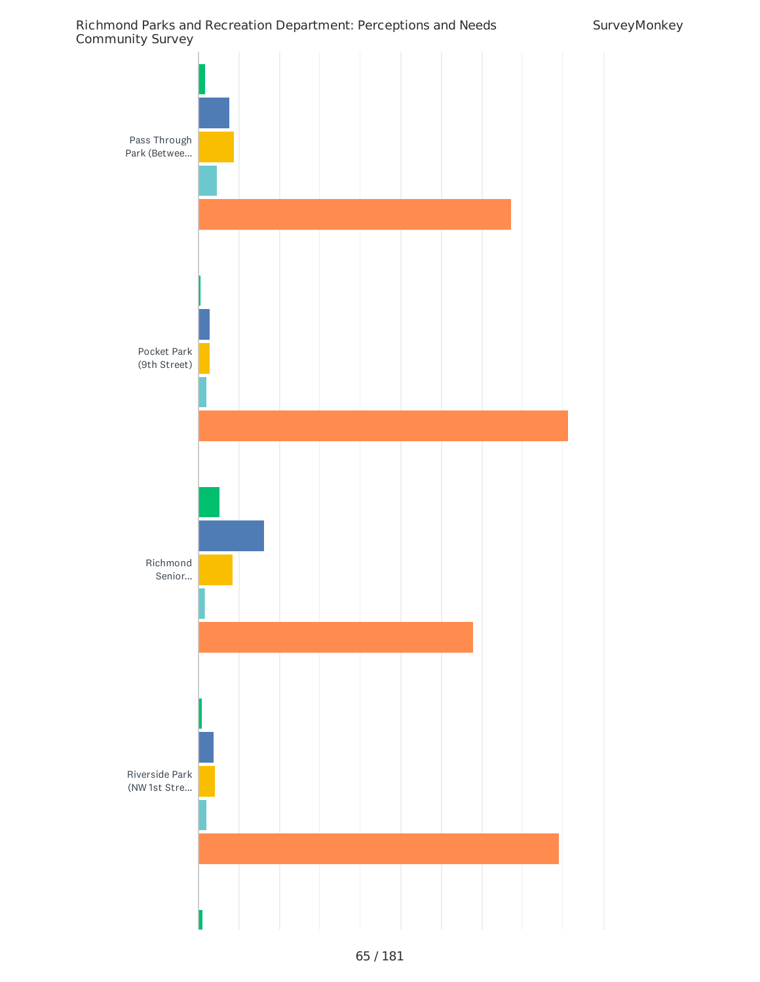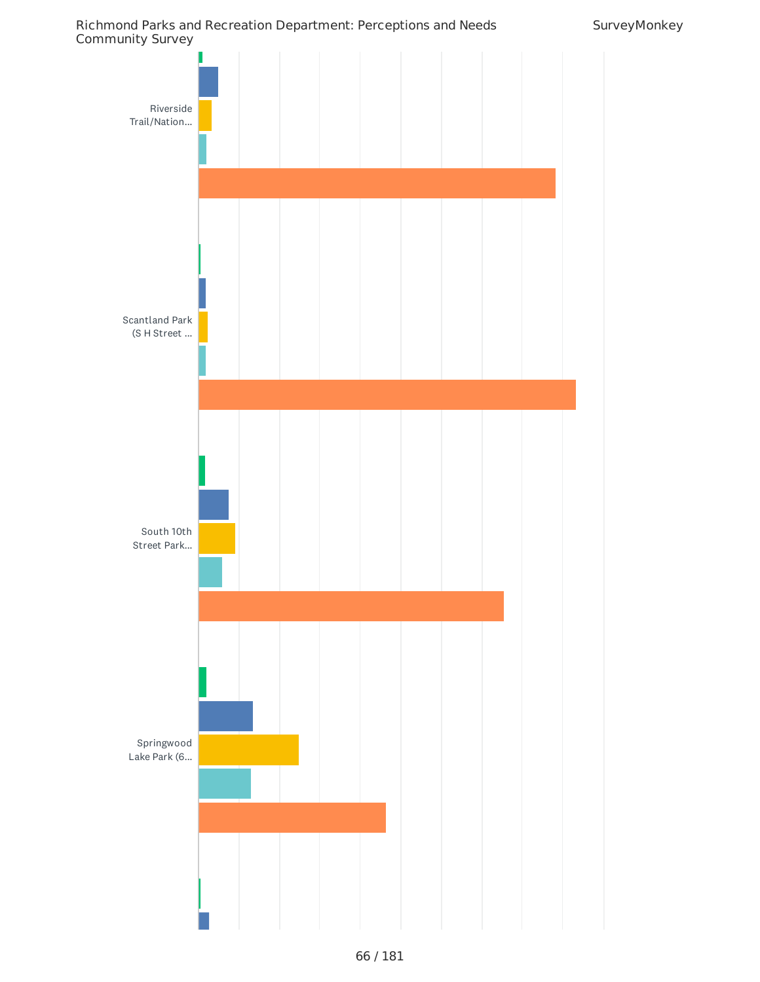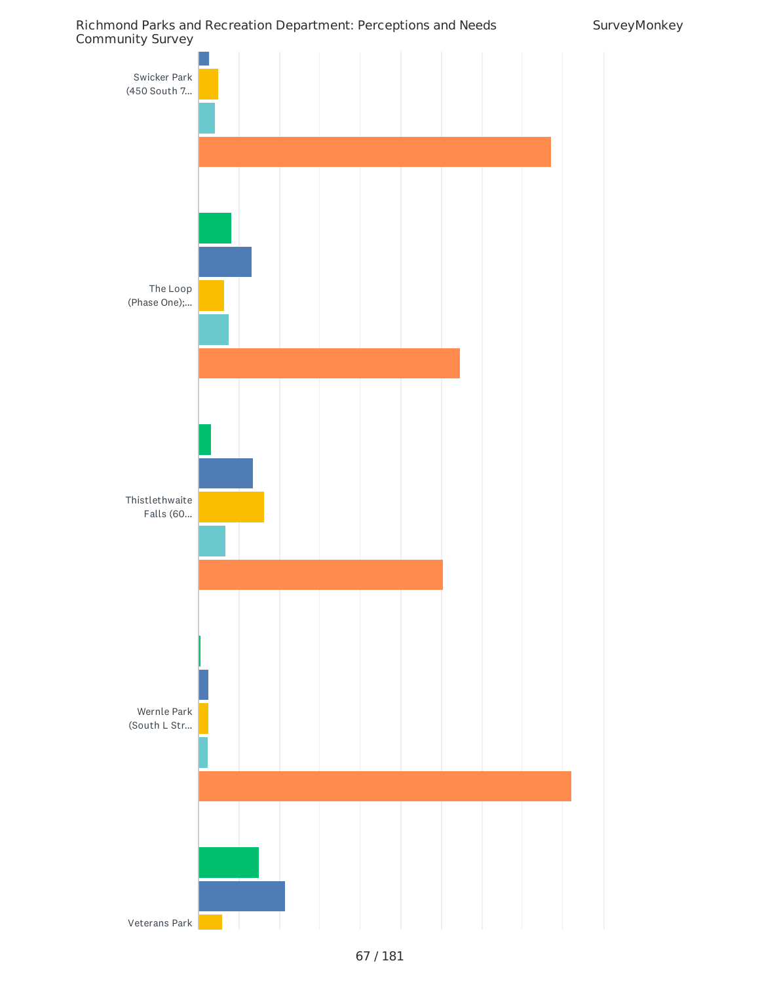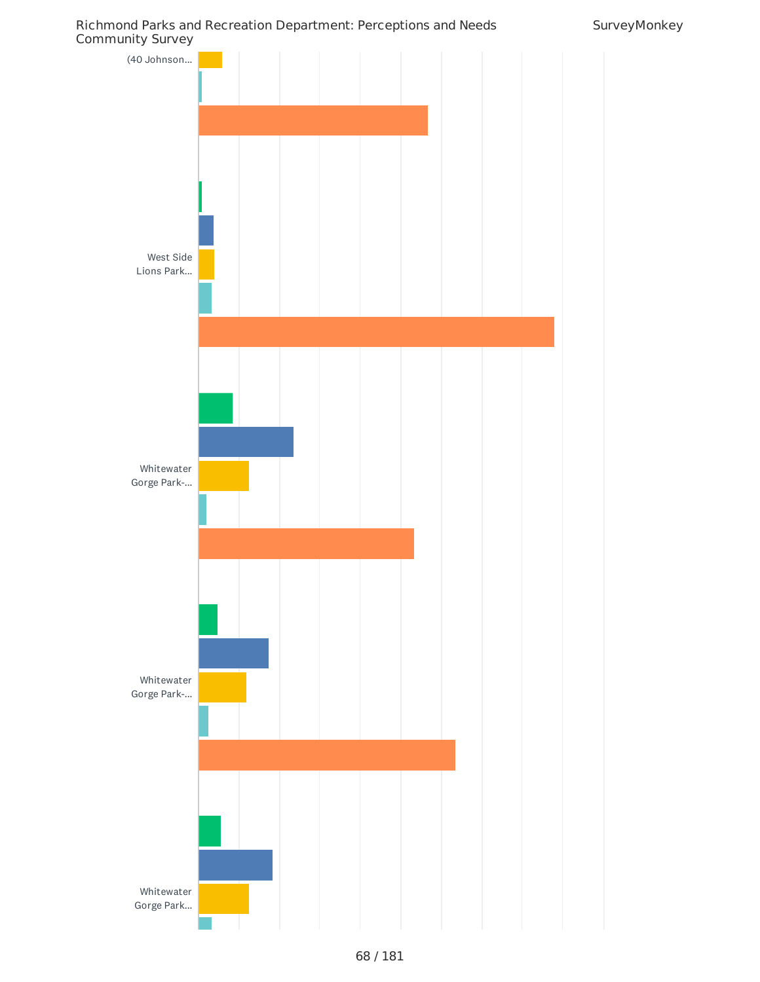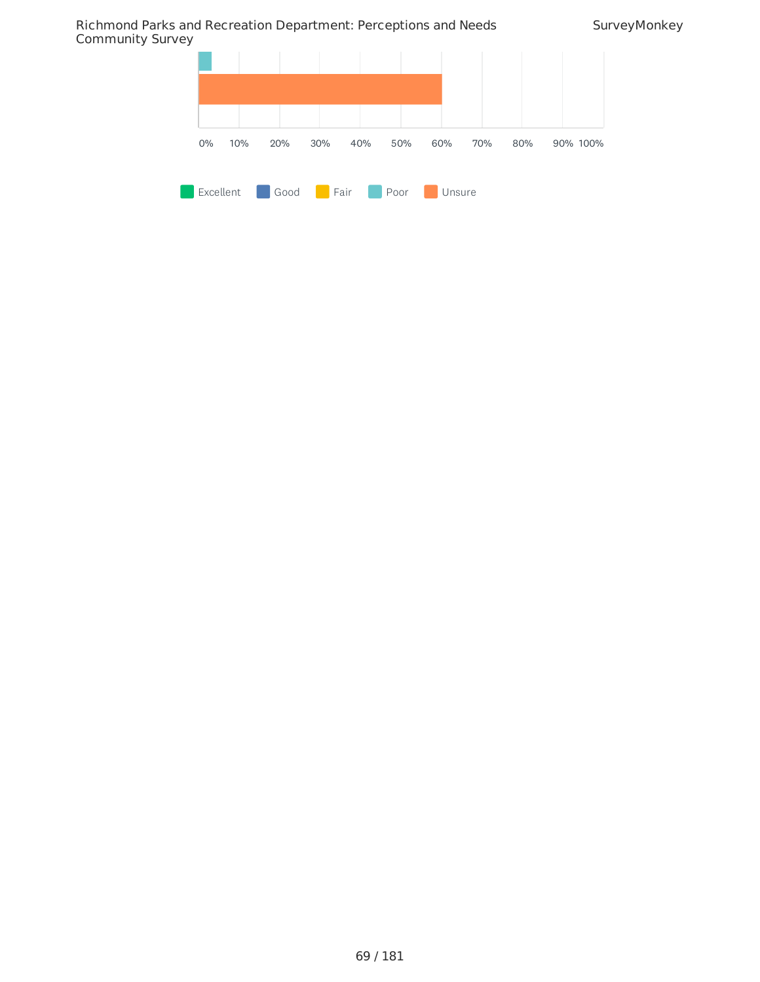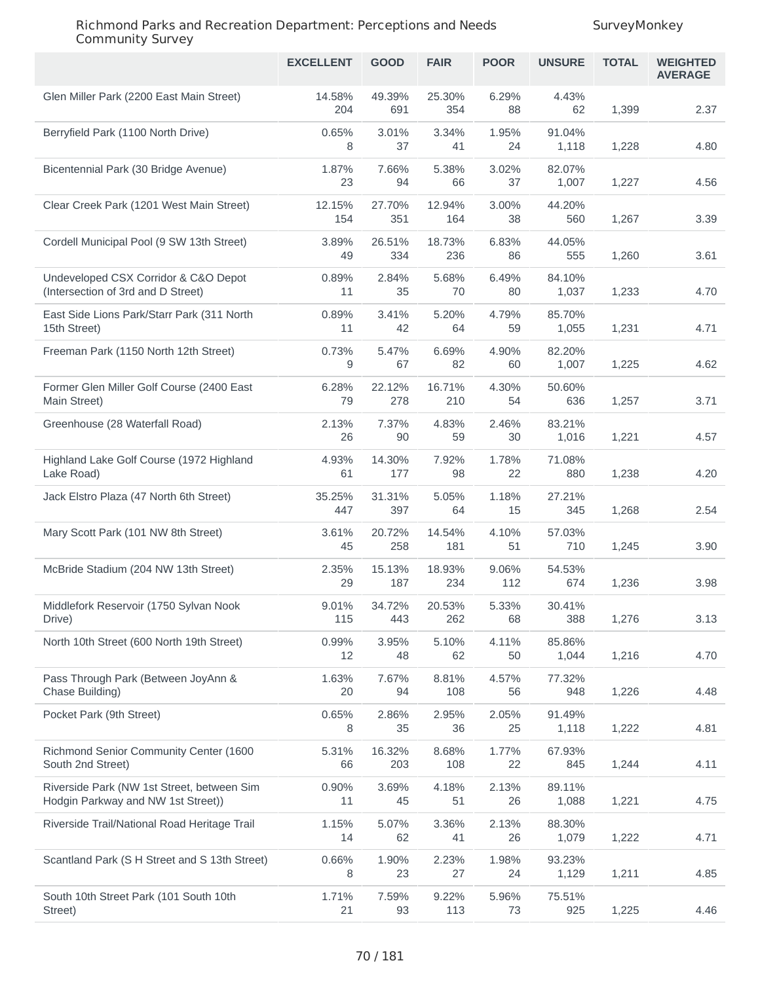|                                                                                  | <b>EXCELLENT</b> | <b>GOOD</b>   | <b>FAIR</b>   | <b>POOR</b>  | <b>UNSURE</b>   | <b>TOTAL</b> | <b>WEIGHTED</b><br><b>AVERAGE</b> |
|----------------------------------------------------------------------------------|------------------|---------------|---------------|--------------|-----------------|--------------|-----------------------------------|
| Glen Miller Park (2200 East Main Street)                                         | 14.58%<br>204    | 49.39%<br>691 | 25.30%<br>354 | 6.29%<br>88  | 4.43%<br>62     | 1,399        | 2.37                              |
| Berryfield Park (1100 North Drive)                                               | 0.65%<br>8       | 3.01%<br>37   | 3.34%<br>41   | 1.95%<br>24  | 91.04%<br>1,118 | 1,228        | 4.80                              |
| Bicentennial Park (30 Bridge Avenue)                                             | 1.87%<br>23      | 7.66%<br>94   | 5.38%<br>66   | 3.02%<br>37  | 82.07%<br>1,007 | 1,227        | 4.56                              |
| Clear Creek Park (1201 West Main Street)                                         | 12.15%<br>154    | 27.70%<br>351 | 12.94%<br>164 | 3.00%<br>38  | 44.20%<br>560   | 1,267        | 3.39                              |
| Cordell Municipal Pool (9 SW 13th Street)                                        | 3.89%<br>49      | 26.51%<br>334 | 18.73%<br>236 | 6.83%<br>86  | 44.05%<br>555   | 1,260        | 3.61                              |
| Undeveloped CSX Corridor & C&O Depot<br>(Intersection of 3rd and D Street)       | 0.89%<br>11      | 2.84%<br>35   | 5.68%<br>70   | 6.49%<br>80  | 84.10%<br>1,037 | 1,233        | 4.70                              |
| East Side Lions Park/Starr Park (311 North<br>15th Street)                       | 0.89%<br>11      | 3.41%<br>42   | 5.20%<br>64   | 4.79%<br>59  | 85.70%<br>1,055 | 1,231        | 4.71                              |
| Freeman Park (1150 North 12th Street)                                            | 0.73%<br>9       | 5.47%<br>67   | 6.69%<br>82   | 4.90%<br>60  | 82.20%<br>1,007 | 1,225        | 4.62                              |
| Former Glen Miller Golf Course (2400 East<br>Main Street)                        | 6.28%<br>79      | 22.12%<br>278 | 16.71%<br>210 | 4.30%<br>54  | 50.60%<br>636   | 1,257        | 3.71                              |
| Greenhouse (28 Waterfall Road)                                                   | 2.13%<br>26      | 7.37%<br>90   | 4.83%<br>59   | 2.46%<br>30  | 83.21%<br>1,016 | 1,221        | 4.57                              |
| Highland Lake Golf Course (1972 Highland<br>Lake Road)                           | 4.93%<br>61      | 14.30%<br>177 | 7.92%<br>98   | 1.78%<br>22  | 71.08%<br>880   | 1,238        | 4.20                              |
| Jack Elstro Plaza (47 North 6th Street)                                          | 35.25%<br>447    | 31.31%<br>397 | 5.05%<br>64   | 1.18%<br>15  | 27.21%<br>345   | 1,268        | 2.54                              |
| Mary Scott Park (101 NW 8th Street)                                              | 3.61%<br>45      | 20.72%<br>258 | 14.54%<br>181 | 4.10%<br>51  | 57.03%<br>710   | 1,245        | 3.90                              |
| McBride Stadium (204 NW 13th Street)                                             | 2.35%<br>29      | 15.13%<br>187 | 18.93%<br>234 | 9.06%<br>112 | 54.53%<br>674   | 1,236        | 3.98                              |
| Middlefork Reservoir (1750 Sylvan Nook<br>Drive)                                 | 9.01%<br>115     | 34.72%<br>443 | 20.53%<br>262 | 5.33%<br>68  | 30.41%<br>388   | 1,276        | 3.13                              |
| North 10th Street (600 North 19th Street)                                        | 0.99%<br>12      | 3.95%<br>48   | 5.10%<br>62   | 4.11%<br>50  | 85.86%<br>1,044 | 1,216        | 4.70                              |
| Pass Through Park (Between JoyAnn &<br>Chase Building)                           | 1.63%<br>20      | 7.67%<br>94   | 8.81%<br>108  | 4.57%<br>56  | 77.32%<br>948   | 1,226        | 4.48                              |
| Pocket Park (9th Street)                                                         | 0.65%<br>8       | 2.86%<br>35   | 2.95%<br>36   | 2.05%<br>25  | 91.49%<br>1,118 | 1,222        | 4.81                              |
| Richmond Senior Community Center (1600<br>South 2nd Street)                      | 5.31%<br>66      | 16.32%<br>203 | 8.68%<br>108  | 1.77%<br>22  | 67.93%<br>845   | 1,244        | 4.11                              |
| Riverside Park (NW 1st Street, between Sim<br>Hodgin Parkway and NW 1st Street)) | 0.90%<br>11      | 3.69%<br>45   | 4.18%<br>51   | 2.13%<br>26  | 89.11%<br>1,088 | 1,221        | 4.75                              |
| Riverside Trail/National Road Heritage Trail                                     | 1.15%<br>14      | 5.07%<br>62   | 3.36%<br>41   | 2.13%<br>26  | 88.30%<br>1,079 | 1,222        | 4.71                              |
| Scantland Park (S H Street and S 13th Street)                                    | 0.66%<br>8       | 1.90%<br>23   | 2.23%<br>27   | 1.98%<br>24  | 93.23%<br>1,129 | 1,211        | 4.85                              |
| South 10th Street Park (101 South 10th<br>Street)                                | 1.71%<br>21      | 7.59%<br>93   | 9.22%<br>113  | 5.96%<br>73  | 75.51%<br>925   | 1,225        | 4.46                              |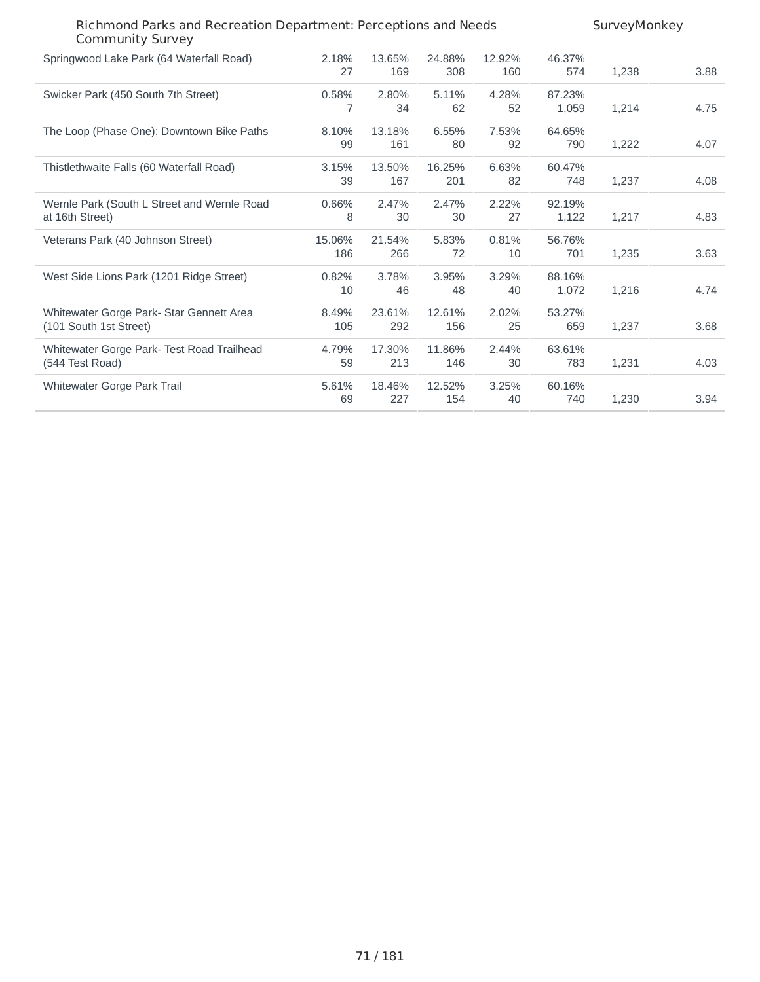| Richmond Parks and Recreation Department: Perceptions and Needs<br><b>Community Survey</b> |               |               |               |               | SurveyMonkey    |       |      |  |
|--------------------------------------------------------------------------------------------|---------------|---------------|---------------|---------------|-----------------|-------|------|--|
| Springwood Lake Park (64 Waterfall Road)                                                   | 2.18%<br>27   | 13.65%<br>169 | 24.88%<br>308 | 12.92%<br>160 | 46.37%<br>574   | 1,238 | 3.88 |  |
| Swicker Park (450 South 7th Street)                                                        | 0.58%<br>7    | 2.80%<br>34   | 5.11%<br>62   | 4.28%<br>52   | 87.23%<br>1,059 | 1,214 | 4.75 |  |
| The Loop (Phase One); Downtown Bike Paths                                                  | 8.10%<br>99   | 13.18%<br>161 | 6.55%<br>80   | 7.53%<br>92   | 64.65%<br>790   | 1,222 | 4.07 |  |
| Thistlethwaite Falls (60 Waterfall Road)                                                   | 3.15%<br>39   | 13.50%<br>167 | 16.25%<br>201 | 6.63%<br>82   | 60.47%<br>748   | 1,237 | 4.08 |  |
| Wernle Park (South L Street and Wernle Road<br>at 16th Street)                             | 0.66%<br>8    | 2.47%<br>30   | 2.47%<br>30   | 2.22%<br>27   | 92.19%<br>1,122 | 1,217 | 4.83 |  |
| Veterans Park (40 Johnson Street)                                                          | 15.06%<br>186 | 21.54%<br>266 | 5.83%<br>72   | 0.81%<br>10   | 56.76%<br>701   | 1,235 | 3.63 |  |
| West Side Lions Park (1201 Ridge Street)                                                   | 0.82%<br>10   | 3.78%<br>46   | 3.95%<br>48   | 3.29%<br>40   | 88.16%<br>1,072 | 1,216 | 4.74 |  |
| Whitewater Gorge Park- Star Gennett Area<br>(101 South 1st Street)                         | 8.49%<br>105  | 23.61%<br>292 | 12.61%<br>156 | 2.02%<br>25   | 53.27%<br>659   | 1,237 | 3.68 |  |
| Whitewater Gorge Park- Test Road Trailhead<br>(544 Test Road)                              | 4.79%<br>59   | 17.30%<br>213 | 11.86%<br>146 | 2.44%<br>30   | 63.61%<br>783   | 1,231 | 4.03 |  |
| Whitewater Gorge Park Trail                                                                | 5.61%<br>69   | 18.46%<br>227 | 12.52%<br>154 | 3.25%<br>40   | 60.16%<br>740   | 1,230 | 3.94 |  |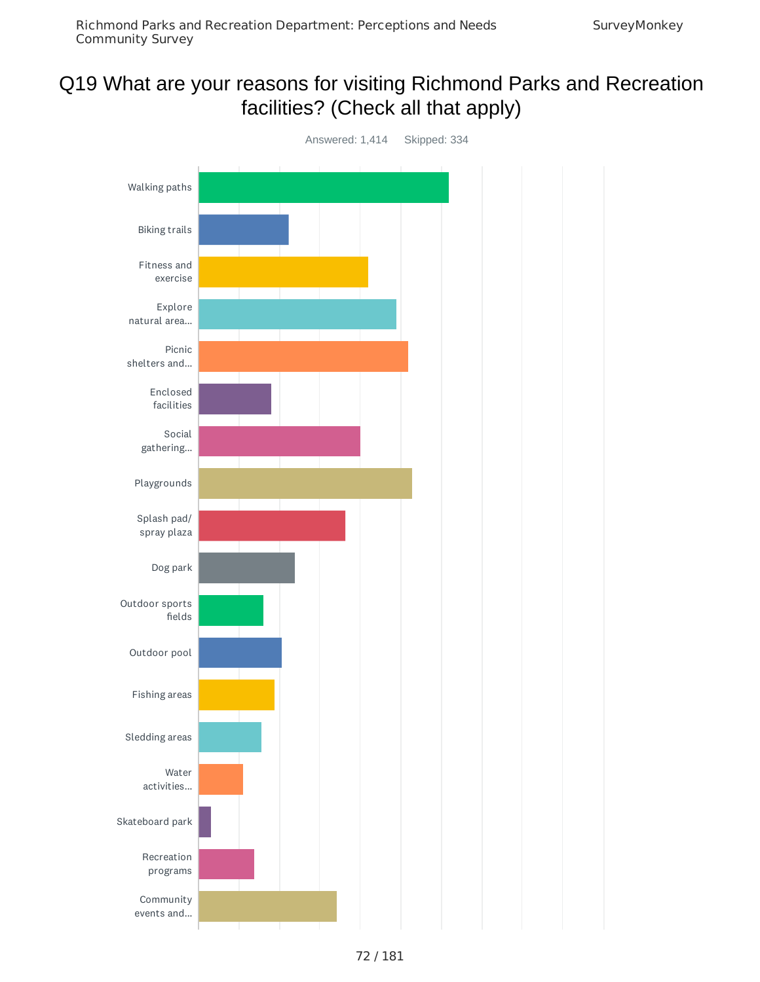# Q19 What are your reasons for visiting Richmond Parks and Recreation facilities? (Check all that apply)

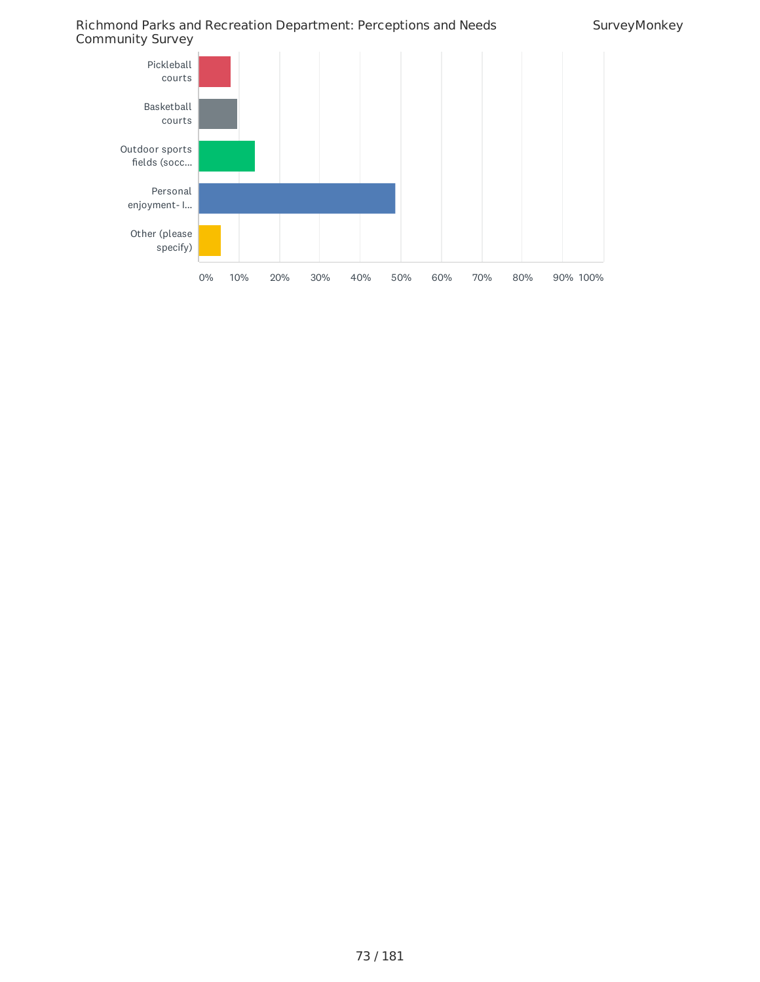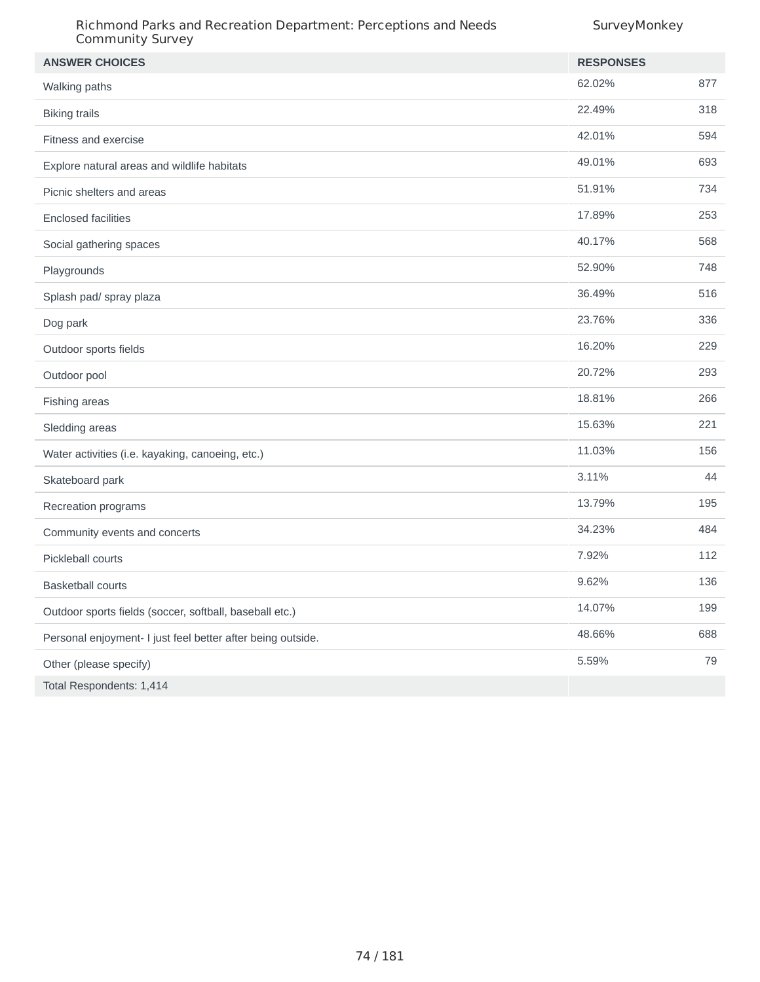| Richmond Parks and Recreation Department: Perceptions and Needs<br><b>Community Survey</b> | SurveyMonkey     |     |
|--------------------------------------------------------------------------------------------|------------------|-----|
| <b>ANSWER CHOICES</b>                                                                      | <b>RESPONSES</b> |     |
| Walking paths                                                                              | 62.02%           | 877 |
| <b>Biking trails</b>                                                                       | 22.49%           | 318 |
| Fitness and exercise                                                                       | 42.01%           | 594 |
| Explore natural areas and wildlife habitats                                                | 49.01%           | 693 |
| Picnic shelters and areas                                                                  | 51.91%           | 734 |
| <b>Enclosed facilities</b>                                                                 | 17.89%           | 253 |
| Social gathering spaces                                                                    | 40.17%           | 568 |
| Playgrounds                                                                                | 52.90%           | 748 |
| Splash pad/ spray plaza                                                                    | 36.49%           | 516 |
| Dog park                                                                                   | 23.76%           | 336 |
| Outdoor sports fields                                                                      | 16.20%           | 229 |
| Outdoor pool                                                                               | 20.72%           | 293 |
| Fishing areas                                                                              | 18.81%           | 266 |
| Sledding areas                                                                             | 15.63%           | 221 |
| Water activities (i.e. kayaking, canoeing, etc.)                                           | 11.03%           | 156 |
| Skateboard park                                                                            | 3.11%            | 44  |
| Recreation programs                                                                        | 13.79%           | 195 |
| Community events and concerts                                                              | 34.23%           | 484 |
| Pickleball courts                                                                          | 7.92%            | 112 |
| <b>Basketball courts</b>                                                                   | 9.62%            | 136 |
| Outdoor sports fields (soccer, softball, baseball etc.)                                    | 14.07%           | 199 |
| Personal enjoyment- I just feel better after being outside.                                | 48.66%           | 688 |
| Other (please specify)                                                                     | 5.59%            | 79  |
| Total Respondents: 1,414                                                                   |                  |     |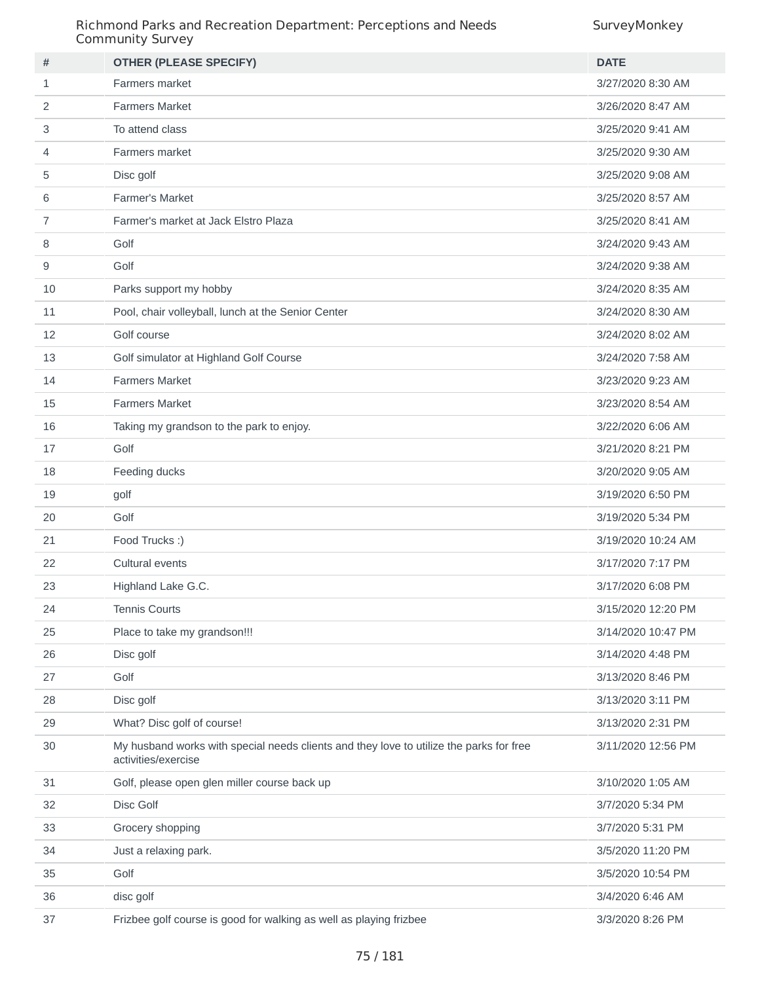| #            | <b>OTHER (PLEASE SPECIFY)</b>                                                                                  | <b>DATE</b>        |
|--------------|----------------------------------------------------------------------------------------------------------------|--------------------|
| $\mathbf{1}$ | Farmers market                                                                                                 | 3/27/2020 8:30 AM  |
| 2            | <b>Farmers Market</b>                                                                                          | 3/26/2020 8:47 AM  |
| 3            | To attend class                                                                                                | 3/25/2020 9:41 AM  |
| 4            | Farmers market                                                                                                 | 3/25/2020 9:30 AM  |
| 5            | Disc golf                                                                                                      | 3/25/2020 9:08 AM  |
| 6            | Farmer's Market                                                                                                | 3/25/2020 8:57 AM  |
| 7            | Farmer's market at Jack Elstro Plaza                                                                           | 3/25/2020 8:41 AM  |
| 8            | Golf                                                                                                           | 3/24/2020 9:43 AM  |
| 9            | Golf                                                                                                           | 3/24/2020 9:38 AM  |
| 10           | Parks support my hobby                                                                                         | 3/24/2020 8:35 AM  |
| 11           | Pool, chair volleyball, lunch at the Senior Center                                                             | 3/24/2020 8:30 AM  |
| 12           | Golf course                                                                                                    | 3/24/2020 8:02 AM  |
| 13           | Golf simulator at Highland Golf Course                                                                         | 3/24/2020 7:58 AM  |
| 14           | <b>Farmers Market</b>                                                                                          | 3/23/2020 9:23 AM  |
| 15           | <b>Farmers Market</b>                                                                                          | 3/23/2020 8:54 AM  |
| 16           | Taking my grandson to the park to enjoy.                                                                       | 3/22/2020 6:06 AM  |
| 17           | Golf                                                                                                           | 3/21/2020 8:21 PM  |
| 18           | Feeding ducks                                                                                                  | 3/20/2020 9:05 AM  |
| 19           | golf                                                                                                           | 3/19/2020 6:50 PM  |
| 20           | Golf                                                                                                           | 3/19/2020 5:34 PM  |
| 21           | Food Trucks :)                                                                                                 | 3/19/2020 10:24 AM |
| 22           | Cultural events                                                                                                | 3/17/2020 7:17 PM  |
| 23           | Highland Lake G.C.                                                                                             | 3/17/2020 6:08 PM  |
| 24           | <b>Tennis Courts</b>                                                                                           | 3/15/2020 12:20 PM |
| 25           | Place to take my grandson!!!                                                                                   | 3/14/2020 10:47 PM |
| 26           | Disc golf                                                                                                      | 3/14/2020 4:48 PM  |
| 27           | Golf                                                                                                           | 3/13/2020 8:46 PM  |
| 28           | Disc golf                                                                                                      | 3/13/2020 3:11 PM  |
| 29           | What? Disc golf of course!                                                                                     | 3/13/2020 2:31 PM  |
| 30           | My husband works with special needs clients and they love to utilize the parks for free<br>activities/exercise | 3/11/2020 12:56 PM |
| 31           | Golf, please open glen miller course back up                                                                   | 3/10/2020 1:05 AM  |
| 32           | Disc Golf                                                                                                      | 3/7/2020 5:34 PM   |
| 33           | Grocery shopping                                                                                               | 3/7/2020 5:31 PM   |
| 34           | Just a relaxing park.                                                                                          | 3/5/2020 11:20 PM  |
| 35           | Golf                                                                                                           | 3/5/2020 10:54 PM  |
| 36           | disc golf                                                                                                      | 3/4/2020 6:46 AM   |
| 37           | Frizbee golf course is good for walking as well as playing frizbee                                             | 3/3/2020 8:26 PM   |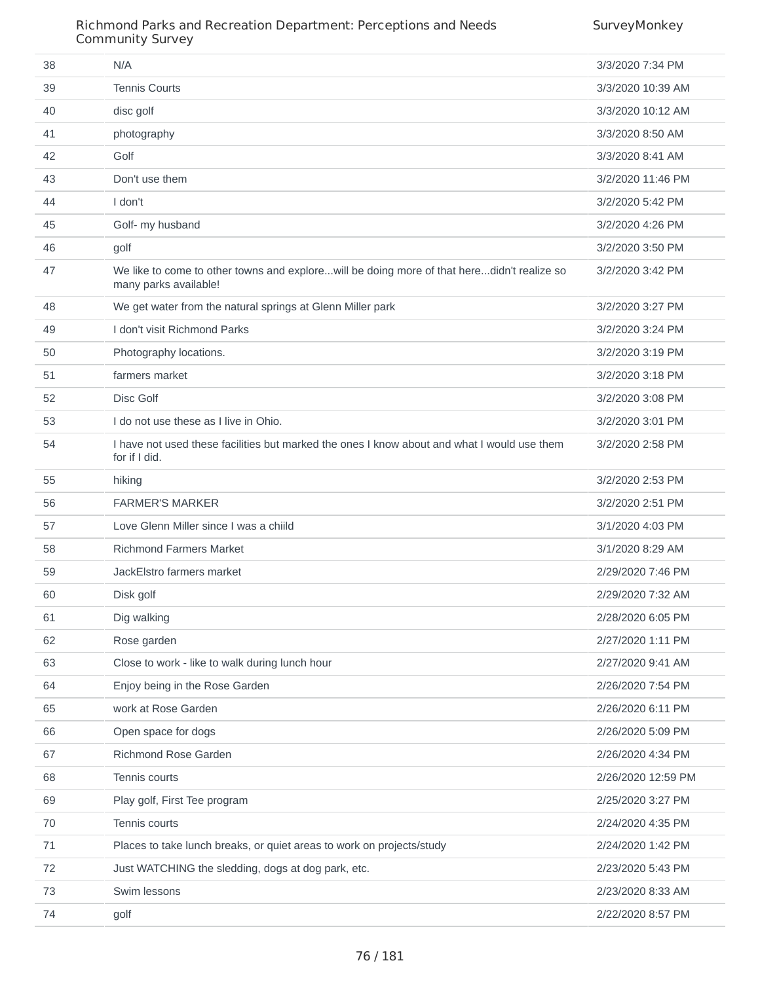| 38 | N/A                                                                                                                 | 3/3/2020 7:34 PM   |
|----|---------------------------------------------------------------------------------------------------------------------|--------------------|
| 39 | <b>Tennis Courts</b>                                                                                                | 3/3/2020 10:39 AM  |
| 40 | disc golf                                                                                                           | 3/3/2020 10:12 AM  |
| 41 | photography                                                                                                         | 3/3/2020 8:50 AM   |
| 42 | Golf                                                                                                                | 3/3/2020 8:41 AM   |
| 43 | Don't use them                                                                                                      | 3/2/2020 11:46 PM  |
| 44 | I don't                                                                                                             | 3/2/2020 5:42 PM   |
| 45 | Golf- my husband                                                                                                    | 3/2/2020 4:26 PM   |
| 46 | golf                                                                                                                | 3/2/2020 3:50 PM   |
| 47 | We like to come to other towns and explorewill be doing more of that heredidn't realize so<br>many parks available! | 3/2/2020 3:42 PM   |
| 48 | We get water from the natural springs at Glenn Miller park                                                          | 3/2/2020 3:27 PM   |
| 49 | I don't visit Richmond Parks                                                                                        | 3/2/2020 3:24 PM   |
| 50 | Photography locations.                                                                                              | 3/2/2020 3:19 PM   |
| 51 | farmers market                                                                                                      | 3/2/2020 3:18 PM   |
| 52 | Disc Golf                                                                                                           | 3/2/2020 3:08 PM   |
| 53 | I do not use these as I live in Ohio.                                                                               | 3/2/2020 3:01 PM   |
| 54 | I have not used these facilities but marked the ones I know about and what I would use them<br>for if I did.        | 3/2/2020 2:58 PM   |
| 55 | hiking                                                                                                              | 3/2/2020 2:53 PM   |
| 56 | <b>FARMER'S MARKER</b>                                                                                              | 3/2/2020 2:51 PM   |
| 57 | Love Glenn Miller since I was a child                                                                               | 3/1/2020 4:03 PM   |
| 58 | <b>Richmond Farmers Market</b>                                                                                      | 3/1/2020 8:29 AM   |
| 59 | JackElstro farmers market                                                                                           | 2/29/2020 7:46 PM  |
| 60 | Disk golf                                                                                                           | 2/29/2020 7:32 AM  |
| 61 | Dig walking                                                                                                         | 2/28/2020 6:05 PM  |
| 62 | Rose garden                                                                                                         | 2/27/2020 1:11 PM  |
| 63 | Close to work - like to walk during lunch hour                                                                      | 2/27/2020 9:41 AM  |
| 64 | Enjoy being in the Rose Garden                                                                                      | 2/26/2020 7:54 PM  |
| 65 | work at Rose Garden                                                                                                 | 2/26/2020 6:11 PM  |
| 66 | Open space for dogs                                                                                                 | 2/26/2020 5:09 PM  |
| 67 | Richmond Rose Garden                                                                                                | 2/26/2020 4:34 PM  |
| 68 | Tennis courts                                                                                                       | 2/26/2020 12:59 PM |
| 69 | Play golf, First Tee program                                                                                        | 2/25/2020 3:27 PM  |
| 70 | Tennis courts                                                                                                       | 2/24/2020 4:35 PM  |
| 71 | Places to take lunch breaks, or quiet areas to work on projects/study                                               | 2/24/2020 1:42 PM  |
| 72 | Just WATCHING the sledding, dogs at dog park, etc.                                                                  | 2/23/2020 5:43 PM  |
| 73 | Swim lessons                                                                                                        | 2/23/2020 8:33 AM  |
| 74 | golf                                                                                                                | 2/22/2020 8:57 PM  |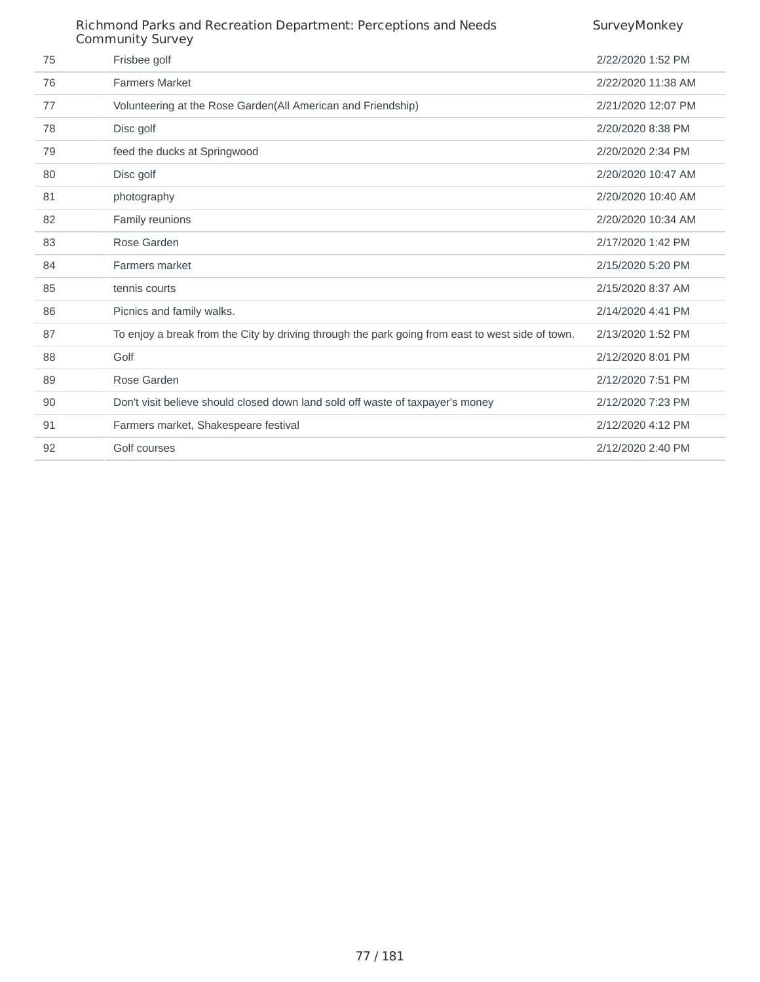|    | Richmond Parks and Recreation Department: Perceptions and Needs<br><b>Community Survey</b>       | SurveyMonkey       |
|----|--------------------------------------------------------------------------------------------------|--------------------|
| 75 | Frisbee golf                                                                                     | 2/22/2020 1:52 PM  |
| 76 | <b>Farmers Market</b>                                                                            | 2/22/2020 11:38 AM |
| 77 | Volunteering at the Rose Garden (All American and Friendship)                                    | 2/21/2020 12:07 PM |
| 78 | Disc golf                                                                                        | 2/20/2020 8:38 PM  |
| 79 | feed the ducks at Springwood                                                                     | 2/20/2020 2:34 PM  |
| 80 | Disc golf                                                                                        | 2/20/2020 10:47 AM |
| 81 | photography                                                                                      | 2/20/2020 10:40 AM |
| 82 | Family reunions                                                                                  | 2/20/2020 10:34 AM |
| 83 | Rose Garden                                                                                      | 2/17/2020 1:42 PM  |
| 84 | Farmers market                                                                                   | 2/15/2020 5:20 PM  |
| 85 | tennis courts                                                                                    | 2/15/2020 8:37 AM  |
| 86 | Picnics and family walks.                                                                        | 2/14/2020 4:41 PM  |
| 87 | To enjoy a break from the City by driving through the park going from east to west side of town. | 2/13/2020 1:52 PM  |
| 88 | Golf                                                                                             | 2/12/2020 8:01 PM  |
| 89 | Rose Garden                                                                                      | 2/12/2020 7:51 PM  |
| 90 | Don't visit believe should closed down land sold off waste of taxpayer's money                   | 2/12/2020 7:23 PM  |
| 91 | Farmers market, Shakespeare festival                                                             | 2/12/2020 4:12 PM  |
| 92 | Golf courses                                                                                     | 2/12/2020 2:40 PM  |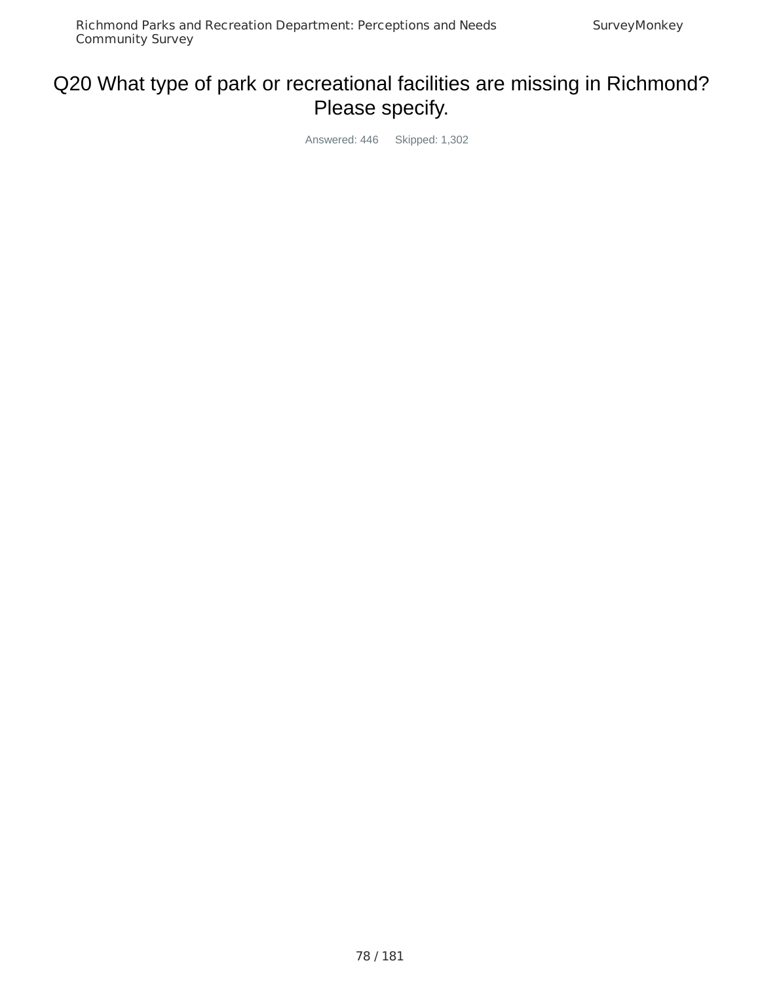# Q20 What type of park or recreational facilities are missing in Richmond? Please specify.

Answered: 446 Skipped: 1,302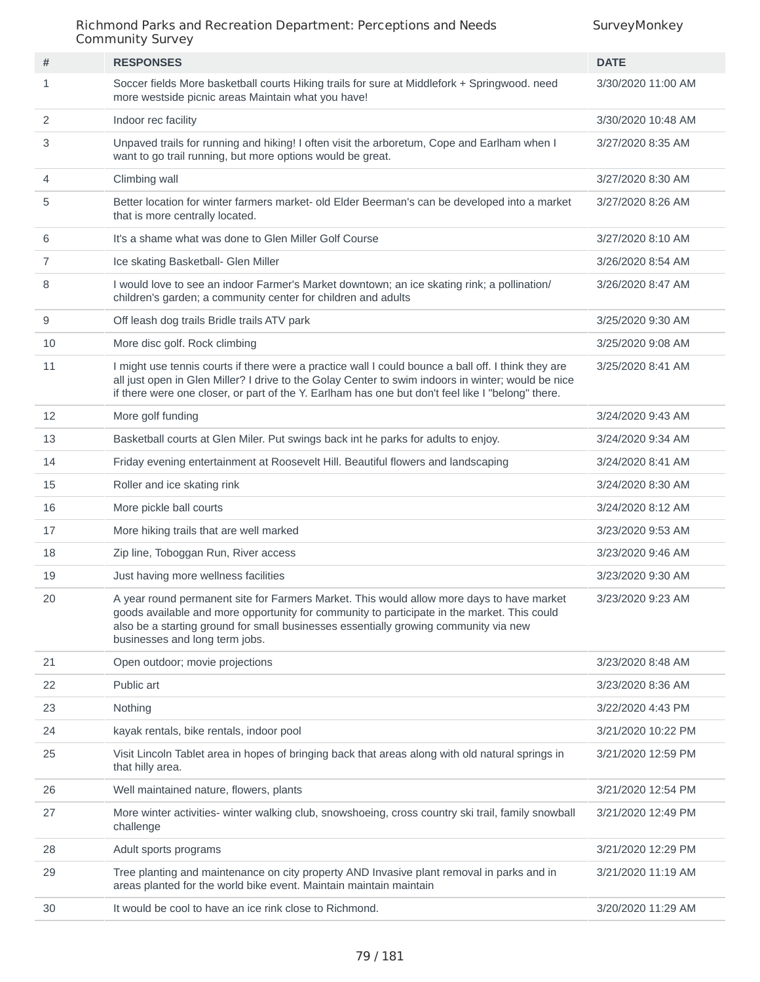|    | Communicy JulyCy                                                                                                                                                                                                                                                                                                   |                    |
|----|--------------------------------------------------------------------------------------------------------------------------------------------------------------------------------------------------------------------------------------------------------------------------------------------------------------------|--------------------|
| #  | <b>RESPONSES</b>                                                                                                                                                                                                                                                                                                   | <b>DATE</b>        |
| 1  | Soccer fields More basketball courts Hiking trails for sure at Middlefork + Springwood. need<br>more westside picnic areas Maintain what you have!                                                                                                                                                                 | 3/30/2020 11:00 AM |
| 2  | Indoor rec facility                                                                                                                                                                                                                                                                                                | 3/30/2020 10:48 AM |
| 3  | Unpaved trails for running and hiking! I often visit the arboretum, Cope and Earlham when I<br>want to go trail running, but more options would be great.                                                                                                                                                          | 3/27/2020 8:35 AM  |
| 4  | Climbing wall                                                                                                                                                                                                                                                                                                      | 3/27/2020 8:30 AM  |
| 5  | Better location for winter farmers market- old Elder Beerman's can be developed into a market<br>that is more centrally located.                                                                                                                                                                                   | 3/27/2020 8:26 AM  |
| 6  | It's a shame what was done to Glen Miller Golf Course                                                                                                                                                                                                                                                              | 3/27/2020 8:10 AM  |
| 7  | Ice skating Basketball- Glen Miller                                                                                                                                                                                                                                                                                | 3/26/2020 8:54 AM  |
| 8  | I would love to see an indoor Farmer's Market downtown; an ice skating rink; a pollination/<br>children's garden; a community center for children and adults                                                                                                                                                       | 3/26/2020 8:47 AM  |
| 9  | Off leash dog trails Bridle trails ATV park                                                                                                                                                                                                                                                                        | 3/25/2020 9:30 AM  |
| 10 | More disc golf. Rock climbing                                                                                                                                                                                                                                                                                      | 3/25/2020 9:08 AM  |
| 11 | I might use tennis courts if there were a practice wall I could bounce a ball off. I think they are<br>all just open in Glen Miller? I drive to the Golay Center to swim indoors in winter; would be nice<br>if there were one closer, or part of the Y. Earlham has one but don't feel like I "belong" there.     | 3/25/2020 8:41 AM  |
| 12 | More golf funding                                                                                                                                                                                                                                                                                                  | 3/24/2020 9:43 AM  |
| 13 | Basketball courts at Glen Miler. Put swings back int he parks for adults to enjoy.                                                                                                                                                                                                                                 | 3/24/2020 9:34 AM  |
| 14 | Friday evening entertainment at Roosevelt Hill. Beautiful flowers and landscaping                                                                                                                                                                                                                                  | 3/24/2020 8:41 AM  |
| 15 | Roller and ice skating rink                                                                                                                                                                                                                                                                                        | 3/24/2020 8:30 AM  |
| 16 | More pickle ball courts                                                                                                                                                                                                                                                                                            | 3/24/2020 8:12 AM  |
| 17 | More hiking trails that are well marked                                                                                                                                                                                                                                                                            | 3/23/2020 9:53 AM  |
| 18 | Zip line, Toboggan Run, River access                                                                                                                                                                                                                                                                               | 3/23/2020 9:46 AM  |
| 19 | Just having more wellness facilities                                                                                                                                                                                                                                                                               | 3/23/2020 9:30 AM  |
| 20 | A year round permanent site for Farmers Market. This would allow more days to have market<br>goods available and more opportunity for community to participate in the market. This could<br>also be a starting ground for small businesses essentially growing community via new<br>businesses and long term jobs. | 3/23/2020 9:23 AM  |
| 21 | Open outdoor; movie projections                                                                                                                                                                                                                                                                                    | 3/23/2020 8:48 AM  |
| 22 | Public art                                                                                                                                                                                                                                                                                                         | 3/23/2020 8:36 AM  |
| 23 | Nothing                                                                                                                                                                                                                                                                                                            | 3/22/2020 4:43 PM  |
| 24 | kayak rentals, bike rentals, indoor pool                                                                                                                                                                                                                                                                           | 3/21/2020 10:22 PM |
| 25 | Visit Lincoln Tablet area in hopes of bringing back that areas along with old natural springs in<br>that hilly area.                                                                                                                                                                                               | 3/21/2020 12:59 PM |
| 26 | Well maintained nature, flowers, plants                                                                                                                                                                                                                                                                            | 3/21/2020 12:54 PM |
| 27 | More winter activities- winter walking club, snowshoeing, cross country ski trail, family snowball<br>challenge                                                                                                                                                                                                    | 3/21/2020 12:49 PM |
| 28 | Adult sports programs                                                                                                                                                                                                                                                                                              | 3/21/2020 12:29 PM |
| 29 | Tree planting and maintenance on city property AND Invasive plant removal in parks and in<br>areas planted for the world bike event. Maintain maintain maintain                                                                                                                                                    | 3/21/2020 11:19 AM |
| 30 | It would be cool to have an ice rink close to Richmond.                                                                                                                                                                                                                                                            | 3/20/2020 11:29 AM |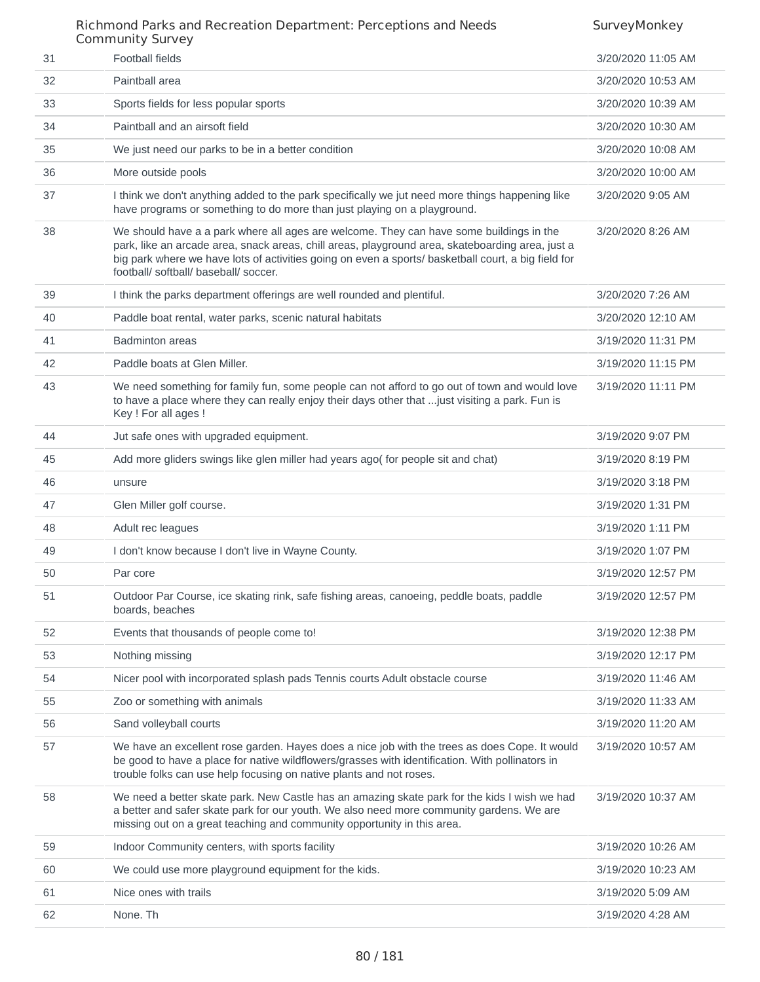|    | COMMUNICY SUIVEY                                                                                                                                                                                                                                                                                                                            |                    |
|----|---------------------------------------------------------------------------------------------------------------------------------------------------------------------------------------------------------------------------------------------------------------------------------------------------------------------------------------------|--------------------|
| 31 | <b>Football fields</b>                                                                                                                                                                                                                                                                                                                      | 3/20/2020 11:05 AM |
| 32 | Paintball area                                                                                                                                                                                                                                                                                                                              | 3/20/2020 10:53 AM |
| 33 | Sports fields for less popular sports                                                                                                                                                                                                                                                                                                       | 3/20/2020 10:39 AM |
| 34 | Paintball and an airsoft field                                                                                                                                                                                                                                                                                                              | 3/20/2020 10:30 AM |
| 35 | We just need our parks to be in a better condition                                                                                                                                                                                                                                                                                          | 3/20/2020 10:08 AM |
| 36 | More outside pools                                                                                                                                                                                                                                                                                                                          | 3/20/2020 10:00 AM |
| 37 | I think we don't anything added to the park specifically we jut need more things happening like<br>have programs or something to do more than just playing on a playground.                                                                                                                                                                 | 3/20/2020 9:05 AM  |
| 38 | We should have a a park where all ages are welcome. They can have some buildings in the<br>park, like an arcade area, snack areas, chill areas, playground area, skateboarding area, just a<br>big park where we have lots of activities going on even a sports/ basketball court, a big field for<br>football/ softball/ baseball/ soccer. | 3/20/2020 8:26 AM  |
| 39 | I think the parks department offerings are well rounded and plentiful.                                                                                                                                                                                                                                                                      | 3/20/2020 7:26 AM  |
| 40 | Paddle boat rental, water parks, scenic natural habitats                                                                                                                                                                                                                                                                                    | 3/20/2020 12:10 AM |
| 41 | <b>Badminton areas</b>                                                                                                                                                                                                                                                                                                                      | 3/19/2020 11:31 PM |
| 42 | Paddle boats at Glen Miller.                                                                                                                                                                                                                                                                                                                | 3/19/2020 11:15 PM |
| 43 | We need something for family fun, some people can not afford to go out of town and would love<br>to have a place where they can really enjoy their days other that  just visiting a park. Fun is<br>Key ! For all ages !                                                                                                                    | 3/19/2020 11:11 PM |
| 44 | Jut safe ones with upgraded equipment.                                                                                                                                                                                                                                                                                                      | 3/19/2020 9:07 PM  |
| 45 | Add more gliders swings like glen miller had years ago( for people sit and chat)                                                                                                                                                                                                                                                            | 3/19/2020 8:19 PM  |
| 46 | unsure                                                                                                                                                                                                                                                                                                                                      | 3/19/2020 3:18 PM  |
| 47 | Glen Miller golf course.                                                                                                                                                                                                                                                                                                                    | 3/19/2020 1:31 PM  |
| 48 | Adult rec leagues                                                                                                                                                                                                                                                                                                                           | 3/19/2020 1:11 PM  |
| 49 | I don't know because I don't live in Wayne County.                                                                                                                                                                                                                                                                                          | 3/19/2020 1:07 PM  |
| 50 | Par core                                                                                                                                                                                                                                                                                                                                    | 3/19/2020 12:57 PM |
| 51 | Outdoor Par Course, ice skating rink, safe fishing areas, canoeing, peddle boats, paddle<br>boards, beaches                                                                                                                                                                                                                                 | 3/19/2020 12:57 PM |
| 52 | Events that thousands of people come to!                                                                                                                                                                                                                                                                                                    | 3/19/2020 12:38 PM |
| 53 | Nothing missing                                                                                                                                                                                                                                                                                                                             | 3/19/2020 12:17 PM |
| 54 | Nicer pool with incorporated splash pads Tennis courts Adult obstacle course                                                                                                                                                                                                                                                                | 3/19/2020 11:46 AM |
| 55 | Zoo or something with animals                                                                                                                                                                                                                                                                                                               | 3/19/2020 11:33 AM |
| 56 | Sand volleyball courts                                                                                                                                                                                                                                                                                                                      | 3/19/2020 11:20 AM |
| 57 | We have an excellent rose garden. Hayes does a nice job with the trees as does Cope. It would<br>be good to have a place for native wildflowers/grasses with identification. With pollinators in<br>trouble folks can use help focusing on native plants and not roses.                                                                     | 3/19/2020 10:57 AM |
| 58 | We need a better skate park. New Castle has an amazing skate park for the kids I wish we had<br>a better and safer skate park for our youth. We also need more community gardens. We are<br>missing out on a great teaching and community opportunity in this area.                                                                         | 3/19/2020 10:37 AM |
| 59 | Indoor Community centers, with sports facility                                                                                                                                                                                                                                                                                              | 3/19/2020 10:26 AM |
| 60 | We could use more playground equipment for the kids.                                                                                                                                                                                                                                                                                        | 3/19/2020 10:23 AM |
| 61 | Nice ones with trails                                                                                                                                                                                                                                                                                                                       | 3/19/2020 5:09 AM  |
| 62 | None. Th                                                                                                                                                                                                                                                                                                                                    | 3/19/2020 4:28 AM  |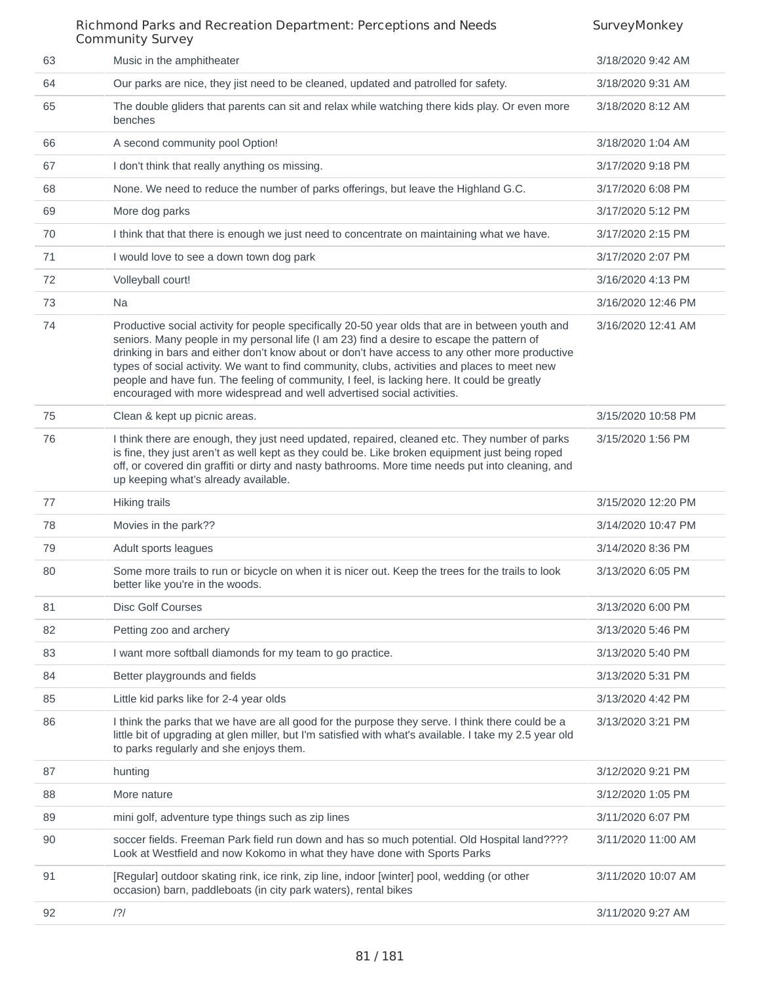## Richmond Parks and Recreation Department: Perceptions and Needs Community Survey **SurveyMonkey** 63 Music in the amphitheater 3/18/2020 9:42 AM 64 Our parks are nice, they jist need to be cleaned, updated and patrolled for safety. 3/18/2020 9:31 AM 65 The double gliders that parents can sit and relax while watching there kids play. Or even more benches 3/18/2020 8:12 AM 66 A second community pool Option! 3/18/2020 1:04 AM 67 I don't think that really anything os missing. 3/17/2020 9:18 PM 68 None. We need to reduce the number of parks offerings, but leave the Highland G.C. 3/17/2020 6:08 PM 69 More dog parks 3/17/2020 5:12 PM 70 I think that that there is enough we just need to concentrate on maintaining what we have. 3/17/2020 2:15 PM 71 I would love to see a down town dog park 3/17/2020 2:07 PM 72 Volleyball court! 3/16/2020 4:13 PM 73 Na 3/16/2020 12:46 PM 74 Productive social activity for people specifically 20-50 year olds that are in between youth and seniors. Many people in my personal life (I am 23) find a desire to escape the pattern of drinking in bars and either don't know about or don't have access to any other more productive types of social activity. We want to find community, clubs, activities and places to meet new people and have fun. The feeling of community, I feel, is lacking here. It could be greatly encouraged with more widespread and well advertised social activities. 3/16/2020 12:41 AM 75 Clean & kept up picnic areas. 3/15/2020 10:58 PM 76 I think there are enough, they just need updated, repaired, cleaned etc. They number of parks is fine, they just aren't as well kept as they could be. Like broken equipment just being roped off, or covered din graffiti or dirty and nasty bathrooms. More time needs put into cleaning, and up keeping what's already available. 3/15/2020 1:56 PM 77 Hiking trails 3/15/2020 12:20 PM 78 Movies in the park?? 3/14/2020 10:47 PM 79 Adult sports leagues 3/14/2020 8:36 PM 80 Some more trails to run or bicycle on when it is nicer out. Keep the trees for the trails to look better like you're in the woods. 3/13/2020 6:05 PM 81 Disc Golf Courses 2013/2020 6:00 PM 82 Petting zoo and archery **3/13/2020 5:46 PM** 83 I want more softball diamonds for my team to go practice. 3/13/2020 5:40 PM 84 Better playgrounds and fields 3/13/2020 5:31 PM 85 Little kid parks like for 2-4 year olds 3/13/2020 4:42 PM 86 I think the parks that we have are all good for the purpose they serve. I think there could be a little bit of upgrading at glen miller, but I'm satisfied with what's available. I take my 2.5 year old to parks regularly and she enjoys them. 3/13/2020 3:21 PM 87 hunting 2012/2020 9:21 PM 88 More nature 3/12/2020 1:05 PM 89 mini golf, adventure type things such as zip lines 3/11/2020 6:07 PM 90 soccer fields. Freeman Park field run down and has so much potential. Old Hospital land???? Look at Westfield and now Kokomo in what they have done with Sports Parks 3/11/2020 11:00 AM 91 [Regular] outdoor skating rink, ice rink, zip line, indoor [winter] pool, wedding (or other occasion) barn, paddleboats (in city park waters), rental bikes 3/11/2020 10:07 AM 92 /?/ 3/11/2020 9:27 AM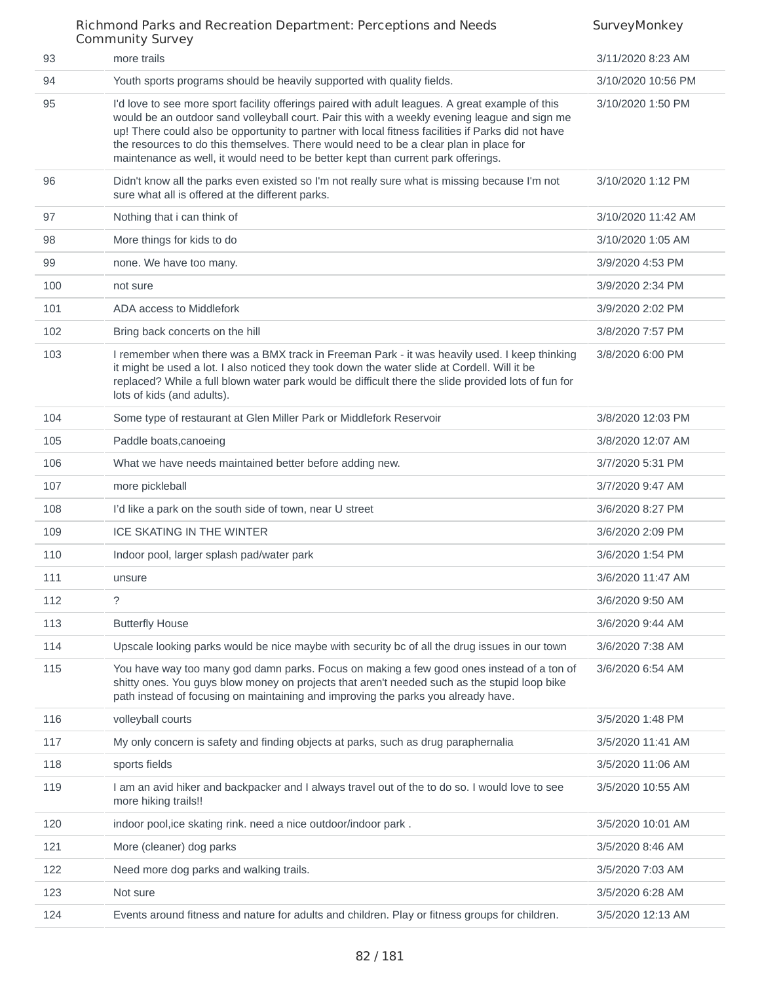|     | Community Survey                                                                                                                                                                                                                                                                                                                                                                                                                                                                      |                    |
|-----|---------------------------------------------------------------------------------------------------------------------------------------------------------------------------------------------------------------------------------------------------------------------------------------------------------------------------------------------------------------------------------------------------------------------------------------------------------------------------------------|--------------------|
| 93  | more trails                                                                                                                                                                                                                                                                                                                                                                                                                                                                           | 3/11/2020 8:23 AM  |
| 94  | Youth sports programs should be heavily supported with quality fields.                                                                                                                                                                                                                                                                                                                                                                                                                | 3/10/2020 10:56 PM |
| 95  | I'd love to see more sport facility offerings paired with adult leagues. A great example of this<br>would be an outdoor sand volleyball court. Pair this with a weekly evening league and sign me<br>up! There could also be opportunity to partner with local fitness facilities if Parks did not have<br>the resources to do this themselves. There would need to be a clear plan in place for<br>maintenance as well, it would need to be better kept than current park offerings. | 3/10/2020 1:50 PM  |
| 96  | Didn't know all the parks even existed so I'm not really sure what is missing because I'm not<br>sure what all is offered at the different parks.                                                                                                                                                                                                                                                                                                                                     | 3/10/2020 1:12 PM  |
| 97  | Nothing that i can think of                                                                                                                                                                                                                                                                                                                                                                                                                                                           | 3/10/2020 11:42 AM |
| 98  | More things for kids to do                                                                                                                                                                                                                                                                                                                                                                                                                                                            | 3/10/2020 1:05 AM  |
| 99  | none. We have too many.                                                                                                                                                                                                                                                                                                                                                                                                                                                               | 3/9/2020 4:53 PM   |
| 100 | not sure                                                                                                                                                                                                                                                                                                                                                                                                                                                                              | 3/9/2020 2:34 PM   |
| 101 | ADA access to Middlefork                                                                                                                                                                                                                                                                                                                                                                                                                                                              | 3/9/2020 2:02 PM   |
| 102 | Bring back concerts on the hill                                                                                                                                                                                                                                                                                                                                                                                                                                                       | 3/8/2020 7:57 PM   |
| 103 | I remember when there was a BMX track in Freeman Park - it was heavily used. I keep thinking<br>it might be used a lot. I also noticed they took down the water slide at Cordell. Will it be<br>replaced? While a full blown water park would be difficult there the slide provided lots of fun for<br>lots of kids (and adults).                                                                                                                                                     | 3/8/2020 6:00 PM   |
| 104 | Some type of restaurant at Glen Miller Park or Middlefork Reservoir                                                                                                                                                                                                                                                                                                                                                                                                                   | 3/8/2020 12:03 PM  |
| 105 | Paddle boats, canoeing                                                                                                                                                                                                                                                                                                                                                                                                                                                                | 3/8/2020 12:07 AM  |
| 106 | What we have needs maintained better before adding new.                                                                                                                                                                                                                                                                                                                                                                                                                               | 3/7/2020 5:31 PM   |
| 107 | more pickleball                                                                                                                                                                                                                                                                                                                                                                                                                                                                       | 3/7/2020 9:47 AM   |
| 108 | I'd like a park on the south side of town, near U street                                                                                                                                                                                                                                                                                                                                                                                                                              | 3/6/2020 8:27 PM   |
| 109 | <b>ICE SKATING IN THE WINTER</b>                                                                                                                                                                                                                                                                                                                                                                                                                                                      | 3/6/2020 2:09 PM   |
| 110 | Indoor pool, larger splash pad/water park                                                                                                                                                                                                                                                                                                                                                                                                                                             | 3/6/2020 1:54 PM   |
| 111 | unsure                                                                                                                                                                                                                                                                                                                                                                                                                                                                                | 3/6/2020 11:47 AM  |
| 112 | ?                                                                                                                                                                                                                                                                                                                                                                                                                                                                                     | 3/6/2020 9:50 AM   |
| 113 | <b>Butterfly House</b>                                                                                                                                                                                                                                                                                                                                                                                                                                                                | 3/6/2020 9:44 AM   |
| 114 | Upscale looking parks would be nice maybe with security bc of all the drug issues in our town                                                                                                                                                                                                                                                                                                                                                                                         | 3/6/2020 7:38 AM   |
| 115 | You have way too many god damn parks. Focus on making a few good ones instead of a ton of<br>shitty ones. You guys blow money on projects that aren't needed such as the stupid loop bike<br>path instead of focusing on maintaining and improving the parks you already have.                                                                                                                                                                                                        | 3/6/2020 6:54 AM   |
| 116 | volleyball courts                                                                                                                                                                                                                                                                                                                                                                                                                                                                     | 3/5/2020 1:48 PM   |
| 117 | My only concern is safety and finding objects at parks, such as drug paraphernalia                                                                                                                                                                                                                                                                                                                                                                                                    | 3/5/2020 11:41 AM  |
| 118 | sports fields                                                                                                                                                                                                                                                                                                                                                                                                                                                                         | 3/5/2020 11:06 AM  |
| 119 | I am an avid hiker and backpacker and I always travel out of the to do so. I would love to see<br>more hiking trails!!                                                                                                                                                                                                                                                                                                                                                                | 3/5/2020 10:55 AM  |
| 120 | indoor pool, ice skating rink. need a nice outdoor/indoor park.                                                                                                                                                                                                                                                                                                                                                                                                                       | 3/5/2020 10:01 AM  |
| 121 | More (cleaner) dog parks                                                                                                                                                                                                                                                                                                                                                                                                                                                              | 3/5/2020 8:46 AM   |
| 122 | Need more dog parks and walking trails.                                                                                                                                                                                                                                                                                                                                                                                                                                               | 3/5/2020 7:03 AM   |
| 123 | Not sure                                                                                                                                                                                                                                                                                                                                                                                                                                                                              | 3/5/2020 6:28 AM   |
| 124 | Events around fitness and nature for adults and children. Play or fitness groups for children.                                                                                                                                                                                                                                                                                                                                                                                        | 3/5/2020 12:13 AM  |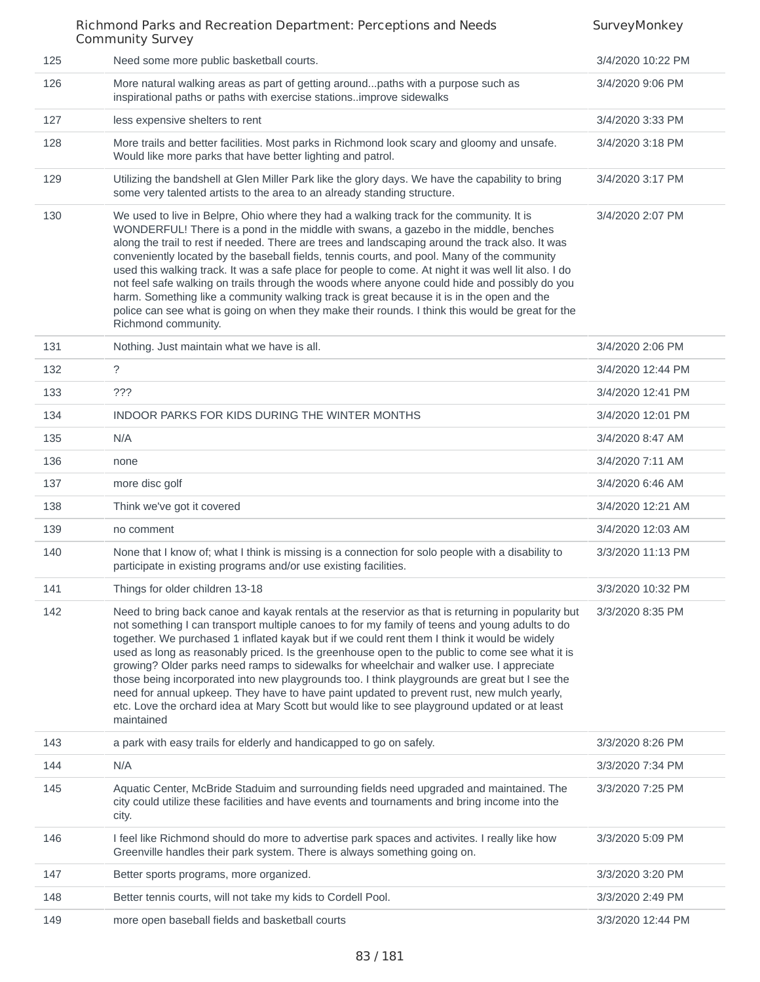| 125 | Need some more public basketball courts.                                                                                                                                                                                                                                                                                                                                                                                                                                                                                                                                                                                                                                                                                                                                                                            | 3/4/2020 10:22 PM |
|-----|---------------------------------------------------------------------------------------------------------------------------------------------------------------------------------------------------------------------------------------------------------------------------------------------------------------------------------------------------------------------------------------------------------------------------------------------------------------------------------------------------------------------------------------------------------------------------------------------------------------------------------------------------------------------------------------------------------------------------------------------------------------------------------------------------------------------|-------------------|
| 126 | More natural walking areas as part of getting aroundpaths with a purpose such as<br>inspirational paths or paths with exercise stationsimprove sidewalks                                                                                                                                                                                                                                                                                                                                                                                                                                                                                                                                                                                                                                                            | 3/4/2020 9:06 PM  |
| 127 | less expensive shelters to rent                                                                                                                                                                                                                                                                                                                                                                                                                                                                                                                                                                                                                                                                                                                                                                                     | 3/4/2020 3:33 PM  |
| 128 | More trails and better facilities. Most parks in Richmond look scary and gloomy and unsafe.<br>Would like more parks that have better lighting and patrol.                                                                                                                                                                                                                                                                                                                                                                                                                                                                                                                                                                                                                                                          | 3/4/2020 3:18 PM  |
| 129 | Utilizing the bandshell at Glen Miller Park like the glory days. We have the capability to bring<br>some very talented artists to the area to an already standing structure.                                                                                                                                                                                                                                                                                                                                                                                                                                                                                                                                                                                                                                        | 3/4/2020 3:17 PM  |
| 130 | We used to live in Belpre, Ohio where they had a walking track for the community. It is<br>WONDERFUL! There is a pond in the middle with swans, a gazebo in the middle, benches<br>along the trail to rest if needed. There are trees and landscaping around the track also. It was<br>conveniently located by the baseball fields, tennis courts, and pool. Many of the community<br>used this walking track. It was a safe place for people to come. At night it was well lit also. I do<br>not feel safe walking on trails through the woods where anyone could hide and possibly do you<br>harm. Something like a community walking track is great because it is in the open and the<br>police can see what is going on when they make their rounds. I think this would be great for the<br>Richmond community. | 3/4/2020 2:07 PM  |
| 131 | Nothing. Just maintain what we have is all.                                                                                                                                                                                                                                                                                                                                                                                                                                                                                                                                                                                                                                                                                                                                                                         | 3/4/2020 2:06 PM  |
| 132 | $\tilde{?}$                                                                                                                                                                                                                                                                                                                                                                                                                                                                                                                                                                                                                                                                                                                                                                                                         | 3/4/2020 12:44 PM |
| 133 | ???                                                                                                                                                                                                                                                                                                                                                                                                                                                                                                                                                                                                                                                                                                                                                                                                                 | 3/4/2020 12:41 PM |
| 134 | INDOOR PARKS FOR KIDS DURING THE WINTER MONTHS                                                                                                                                                                                                                                                                                                                                                                                                                                                                                                                                                                                                                                                                                                                                                                      | 3/4/2020 12:01 PM |
| 135 | N/A                                                                                                                                                                                                                                                                                                                                                                                                                                                                                                                                                                                                                                                                                                                                                                                                                 | 3/4/2020 8:47 AM  |
| 136 | none                                                                                                                                                                                                                                                                                                                                                                                                                                                                                                                                                                                                                                                                                                                                                                                                                | 3/4/2020 7:11 AM  |
| 137 | more disc golf                                                                                                                                                                                                                                                                                                                                                                                                                                                                                                                                                                                                                                                                                                                                                                                                      | 3/4/2020 6:46 AM  |
| 138 | Think we've got it covered                                                                                                                                                                                                                                                                                                                                                                                                                                                                                                                                                                                                                                                                                                                                                                                          | 3/4/2020 12:21 AM |
| 139 | no comment                                                                                                                                                                                                                                                                                                                                                                                                                                                                                                                                                                                                                                                                                                                                                                                                          | 3/4/2020 12:03 AM |
| 140 | None that I know of; what I think is missing is a connection for solo people with a disability to<br>participate in existing programs and/or use existing facilities.                                                                                                                                                                                                                                                                                                                                                                                                                                                                                                                                                                                                                                               | 3/3/2020 11:13 PM |
| 141 | Things for older children 13-18                                                                                                                                                                                                                                                                                                                                                                                                                                                                                                                                                                                                                                                                                                                                                                                     | 3/3/2020 10:32 PM |
| 142 | Need to bring back canoe and kayak rentals at the reservior as that is returning in popularity but<br>not something I can transport multiple canoes to for my family of teens and young adults to do<br>together. We purchased 1 inflated kayak but if we could rent them I think it would be widely<br>used as long as reasonably priced. Is the greenhouse open to the public to come see what it is<br>growing? Older parks need ramps to sidewalks for wheelchair and walker use. I appreciate<br>those being incorporated into new playgrounds too. I think playgrounds are great but I see the<br>need for annual upkeep. They have to have paint updated to prevent rust, new mulch yearly,<br>etc. Love the orchard idea at Mary Scott but would like to see playground updated or at least<br>maintained   | 3/3/2020 8:35 PM  |
| 143 | a park with easy trails for elderly and handicapped to go on safely.                                                                                                                                                                                                                                                                                                                                                                                                                                                                                                                                                                                                                                                                                                                                                | 3/3/2020 8:26 PM  |
| 144 | N/A                                                                                                                                                                                                                                                                                                                                                                                                                                                                                                                                                                                                                                                                                                                                                                                                                 | 3/3/2020 7:34 PM  |
| 145 | Aquatic Center, McBride Staduim and surrounding fields need upgraded and maintained. The<br>city could utilize these facilities and have events and tournaments and bring income into the<br>city.                                                                                                                                                                                                                                                                                                                                                                                                                                                                                                                                                                                                                  | 3/3/2020 7:25 PM  |
| 146 | I feel like Richmond should do more to advertise park spaces and activites. I really like how<br>Greenville handles their park system. There is always something going on.                                                                                                                                                                                                                                                                                                                                                                                                                                                                                                                                                                                                                                          | 3/3/2020 5:09 PM  |
| 147 | Better sports programs, more organized.                                                                                                                                                                                                                                                                                                                                                                                                                                                                                                                                                                                                                                                                                                                                                                             | 3/3/2020 3:20 PM  |
| 148 | Better tennis courts, will not take my kids to Cordell Pool.                                                                                                                                                                                                                                                                                                                                                                                                                                                                                                                                                                                                                                                                                                                                                        | 3/3/2020 2:49 PM  |
| 149 | more open baseball fields and basketball courts                                                                                                                                                                                                                                                                                                                                                                                                                                                                                                                                                                                                                                                                                                                                                                     | 3/3/2020 12:44 PM |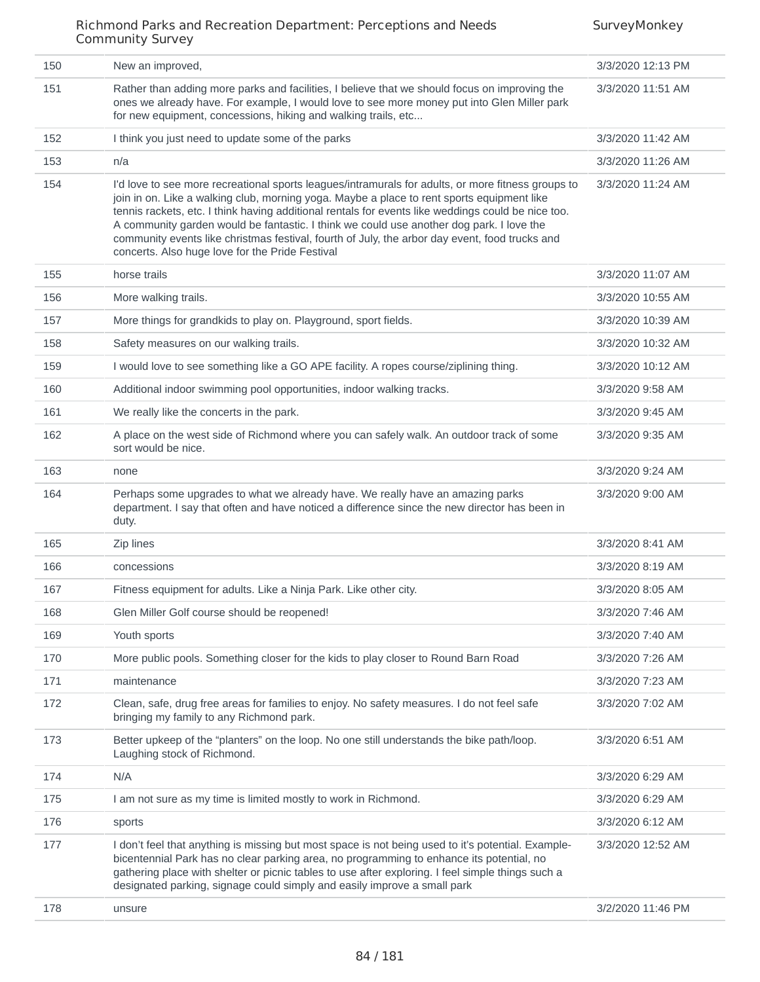| 150 | New an improved,                                                                                                                                                                                                                                                                                                                                                                                                                                                                                                                                        | 3/3/2020 12:13 PM |
|-----|---------------------------------------------------------------------------------------------------------------------------------------------------------------------------------------------------------------------------------------------------------------------------------------------------------------------------------------------------------------------------------------------------------------------------------------------------------------------------------------------------------------------------------------------------------|-------------------|
| 151 | Rather than adding more parks and facilities, I believe that we should focus on improving the<br>ones we already have. For example, I would love to see more money put into Glen Miller park<br>for new equipment, concessions, hiking and walking trails, etc                                                                                                                                                                                                                                                                                          | 3/3/2020 11:51 AM |
| 152 | I think you just need to update some of the parks                                                                                                                                                                                                                                                                                                                                                                                                                                                                                                       | 3/3/2020 11:42 AM |
| 153 | n/a                                                                                                                                                                                                                                                                                                                                                                                                                                                                                                                                                     | 3/3/2020 11:26 AM |
| 154 | I'd love to see more recreational sports leagues/intramurals for adults, or more fitness groups to<br>join in on. Like a walking club, morning yoga. Maybe a place to rent sports equipment like<br>tennis rackets, etc. I think having additional rentals for events like weddings could be nice too.<br>A community garden would be fantastic. I think we could use another dog park. I love the<br>community events like christmas festival, fourth of July, the arbor day event, food trucks and<br>concerts. Also huge love for the Pride Festival | 3/3/2020 11:24 AM |
| 155 | horse trails                                                                                                                                                                                                                                                                                                                                                                                                                                                                                                                                            | 3/3/2020 11:07 AM |
| 156 | More walking trails.                                                                                                                                                                                                                                                                                                                                                                                                                                                                                                                                    | 3/3/2020 10:55 AM |
| 157 | More things for grandkids to play on. Playground, sport fields.                                                                                                                                                                                                                                                                                                                                                                                                                                                                                         | 3/3/2020 10:39 AM |
| 158 | Safety measures on our walking trails.                                                                                                                                                                                                                                                                                                                                                                                                                                                                                                                  | 3/3/2020 10:32 AM |
| 159 | I would love to see something like a GO APE facility. A ropes course/ziplining thing.                                                                                                                                                                                                                                                                                                                                                                                                                                                                   | 3/3/2020 10:12 AM |
| 160 | Additional indoor swimming pool opportunities, indoor walking tracks.                                                                                                                                                                                                                                                                                                                                                                                                                                                                                   | 3/3/2020 9:58 AM  |
| 161 | We really like the concerts in the park.                                                                                                                                                                                                                                                                                                                                                                                                                                                                                                                | 3/3/2020 9:45 AM  |
| 162 | A place on the west side of Richmond where you can safely walk. An outdoor track of some<br>sort would be nice.                                                                                                                                                                                                                                                                                                                                                                                                                                         | 3/3/2020 9:35 AM  |
| 163 | none                                                                                                                                                                                                                                                                                                                                                                                                                                                                                                                                                    | 3/3/2020 9:24 AM  |
| 164 | Perhaps some upgrades to what we already have. We really have an amazing parks<br>department. I say that often and have noticed a difference since the new director has been in<br>duty.                                                                                                                                                                                                                                                                                                                                                                | 3/3/2020 9:00 AM  |
| 165 | Zip lines                                                                                                                                                                                                                                                                                                                                                                                                                                                                                                                                               | 3/3/2020 8:41 AM  |
| 166 | concessions                                                                                                                                                                                                                                                                                                                                                                                                                                                                                                                                             | 3/3/2020 8:19 AM  |
| 167 | Fitness equipment for adults. Like a Ninja Park. Like other city.                                                                                                                                                                                                                                                                                                                                                                                                                                                                                       | 3/3/2020 8:05 AM  |
| 168 | Glen Miller Golf course should be reopened!                                                                                                                                                                                                                                                                                                                                                                                                                                                                                                             | 3/3/2020 7:46 AM  |
| 169 | Youth sports                                                                                                                                                                                                                                                                                                                                                                                                                                                                                                                                            | 3/3/2020 7:40 AM  |
| 170 | More public pools. Something closer for the kids to play closer to Round Barn Road                                                                                                                                                                                                                                                                                                                                                                                                                                                                      | 3/3/2020 7:26 AM  |
| 171 | maintenance                                                                                                                                                                                                                                                                                                                                                                                                                                                                                                                                             | 3/3/2020 7:23 AM  |
| 172 | Clean, safe, drug free areas for families to enjoy. No safety measures. I do not feel safe<br>bringing my family to any Richmond park.                                                                                                                                                                                                                                                                                                                                                                                                                  | 3/3/2020 7:02 AM  |
| 173 | Better upkeep of the "planters" on the loop. No one still understands the bike path/loop.<br>Laughing stock of Richmond.                                                                                                                                                                                                                                                                                                                                                                                                                                | 3/3/2020 6:51 AM  |
| 174 | N/A                                                                                                                                                                                                                                                                                                                                                                                                                                                                                                                                                     | 3/3/2020 6:29 AM  |
| 175 | I am not sure as my time is limited mostly to work in Richmond.                                                                                                                                                                                                                                                                                                                                                                                                                                                                                         | 3/3/2020 6:29 AM  |
| 176 | sports                                                                                                                                                                                                                                                                                                                                                                                                                                                                                                                                                  | 3/3/2020 6:12 AM  |
| 177 | I don't feel that anything is missing but most space is not being used to it's potential. Example-<br>bicentennial Park has no clear parking area, no programming to enhance its potential, no<br>gathering place with shelter or picnic tables to use after exploring. I feel simple things such a<br>designated parking, signage could simply and easily improve a small park                                                                                                                                                                         | 3/3/2020 12:52 AM |
| 178 | unsure                                                                                                                                                                                                                                                                                                                                                                                                                                                                                                                                                  | 3/2/2020 11:46 PM |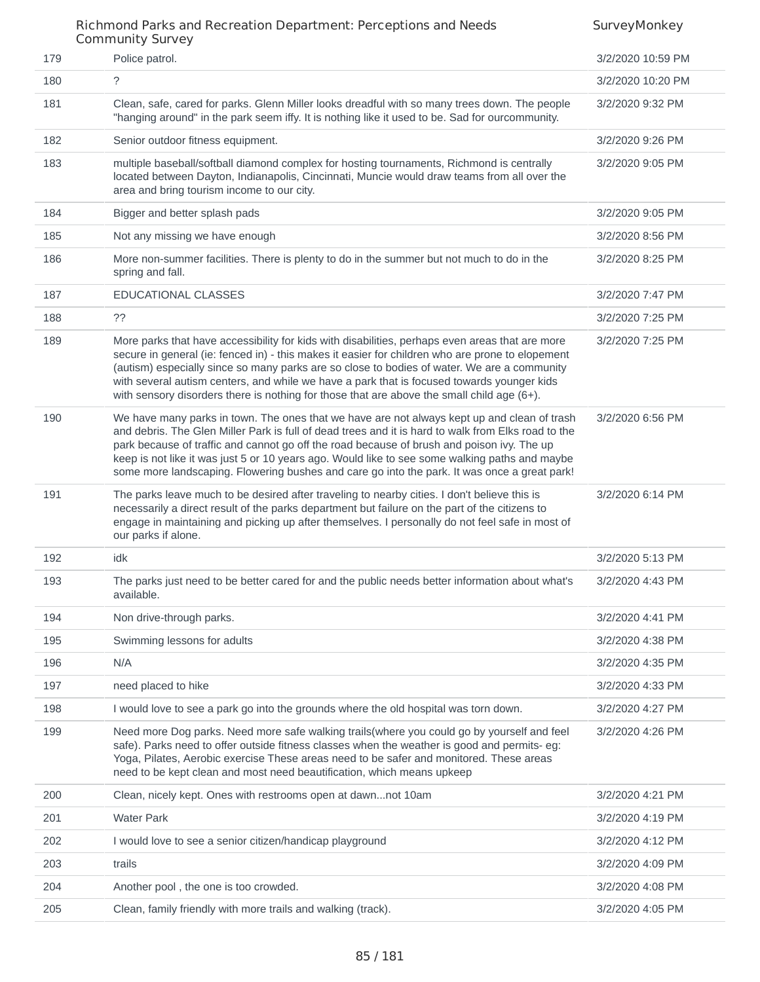|     | CONNINGINGY JUIVEY                                                                                                                                                                                                                                                                                                                                                                                                                                                                                 |                   |
|-----|----------------------------------------------------------------------------------------------------------------------------------------------------------------------------------------------------------------------------------------------------------------------------------------------------------------------------------------------------------------------------------------------------------------------------------------------------------------------------------------------------|-------------------|
| 179 | Police patrol.                                                                                                                                                                                                                                                                                                                                                                                                                                                                                     | 3/2/2020 10:59 PM |
| 180 | ?                                                                                                                                                                                                                                                                                                                                                                                                                                                                                                  | 3/2/2020 10:20 PM |
| 181 | Clean, safe, cared for parks. Glenn Miller looks dreadful with so many trees down. The people<br>"hanging around" in the park seem iffy. It is nothing like it used to be. Sad for ourcommunity.                                                                                                                                                                                                                                                                                                   | 3/2/2020 9:32 PM  |
| 182 | Senior outdoor fitness equipment.                                                                                                                                                                                                                                                                                                                                                                                                                                                                  | 3/2/2020 9:26 PM  |
| 183 | multiple baseball/softball diamond complex for hosting tournaments, Richmond is centrally<br>located between Dayton, Indianapolis, Cincinnati, Muncie would draw teams from all over the<br>area and bring tourism income to our city.                                                                                                                                                                                                                                                             | 3/2/2020 9:05 PM  |
| 184 | Bigger and better splash pads                                                                                                                                                                                                                                                                                                                                                                                                                                                                      | 3/2/2020 9:05 PM  |
| 185 | Not any missing we have enough                                                                                                                                                                                                                                                                                                                                                                                                                                                                     | 3/2/2020 8:56 PM  |
| 186 | More non-summer facilities. There is plenty to do in the summer but not much to do in the<br>spring and fall.                                                                                                                                                                                                                                                                                                                                                                                      | 3/2/2020 8:25 PM  |
| 187 | EDUCATIONAL CLASSES                                                                                                                                                                                                                                                                                                                                                                                                                                                                                | 3/2/2020 7:47 PM  |
| 188 | 22                                                                                                                                                                                                                                                                                                                                                                                                                                                                                                 | 3/2/2020 7:25 PM  |
| 189 | More parks that have accessibility for kids with disabilities, perhaps even areas that are more<br>secure in general (ie: fenced in) - this makes it easier for children who are prone to elopement<br>(autism) especially since so many parks are so close to bodies of water. We are a community<br>with several autism centers, and while we have a park that is focused towards younger kids<br>with sensory disorders there is nothing for those that are above the small child age $(6+)$ .  | 3/2/2020 7:25 PM  |
| 190 | We have many parks in town. The ones that we have are not always kept up and clean of trash<br>and debris. The Glen Miller Park is full of dead trees and it is hard to walk from Elks road to the<br>park because of traffic and cannot go off the road because of brush and poison ivy. The up<br>keep is not like it was just 5 or 10 years ago. Would like to see some walking paths and maybe<br>some more landscaping. Flowering bushes and care go into the park. It was once a great park! | 3/2/2020 6:56 PM  |
| 191 | The parks leave much to be desired after traveling to nearby cities. I don't believe this is<br>necessarily a direct result of the parks department but failure on the part of the citizens to<br>engage in maintaining and picking up after themselves. I personally do not feel safe in most of<br>our parks if alone.                                                                                                                                                                           | 3/2/2020 6:14 PM  |
| 192 | idk                                                                                                                                                                                                                                                                                                                                                                                                                                                                                                | 3/2/2020 5:13 PM  |
| 193 | The parks just need to be better cared for and the public needs better information about what's<br>available.                                                                                                                                                                                                                                                                                                                                                                                      | 3/2/2020 4:43 PM  |
| 194 | Non drive-through parks.                                                                                                                                                                                                                                                                                                                                                                                                                                                                           | 3/2/2020 4:41 PM  |
| 195 | Swimming lessons for adults                                                                                                                                                                                                                                                                                                                                                                                                                                                                        | 3/2/2020 4:38 PM  |
| 196 | N/A                                                                                                                                                                                                                                                                                                                                                                                                                                                                                                | 3/2/2020 4:35 PM  |
| 197 | need placed to hike                                                                                                                                                                                                                                                                                                                                                                                                                                                                                | 3/2/2020 4:33 PM  |
| 198 | I would love to see a park go into the grounds where the old hospital was torn down.                                                                                                                                                                                                                                                                                                                                                                                                               | 3/2/2020 4:27 PM  |
| 199 | Need more Dog parks. Need more safe walking trails (where you could go by yourself and feel<br>safe). Parks need to offer outside fitness classes when the weather is good and permits- eg:<br>Yoga, Pilates, Aerobic exercise These areas need to be safer and monitored. These areas<br>need to be kept clean and most need beautification, which means upkeep                                                                                                                                   | 3/2/2020 4:26 PM  |
| 200 | Clean, nicely kept. Ones with restrooms open at dawnnot 10am                                                                                                                                                                                                                                                                                                                                                                                                                                       | 3/2/2020 4:21 PM  |
| 201 | <b>Water Park</b>                                                                                                                                                                                                                                                                                                                                                                                                                                                                                  | 3/2/2020 4:19 PM  |
| 202 | I would love to see a senior citizen/handicap playground                                                                                                                                                                                                                                                                                                                                                                                                                                           | 3/2/2020 4:12 PM  |
| 203 | trails                                                                                                                                                                                                                                                                                                                                                                                                                                                                                             | 3/2/2020 4:09 PM  |
| 204 | Another pool, the one is too crowded.                                                                                                                                                                                                                                                                                                                                                                                                                                                              | 3/2/2020 4:08 PM  |
| 205 | Clean, family friendly with more trails and walking (track).                                                                                                                                                                                                                                                                                                                                                                                                                                       | 3/2/2020 4:05 PM  |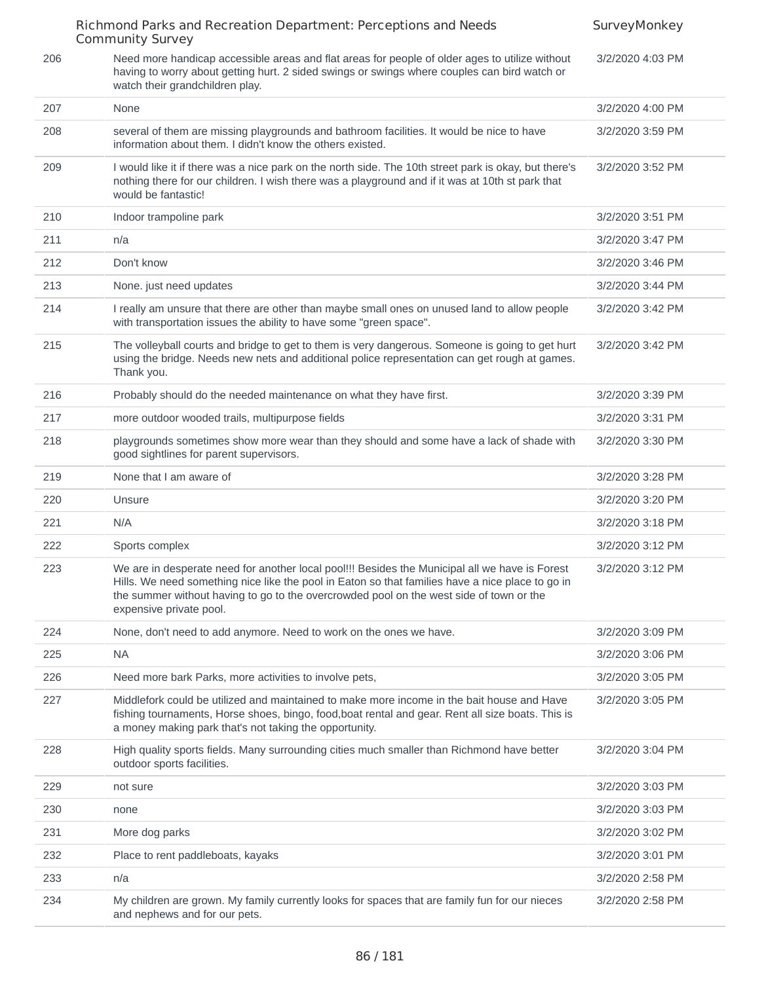|     | Richmond Parks and Recreation Department: Perceptions and Needs<br>Community Survey                                                                                                                                                                                                                                      | SurveyMonkey     |
|-----|--------------------------------------------------------------------------------------------------------------------------------------------------------------------------------------------------------------------------------------------------------------------------------------------------------------------------|------------------|
| 206 | Need more handicap accessible areas and flat areas for people of older ages to utilize without<br>having to worry about getting hurt. 2 sided swings or swings where couples can bird watch or<br>watch their grandchildren play.                                                                                        | 3/2/2020 4:03 PM |
| 207 | None                                                                                                                                                                                                                                                                                                                     | 3/2/2020 4:00 PM |
| 208 | several of them are missing playgrounds and bathroom facilities. It would be nice to have<br>information about them. I didn't know the others existed.                                                                                                                                                                   | 3/2/2020 3:59 PM |
| 209 | I would like it if there was a nice park on the north side. The 10th street park is okay, but there's<br>nothing there for our children. I wish there was a playground and if it was at 10th st park that<br>would be fantastic!                                                                                         | 3/2/2020 3:52 PM |
| 210 | Indoor trampoline park                                                                                                                                                                                                                                                                                                   | 3/2/2020 3:51 PM |
| 211 | n/a                                                                                                                                                                                                                                                                                                                      | 3/2/2020 3:47 PM |
| 212 | Don't know                                                                                                                                                                                                                                                                                                               | 3/2/2020 3:46 PM |
| 213 | None. just need updates                                                                                                                                                                                                                                                                                                  | 3/2/2020 3:44 PM |
| 214 | I really am unsure that there are other than maybe small ones on unused land to allow people<br>with transportation issues the ability to have some "green space".                                                                                                                                                       | 3/2/2020 3:42 PM |
| 215 | The volleyball courts and bridge to get to them is very dangerous. Someone is going to get hurt<br>using the bridge. Needs new nets and additional police representation can get rough at games.<br>Thank you.                                                                                                           | 3/2/2020 3:42 PM |
| 216 | Probably should do the needed maintenance on what they have first.                                                                                                                                                                                                                                                       | 3/2/2020 3:39 PM |
| 217 | more outdoor wooded trails, multipurpose fields                                                                                                                                                                                                                                                                          | 3/2/2020 3:31 PM |
| 218 | playgrounds sometimes show more wear than they should and some have a lack of shade with<br>good sightlines for parent supervisors.                                                                                                                                                                                      | 3/2/2020 3:30 PM |
| 219 | None that I am aware of                                                                                                                                                                                                                                                                                                  | 3/2/2020 3:28 PM |
| 220 | Unsure                                                                                                                                                                                                                                                                                                                   | 3/2/2020 3:20 PM |
| 221 | N/A                                                                                                                                                                                                                                                                                                                      | 3/2/2020 3:18 PM |
| 222 | Sports complex                                                                                                                                                                                                                                                                                                           | 3/2/2020 3:12 PM |
| 223 | We are in desperate need for another local pool!!! Besides the Municipal all we have is Forest<br>Hills. We need something nice like the pool in Eaton so that families have a nice place to go in<br>the summer without having to go to the overcrowded pool on the west side of town or the<br>expensive private pool. | 3/2/2020 3:12 PM |
| 224 | None, don't need to add anymore. Need to work on the ones we have.                                                                                                                                                                                                                                                       | 3/2/2020 3:09 PM |
| 225 | <b>NA</b>                                                                                                                                                                                                                                                                                                                | 3/2/2020 3:06 PM |
| 226 | Need more bark Parks, more activities to involve pets,                                                                                                                                                                                                                                                                   | 3/2/2020 3:05 PM |
| 227 | Middlefork could be utilized and maintained to make more income in the bait house and Have<br>fishing tournaments, Horse shoes, bingo, food, boat rental and gear. Rent all size boats. This is<br>a money making park that's not taking the opportunity.                                                                | 3/2/2020 3:05 PM |
| 228 | High quality sports fields. Many surrounding cities much smaller than Richmond have better<br>outdoor sports facilities.                                                                                                                                                                                                 | 3/2/2020 3:04 PM |
| 229 | not sure                                                                                                                                                                                                                                                                                                                 | 3/2/2020 3:03 PM |
| 230 | none                                                                                                                                                                                                                                                                                                                     | 3/2/2020 3:03 PM |
| 231 | More dog parks                                                                                                                                                                                                                                                                                                           | 3/2/2020 3:02 PM |
| 232 | Place to rent paddleboats, kayaks                                                                                                                                                                                                                                                                                        | 3/2/2020 3:01 PM |
| 233 | n/a                                                                                                                                                                                                                                                                                                                      | 3/2/2020 2:58 PM |
| 234 | My children are grown. My family currently looks for spaces that are family fun for our nieces<br>and nephews and for our pets.                                                                                                                                                                                          | 3/2/2020 2:58 PM |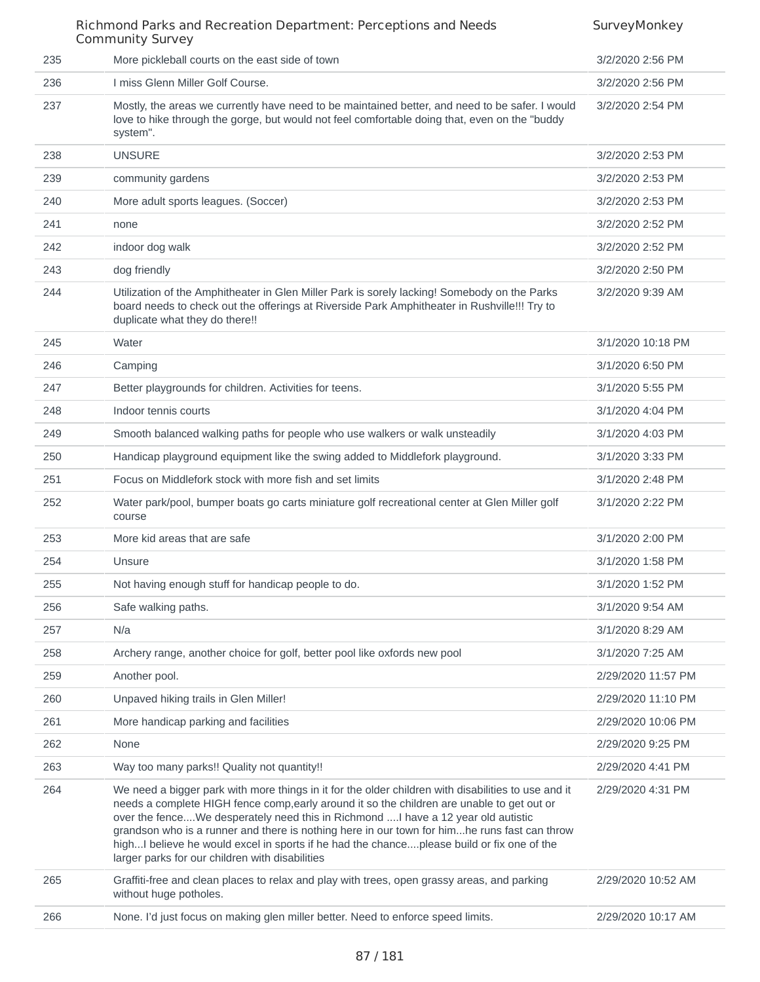|     | Richmond Parks and Recreation Department: Perceptions and Needs<br><b>Community Survey</b>                                                                                                                                                                                                                                                                                                                                                                                                                                             | SurveyMonkey       |
|-----|----------------------------------------------------------------------------------------------------------------------------------------------------------------------------------------------------------------------------------------------------------------------------------------------------------------------------------------------------------------------------------------------------------------------------------------------------------------------------------------------------------------------------------------|--------------------|
| 235 | More pickleball courts on the east side of town                                                                                                                                                                                                                                                                                                                                                                                                                                                                                        | 3/2/2020 2:56 PM   |
| 236 | I miss Glenn Miller Golf Course.                                                                                                                                                                                                                                                                                                                                                                                                                                                                                                       | 3/2/2020 2:56 PM   |
| 237 | Mostly, the areas we currently have need to be maintained better, and need to be safer. I would<br>love to hike through the gorge, but would not feel comfortable doing that, even on the "buddy<br>system".                                                                                                                                                                                                                                                                                                                           | 3/2/2020 2:54 PM   |
| 238 | <b>UNSURE</b>                                                                                                                                                                                                                                                                                                                                                                                                                                                                                                                          | 3/2/2020 2:53 PM   |
| 239 | community gardens                                                                                                                                                                                                                                                                                                                                                                                                                                                                                                                      | 3/2/2020 2:53 PM   |
| 240 | More adult sports leagues. (Soccer)                                                                                                                                                                                                                                                                                                                                                                                                                                                                                                    | 3/2/2020 2:53 PM   |
| 241 | none                                                                                                                                                                                                                                                                                                                                                                                                                                                                                                                                   | 3/2/2020 2:52 PM   |
| 242 | indoor dog walk                                                                                                                                                                                                                                                                                                                                                                                                                                                                                                                        | 3/2/2020 2:52 PM   |
| 243 | dog friendly                                                                                                                                                                                                                                                                                                                                                                                                                                                                                                                           | 3/2/2020 2:50 PM   |
| 244 | Utilization of the Amphitheater in Glen Miller Park is sorely lacking! Somebody on the Parks<br>board needs to check out the offerings at Riverside Park Amphitheater in Rushville!!! Try to<br>duplicate what they do there!!                                                                                                                                                                                                                                                                                                         | 3/2/2020 9:39 AM   |
| 245 | Water                                                                                                                                                                                                                                                                                                                                                                                                                                                                                                                                  | 3/1/2020 10:18 PM  |
| 246 | Camping                                                                                                                                                                                                                                                                                                                                                                                                                                                                                                                                | 3/1/2020 6:50 PM   |
| 247 | Better playgrounds for children. Activities for teens.                                                                                                                                                                                                                                                                                                                                                                                                                                                                                 | 3/1/2020 5:55 PM   |
| 248 | Indoor tennis courts                                                                                                                                                                                                                                                                                                                                                                                                                                                                                                                   | 3/1/2020 4:04 PM   |
| 249 | Smooth balanced walking paths for people who use walkers or walk unsteadily                                                                                                                                                                                                                                                                                                                                                                                                                                                            | 3/1/2020 4:03 PM   |
| 250 | Handicap playground equipment like the swing added to Middlefork playground.                                                                                                                                                                                                                                                                                                                                                                                                                                                           | 3/1/2020 3:33 PM   |
| 251 | Focus on Middlefork stock with more fish and set limits                                                                                                                                                                                                                                                                                                                                                                                                                                                                                | 3/1/2020 2:48 PM   |
| 252 | Water park/pool, bumper boats go carts miniature golf recreational center at Glen Miller golf<br>course                                                                                                                                                                                                                                                                                                                                                                                                                                | 3/1/2020 2:22 PM   |
| 253 | More kid areas that are safe                                                                                                                                                                                                                                                                                                                                                                                                                                                                                                           | 3/1/2020 2:00 PM   |
| 254 | Unsure                                                                                                                                                                                                                                                                                                                                                                                                                                                                                                                                 | 3/1/2020 1:58 PM   |
| 255 | Not having enough stuff for handicap people to do.                                                                                                                                                                                                                                                                                                                                                                                                                                                                                     | 3/1/2020 1:52 PM   |
| 256 | Safe walking paths.                                                                                                                                                                                                                                                                                                                                                                                                                                                                                                                    | 3/1/2020 9:54 AM   |
| 257 | N/a                                                                                                                                                                                                                                                                                                                                                                                                                                                                                                                                    | 3/1/2020 8:29 AM   |
| 258 | Archery range, another choice for golf, better pool like oxfords new pool                                                                                                                                                                                                                                                                                                                                                                                                                                                              | 3/1/2020 7:25 AM   |
| 259 | Another pool.                                                                                                                                                                                                                                                                                                                                                                                                                                                                                                                          | 2/29/2020 11:57 PM |
| 260 | Unpaved hiking trails in Glen Miller!                                                                                                                                                                                                                                                                                                                                                                                                                                                                                                  | 2/29/2020 11:10 PM |
| 261 | More handicap parking and facilities                                                                                                                                                                                                                                                                                                                                                                                                                                                                                                   | 2/29/2020 10:06 PM |
| 262 | None                                                                                                                                                                                                                                                                                                                                                                                                                                                                                                                                   | 2/29/2020 9:25 PM  |
| 263 | Way too many parks!! Quality not quantity!!                                                                                                                                                                                                                                                                                                                                                                                                                                                                                            | 2/29/2020 4:41 PM  |
| 264 | We need a bigger park with more things in it for the older children with disabilities to use and it<br>needs a complete HIGH fence comp, early around it so the children are unable to get out or<br>over the fenceWe desperately need this in Richmond  I have a 12 year old autistic<br>grandson who is a runner and there is nothing here in our town for himhe runs fast can throw<br>highI believe he would excel in sports if he had the chanceplease build or fix one of the<br>larger parks for our children with disabilities | 2/29/2020 4:31 PM  |
| 265 | Graffiti-free and clean places to relax and play with trees, open grassy areas, and parking<br>without huge potholes.                                                                                                                                                                                                                                                                                                                                                                                                                  | 2/29/2020 10:52 AM |
| 266 | None. I'd just focus on making glen miller better. Need to enforce speed limits.                                                                                                                                                                                                                                                                                                                                                                                                                                                       | 2/29/2020 10:17 AM |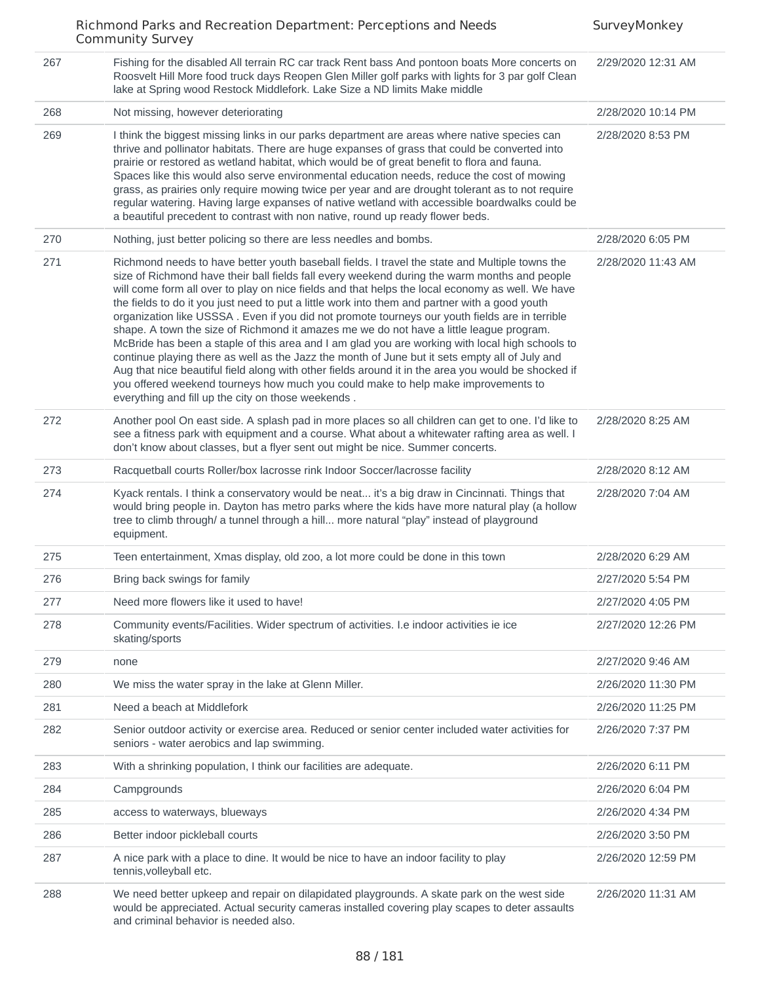|     | Richmond Parks and Recreation Department: Perceptions and Needs<br><b>Community Survey</b>                                                                                                                                                                                                                                                                                                                                                                                                                                                                                                                                                                                                                                                                                                                                                                                                                                                                                                                                                               | SurveyMonkey       |
|-----|----------------------------------------------------------------------------------------------------------------------------------------------------------------------------------------------------------------------------------------------------------------------------------------------------------------------------------------------------------------------------------------------------------------------------------------------------------------------------------------------------------------------------------------------------------------------------------------------------------------------------------------------------------------------------------------------------------------------------------------------------------------------------------------------------------------------------------------------------------------------------------------------------------------------------------------------------------------------------------------------------------------------------------------------------------|--------------------|
| 267 | Fishing for the disabled All terrain RC car track Rent bass And pontoon boats More concerts on<br>Roosvelt Hill More food truck days Reopen Glen Miller golf parks with lights for 3 par golf Clean<br>lake at Spring wood Restock Middlefork. Lake Size a ND limits Make middle                                                                                                                                                                                                                                                                                                                                                                                                                                                                                                                                                                                                                                                                                                                                                                         | 2/29/2020 12:31 AM |
| 268 | Not missing, however deteriorating                                                                                                                                                                                                                                                                                                                                                                                                                                                                                                                                                                                                                                                                                                                                                                                                                                                                                                                                                                                                                       | 2/28/2020 10:14 PM |
| 269 | I think the biggest missing links in our parks department are areas where native species can<br>thrive and pollinator habitats. There are huge expanses of grass that could be converted into<br>prairie or restored as wetland habitat, which would be of great benefit to flora and fauna.<br>Spaces like this would also serve environmental education needs, reduce the cost of mowing<br>grass, as prairies only require mowing twice per year and are drought tolerant as to not require<br>regular watering. Having large expanses of native wetland with accessible boardwalks could be<br>a beautiful precedent to contrast with non native, round up ready flower beds.                                                                                                                                                                                                                                                                                                                                                                        | 2/28/2020 8:53 PM  |
| 270 | Nothing, just better policing so there are less needles and bombs.                                                                                                                                                                                                                                                                                                                                                                                                                                                                                                                                                                                                                                                                                                                                                                                                                                                                                                                                                                                       | 2/28/2020 6:05 PM  |
| 271 | Richmond needs to have better youth baseball fields. I travel the state and Multiple towns the<br>size of Richmond have their ball fields fall every weekend during the warm months and people<br>will come form all over to play on nice fields and that helps the local economy as well. We have<br>the fields to do it you just need to put a little work into them and partner with a good youth<br>organization like USSSA. Even if you did not promote tourneys our youth fields are in terrible<br>shape. A town the size of Richmond it amazes me we do not have a little league program.<br>McBride has been a staple of this area and I am glad you are working with local high schools to<br>continue playing there as well as the Jazz the month of June but it sets empty all of July and<br>Aug that nice beautiful field along with other fields around it in the area you would be shocked if<br>you offered weekend tourneys how much you could make to help make improvements to<br>everything and fill up the city on those weekends. | 2/28/2020 11:43 AM |
| 272 | Another pool On east side. A splash pad in more places so all children can get to one. I'd like to<br>see a fitness park with equipment and a course. What about a whitewater rafting area as well. I<br>don't know about classes, but a flyer sent out might be nice. Summer concerts.                                                                                                                                                                                                                                                                                                                                                                                                                                                                                                                                                                                                                                                                                                                                                                  | 2/28/2020 8:25 AM  |
| 273 | Racquetball courts Roller/box lacrosse rink Indoor Soccer/lacrosse facility                                                                                                                                                                                                                                                                                                                                                                                                                                                                                                                                                                                                                                                                                                                                                                                                                                                                                                                                                                              | 2/28/2020 8:12 AM  |
| 274 | Kyack rentals. I think a conservatory would be neat it's a big draw in Cincinnati. Things that<br>would bring people in. Dayton has metro parks where the kids have more natural play (a hollow<br>tree to climb through/ a tunnel through a hill more natural "play" instead of playground<br>equipment.                                                                                                                                                                                                                                                                                                                                                                                                                                                                                                                                                                                                                                                                                                                                                | 2/28/2020 7:04 AM  |
| 275 | Teen entertainment, Xmas display, old zoo, a lot more could be done in this town                                                                                                                                                                                                                                                                                                                                                                                                                                                                                                                                                                                                                                                                                                                                                                                                                                                                                                                                                                         | 2/28/2020 6:29 AM  |
| 276 | Bring back swings for family                                                                                                                                                                                                                                                                                                                                                                                                                                                                                                                                                                                                                                                                                                                                                                                                                                                                                                                                                                                                                             | 2/27/2020 5:54 PM  |
| 277 | Need more flowers like it used to have!                                                                                                                                                                                                                                                                                                                                                                                                                                                                                                                                                                                                                                                                                                                                                                                                                                                                                                                                                                                                                  | 2/27/2020 4:05 PM  |
| 278 | Community events/Facilities. Wider spectrum of activities. I.e indoor activities ie ice<br>skating/sports                                                                                                                                                                                                                                                                                                                                                                                                                                                                                                                                                                                                                                                                                                                                                                                                                                                                                                                                                | 2/27/2020 12:26 PM |
| 279 | none                                                                                                                                                                                                                                                                                                                                                                                                                                                                                                                                                                                                                                                                                                                                                                                                                                                                                                                                                                                                                                                     | 2/27/2020 9:46 AM  |
| 280 | We miss the water spray in the lake at Glenn Miller.                                                                                                                                                                                                                                                                                                                                                                                                                                                                                                                                                                                                                                                                                                                                                                                                                                                                                                                                                                                                     | 2/26/2020 11:30 PM |
| 281 | Need a beach at Middlefork                                                                                                                                                                                                                                                                                                                                                                                                                                                                                                                                                                                                                                                                                                                                                                                                                                                                                                                                                                                                                               | 2/26/2020 11:25 PM |
| 282 | Senior outdoor activity or exercise area. Reduced or senior center included water activities for<br>seniors - water aerobics and lap swimming.                                                                                                                                                                                                                                                                                                                                                                                                                                                                                                                                                                                                                                                                                                                                                                                                                                                                                                           | 2/26/2020 7:37 PM  |
| 283 | With a shrinking population, I think our facilities are adequate.                                                                                                                                                                                                                                                                                                                                                                                                                                                                                                                                                                                                                                                                                                                                                                                                                                                                                                                                                                                        | 2/26/2020 6:11 PM  |
| 284 | Campgrounds                                                                                                                                                                                                                                                                                                                                                                                                                                                                                                                                                                                                                                                                                                                                                                                                                                                                                                                                                                                                                                              | 2/26/2020 6:04 PM  |
| 285 | access to waterways, blueways                                                                                                                                                                                                                                                                                                                                                                                                                                                                                                                                                                                                                                                                                                                                                                                                                                                                                                                                                                                                                            | 2/26/2020 4:34 PM  |
| 286 | Better indoor pickleball courts                                                                                                                                                                                                                                                                                                                                                                                                                                                                                                                                                                                                                                                                                                                                                                                                                                                                                                                                                                                                                          | 2/26/2020 3:50 PM  |
| 287 | A nice park with a place to dine. It would be nice to have an indoor facility to play<br>tennis, volleyball etc.                                                                                                                                                                                                                                                                                                                                                                                                                                                                                                                                                                                                                                                                                                                                                                                                                                                                                                                                         | 2/26/2020 12:59 PM |
| 288 | We need better upkeep and repair on dilapidated playgrounds. A skate park on the west side<br>would be appreciated. Actual security cameras installed covering play scapes to deter assaults<br>and criminal behavior is needed also.                                                                                                                                                                                                                                                                                                                                                                                                                                                                                                                                                                                                                                                                                                                                                                                                                    | 2/26/2020 11:31 AM |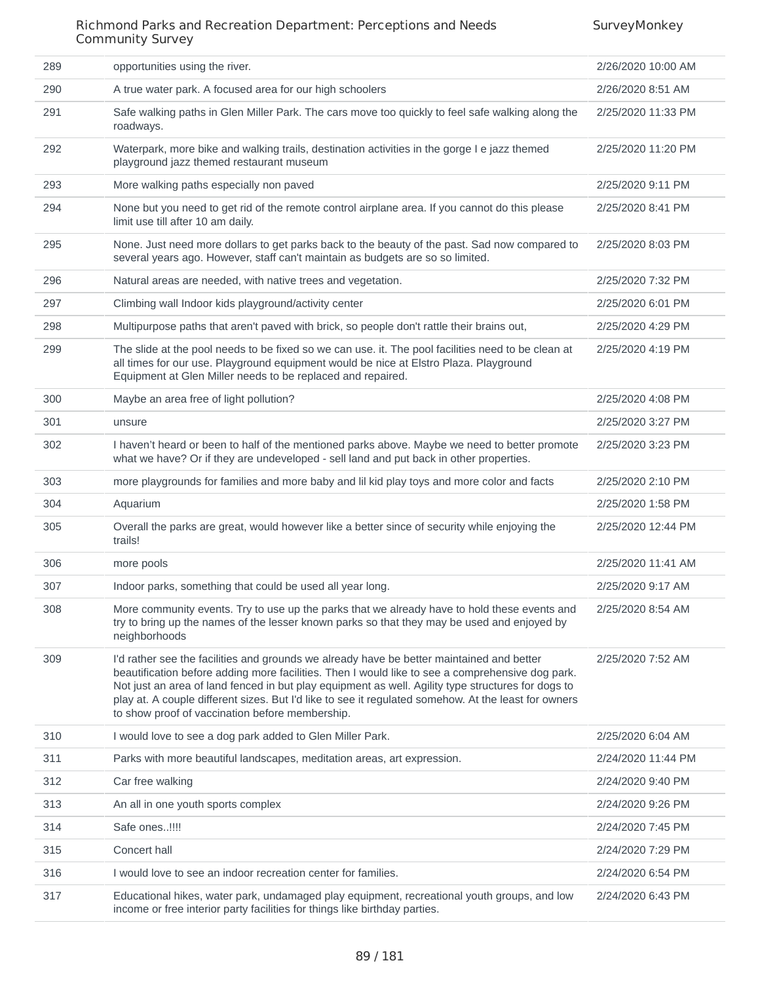SurveyMonkey

#### Richmond Parks and Recreation Department: Perceptions and Needs Community Survey

| 289 | opportunities using the river.                                                                                                                                                                                                                                                                                                                                                                                                                                 | 2/26/2020 10:00 AM |
|-----|----------------------------------------------------------------------------------------------------------------------------------------------------------------------------------------------------------------------------------------------------------------------------------------------------------------------------------------------------------------------------------------------------------------------------------------------------------------|--------------------|
| 290 | A true water park. A focused area for our high schoolers                                                                                                                                                                                                                                                                                                                                                                                                       | 2/26/2020 8:51 AM  |
| 291 | Safe walking paths in Glen Miller Park. The cars move too quickly to feel safe walking along the<br>roadways.                                                                                                                                                                                                                                                                                                                                                  | 2/25/2020 11:33 PM |
| 292 | Waterpark, more bike and walking trails, destination activities in the gorge I e jazz themed<br>playground jazz themed restaurant museum                                                                                                                                                                                                                                                                                                                       | 2/25/2020 11:20 PM |
| 293 | More walking paths especially non paved                                                                                                                                                                                                                                                                                                                                                                                                                        | 2/25/2020 9:11 PM  |
| 294 | None but you need to get rid of the remote control airplane area. If you cannot do this please<br>limit use till after 10 am daily.                                                                                                                                                                                                                                                                                                                            | 2/25/2020 8:41 PM  |
| 295 | None. Just need more dollars to get parks back to the beauty of the past. Sad now compared to<br>several years ago. However, staff can't maintain as budgets are so so limited.                                                                                                                                                                                                                                                                                | 2/25/2020 8:03 PM  |
| 296 | Natural areas are needed, with native trees and vegetation.                                                                                                                                                                                                                                                                                                                                                                                                    | 2/25/2020 7:32 PM  |
| 297 | Climbing wall Indoor kids playground/activity center                                                                                                                                                                                                                                                                                                                                                                                                           | 2/25/2020 6:01 PM  |
| 298 | Multipurpose paths that aren't paved with brick, so people don't rattle their brains out,                                                                                                                                                                                                                                                                                                                                                                      | 2/25/2020 4:29 PM  |
| 299 | The slide at the pool needs to be fixed so we can use. it. The pool facilities need to be clean at<br>all times for our use. Playground equipment would be nice at Elstro Plaza. Playground<br>Equipment at Glen Miller needs to be replaced and repaired.                                                                                                                                                                                                     | 2/25/2020 4:19 PM  |
| 300 | Maybe an area free of light pollution?                                                                                                                                                                                                                                                                                                                                                                                                                         | 2/25/2020 4:08 PM  |
| 301 | unsure                                                                                                                                                                                                                                                                                                                                                                                                                                                         | 2/25/2020 3:27 PM  |
| 302 | I haven't heard or been to half of the mentioned parks above. Maybe we need to better promote<br>what we have? Or if they are undeveloped - sell land and put back in other properties.                                                                                                                                                                                                                                                                        | 2/25/2020 3:23 PM  |
| 303 | more playgrounds for families and more baby and lil kid play toys and more color and facts                                                                                                                                                                                                                                                                                                                                                                     | 2/25/2020 2:10 PM  |
| 304 | Aquarium                                                                                                                                                                                                                                                                                                                                                                                                                                                       | 2/25/2020 1:58 PM  |
| 305 | Overall the parks are great, would however like a better since of security while enjoying the<br>trails!                                                                                                                                                                                                                                                                                                                                                       | 2/25/2020 12:44 PM |
| 306 | more pools                                                                                                                                                                                                                                                                                                                                                                                                                                                     | 2/25/2020 11:41 AM |
| 307 | Indoor parks, something that could be used all year long.                                                                                                                                                                                                                                                                                                                                                                                                      | 2/25/2020 9:17 AM  |
| 308 | More community events. Try to use up the parks that we already have to hold these events and<br>try to bring up the names of the lesser known parks so that they may be used and enjoyed by<br>neighborhoods                                                                                                                                                                                                                                                   | 2/25/2020 8:54 AM  |
| 309 | I'd rather see the facilities and grounds we already have be better maintained and better<br>beautification before adding more facilities. Then I would like to see a comprehensive dog park.<br>Not just an area of land fenced in but play equipment as well. Agility type structures for dogs to<br>play at. A couple different sizes. But I'd like to see it regulated somehow. At the least for owners<br>to show proof of vaccination before membership. | 2/25/2020 7:52 AM  |
| 310 | I would love to see a dog park added to Glen Miller Park.                                                                                                                                                                                                                                                                                                                                                                                                      | 2/25/2020 6:04 AM  |
| 311 | Parks with more beautiful landscapes, meditation areas, art expression.                                                                                                                                                                                                                                                                                                                                                                                        | 2/24/2020 11:44 PM |
| 312 | Car free walking                                                                                                                                                                                                                                                                                                                                                                                                                                               | 2/24/2020 9:40 PM  |
| 313 | An all in one youth sports complex                                                                                                                                                                                                                                                                                                                                                                                                                             | 2/24/2020 9:26 PM  |
| 314 | Safe ones!!!!                                                                                                                                                                                                                                                                                                                                                                                                                                                  | 2/24/2020 7:45 PM  |
| 315 | Concert hall                                                                                                                                                                                                                                                                                                                                                                                                                                                   | 2/24/2020 7:29 PM  |
| 316 | I would love to see an indoor recreation center for families.                                                                                                                                                                                                                                                                                                                                                                                                  | 2/24/2020 6:54 PM  |
|     |                                                                                                                                                                                                                                                                                                                                                                                                                                                                |                    |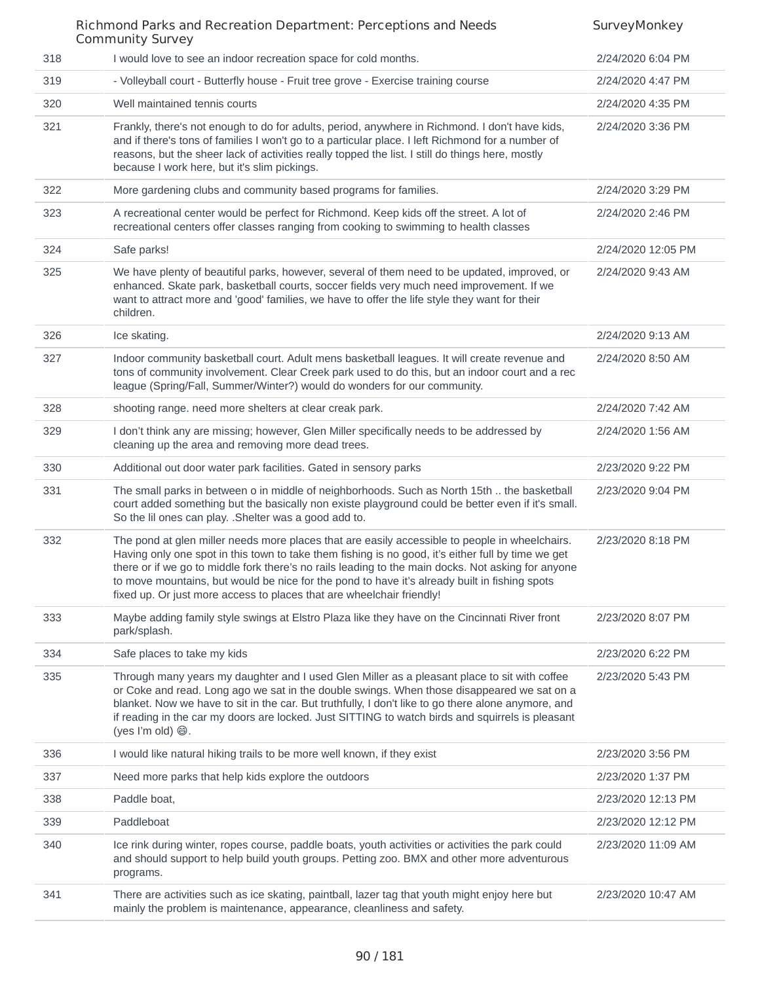|     | Richmond Parks and Recreation Department: Perceptions and Needs<br><b>Community Survey</b>                                                                                                                                                                                                                                                                                                                                                                                           | SurveyMonkey       |
|-----|--------------------------------------------------------------------------------------------------------------------------------------------------------------------------------------------------------------------------------------------------------------------------------------------------------------------------------------------------------------------------------------------------------------------------------------------------------------------------------------|--------------------|
| 318 | I would love to see an indoor recreation space for cold months.                                                                                                                                                                                                                                                                                                                                                                                                                      | 2/24/2020 6:04 PM  |
| 319 | - Volleyball court - Butterfly house - Fruit tree grove - Exercise training course                                                                                                                                                                                                                                                                                                                                                                                                   | 2/24/2020 4:47 PM  |
| 320 | Well maintained tennis courts                                                                                                                                                                                                                                                                                                                                                                                                                                                        | 2/24/2020 4:35 PM  |
| 321 | Frankly, there's not enough to do for adults, period, anywhere in Richmond. I don't have kids,<br>and if there's tons of families I won't go to a particular place. I left Richmond for a number of<br>reasons, but the sheer lack of activities really topped the list. I still do things here, mostly<br>because I work here, but it's slim pickings.                                                                                                                              | 2/24/2020 3:36 PM  |
| 322 | More gardening clubs and community based programs for families.                                                                                                                                                                                                                                                                                                                                                                                                                      | 2/24/2020 3:29 PM  |
| 323 | A recreational center would be perfect for Richmond. Keep kids off the street. A lot of<br>recreational centers offer classes ranging from cooking to swimming to health classes                                                                                                                                                                                                                                                                                                     | 2/24/2020 2:46 PM  |
| 324 | Safe parks!                                                                                                                                                                                                                                                                                                                                                                                                                                                                          | 2/24/2020 12:05 PM |
| 325 | We have plenty of beautiful parks, however, several of them need to be updated, improved, or<br>enhanced. Skate park, basketball courts, soccer fields very much need improvement. If we<br>want to attract more and 'good' families, we have to offer the life style they want for their<br>children.                                                                                                                                                                               | 2/24/2020 9:43 AM  |
| 326 | Ice skating.                                                                                                                                                                                                                                                                                                                                                                                                                                                                         | 2/24/2020 9:13 AM  |
| 327 | Indoor community basketball court. Adult mens basketball leagues. It will create revenue and<br>tons of community involvement. Clear Creek park used to do this, but an indoor court and a rec<br>league (Spring/Fall, Summer/Winter?) would do wonders for our community.                                                                                                                                                                                                           | 2/24/2020 8:50 AM  |
| 328 | shooting range. need more shelters at clear creak park.                                                                                                                                                                                                                                                                                                                                                                                                                              | 2/24/2020 7:42 AM  |
| 329 | I don't think any are missing; however, Glen Miller specifically needs to be addressed by<br>cleaning up the area and removing more dead trees.                                                                                                                                                                                                                                                                                                                                      | 2/24/2020 1:56 AM  |
| 330 | Additional out door water park facilities. Gated in sensory parks                                                                                                                                                                                                                                                                                                                                                                                                                    | 2/23/2020 9:22 PM  |
| 331 | The small parks in between o in middle of neighborhoods. Such as North 15th  the basketball<br>court added something but the basically non existe playground could be better even if it's small.<br>So the lil ones can play. .Shelter was a good add to.                                                                                                                                                                                                                            | 2/23/2020 9:04 PM  |
| 332 | The pond at glen miller needs more places that are easily accessible to people in wheelchairs.<br>Having only one spot in this town to take them fishing is no good, it's either full by time we get<br>there or if we go to middle fork there's no rails leading to the main docks. Not asking for anyone<br>to move mountains, but would be nice for the pond to have it's already built in fishing spots<br>fixed up. Or just more access to places that are wheelchair friendly! | 2/23/2020 8:18 PM  |
| 333 | Maybe adding family style swings at Elstro Plaza like they have on the Cincinnati River front<br>park/splash.                                                                                                                                                                                                                                                                                                                                                                        | 2/23/2020 8:07 PM  |
| 334 | Safe places to take my kids                                                                                                                                                                                                                                                                                                                                                                                                                                                          | 2/23/2020 6:22 PM  |
| 335 | Through many years my daughter and I used Glen Miller as a pleasant place to sit with coffee<br>or Coke and read. Long ago we sat in the double swings. When those disappeared we sat on a<br>blanket. Now we have to sit in the car. But truthfully, I don't like to go there alone anymore, and<br>if reading in the car my doors are locked. Just SITTING to watch birds and squirrels is pleasant                                                                                | 2/23/2020 5:43 PM  |
| 336 | I would like natural hiking trails to be more well known, if they exist                                                                                                                                                                                                                                                                                                                                                                                                              | 2/23/2020 3:56 PM  |
| 337 | Need more parks that help kids explore the outdoors                                                                                                                                                                                                                                                                                                                                                                                                                                  | 2/23/2020 1:37 PM  |
| 338 | Paddle boat,                                                                                                                                                                                                                                                                                                                                                                                                                                                                         | 2/23/2020 12:13 PM |
| 339 | Paddleboat                                                                                                                                                                                                                                                                                                                                                                                                                                                                           | 2/23/2020 12:12 PM |
| 340 | Ice rink during winter, ropes course, paddle boats, youth activities or activities the park could<br>and should support to help build youth groups. Petting zoo. BMX and other more adventurous<br>programs.                                                                                                                                                                                                                                                                         | 2/23/2020 11:09 AM |
| 341 | There are activities such as ice skating, paintball, lazer tag that youth might enjoy here but<br>mainly the problem is maintenance, appearance, cleanliness and safety.                                                                                                                                                                                                                                                                                                             | 2/23/2020 10:47 AM |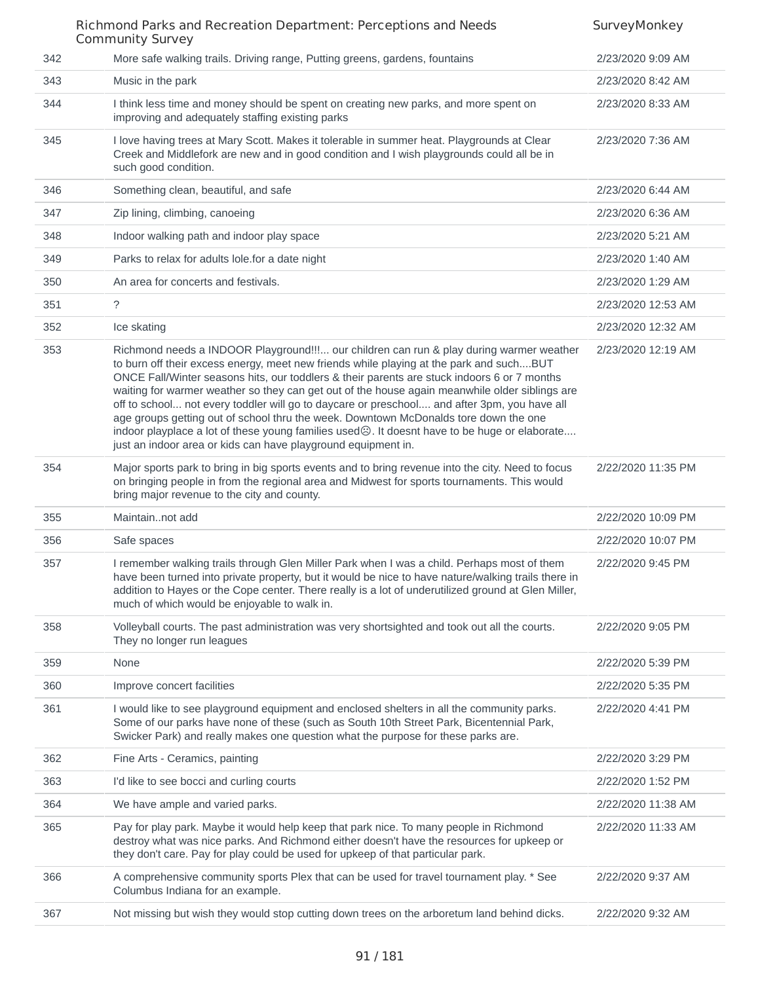|     | Richmond Parks and Recreation Department: Perceptions and Needs<br><b>Community Survey</b>                                                                                                                                                                                                                                                                                                                                                                                                                                                                                                                                                                                                                                                          | SurveyMonkey       |
|-----|-----------------------------------------------------------------------------------------------------------------------------------------------------------------------------------------------------------------------------------------------------------------------------------------------------------------------------------------------------------------------------------------------------------------------------------------------------------------------------------------------------------------------------------------------------------------------------------------------------------------------------------------------------------------------------------------------------------------------------------------------------|--------------------|
| 342 | More safe walking trails. Driving range, Putting greens, gardens, fountains                                                                                                                                                                                                                                                                                                                                                                                                                                                                                                                                                                                                                                                                         | 2/23/2020 9:09 AM  |
| 343 | Music in the park                                                                                                                                                                                                                                                                                                                                                                                                                                                                                                                                                                                                                                                                                                                                   | 2/23/2020 8:42 AM  |
| 344 | I think less time and money should be spent on creating new parks, and more spent on<br>improving and adequately staffing existing parks                                                                                                                                                                                                                                                                                                                                                                                                                                                                                                                                                                                                            | 2/23/2020 8:33 AM  |
| 345 | I love having trees at Mary Scott. Makes it tolerable in summer heat. Playgrounds at Clear<br>Creek and Middlefork are new and in good condition and I wish playgrounds could all be in<br>such good condition.                                                                                                                                                                                                                                                                                                                                                                                                                                                                                                                                     | 2/23/2020 7:36 AM  |
| 346 | Something clean, beautiful, and safe                                                                                                                                                                                                                                                                                                                                                                                                                                                                                                                                                                                                                                                                                                                | 2/23/2020 6:44 AM  |
| 347 | Zip lining, climbing, canoeing                                                                                                                                                                                                                                                                                                                                                                                                                                                                                                                                                                                                                                                                                                                      | 2/23/2020 6:36 AM  |
| 348 | Indoor walking path and indoor play space                                                                                                                                                                                                                                                                                                                                                                                                                                                                                                                                                                                                                                                                                                           | 2/23/2020 5:21 AM  |
| 349 | Parks to relax for adults lole.for a date night                                                                                                                                                                                                                                                                                                                                                                                                                                                                                                                                                                                                                                                                                                     | 2/23/2020 1:40 AM  |
| 350 | An area for concerts and festivals.                                                                                                                                                                                                                                                                                                                                                                                                                                                                                                                                                                                                                                                                                                                 | 2/23/2020 1:29 AM  |
| 351 | $\tilde{?}$                                                                                                                                                                                                                                                                                                                                                                                                                                                                                                                                                                                                                                                                                                                                         | 2/23/2020 12:53 AM |
| 352 | Ice skating                                                                                                                                                                                                                                                                                                                                                                                                                                                                                                                                                                                                                                                                                                                                         | 2/23/2020 12:32 AM |
| 353 | Richmond needs a INDOOR Playground!!! our children can run & play during warmer weather<br>to burn off their excess energy, meet new friends while playing at the park and suchBUT<br>ONCE Fall/Winter seasons hits, our toddlers & their parents are stuck indoors 6 or 7 months<br>waiting for warmer weather so they can get out of the house again meanwhile older siblings are<br>off to school not every toddler will go to daycare or preschool and after 3pm, you have all<br>age groups getting out of school thru the week. Downtown McDonalds tore down the one<br>indoor playplace a lot of these young families used $\odot$ . It doesnt have to be huge or elaborate<br>just an indoor area or kids can have playground equipment in. | 2/23/2020 12:19 AM |
| 354 | Major sports park to bring in big sports events and to bring revenue into the city. Need to focus<br>on bringing people in from the regional area and Midwest for sports tournaments. This would<br>bring major revenue to the city and county.                                                                                                                                                                                                                                                                                                                                                                                                                                                                                                     | 2/22/2020 11:35 PM |
| 355 | Maintainnot add                                                                                                                                                                                                                                                                                                                                                                                                                                                                                                                                                                                                                                                                                                                                     | 2/22/2020 10:09 PM |
| 356 | Safe spaces                                                                                                                                                                                                                                                                                                                                                                                                                                                                                                                                                                                                                                                                                                                                         | 2/22/2020 10:07 PM |
| 357 | I remember walking trails through Glen Miller Park when I was a child. Perhaps most of them<br>have been turned into private property, but it would be nice to have nature/walking trails there in<br>addition to Hayes or the Cope center. There really is a lot of underutilized ground at Glen Miller,<br>much of which would be enjoyable to walk in.                                                                                                                                                                                                                                                                                                                                                                                           | 2/22/2020 9:45 PM  |
| 358 | Volleyball courts. The past administration was very shortsighted and took out all the courts.<br>They no longer run leagues                                                                                                                                                                                                                                                                                                                                                                                                                                                                                                                                                                                                                         | 2/22/2020 9:05 PM  |
| 359 | None                                                                                                                                                                                                                                                                                                                                                                                                                                                                                                                                                                                                                                                                                                                                                | 2/22/2020 5:39 PM  |
| 360 | Improve concert facilities                                                                                                                                                                                                                                                                                                                                                                                                                                                                                                                                                                                                                                                                                                                          | 2/22/2020 5:35 PM  |
| 361 | I would like to see playground equipment and enclosed shelters in all the community parks.<br>Some of our parks have none of these (such as South 10th Street Park, Bicentennial Park,<br>Swicker Park) and really makes one question what the purpose for these parks are.                                                                                                                                                                                                                                                                                                                                                                                                                                                                         | 2/22/2020 4:41 PM  |
| 362 | Fine Arts - Ceramics, painting                                                                                                                                                                                                                                                                                                                                                                                                                                                                                                                                                                                                                                                                                                                      | 2/22/2020 3:29 PM  |
| 363 | I'd like to see bocci and curling courts                                                                                                                                                                                                                                                                                                                                                                                                                                                                                                                                                                                                                                                                                                            | 2/22/2020 1:52 PM  |
| 364 | We have ample and varied parks.                                                                                                                                                                                                                                                                                                                                                                                                                                                                                                                                                                                                                                                                                                                     | 2/22/2020 11:38 AM |
| 365 | Pay for play park. Maybe it would help keep that park nice. To many people in Richmond<br>destroy what was nice parks. And Richmond either doesn't have the resources for upkeep or<br>they don't care. Pay for play could be used for upkeep of that particular park.                                                                                                                                                                                                                                                                                                                                                                                                                                                                              | 2/22/2020 11:33 AM |
| 366 | A comprehensive community sports Plex that can be used for travel tournament play. * See<br>Columbus Indiana for an example.                                                                                                                                                                                                                                                                                                                                                                                                                                                                                                                                                                                                                        | 2/22/2020 9:37 AM  |
| 367 | Not missing but wish they would stop cutting down trees on the arboretum land behind dicks.                                                                                                                                                                                                                                                                                                                                                                                                                                                                                                                                                                                                                                                         | 2/22/2020 9:32 AM  |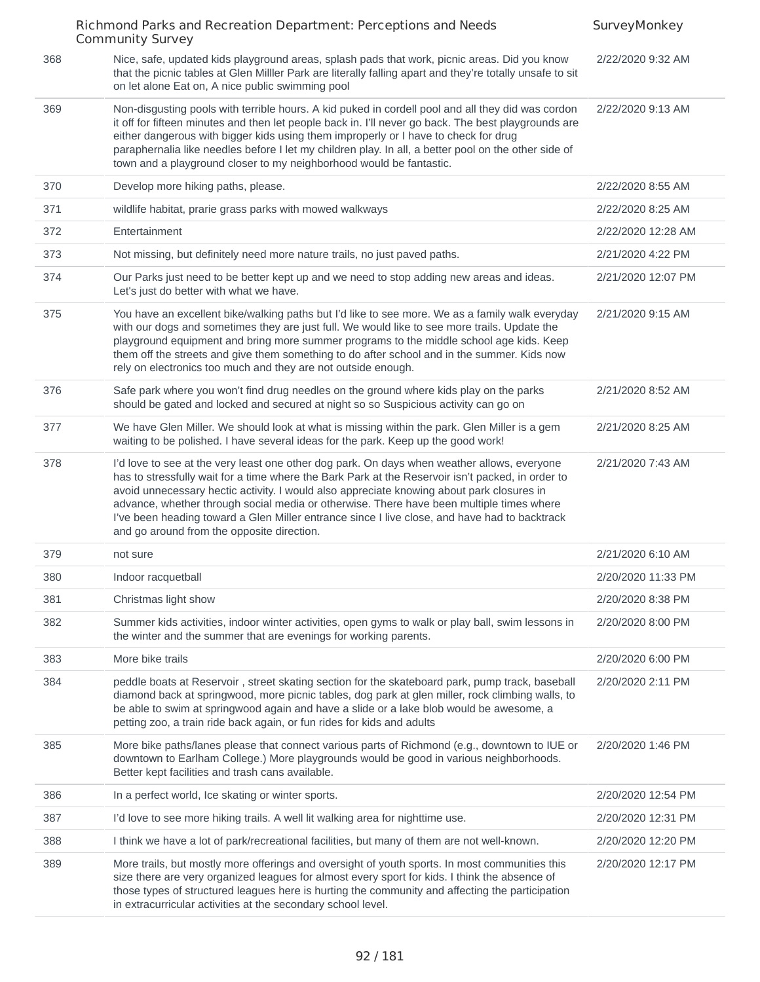|     | Richmond Parks and Recreation Department: Perceptions and Needs<br><b>Community Survey</b>                                                                                                                                                                                                                                                                                                                                                                                                                                               | SurveyMonkey       |
|-----|------------------------------------------------------------------------------------------------------------------------------------------------------------------------------------------------------------------------------------------------------------------------------------------------------------------------------------------------------------------------------------------------------------------------------------------------------------------------------------------------------------------------------------------|--------------------|
| 368 | Nice, safe, updated kids playground areas, splash pads that work, picnic areas. Did you know<br>that the picnic tables at Glen Milller Park are literally falling apart and they're totally unsafe to sit<br>on let alone Eat on, A nice public swimming pool                                                                                                                                                                                                                                                                            | 2/22/2020 9:32 AM  |
| 369 | Non-disgusting pools with terrible hours. A kid puked in cordell pool and all they did was cordon<br>it off for fifteen minutes and then let people back in. I'll never go back. The best playgrounds are<br>either dangerous with bigger kids using them improperly or I have to check for drug<br>paraphernalia like needles before I let my children play. In all, a better pool on the other side of<br>town and a playground closer to my neighborhood would be fantastic.                                                          | 2/22/2020 9:13 AM  |
| 370 | Develop more hiking paths, please.                                                                                                                                                                                                                                                                                                                                                                                                                                                                                                       | 2/22/2020 8:55 AM  |
| 371 | wildlife habitat, prarie grass parks with mowed walkways                                                                                                                                                                                                                                                                                                                                                                                                                                                                                 | 2/22/2020 8:25 AM  |
| 372 | Entertainment                                                                                                                                                                                                                                                                                                                                                                                                                                                                                                                            | 2/22/2020 12:28 AM |
| 373 | Not missing, but definitely need more nature trails, no just paved paths.                                                                                                                                                                                                                                                                                                                                                                                                                                                                | 2/21/2020 4:22 PM  |
| 374 | Our Parks just need to be better kept up and we need to stop adding new areas and ideas.<br>Let's just do better with what we have.                                                                                                                                                                                                                                                                                                                                                                                                      | 2/21/2020 12:07 PM |
| 375 | You have an excellent bike/walking paths but I'd like to see more. We as a family walk everyday<br>with our dogs and sometimes they are just full. We would like to see more trails. Update the<br>playground equipment and bring more summer programs to the middle school age kids. Keep<br>them off the streets and give them something to do after school and in the summer. Kids now<br>rely on electronics too much and they are not outside enough.                                                                               | 2/21/2020 9:15 AM  |
| 376 | Safe park where you won't find drug needles on the ground where kids play on the parks<br>should be gated and locked and secured at night so so Suspicious activity can go on                                                                                                                                                                                                                                                                                                                                                            | 2/21/2020 8:52 AM  |
| 377 | We have Glen Miller. We should look at what is missing within the park. Glen Miller is a gem<br>waiting to be polished. I have several ideas for the park. Keep up the good work!                                                                                                                                                                                                                                                                                                                                                        | 2/21/2020 8:25 AM  |
| 378 | I'd love to see at the very least one other dog park. On days when weather allows, everyone<br>has to stressfully wait for a time where the Bark Park at the Reservoir isn't packed, in order to<br>avoid unnecessary hectic activity. I would also appreciate knowing about park closures in<br>advance, whether through social media or otherwise. There have been multiple times where<br>I've been heading toward a Glen Miller entrance since I live close, and have had to backtrack<br>and go around from the opposite direction. | 2/21/2020 7:43 AM  |
| 379 | not sure                                                                                                                                                                                                                                                                                                                                                                                                                                                                                                                                 | 2/21/2020 6:10 AM  |
| 380 | Indoor racquetball                                                                                                                                                                                                                                                                                                                                                                                                                                                                                                                       | 2/20/2020 11:33 PM |
| 381 | Christmas light show                                                                                                                                                                                                                                                                                                                                                                                                                                                                                                                     | 2/20/2020 8:38 PM  |
| 382 | Summer kids activities, indoor winter activities, open gyms to walk or play ball, swim lessons in<br>the winter and the summer that are evenings for working parents.                                                                                                                                                                                                                                                                                                                                                                    | 2/20/2020 8:00 PM  |
| 383 | More bike trails                                                                                                                                                                                                                                                                                                                                                                                                                                                                                                                         | 2/20/2020 6:00 PM  |
| 384 | peddle boats at Reservoir, street skating section for the skateboard park, pump track, baseball<br>diamond back at springwood, more picnic tables, dog park at glen miller, rock climbing walls, to<br>be able to swim at springwood again and have a slide or a lake blob would be awesome, a<br>petting zoo, a train ride back again, or fun rides for kids and adults                                                                                                                                                                 | 2/20/2020 2:11 PM  |
| 385 | More bike paths/lanes please that connect various parts of Richmond (e.g., downtown to IUE or<br>downtown to Earlham College.) More playgrounds would be good in various neighborhoods.<br>Better kept facilities and trash cans available.                                                                                                                                                                                                                                                                                              | 2/20/2020 1:46 PM  |
| 386 | In a perfect world, Ice skating or winter sports.                                                                                                                                                                                                                                                                                                                                                                                                                                                                                        | 2/20/2020 12:54 PM |
| 387 | I'd love to see more hiking trails. A well lit walking area for nighttime use.                                                                                                                                                                                                                                                                                                                                                                                                                                                           | 2/20/2020 12:31 PM |
| 388 | I think we have a lot of park/recreational facilities, but many of them are not well-known.                                                                                                                                                                                                                                                                                                                                                                                                                                              | 2/20/2020 12:20 PM |
| 389 | More trails, but mostly more offerings and oversight of youth sports. In most communities this<br>size there are very organized leagues for almost every sport for kids. I think the absence of<br>those types of structured leagues here is hurting the community and affecting the participation<br>in extracurricular activities at the secondary school level.                                                                                                                                                                       | 2/20/2020 12:17 PM |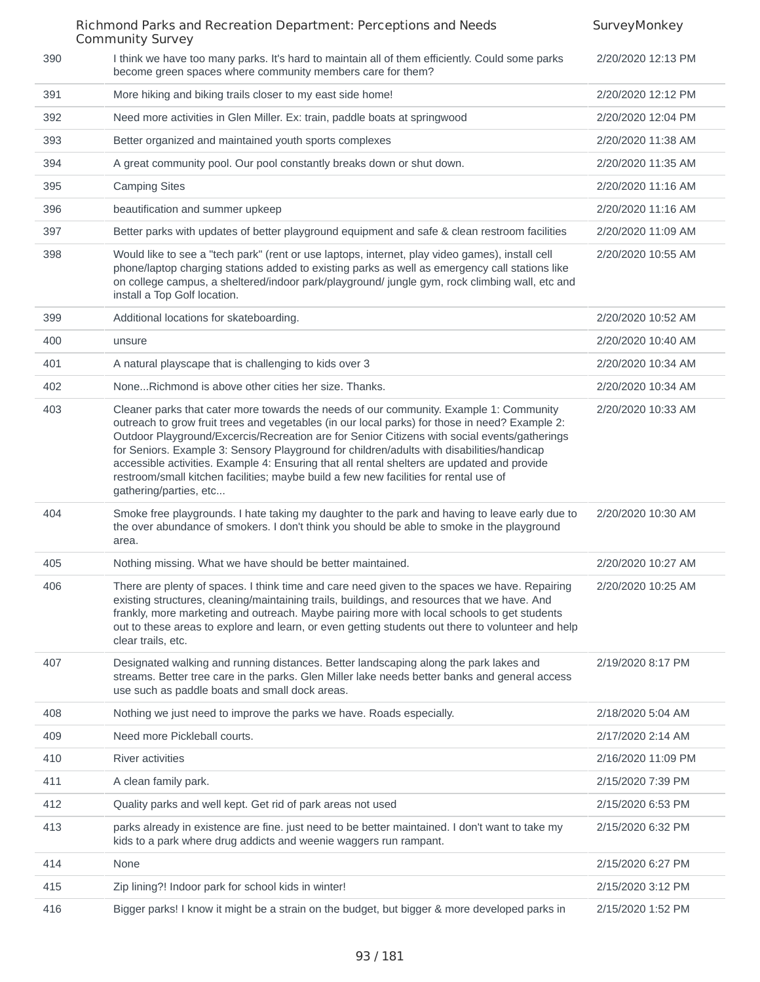|     | Richmond Parks and Recreation Department: Perceptions and Needs<br><b>Community Survey</b>                                                                                                                                                                                                                                                                                                                                                                                                                                                                                                              | SurveyMonkey       |
|-----|---------------------------------------------------------------------------------------------------------------------------------------------------------------------------------------------------------------------------------------------------------------------------------------------------------------------------------------------------------------------------------------------------------------------------------------------------------------------------------------------------------------------------------------------------------------------------------------------------------|--------------------|
| 390 | I think we have too many parks. It's hard to maintain all of them efficiently. Could some parks<br>become green spaces where community members care for them?                                                                                                                                                                                                                                                                                                                                                                                                                                           | 2/20/2020 12:13 PM |
| 391 | More hiking and biking trails closer to my east side home!                                                                                                                                                                                                                                                                                                                                                                                                                                                                                                                                              | 2/20/2020 12:12 PM |
| 392 | Need more activities in Glen Miller. Ex: train, paddle boats at springwood                                                                                                                                                                                                                                                                                                                                                                                                                                                                                                                              | 2/20/2020 12:04 PM |
| 393 | Better organized and maintained youth sports complexes                                                                                                                                                                                                                                                                                                                                                                                                                                                                                                                                                  | 2/20/2020 11:38 AM |
| 394 | A great community pool. Our pool constantly breaks down or shut down.                                                                                                                                                                                                                                                                                                                                                                                                                                                                                                                                   | 2/20/2020 11:35 AM |
| 395 | <b>Camping Sites</b>                                                                                                                                                                                                                                                                                                                                                                                                                                                                                                                                                                                    | 2/20/2020 11:16 AM |
| 396 | beautification and summer upkeep                                                                                                                                                                                                                                                                                                                                                                                                                                                                                                                                                                        | 2/20/2020 11:16 AM |
| 397 | Better parks with updates of better playground equipment and safe & clean restroom facilities                                                                                                                                                                                                                                                                                                                                                                                                                                                                                                           | 2/20/2020 11:09 AM |
| 398 | Would like to see a "tech park" (rent or use laptops, internet, play video games), install cell<br>phone/laptop charging stations added to existing parks as well as emergency call stations like<br>on college campus, a sheltered/indoor park/playground/ jungle gym, rock climbing wall, etc and<br>install a Top Golf location.                                                                                                                                                                                                                                                                     | 2/20/2020 10:55 AM |
| 399 | Additional locations for skateboarding.                                                                                                                                                                                                                                                                                                                                                                                                                                                                                                                                                                 | 2/20/2020 10:52 AM |
| 400 | unsure                                                                                                                                                                                                                                                                                                                                                                                                                                                                                                                                                                                                  | 2/20/2020 10:40 AM |
| 401 | A natural playscape that is challenging to kids over 3                                                                                                                                                                                                                                                                                                                                                                                                                                                                                                                                                  | 2/20/2020 10:34 AM |
| 402 | NoneRichmond is above other cities her size. Thanks.                                                                                                                                                                                                                                                                                                                                                                                                                                                                                                                                                    | 2/20/2020 10:34 AM |
| 403 | Cleaner parks that cater more towards the needs of our community. Example 1: Community<br>outreach to grow fruit trees and vegetables (in our local parks) for those in need? Example 2:<br>Outdoor Playground/Excercis/Recreation are for Senior Citizens with social events/gatherings<br>for Seniors. Example 3: Sensory Playground for children/adults with disabilities/handicap<br>accessible activities. Example 4: Ensuring that all rental shelters are updated and provide<br>restroom/small kitchen facilities; maybe build a few new facilities for rental use of<br>gathering/parties, etc | 2/20/2020 10:33 AM |
| 404 | Smoke free playgrounds. I hate taking my daughter to the park and having to leave early due to<br>the over abundance of smokers. I don't think you should be able to smoke in the playground<br>area.                                                                                                                                                                                                                                                                                                                                                                                                   | 2/20/2020 10:30 AM |
| 405 | Nothing missing. What we have should be better maintained.                                                                                                                                                                                                                                                                                                                                                                                                                                                                                                                                              | 2/20/2020 10:27 AM |
| 406 | There are plenty of spaces. I think time and care need given to the spaces we have. Repairing<br>existing structures, cleaning/maintaining trails, buildings, and resources that we have. And<br>frankly, more marketing and outreach. Maybe pairing more with local schools to get students<br>out to these areas to explore and learn, or even getting students out there to volunteer and help<br>clear trails, etc.                                                                                                                                                                                 | 2/20/2020 10:25 AM |
| 407 | Designated walking and running distances. Better landscaping along the park lakes and<br>streams. Better tree care in the parks. Glen Miller lake needs better banks and general access<br>use such as paddle boats and small dock areas.                                                                                                                                                                                                                                                                                                                                                               | 2/19/2020 8:17 PM  |
| 408 | Nothing we just need to improve the parks we have. Roads especially.                                                                                                                                                                                                                                                                                                                                                                                                                                                                                                                                    | 2/18/2020 5:04 AM  |
| 409 | Need more Pickleball courts.                                                                                                                                                                                                                                                                                                                                                                                                                                                                                                                                                                            | 2/17/2020 2:14 AM  |
| 410 | River activities                                                                                                                                                                                                                                                                                                                                                                                                                                                                                                                                                                                        | 2/16/2020 11:09 PM |
| 411 | A clean family park.                                                                                                                                                                                                                                                                                                                                                                                                                                                                                                                                                                                    | 2/15/2020 7:39 PM  |
| 412 | Quality parks and well kept. Get rid of park areas not used                                                                                                                                                                                                                                                                                                                                                                                                                                                                                                                                             | 2/15/2020 6:53 PM  |
| 413 | parks already in existence are fine. just need to be better maintained. I don't want to take my<br>kids to a park where drug addicts and weenie waggers run rampant.                                                                                                                                                                                                                                                                                                                                                                                                                                    | 2/15/2020 6:32 PM  |
| 414 | None                                                                                                                                                                                                                                                                                                                                                                                                                                                                                                                                                                                                    | 2/15/2020 6:27 PM  |
| 415 | Zip lining?! Indoor park for school kids in winter!                                                                                                                                                                                                                                                                                                                                                                                                                                                                                                                                                     | 2/15/2020 3:12 PM  |
| 416 | Bigger parks! I know it might be a strain on the budget, but bigger & more developed parks in                                                                                                                                                                                                                                                                                                                                                                                                                                                                                                           | 2/15/2020 1:52 PM  |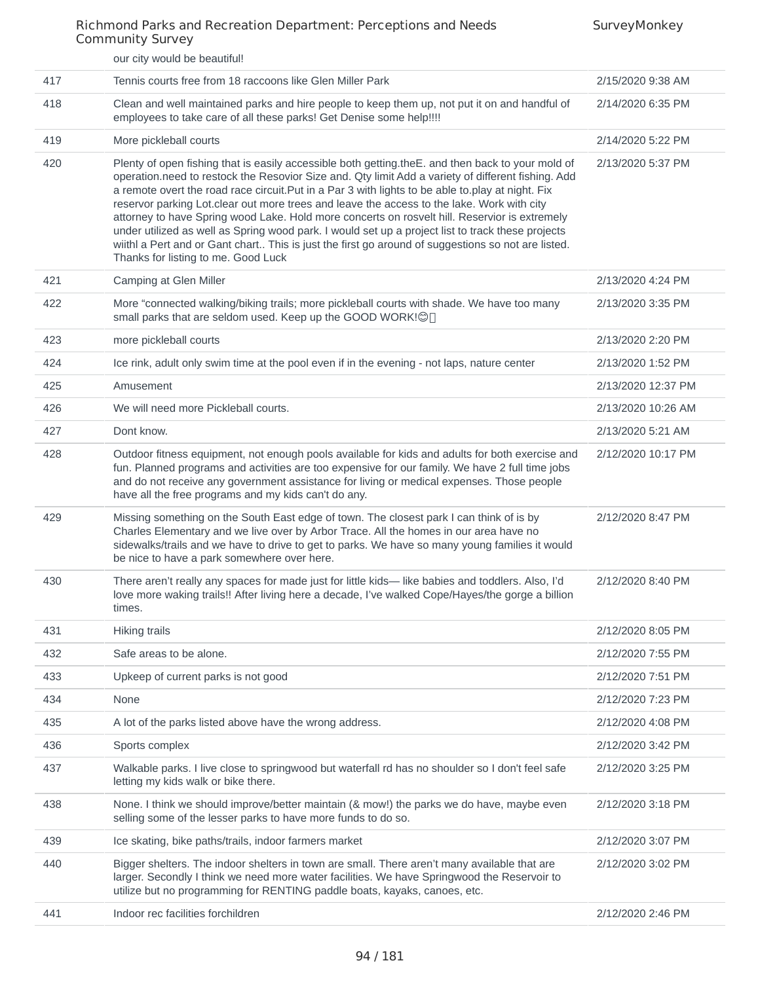|     | our city would be beautiful!                                                                                                                                                                                                                                                                                                                                                                                                                                                                                                                                                                                                                                                                                                                                   |                    |
|-----|----------------------------------------------------------------------------------------------------------------------------------------------------------------------------------------------------------------------------------------------------------------------------------------------------------------------------------------------------------------------------------------------------------------------------------------------------------------------------------------------------------------------------------------------------------------------------------------------------------------------------------------------------------------------------------------------------------------------------------------------------------------|--------------------|
| 417 | Tennis courts free from 18 raccoons like Glen Miller Park                                                                                                                                                                                                                                                                                                                                                                                                                                                                                                                                                                                                                                                                                                      | 2/15/2020 9:38 AM  |
| 418 | Clean and well maintained parks and hire people to keep them up, not put it on and handful of<br>employees to take care of all these parks! Get Denise some help!!!!                                                                                                                                                                                                                                                                                                                                                                                                                                                                                                                                                                                           | 2/14/2020 6:35 PM  |
| 419 | More pickleball courts                                                                                                                                                                                                                                                                                                                                                                                                                                                                                                                                                                                                                                                                                                                                         | 2/14/2020 5:22 PM  |
| 420 | Plenty of open fishing that is easily accessible both getting.the E. and then back to your mold of<br>operation.need to restock the Resovior Size and. Qty limit Add a variety of different fishing. Add<br>a remote overt the road race circuit. Put in a Par 3 with lights to be able to play at night. Fix<br>reservor parking Lot.clear out more trees and leave the access to the lake. Work with city<br>attorney to have Spring wood Lake. Hold more concerts on rosvelt hill. Reservior is extremely<br>under utilized as well as Spring wood park. I would set up a project list to track these projects<br>wiithl a Pert and or Gant chart This is just the first go around of suggestions so not are listed.<br>Thanks for listing to me. Good Luck | 2/13/2020 5:37 PM  |
| 421 | Camping at Glen Miller                                                                                                                                                                                                                                                                                                                                                                                                                                                                                                                                                                                                                                                                                                                                         | 2/13/2020 4:24 PM  |
| 422 | More "connected walking/biking trails; more pickleball courts with shade. We have too many<br>small parks that are seldom used. Keep up the GOOD WORK! O                                                                                                                                                                                                                                                                                                                                                                                                                                                                                                                                                                                                       | 2/13/2020 3:35 PM  |
| 423 | more pickleball courts                                                                                                                                                                                                                                                                                                                                                                                                                                                                                                                                                                                                                                                                                                                                         | 2/13/2020 2:20 PM  |
| 424 | Ice rink, adult only swim time at the pool even if in the evening - not laps, nature center                                                                                                                                                                                                                                                                                                                                                                                                                                                                                                                                                                                                                                                                    | 2/13/2020 1:52 PM  |
| 425 | Amusement                                                                                                                                                                                                                                                                                                                                                                                                                                                                                                                                                                                                                                                                                                                                                      | 2/13/2020 12:37 PM |
| 426 | We will need more Pickleball courts.                                                                                                                                                                                                                                                                                                                                                                                                                                                                                                                                                                                                                                                                                                                           | 2/13/2020 10:26 AM |
| 427 | Dont know.                                                                                                                                                                                                                                                                                                                                                                                                                                                                                                                                                                                                                                                                                                                                                     | 2/13/2020 5:21 AM  |
| 428 | Outdoor fitness equipment, not enough pools available for kids and adults for both exercise and<br>fun. Planned programs and activities are too expensive for our family. We have 2 full time jobs<br>and do not receive any government assistance for living or medical expenses. Those people<br>have all the free programs and my kids can't do any.                                                                                                                                                                                                                                                                                                                                                                                                        | 2/12/2020 10:17 PM |
| 429 | Missing something on the South East edge of town. The closest park I can think of is by<br>Charles Elementary and we live over by Arbor Trace. All the homes in our area have no<br>sidewalks/trails and we have to drive to get to parks. We have so many young families it would<br>be nice to have a park somewhere over here.                                                                                                                                                                                                                                                                                                                                                                                                                              | 2/12/2020 8:47 PM  |
| 430 | There aren't really any spaces for made just for little kids-like babies and toddlers. Also, I'd<br>love more waking trails!! After living here a decade, I've walked Cope/Hayes/the gorge a billion<br>times.                                                                                                                                                                                                                                                                                                                                                                                                                                                                                                                                                 | 2/12/2020 8:40 PM  |
| 431 | <b>Hiking trails</b>                                                                                                                                                                                                                                                                                                                                                                                                                                                                                                                                                                                                                                                                                                                                           | 2/12/2020 8:05 PM  |
| 432 | Safe areas to be alone.                                                                                                                                                                                                                                                                                                                                                                                                                                                                                                                                                                                                                                                                                                                                        | 2/12/2020 7:55 PM  |
| 433 | Upkeep of current parks is not good                                                                                                                                                                                                                                                                                                                                                                                                                                                                                                                                                                                                                                                                                                                            | 2/12/2020 7:51 PM  |
| 434 | None                                                                                                                                                                                                                                                                                                                                                                                                                                                                                                                                                                                                                                                                                                                                                           | 2/12/2020 7:23 PM  |
| 435 | A lot of the parks listed above have the wrong address.                                                                                                                                                                                                                                                                                                                                                                                                                                                                                                                                                                                                                                                                                                        | 2/12/2020 4:08 PM  |
| 436 | Sports complex                                                                                                                                                                                                                                                                                                                                                                                                                                                                                                                                                                                                                                                                                                                                                 | 2/12/2020 3:42 PM  |
| 437 | Walkable parks. I live close to springwood but waterfall rd has no shoulder so I don't feel safe<br>letting my kids walk or bike there.                                                                                                                                                                                                                                                                                                                                                                                                                                                                                                                                                                                                                        | 2/12/2020 3:25 PM  |
| 438 | None. I think we should improve/better maintain (& mow!) the parks we do have, maybe even<br>selling some of the lesser parks to have more funds to do so.                                                                                                                                                                                                                                                                                                                                                                                                                                                                                                                                                                                                     | 2/12/2020 3:18 PM  |
| 439 | Ice skating, bike paths/trails, indoor farmers market                                                                                                                                                                                                                                                                                                                                                                                                                                                                                                                                                                                                                                                                                                          | 2/12/2020 3:07 PM  |
| 440 | Bigger shelters. The indoor shelters in town are small. There aren't many available that are<br>larger. Secondly I think we need more water facilities. We have Springwood the Reservoir to<br>utilize but no programming for RENTING paddle boats, kayaks, canoes, etc.                                                                                                                                                                                                                                                                                                                                                                                                                                                                                       | 2/12/2020 3:02 PM  |
| 441 | Indoor rec facilities forchildren                                                                                                                                                                                                                                                                                                                                                                                                                                                                                                                                                                                                                                                                                                                              | 2/12/2020 2:46 PM  |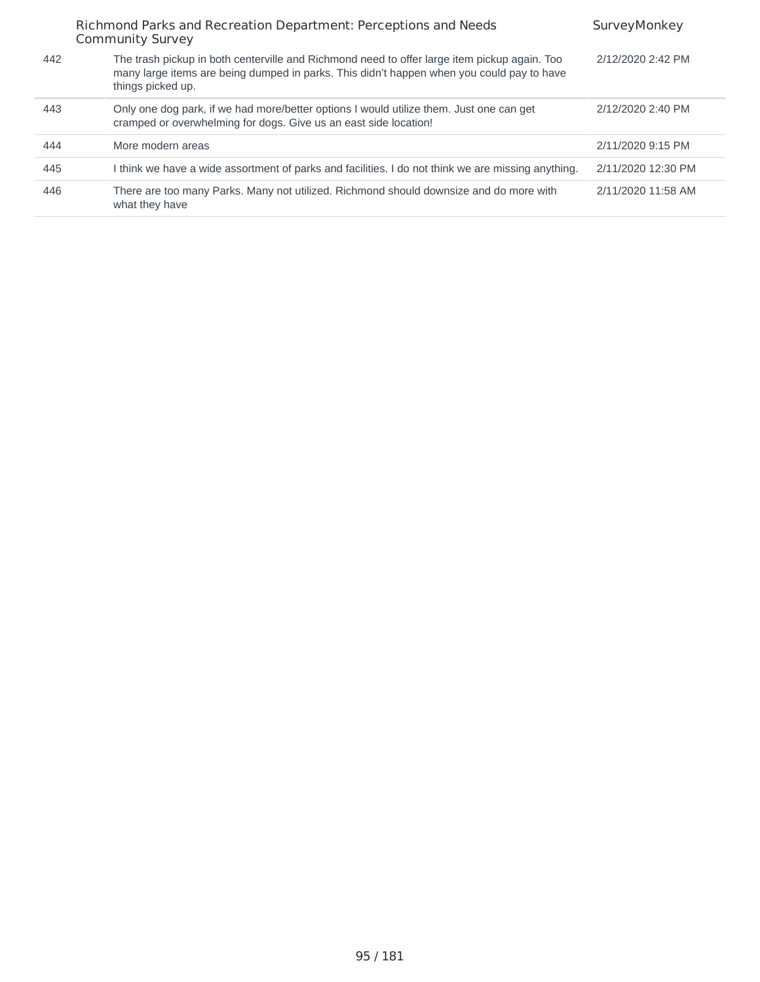|     | Richmond Parks and Recreation Department: Perceptions and Needs<br><b>Community Survey</b>                                                                                                                     | SurveyMonkey       |
|-----|----------------------------------------------------------------------------------------------------------------------------------------------------------------------------------------------------------------|--------------------|
| 442 | The trash pickup in both centerville and Richmond need to offer large item pickup again. Too<br>many large items are being dumped in parks. This didn't happen when you could pay to have<br>things picked up. | 2/12/2020 2:42 PM  |
| 443 | Only one dog park, if we had more/better options I would utilize them. Just one can get<br>cramped or overwhelming for dogs. Give us an east side location!                                                    | 2/12/2020 2:40 PM  |
| 444 | More modern areas                                                                                                                                                                                              | 2/11/2020 9:15 PM  |
| 445 | I think we have a wide assortment of parks and facilities. I do not think we are missing anything.                                                                                                             | 2/11/2020 12:30 PM |
| 446 | There are too many Parks. Many not utilized. Richmond should downsize and do more with<br>what they have                                                                                                       | 2/11/2020 11:58 AM |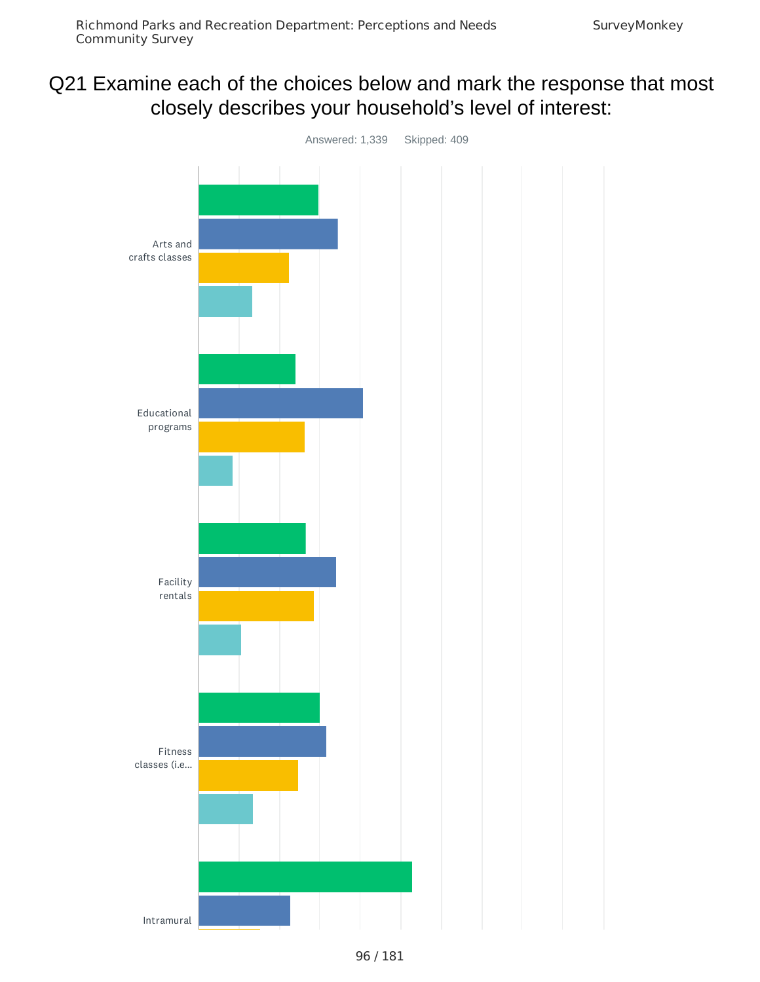# Q21 Examine each of the choices below and mark the response that most closely describes your household's level of interest:

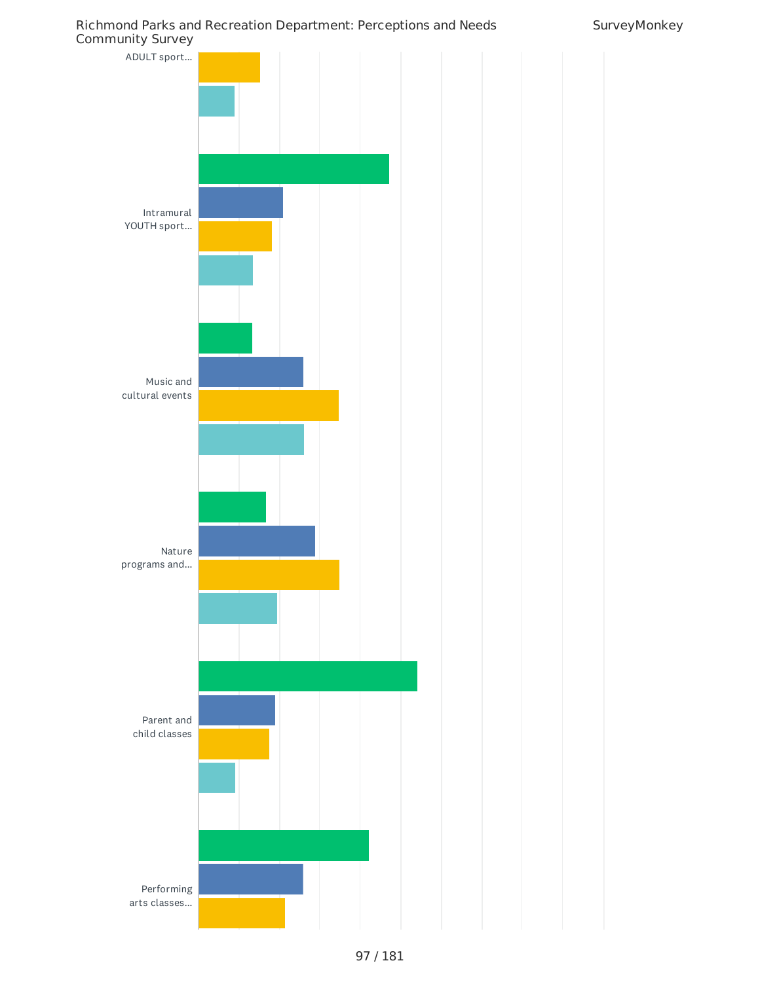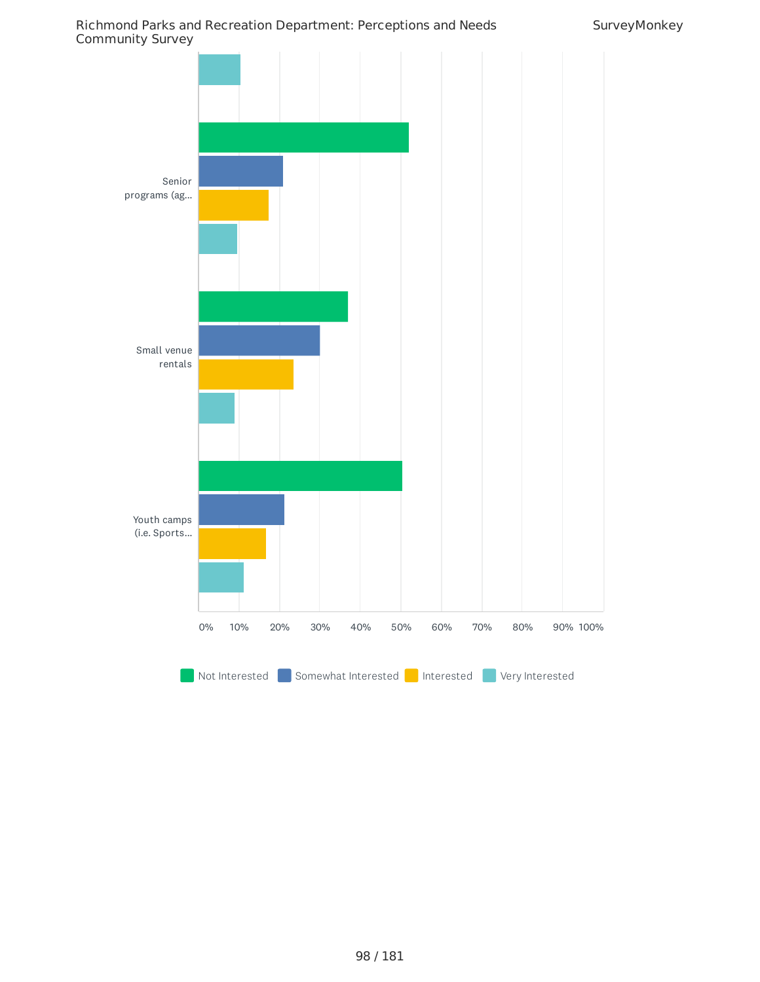![](_page_97_Figure_2.jpeg)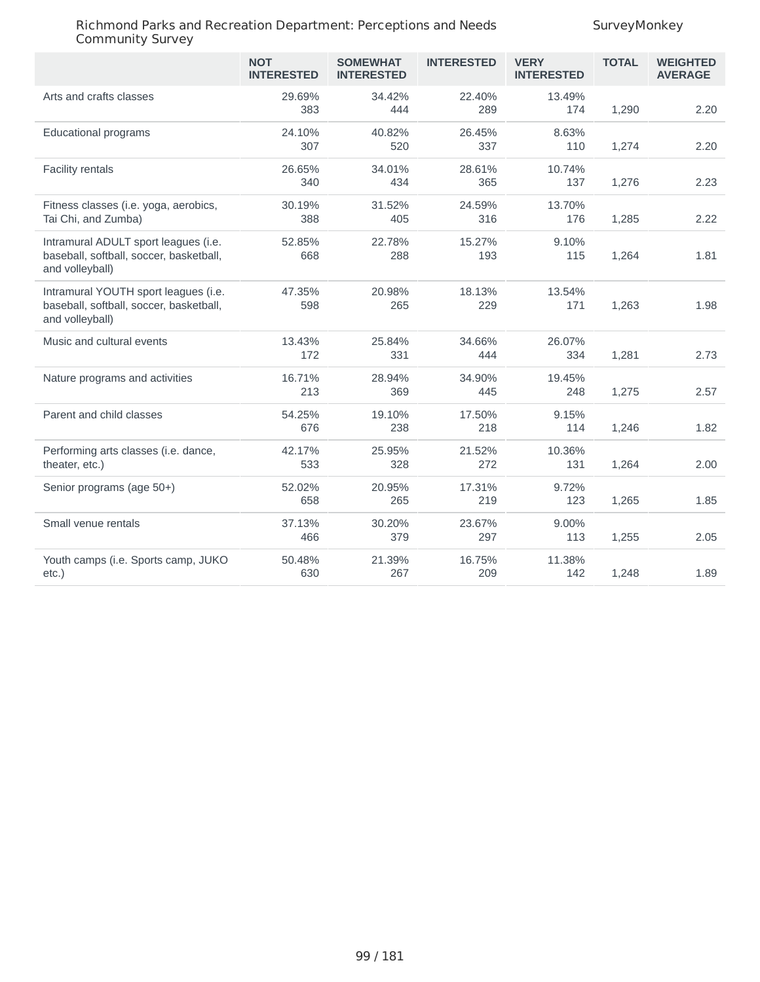|                                                                                                    | <b>NOT</b><br><b>INTERESTED</b> | <b>SOMEWHAT</b><br><b>INTERESTED</b> | <b>INTERESTED</b> | <b>VERY</b><br><b>INTERESTED</b> | <b>TOTAL</b> | <b>WEIGHTED</b><br><b>AVERAGE</b> |
|----------------------------------------------------------------------------------------------------|---------------------------------|--------------------------------------|-------------------|----------------------------------|--------------|-----------------------------------|
| Arts and crafts classes                                                                            | 29.69%<br>383                   | 34.42%<br>444                        | 22.40%<br>289     | 13.49%<br>174                    | 1,290        | 2.20                              |
| Educational programs                                                                               | 24.10%<br>307                   | 40.82%<br>520                        | 26.45%<br>337     | 8.63%<br>110                     | 1,274        | 2.20                              |
| Facility rentals                                                                                   | 26.65%<br>340                   | 34.01%<br>434                        | 28.61%<br>365     | 10.74%<br>137                    | 1,276        | 2.23                              |
| Fitness classes (i.e. yoga, aerobics,<br>Tai Chi, and Zumba)                                       | 30.19%<br>388                   | 31.52%<br>405                        | 24.59%<br>316     | 13.70%<br>176                    | 1,285        | 2.22                              |
| Intramural ADULT sport leagues (i.e.<br>baseball, softball, soccer, basketball,<br>and volleyball) | 52.85%<br>668                   | 22.78%<br>288                        | 15.27%<br>193     | 9.10%<br>115                     | 1,264        | 1.81                              |
| Intramural YOUTH sport leagues (i.e.<br>baseball, softball, soccer, basketball,<br>and volleyball) | 47.35%<br>598                   | 20.98%<br>265                        | 18.13%<br>229     | 13.54%<br>171                    | 1,263        | 1.98                              |
| Music and cultural events                                                                          | 13.43%<br>172                   | 25.84%<br>331                        | 34.66%<br>444     | 26.07%<br>334                    | 1,281        | 2.73                              |
| Nature programs and activities                                                                     | 16.71%<br>213                   | 28.94%<br>369                        | 34.90%<br>445     | 19.45%<br>248                    | 1,275        | 2.57                              |
| Parent and child classes                                                                           | 54.25%<br>676                   | 19.10%<br>238                        | 17.50%<br>218     | 9.15%<br>114                     | 1,246        | 1.82                              |
| Performing arts classes (i.e. dance,<br>theater, etc.)                                             | 42.17%<br>533                   | 25.95%<br>328                        | 21.52%<br>272     | 10.36%<br>131                    | 1,264        | 2.00                              |
| Senior programs (age 50+)                                                                          | 52.02%<br>658                   | 20.95%<br>265                        | 17.31%<br>219     | 9.72%<br>123                     | 1,265        | 1.85                              |
| Small venue rentals                                                                                | 37.13%<br>466                   | 30.20%<br>379                        | 23.67%<br>297     | 9.00%<br>113                     | 1,255        | 2.05                              |
| Youth camps (i.e. Sports camp, JUKO<br>etc.)                                                       | 50.48%<br>630                   | 21.39%<br>267                        | 16.75%<br>209     | 11.38%<br>142                    | 1,248        | 1.89                              |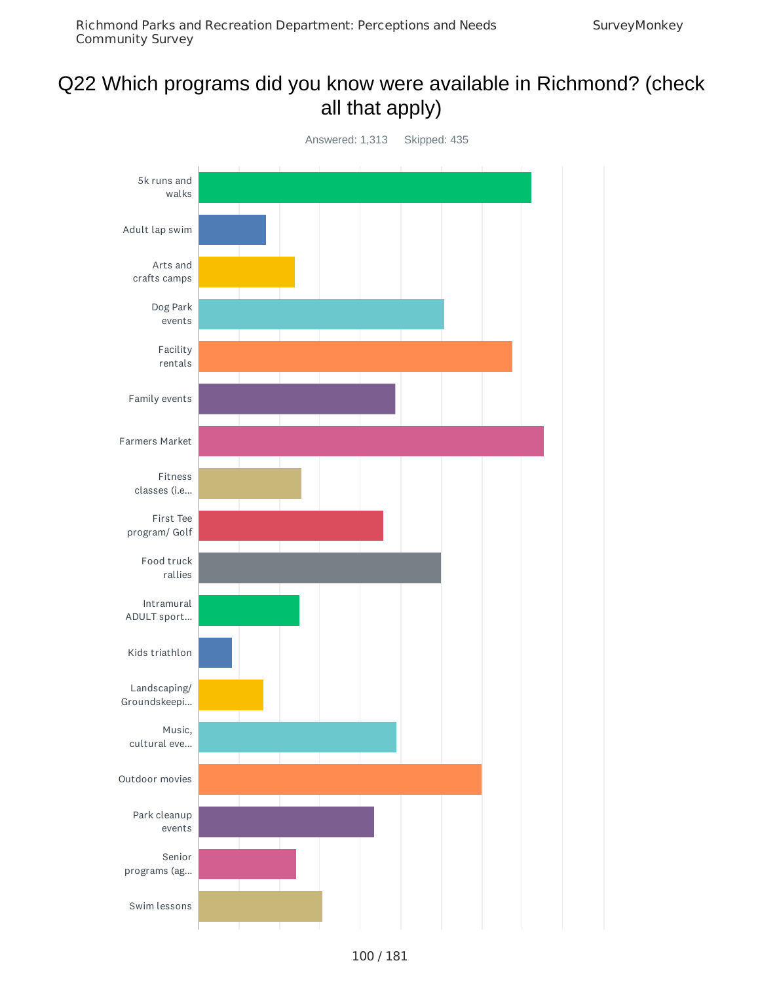# Q22 Which programs did you know were available in Richmond? (check all that apply)

![](_page_99_Figure_3.jpeg)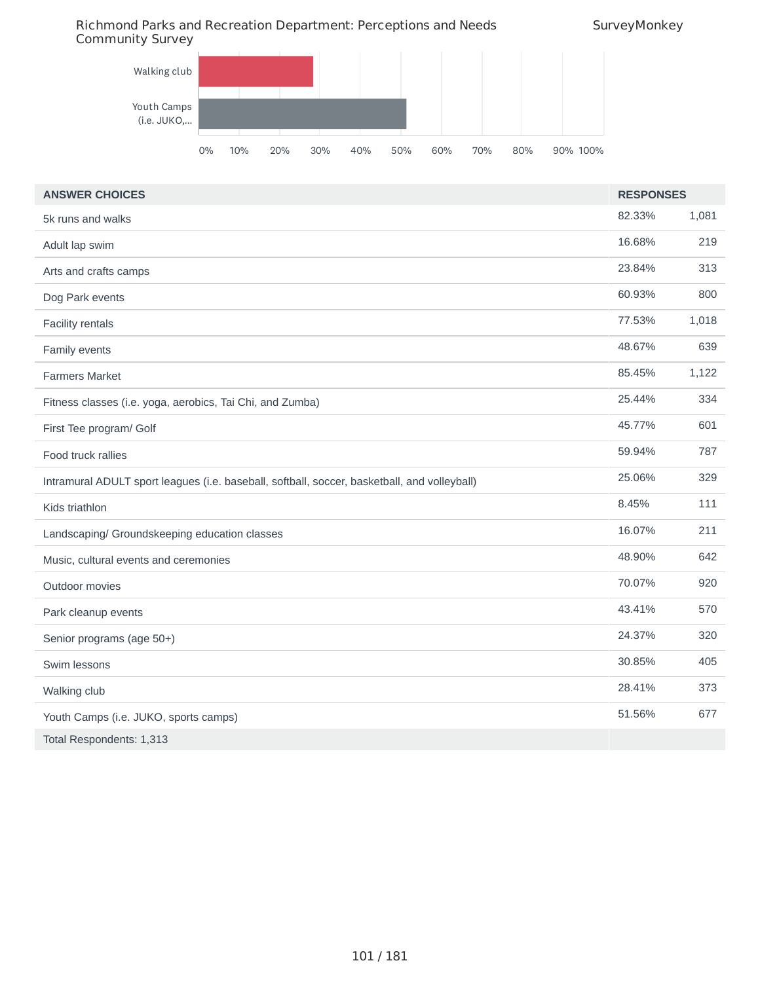# Richmond Parks and Recreation Department: Perceptions and Needs

![](_page_100_Figure_2.jpeg)

![](_page_100_Figure_3.jpeg)

| <b>ANSWER CHOICES</b>                                                                        | <b>RESPONSES</b> |       |
|----------------------------------------------------------------------------------------------|------------------|-------|
| 5k runs and walks                                                                            | 82.33%           | 1,081 |
| Adult lap swim                                                                               | 16.68%           | 219   |
| Arts and crafts camps                                                                        | 23.84%           | 313   |
| Dog Park events                                                                              | 60.93%           | 800   |
| Facility rentals                                                                             | 77.53%           | 1,018 |
| Family events                                                                                | 48.67%           | 639   |
| <b>Farmers Market</b>                                                                        | 85.45%           | 1,122 |
| Fitness classes (i.e. yoga, aerobics, Tai Chi, and Zumba)                                    | 25.44%           | 334   |
| First Tee program/ Golf                                                                      | 45.77%           | 601   |
| Food truck rallies                                                                           | 59.94%           | 787   |
| Intramural ADULT sport leagues (i.e. baseball, softball, soccer, basketball, and volleyball) | 25.06%           | 329   |
| Kids triathlon                                                                               | 8.45%            | 111   |
| Landscaping/ Groundskeeping education classes                                                | 16.07%           | 211   |
| Music, cultural events and ceremonies                                                        | 48.90%           | 642   |
| Outdoor movies                                                                               | 70.07%           | 920   |
| Park cleanup events                                                                          | 43.41%           | 570   |
| Senior programs (age 50+)                                                                    | 24.37%           | 320   |
| Swim lessons                                                                                 | 30.85%           | 405   |
| Walking club                                                                                 | 28.41%           | 373   |
| Youth Camps (i.e. JUKO, sports camps)                                                        | 51.56%           | 677   |
| Total Respondents: 1,313                                                                     |                  |       |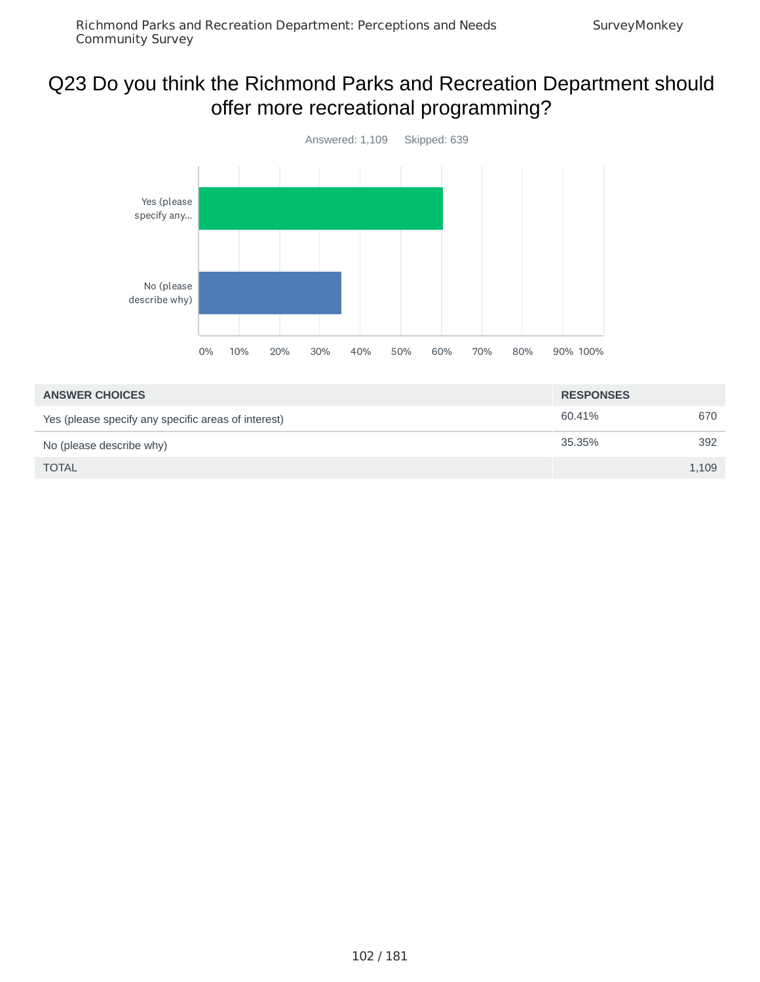# Q23 Do you think the Richmond Parks and Recreation Department should offer more recreational programming?

![](_page_101_Figure_3.jpeg)

| <b>ANSWER CHOICES</b>                               | <b>RESPONSES</b> |       |
|-----------------------------------------------------|------------------|-------|
| Yes (please specify any specific areas of interest) | 60.41%           | 670   |
| No (please describe why)                            | 35.35%           | 392   |
| <b>TOTAL</b>                                        |                  | 1,109 |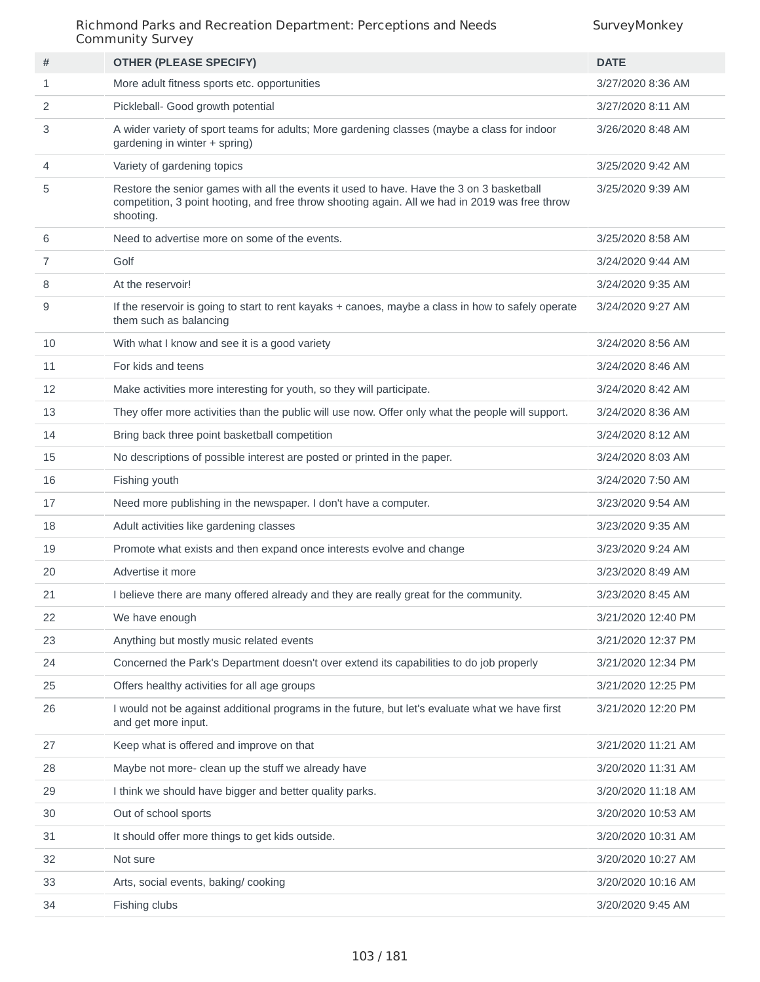| #  | <b>OTHER (PLEASE SPECIFY)</b>                                                                                                                                                                           | <b>DATE</b>        |
|----|---------------------------------------------------------------------------------------------------------------------------------------------------------------------------------------------------------|--------------------|
| 1  | More adult fitness sports etc. opportunities                                                                                                                                                            | 3/27/2020 8:36 AM  |
| 2  | Pickleball- Good growth potential                                                                                                                                                                       | 3/27/2020 8:11 AM  |
| 3  | A wider variety of sport teams for adults; More gardening classes (maybe a class for indoor<br>gardening in winter + spring)                                                                            | 3/26/2020 8:48 AM  |
| 4  | Variety of gardening topics                                                                                                                                                                             | 3/25/2020 9:42 AM  |
| 5  | Restore the senior games with all the events it used to have. Have the 3 on 3 basketball<br>competition, 3 point hooting, and free throw shooting again. All we had in 2019 was free throw<br>shooting. | 3/25/2020 9:39 AM  |
| 6  | Need to advertise more on some of the events.                                                                                                                                                           | 3/25/2020 8:58 AM  |
| 7  | Golf                                                                                                                                                                                                    | 3/24/2020 9:44 AM  |
| 8  | At the reservoir!                                                                                                                                                                                       | 3/24/2020 9:35 AM  |
| 9  | If the reservoir is going to start to rent kayaks + canoes, maybe a class in how to safely operate<br>them such as balancing                                                                            | 3/24/2020 9:27 AM  |
| 10 | With what I know and see it is a good variety                                                                                                                                                           | 3/24/2020 8:56 AM  |
| 11 | For kids and teens                                                                                                                                                                                      | 3/24/2020 8:46 AM  |
| 12 | Make activities more interesting for youth, so they will participate.                                                                                                                                   | 3/24/2020 8:42 AM  |
| 13 | They offer more activities than the public will use now. Offer only what the people will support.                                                                                                       | 3/24/2020 8:36 AM  |
| 14 | Bring back three point basketball competition                                                                                                                                                           | 3/24/2020 8:12 AM  |
| 15 | No descriptions of possible interest are posted or printed in the paper.                                                                                                                                | 3/24/2020 8:03 AM  |
| 16 | Fishing youth                                                                                                                                                                                           | 3/24/2020 7:50 AM  |
| 17 | Need more publishing in the newspaper. I don't have a computer.                                                                                                                                         | 3/23/2020 9:54 AM  |
| 18 | Adult activities like gardening classes                                                                                                                                                                 | 3/23/2020 9:35 AM  |
| 19 | Promote what exists and then expand once interests evolve and change                                                                                                                                    | 3/23/2020 9:24 AM  |
| 20 | Advertise it more                                                                                                                                                                                       | 3/23/2020 8:49 AM  |
| 21 | I believe there are many offered already and they are really great for the community.                                                                                                                   | 3/23/2020 8:45 AM  |
| 22 | We have enough                                                                                                                                                                                          | 3/21/2020 12:40 PM |
| 23 | Anything but mostly music related events                                                                                                                                                                | 3/21/2020 12:37 PM |
| 24 | Concerned the Park's Department doesn't over extend its capabilities to do job properly                                                                                                                 | 3/21/2020 12:34 PM |
| 25 | Offers healthy activities for all age groups                                                                                                                                                            | 3/21/2020 12:25 PM |
| 26 | I would not be against additional programs in the future, but let's evaluate what we have first<br>and get more input.                                                                                  | 3/21/2020 12:20 PM |
| 27 | Keep what is offered and improve on that                                                                                                                                                                | 3/21/2020 11:21 AM |
| 28 | Maybe not more- clean up the stuff we already have                                                                                                                                                      | 3/20/2020 11:31 AM |
| 29 | I think we should have bigger and better quality parks.                                                                                                                                                 | 3/20/2020 11:18 AM |
| 30 | Out of school sports                                                                                                                                                                                    | 3/20/2020 10:53 AM |
| 31 | It should offer more things to get kids outside.                                                                                                                                                        | 3/20/2020 10:31 AM |
| 32 | Not sure                                                                                                                                                                                                | 3/20/2020 10:27 AM |
| 33 | Arts, social events, baking/cooking                                                                                                                                                                     | 3/20/2020 10:16 AM |
| 34 | Fishing clubs                                                                                                                                                                                           | 3/20/2020 9:45 AM  |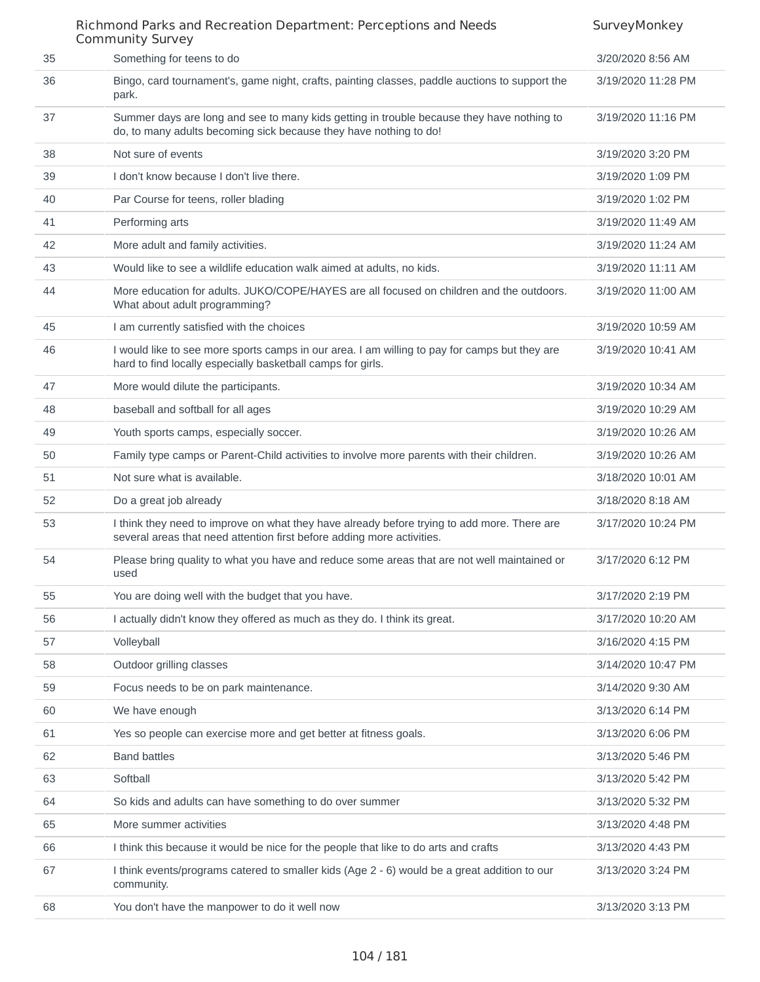## Richmond Parks and Recreation Department: Perceptions and Needs Community Survey **SurveyMonkey** 35 Something for teens to do 3/20/2020 8:56 AM 36 Bingo, card tournament's, game night, crafts, painting classes, paddle auctions to support the park. 3/19/2020 11:28 PM 37 Summer days are long and see to many kids getting in trouble because they have nothing to do, to many adults becoming sick because they have nothing to do! 3/19/2020 11:16 PM 38 Not sure of events 3/19/2020 3:20 PM 39 I don't know because I don't live there. 3/19/2020 1:09 PM 40 Par Course for teens, roller blading 3/19/2020 1:02 PM 41 Performing arts 3/19/2020 11:49 AM 42 More adult and family activities. 3/19/2020 11:24 AM 43 Would like to see a wildlife education walk aimed at adults, no kids. 3/19/2020 11:11 AM 44 More education for adults. JUKO/COPE/HAYES are all focused on children and the outdoors. What about adult programming? 3/19/2020 11:00 AM 45 I am currently satisfied with the choices 3/19/2020 10:59 AM 46 I would like to see more sports camps in our area. I am willing to pay for camps but they are hard to find locally especially basketball camps for girls. 3/19/2020 10:41 AM Account of the participants. And the participants of the state of the state of the state of the state of the state of the state of the state of the state of the state of the state of the state of the state of the state of 48 baseball and softball for all ages 3/19/2020 10:29 AM 49 Youth sports camps, especially soccer. 3/19/2020 10:26 AM 50 Family type camps or Parent-Child activities to involve more parents with their children. 3/19/2020 10:26 AM 51 Not sure what is available. Some sure what is available. Some sure what is available. 52 Do a great job already 3/18/2020 8:18 AM 53 I think they need to improve on what they have already before trying to add more. There are several areas that need attention first before adding more activities. 3/17/2020 10:24 PM 54 Please bring quality to what you have and reduce some areas that are not well maintained or used 3/17/2020 6:12 PM 55 You are doing well with the budget that you have. 3/17/2020 2:19 PM 56 I actually didn't know they offered as much as they do. I think its great. 3/17/2020 10:20 AM 57 Volleyball 3/16/2020 4:15 PM 58 Outdoor grilling classes 3/14/2020 10:47 PM 59 Focus needs to be on park maintenance. 3/14/2020 9:30 AM 60 We have enough 3/13/2020 6:14 PM 61 Yes so people can exercise more and get better at fitness goals. 3/13/2020 6:06 PM 62 Band battles 3/13/2020 5:46 PM 63 Softball 3/13/2020 5:42 PM 64 So kids and adults can have something to do over summer 3/13/2020 5:32 PM 65 More summer activities 3/13/2020 4:48 PM 66 I think this because it would be nice for the people that like to do arts and crafts 3/13/2020 4:43 PM 67 I think events/programs catered to smaller kids (Age 2 - 6) would be a great addition to our community. 3/13/2020 3:24 PM 68 You don't have the manpower to do it well now 3/13/2020 3:13 PM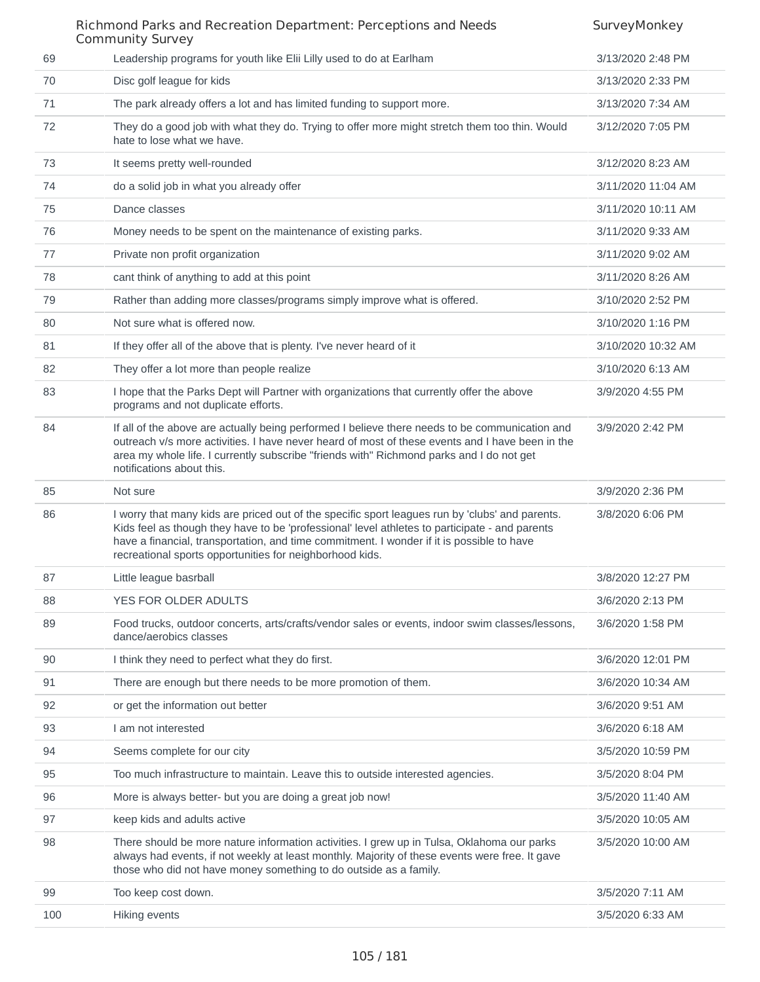|     | Richmond Parks and Recreation Department: Perceptions and Needs<br><b>Community Survey</b>                                                                                                                                                                                                                                                                 | SurveyMonkey       |
|-----|------------------------------------------------------------------------------------------------------------------------------------------------------------------------------------------------------------------------------------------------------------------------------------------------------------------------------------------------------------|--------------------|
| 69  | Leadership programs for youth like Elii Lilly used to do at Earlham                                                                                                                                                                                                                                                                                        | 3/13/2020 2:48 PM  |
| 70  | Disc golf league for kids                                                                                                                                                                                                                                                                                                                                  | 3/13/2020 2:33 PM  |
| 71  | The park already offers a lot and has limited funding to support more.                                                                                                                                                                                                                                                                                     | 3/13/2020 7:34 AM  |
| 72  | They do a good job with what they do. Trying to offer more might stretch them too thin. Would<br>hate to lose what we have.                                                                                                                                                                                                                                | 3/12/2020 7:05 PM  |
| 73  | It seems pretty well-rounded                                                                                                                                                                                                                                                                                                                               | 3/12/2020 8:23 AM  |
| 74  | do a solid job in what you already offer                                                                                                                                                                                                                                                                                                                   | 3/11/2020 11:04 AM |
| 75  | Dance classes                                                                                                                                                                                                                                                                                                                                              | 3/11/2020 10:11 AM |
| 76  | Money needs to be spent on the maintenance of existing parks.                                                                                                                                                                                                                                                                                              | 3/11/2020 9:33 AM  |
| 77  | Private non profit organization                                                                                                                                                                                                                                                                                                                            | 3/11/2020 9:02 AM  |
| 78  | cant think of anything to add at this point                                                                                                                                                                                                                                                                                                                | 3/11/2020 8:26 AM  |
| 79  | Rather than adding more classes/programs simply improve what is offered.                                                                                                                                                                                                                                                                                   | 3/10/2020 2:52 PM  |
| 80  | Not sure what is offered now.                                                                                                                                                                                                                                                                                                                              | 3/10/2020 1:16 PM  |
| 81  | If they offer all of the above that is plenty. I've never heard of it                                                                                                                                                                                                                                                                                      | 3/10/2020 10:32 AM |
| 82  | They offer a lot more than people realize                                                                                                                                                                                                                                                                                                                  | 3/10/2020 6:13 AM  |
| 83  | I hope that the Parks Dept will Partner with organizations that currently offer the above<br>programs and not duplicate efforts.                                                                                                                                                                                                                           | 3/9/2020 4:55 PM   |
| 84  | If all of the above are actually being performed I believe there needs to be communication and<br>outreach v/s more activities. I have never heard of most of these events and I have been in the<br>area my whole life. I currently subscribe "friends with" Richmond parks and I do not get<br>notifications about this.                                 | 3/9/2020 2:42 PM   |
| 85  | Not sure                                                                                                                                                                                                                                                                                                                                                   | 3/9/2020 2:36 PM   |
| 86  | I worry that many kids are priced out of the specific sport leagues run by 'clubs' and parents.<br>Kids feel as though they have to be 'professional' level athletes to participate - and parents<br>have a financial, transportation, and time commitment. I wonder if it is possible to have<br>recreational sports opportunities for neighborhood kids. | 3/8/2020 6:06 PM   |
| 87  | Little league basrball                                                                                                                                                                                                                                                                                                                                     | 3/8/2020 12:27 PM  |
| 88  | YES FOR OLDER ADULTS                                                                                                                                                                                                                                                                                                                                       | 3/6/2020 2:13 PM   |
| 89  | Food trucks, outdoor concerts, arts/crafts/vendor sales or events, indoor swim classes/lessons,<br>dance/aerobics classes                                                                                                                                                                                                                                  | 3/6/2020 1:58 PM   |
| 90  | I think they need to perfect what they do first.                                                                                                                                                                                                                                                                                                           | 3/6/2020 12:01 PM  |
| 91  | There are enough but there needs to be more promotion of them.                                                                                                                                                                                                                                                                                             | 3/6/2020 10:34 AM  |
| 92  | or get the information out better                                                                                                                                                                                                                                                                                                                          | 3/6/2020 9:51 AM   |
| 93  | I am not interested                                                                                                                                                                                                                                                                                                                                        | 3/6/2020 6:18 AM   |
| 94  | Seems complete for our city                                                                                                                                                                                                                                                                                                                                | 3/5/2020 10:59 PM  |
| 95  | Too much infrastructure to maintain. Leave this to outside interested agencies.                                                                                                                                                                                                                                                                            | 3/5/2020 8:04 PM   |
| 96  | More is always better- but you are doing a great job now!                                                                                                                                                                                                                                                                                                  | 3/5/2020 11:40 AM  |
| 97  | keep kids and adults active                                                                                                                                                                                                                                                                                                                                | 3/5/2020 10:05 AM  |
| 98  | There should be more nature information activities. I grew up in Tulsa, Oklahoma our parks<br>always had events, if not weekly at least monthly. Majority of these events were free. It gave<br>those who did not have money something to do outside as a family.                                                                                          | 3/5/2020 10:00 AM  |
| 99  | Too keep cost down.                                                                                                                                                                                                                                                                                                                                        | 3/5/2020 7:11 AM   |
| 100 | Hiking events                                                                                                                                                                                                                                                                                                                                              | 3/5/2020 6:33 AM   |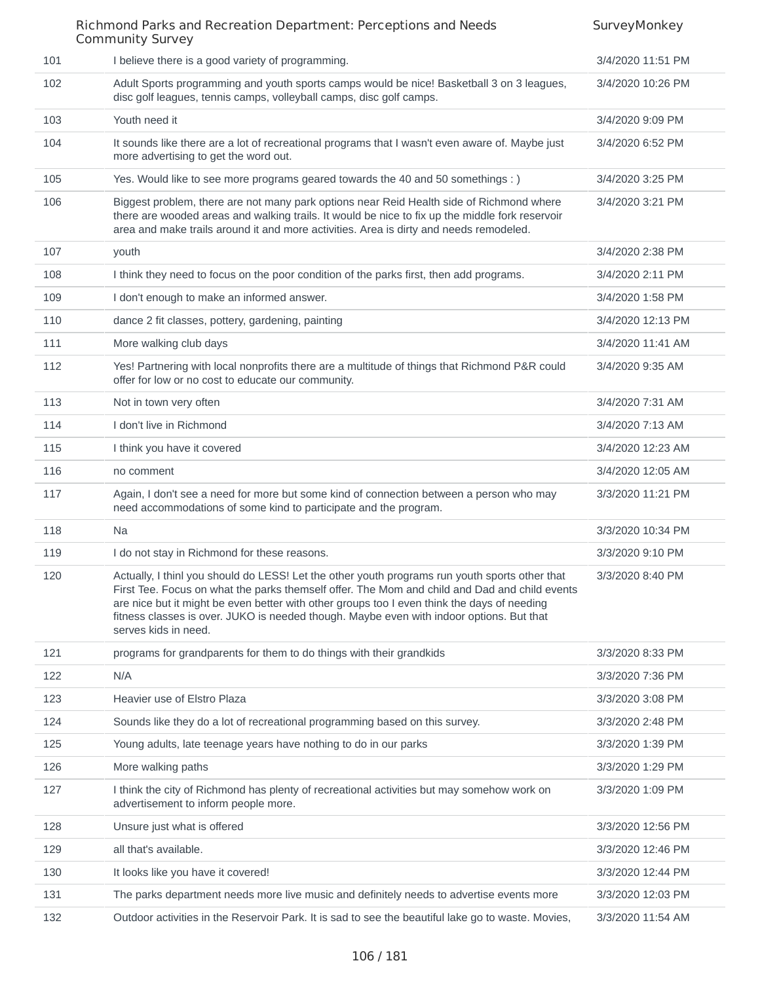101 I believe there is a good variety of programming. The same state of the state of the state of programming. 102 Adult Sports programming and youth sports camps would be nice! Basketball 3 on 3 leagues, disc golf leagues, tennis camps, volleyball camps, disc golf camps. 3/4/2020 10:26 PM 103 Youth need it 3/4/2020 9:09 PM 104 It sounds like there are a lot of recreational programs that I wasn't even aware of. Maybe just more advertising to get the word out. 3/4/2020 6:52 PM 105 Yes. Would like to see more programs geared towards the 40 and 50 somethings : ) 3/4/2020 3:25 PM 106 Biggest problem, there are not many park options near Reid Health side of Richmond where there are wooded areas and walking trails. It would be nice to fix up the middle fork reservoir area and make trails around it and more activities. Area is dirty and needs remodeled. 3/4/2020 3:21 PM 107 youth 3/4/2020 2:38 PM 108 I think they need to focus on the poor condition of the parks first, then add programs. 3/4/2020 2:11 PM 109 I don't enough to make an informed answer. 3/4/2020 1:58 PM 110 dance 2 fit classes, pottery, gardening, painting 3/4/2020 12:13 PM 111 More walking club days **3/4/2020 11:41 AM** 112 Yes! Partnering with local nonprofits there are a multitude of things that Richmond P&R could offer for low or no cost to educate our community. 3/4/2020 9:35 AM 113 Not in town very often 3/4/2020 7:31 AM 114 I don't live in Richmond 3/4/2020 7:13 AM 115 I think you have it covered the state of the state of the state of the state of the state of the state of the state of the state of the state of the state of the state of the state of the state of the state of the stat 116 no comment 3/4/2020 12:05 AM 117 Again, I don't see a need for more but some kind of connection between a person who may need accommodations of some kind to participate and the program. 3/3/2020 11:21 PM 118 Na 3/3/2020 10:34 PM 119 I do not stay in Richmond for these reasons. 3/3/2020 9:10 PM 120 Actually, I thinl you should do LESS! Let the other youth programs run youth sports other that First Tee. Focus on what the parks themself offer. The Mom and child and Dad and child events are nice but it might be even better with other groups too I even think the days of needing fitness classes is over. JUKO is needed though. Maybe even with indoor options. But that serves kids in need. 3/3/2020 8:40 PM 121 programs for grandparents for them to do things with their grandkids 3/3/2020 8:33 PM 122 N/A 3/3/2020 7:36 PM 123 Heavier use of Elstro Plaza 3/3/2020 3:08 PM 124 Sounds like they do a lot of recreational programming based on this survey. 3/3/2020 2:48 PM 125 Young adults, late teenage years have nothing to do in our parks 3/3/2020 1:39 PM 126 More walking paths 3/3/2020 1:29 PM 127 I think the city of Richmond has plenty of recreational activities but may somehow work on advertisement to inform people more. 3/3/2020 1:09 PM 128 Unsure just what is offered 3/3/2020 12:56 PM 129 all that's available. 3/3/2020 12:46 PM 130 It looks like you have it covered! A series and the series of the series of the state of the state of the state of the state of the state of the state of the state of the state of the state of the state of the state of 131 The parks department needs more live music and definitely needs to advertise events more 3/3/2020 12:03 PM 132 Outdoor activities in the Reservoir Park. It is sad to see the beautiful lake go to waste. Movies, 3/3/2020 11:54 AM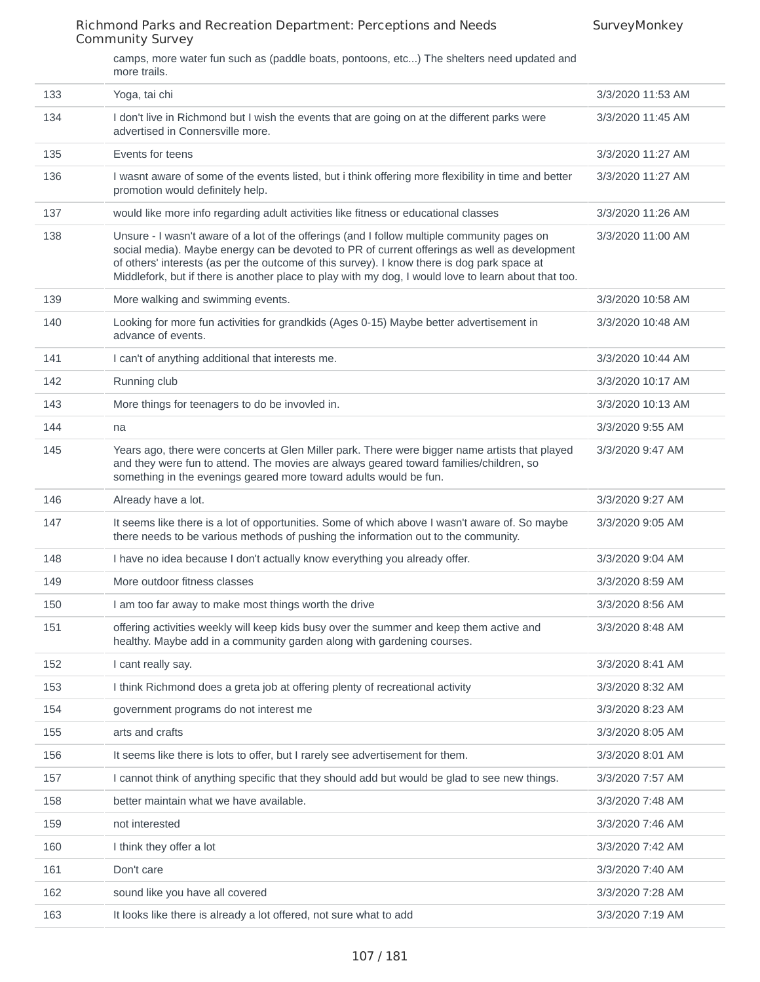camps, more water fun such as (paddle boats, pontoons, etc...) The shelters need updated and more trails.

| 133 | Yoga, tai chi                                                                                                                                                                                                                                                                                                                                                                                      | 3/3/2020 11:53 AM |
|-----|----------------------------------------------------------------------------------------------------------------------------------------------------------------------------------------------------------------------------------------------------------------------------------------------------------------------------------------------------------------------------------------------------|-------------------|
| 134 | I don't live in Richmond but I wish the events that are going on at the different parks were<br>advertised in Connersville more.                                                                                                                                                                                                                                                                   | 3/3/2020 11:45 AM |
| 135 | Events for teens                                                                                                                                                                                                                                                                                                                                                                                   | 3/3/2020 11:27 AM |
| 136 | I wasnt aware of some of the events listed, but i think offering more flexibility in time and better<br>promotion would definitely help.                                                                                                                                                                                                                                                           | 3/3/2020 11:27 AM |
| 137 | would like more info regarding adult activities like fitness or educational classes                                                                                                                                                                                                                                                                                                                | 3/3/2020 11:26 AM |
| 138 | Unsure - I wasn't aware of a lot of the offerings (and I follow multiple community pages on<br>social media). Maybe energy can be devoted to PR of current offerings as well as development<br>of others' interests (as per the outcome of this survey). I know there is dog park space at<br>Middlefork, but if there is another place to play with my dog, I would love to learn about that too. | 3/3/2020 11:00 AM |
| 139 | More walking and swimming events.                                                                                                                                                                                                                                                                                                                                                                  | 3/3/2020 10:58 AM |
| 140 | Looking for more fun activities for grandkids (Ages 0-15) Maybe better advertisement in<br>advance of events.                                                                                                                                                                                                                                                                                      | 3/3/2020 10:48 AM |
| 141 | I can't of anything additional that interests me.                                                                                                                                                                                                                                                                                                                                                  | 3/3/2020 10:44 AM |
| 142 | Running club                                                                                                                                                                                                                                                                                                                                                                                       | 3/3/2020 10:17 AM |
| 143 | More things for teenagers to do be invovled in.                                                                                                                                                                                                                                                                                                                                                    | 3/3/2020 10:13 AM |
| 144 | na                                                                                                                                                                                                                                                                                                                                                                                                 | 3/3/2020 9:55 AM  |
| 145 | Years ago, there were concerts at Glen Miller park. There were bigger name artists that played<br>and they were fun to attend. The movies are always geared toward families/children, so<br>something in the evenings geared more toward adults would be fun.                                                                                                                                      | 3/3/2020 9:47 AM  |
| 146 | Already have a lot.                                                                                                                                                                                                                                                                                                                                                                                | 3/3/2020 9:27 AM  |
| 147 | It seems like there is a lot of opportunities. Some of which above I wasn't aware of. So maybe<br>there needs to be various methods of pushing the information out to the community.                                                                                                                                                                                                               | 3/3/2020 9:05 AM  |
| 148 | I have no idea because I don't actually know everything you already offer.                                                                                                                                                                                                                                                                                                                         | 3/3/2020 9:04 AM  |
| 149 | More outdoor fitness classes                                                                                                                                                                                                                                                                                                                                                                       | 3/3/2020 8:59 AM  |
| 150 | I am too far away to make most things worth the drive                                                                                                                                                                                                                                                                                                                                              | 3/3/2020 8:56 AM  |
| 151 | offering activities weekly will keep kids busy over the summer and keep them active and<br>healthy. Maybe add in a community garden along with gardening courses.                                                                                                                                                                                                                                  | 3/3/2020 8:48 AM  |
| 152 | I cant really say.                                                                                                                                                                                                                                                                                                                                                                                 | 3/3/2020 8:41 AM  |
| 153 | I think Richmond does a greta job at offering plenty of recreational activity                                                                                                                                                                                                                                                                                                                      | 3/3/2020 8:32 AM  |
| 154 | government programs do not interest me                                                                                                                                                                                                                                                                                                                                                             | 3/3/2020 8:23 AM  |
| 155 | arts and crafts                                                                                                                                                                                                                                                                                                                                                                                    | 3/3/2020 8:05 AM  |
| 156 | It seems like there is lots to offer, but I rarely see advertisement for them.                                                                                                                                                                                                                                                                                                                     | 3/3/2020 8:01 AM  |
| 157 | I cannot think of anything specific that they should add but would be glad to see new things.                                                                                                                                                                                                                                                                                                      | 3/3/2020 7:57 AM  |
| 158 | better maintain what we have available.                                                                                                                                                                                                                                                                                                                                                            | 3/3/2020 7:48 AM  |
| 159 | not interested                                                                                                                                                                                                                                                                                                                                                                                     | 3/3/2020 7:46 AM  |
| 160 | I think they offer a lot                                                                                                                                                                                                                                                                                                                                                                           | 3/3/2020 7:42 AM  |
| 161 | Don't care                                                                                                                                                                                                                                                                                                                                                                                         | 3/3/2020 7:40 AM  |
| 162 | sound like you have all covered                                                                                                                                                                                                                                                                                                                                                                    | 3/3/2020 7:28 AM  |
| 163 | It looks like there is already a lot offered, not sure what to add                                                                                                                                                                                                                                                                                                                                 | 3/3/2020 7:19 AM  |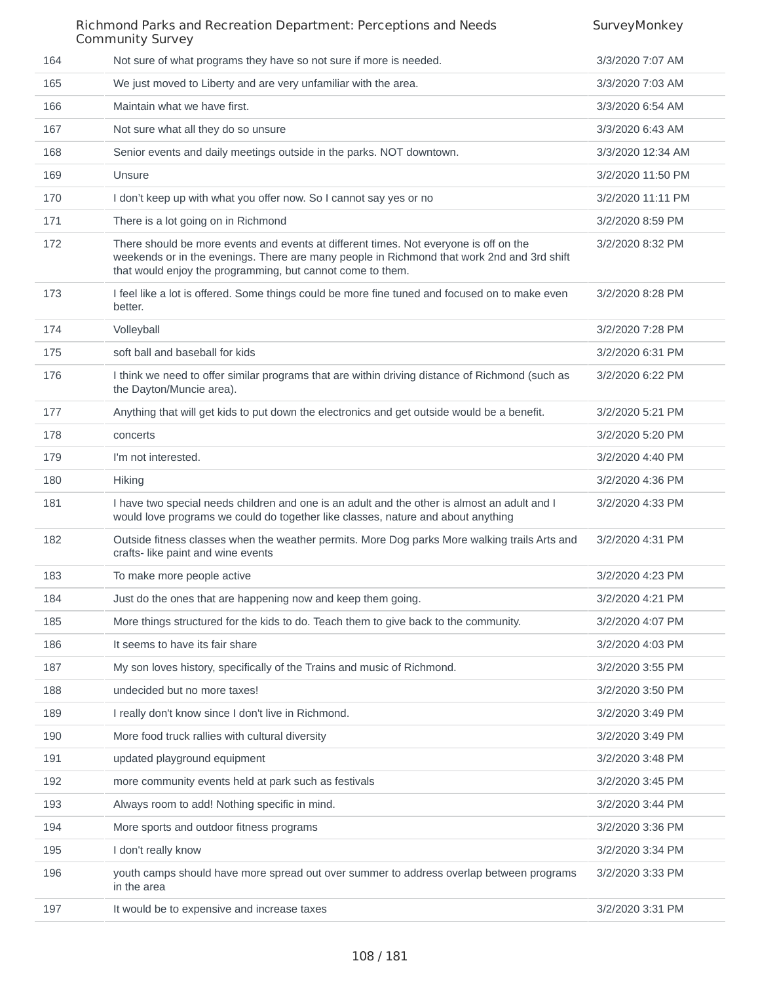|     | Richmond Parks and Recreation Department: Perceptions and Needs<br><b>Community Survey</b>                                                                                                                                                        | SurveyMonkey      |
|-----|---------------------------------------------------------------------------------------------------------------------------------------------------------------------------------------------------------------------------------------------------|-------------------|
| 164 | Not sure of what programs they have so not sure if more is needed.                                                                                                                                                                                | 3/3/2020 7:07 AM  |
| 165 | We just moved to Liberty and are very unfamiliar with the area.                                                                                                                                                                                   | 3/3/2020 7:03 AM  |
| 166 | Maintain what we have first.                                                                                                                                                                                                                      | 3/3/2020 6:54 AM  |
| 167 | Not sure what all they do so unsure                                                                                                                                                                                                               | 3/3/2020 6:43 AM  |
| 168 | Senior events and daily meetings outside in the parks. NOT downtown.                                                                                                                                                                              | 3/3/2020 12:34 AM |
| 169 | Unsure                                                                                                                                                                                                                                            | 3/2/2020 11:50 PM |
| 170 | I don't keep up with what you offer now. So I cannot say yes or no                                                                                                                                                                                | 3/2/2020 11:11 PM |
| 171 | There is a lot going on in Richmond                                                                                                                                                                                                               | 3/2/2020 8:59 PM  |
| 172 | There should be more events and events at different times. Not everyone is off on the<br>weekends or in the evenings. There are many people in Richmond that work 2nd and 3rd shift<br>that would enjoy the programming, but cannot come to them. | 3/2/2020 8:32 PM  |
| 173 | I feel like a lot is offered. Some things could be more fine tuned and focused on to make even<br>better.                                                                                                                                         | 3/2/2020 8:28 PM  |
| 174 | Volleyball                                                                                                                                                                                                                                        | 3/2/2020 7:28 PM  |
| 175 | soft ball and baseball for kids                                                                                                                                                                                                                   | 3/2/2020 6:31 PM  |
| 176 | I think we need to offer similar programs that are within driving distance of Richmond (such as<br>the Dayton/Muncie area).                                                                                                                       | 3/2/2020 6:22 PM  |
| 177 | Anything that will get kids to put down the electronics and get outside would be a benefit.                                                                                                                                                       | 3/2/2020 5:21 PM  |
| 178 | concerts                                                                                                                                                                                                                                          | 3/2/2020 5:20 PM  |
| 179 | I'm not interested.                                                                                                                                                                                                                               | 3/2/2020 4:40 PM  |
| 180 | <b>Hiking</b>                                                                                                                                                                                                                                     | 3/2/2020 4:36 PM  |
| 181 | I have two special needs children and one is an adult and the other is almost an adult and I<br>would love programs we could do together like classes, nature and about anything                                                                  | 3/2/2020 4:33 PM  |
| 182 | Outside fitness classes when the weather permits. More Dog parks More walking trails Arts and<br>crafts- like paint and wine events                                                                                                               | 3/2/2020 4:31 PM  |
| 183 | To make more people active                                                                                                                                                                                                                        | 3/2/2020 4:23 PM  |
| 184 | Just do the ones that are happening now and keep them going.                                                                                                                                                                                      | 3/2/2020 4:21 PM  |
| 185 | More things structured for the kids to do. Teach them to give back to the community.                                                                                                                                                              | 3/2/2020 4:07 PM  |
| 186 | It seems to have its fair share                                                                                                                                                                                                                   | 3/2/2020 4:03 PM  |
| 187 | My son loves history, specifically of the Trains and music of Richmond.                                                                                                                                                                           | 3/2/2020 3:55 PM  |
| 188 | undecided but no more taxes!                                                                                                                                                                                                                      | 3/2/2020 3:50 PM  |
| 189 | I really don't know since I don't live in Richmond.                                                                                                                                                                                               | 3/2/2020 3:49 PM  |
| 190 | More food truck rallies with cultural diversity                                                                                                                                                                                                   | 3/2/2020 3:49 PM  |
| 191 | updated playground equipment                                                                                                                                                                                                                      | 3/2/2020 3:48 PM  |
| 192 | more community events held at park such as festivals                                                                                                                                                                                              | 3/2/2020 3:45 PM  |
| 193 | Always room to add! Nothing specific in mind.                                                                                                                                                                                                     | 3/2/2020 3:44 PM  |
| 194 | More sports and outdoor fitness programs                                                                                                                                                                                                          | 3/2/2020 3:36 PM  |
| 195 | I don't really know                                                                                                                                                                                                                               | 3/2/2020 3:34 PM  |
| 196 | youth camps should have more spread out over summer to address overlap between programs<br>in the area                                                                                                                                            | 3/2/2020 3:33 PM  |
| 197 | It would be to expensive and increase taxes                                                                                                                                                                                                       | 3/2/2020 3:31 PM  |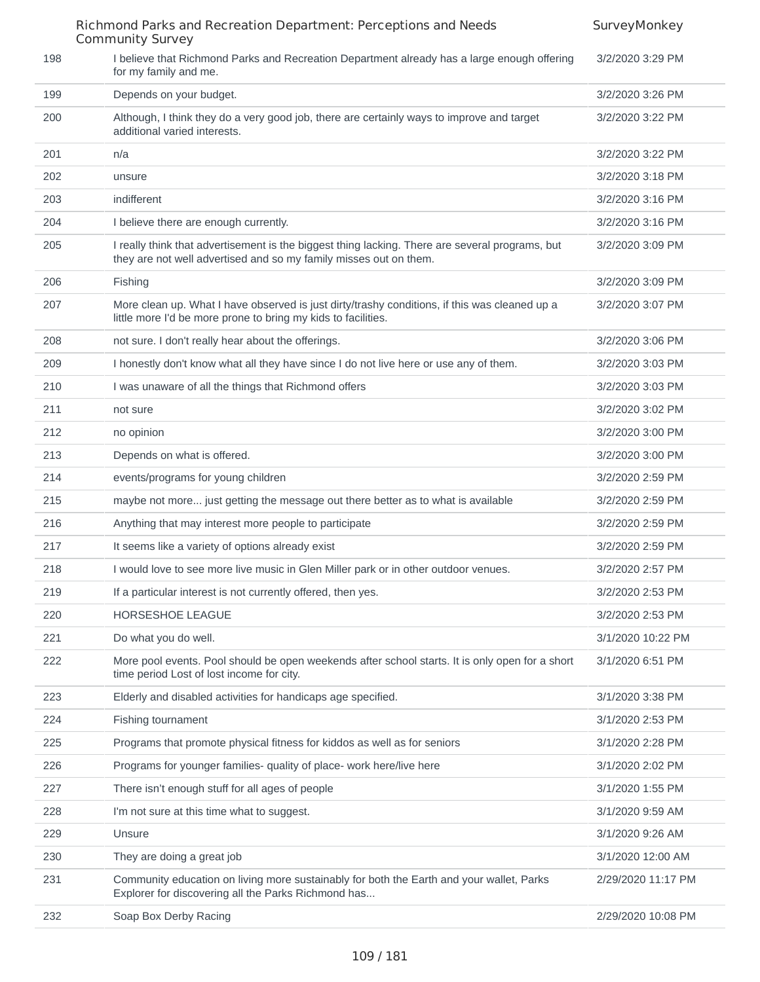|     | Richmond Parks and Recreation Department: Perceptions and Needs<br><b>Community Survey</b>                                                                           | SurveyMonkey       |
|-----|----------------------------------------------------------------------------------------------------------------------------------------------------------------------|--------------------|
| 198 | I believe that Richmond Parks and Recreation Department already has a large enough offering<br>for my family and me.                                                 | 3/2/2020 3:29 PM   |
| 199 | Depends on your budget.                                                                                                                                              | 3/2/2020 3:26 PM   |
| 200 | Although, I think they do a very good job, there are certainly ways to improve and target<br>additional varied interests.                                            | 3/2/2020 3:22 PM   |
| 201 | n/a                                                                                                                                                                  | 3/2/2020 3:22 PM   |
| 202 | unsure                                                                                                                                                               | 3/2/2020 3:18 PM   |
| 203 | indifferent                                                                                                                                                          | 3/2/2020 3:16 PM   |
| 204 | I believe there are enough currently.                                                                                                                                | 3/2/2020 3:16 PM   |
| 205 | I really think that advertisement is the biggest thing lacking. There are several programs, but<br>they are not well advertised and so my family misses out on them. | 3/2/2020 3:09 PM   |
| 206 | <b>Fishing</b>                                                                                                                                                       | 3/2/2020 3:09 PM   |
| 207 | More clean up. What I have observed is just dirty/trashy conditions, if this was cleaned up a<br>little more I'd be more prone to bring my kids to facilities.       | 3/2/2020 3:07 PM   |
| 208 | not sure. I don't really hear about the offerings.                                                                                                                   | 3/2/2020 3:06 PM   |
| 209 | I honestly don't know what all they have since I do not live here or use any of them.                                                                                | 3/2/2020 3:03 PM   |
| 210 | I was unaware of all the things that Richmond offers                                                                                                                 | 3/2/2020 3:03 PM   |
| 211 | not sure                                                                                                                                                             | 3/2/2020 3:02 PM   |
| 212 | no opinion                                                                                                                                                           | 3/2/2020 3:00 PM   |
| 213 | Depends on what is offered.                                                                                                                                          | 3/2/2020 3:00 PM   |
| 214 | events/programs for young children                                                                                                                                   | 3/2/2020 2:59 PM   |
| 215 | maybe not more just getting the message out there better as to what is available                                                                                     | 3/2/2020 2:59 PM   |
| 216 | Anything that may interest more people to participate                                                                                                                | 3/2/2020 2:59 PM   |
| 217 | It seems like a variety of options already exist                                                                                                                     | 3/2/2020 2:59 PM   |
| 218 | I would love to see more live music in Glen Miller park or in other outdoor venues.                                                                                  | 3/2/2020 2:57 PM   |
| 219 | If a particular interest is not currently offered, then yes.                                                                                                         | 3/2/2020 2:53 PM   |
| 220 | HORSESHOE LEAGUE                                                                                                                                                     | 3/2/2020 2:53 PM   |
| 221 | Do what you do well.                                                                                                                                                 | 3/1/2020 10:22 PM  |
| 222 | More pool events. Pool should be open weekends after school starts. It is only open for a short<br>time period Lost of lost income for city.                         | 3/1/2020 6:51 PM   |
| 223 | Elderly and disabled activities for handicaps age specified.                                                                                                         | 3/1/2020 3:38 PM   |
| 224 | Fishing tournament                                                                                                                                                   | 3/1/2020 2:53 PM   |
| 225 | Programs that promote physical fitness for kiddos as well as for seniors                                                                                             | 3/1/2020 2:28 PM   |
| 226 | Programs for younger families- quality of place- work here/live here                                                                                                 | 3/1/2020 2:02 PM   |
| 227 | There isn't enough stuff for all ages of people                                                                                                                      | 3/1/2020 1:55 PM   |
| 228 | I'm not sure at this time what to suggest.                                                                                                                           | 3/1/2020 9:59 AM   |
| 229 | Unsure                                                                                                                                                               | 3/1/2020 9:26 AM   |
| 230 | They are doing a great job                                                                                                                                           | 3/1/2020 12:00 AM  |
| 231 | Community education on living more sustainably for both the Earth and your wallet, Parks<br>Explorer for discovering all the Parks Richmond has                      | 2/29/2020 11:17 PM |
| 232 | Soap Box Derby Racing                                                                                                                                                | 2/29/2020 10:08 PM |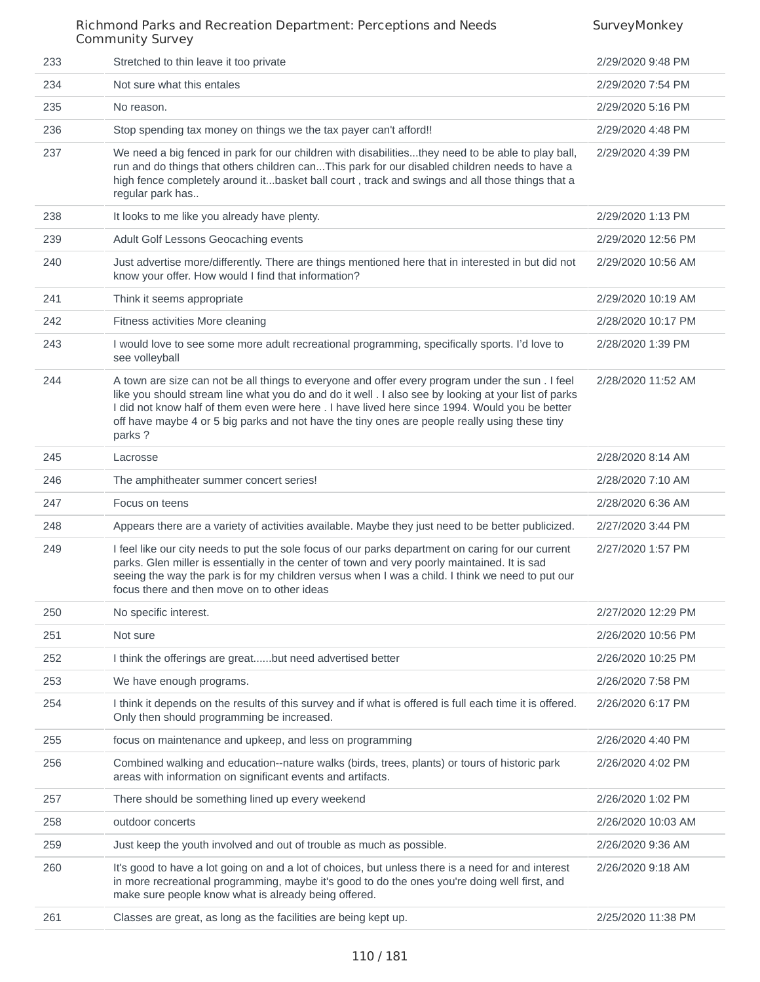| 233 | Stretched to thin leave it too private                                                                                                                                                                                                                                                                                                                                                                                | 2/29/2020 9:48 PM  |
|-----|-----------------------------------------------------------------------------------------------------------------------------------------------------------------------------------------------------------------------------------------------------------------------------------------------------------------------------------------------------------------------------------------------------------------------|--------------------|
| 234 | Not sure what this entales                                                                                                                                                                                                                                                                                                                                                                                            | 2/29/2020 7:54 PM  |
| 235 | No reason.                                                                                                                                                                                                                                                                                                                                                                                                            | 2/29/2020 5:16 PM  |
| 236 | Stop spending tax money on things we the tax payer can't afford!!                                                                                                                                                                                                                                                                                                                                                     | 2/29/2020 4:48 PM  |
| 237 | We need a big fenced in park for our children with disabilitiesthey need to be able to play ball,<br>run and do things that others children canThis park for our disabled children needs to have a<br>high fence completely around itbasket ball court, track and swings and all those things that a<br>regular park has                                                                                              | 2/29/2020 4:39 PM  |
| 238 | It looks to me like you already have plenty.                                                                                                                                                                                                                                                                                                                                                                          | 2/29/2020 1:13 PM  |
| 239 | Adult Golf Lessons Geocaching events                                                                                                                                                                                                                                                                                                                                                                                  | 2/29/2020 12:56 PM |
| 240 | Just advertise more/differently. There are things mentioned here that in interested in but did not<br>know your offer. How would I find that information?                                                                                                                                                                                                                                                             | 2/29/2020 10:56 AM |
| 241 | Think it seems appropriate                                                                                                                                                                                                                                                                                                                                                                                            | 2/29/2020 10:19 AM |
| 242 | Fitness activities More cleaning                                                                                                                                                                                                                                                                                                                                                                                      | 2/28/2020 10:17 PM |
| 243 | I would love to see some more adult recreational programming, specifically sports. I'd love to<br>see volleyball                                                                                                                                                                                                                                                                                                      | 2/28/2020 1:39 PM  |
| 244 | A town are size can not be all things to everyone and offer every program under the sun . I feel<br>like you should stream line what you do and do it well . I also see by looking at your list of parks<br>I did not know half of them even were here . I have lived here since 1994. Would you be better<br>off have maybe 4 or 5 big parks and not have the tiny ones are people really using these tiny<br>parks? | 2/28/2020 11:52 AM |
| 245 | Lacrosse                                                                                                                                                                                                                                                                                                                                                                                                              | 2/28/2020 8:14 AM  |
| 246 | The amphitheater summer concert series!                                                                                                                                                                                                                                                                                                                                                                               | 2/28/2020 7:10 AM  |
| 247 | Focus on teens                                                                                                                                                                                                                                                                                                                                                                                                        | 2/28/2020 6:36 AM  |
| 248 | Appears there are a variety of activities available. Maybe they just need to be better publicized.                                                                                                                                                                                                                                                                                                                    | 2/27/2020 3:44 PM  |
| 249 | I feel like our city needs to put the sole focus of our parks department on caring for our current<br>parks. Glen miller is essentially in the center of town and very poorly maintained. It is sad<br>seeing the way the park is for my children versus when I was a child. I think we need to put our<br>focus there and then move on to other ideas                                                                | 2/27/2020 1:57 PM  |
| 250 | No specific interest.                                                                                                                                                                                                                                                                                                                                                                                                 | 2/27/2020 12:29 PM |
| 251 | Not sure                                                                                                                                                                                                                                                                                                                                                                                                              | 2/26/2020 10:56 PM |
| 252 | I think the offerings are greatbut need advertised better                                                                                                                                                                                                                                                                                                                                                             | 2/26/2020 10:25 PM |
| 253 | We have enough programs.                                                                                                                                                                                                                                                                                                                                                                                              | 2/26/2020 7:58 PM  |
| 254 | I think it depends on the results of this survey and if what is offered is full each time it is offered.<br>Only then should programming be increased.                                                                                                                                                                                                                                                                | 2/26/2020 6:17 PM  |
| 255 | focus on maintenance and upkeep, and less on programming                                                                                                                                                                                                                                                                                                                                                              | 2/26/2020 4:40 PM  |
| 256 | Combined walking and education--nature walks (birds, trees, plants) or tours of historic park<br>areas with information on significant events and artifacts.                                                                                                                                                                                                                                                          | 2/26/2020 4:02 PM  |
| 257 | There should be something lined up every weekend                                                                                                                                                                                                                                                                                                                                                                      | 2/26/2020 1:02 PM  |
| 258 | outdoor concerts                                                                                                                                                                                                                                                                                                                                                                                                      | 2/26/2020 10:03 AM |
| 259 | Just keep the youth involved and out of trouble as much as possible.                                                                                                                                                                                                                                                                                                                                                  | 2/26/2020 9:36 AM  |
| 260 | It's good to have a lot going on and a lot of choices, but unless there is a need for and interest<br>in more recreational programming, maybe it's good to do the ones you're doing well first, and<br>make sure people know what is already being offered.                                                                                                                                                           | 2/26/2020 9:18 AM  |
| 261 | Classes are great, as long as the facilities are being kept up.                                                                                                                                                                                                                                                                                                                                                       | 2/25/2020 11:38 PM |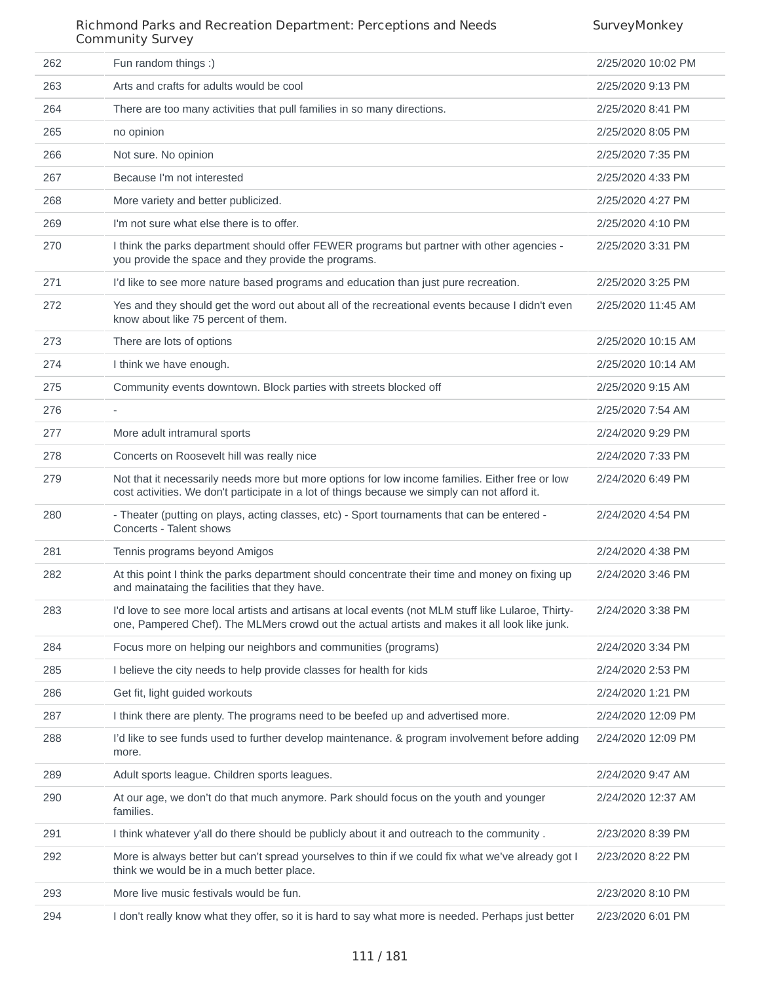SurveyMonkey

#### Richmond Parks and Recreation Department: Perceptions and Needs Community Survey

| 262 | Fun random things :)                                                                                                                                                                                  | 2/25/2020 10:02 PM |
|-----|-------------------------------------------------------------------------------------------------------------------------------------------------------------------------------------------------------|--------------------|
| 263 | Arts and crafts for adults would be cool                                                                                                                                                              | 2/25/2020 9:13 PM  |
| 264 | There are too many activities that pull families in so many directions.                                                                                                                               | 2/25/2020 8:41 PM  |
| 265 | no opinion                                                                                                                                                                                            | 2/25/2020 8:05 PM  |
| 266 | Not sure. No opinion                                                                                                                                                                                  | 2/25/2020 7:35 PM  |
| 267 | Because I'm not interested                                                                                                                                                                            | 2/25/2020 4:33 PM  |
| 268 | More variety and better publicized.                                                                                                                                                                   | 2/25/2020 4:27 PM  |
| 269 | I'm not sure what else there is to offer.                                                                                                                                                             | 2/25/2020 4:10 PM  |
| 270 | I think the parks department should offer FEWER programs but partner with other agencies -<br>you provide the space and they provide the programs.                                                    | 2/25/2020 3:31 PM  |
| 271 | I'd like to see more nature based programs and education than just pure recreation.                                                                                                                   | 2/25/2020 3:25 PM  |
| 272 | Yes and they should get the word out about all of the recreational events because I didn't even<br>know about like 75 percent of them.                                                                | 2/25/2020 11:45 AM |
| 273 | There are lots of options                                                                                                                                                                             | 2/25/2020 10:15 AM |
| 274 | I think we have enough.                                                                                                                                                                               | 2/25/2020 10:14 AM |
| 275 | Community events downtown. Block parties with streets blocked off                                                                                                                                     | 2/25/2020 9:15 AM  |
| 276 |                                                                                                                                                                                                       | 2/25/2020 7:54 AM  |
| 277 | More adult intramural sports                                                                                                                                                                          | 2/24/2020 9:29 PM  |
| 278 | Concerts on Roosevelt hill was really nice                                                                                                                                                            | 2/24/2020 7:33 PM  |
| 279 | Not that it necessarily needs more but more options for low income families. Either free or low<br>cost activities. We don't participate in a lot of things because we simply can not afford it.      | 2/24/2020 6:49 PM  |
| 280 | - Theater (putting on plays, acting classes, etc) - Sport tournaments that can be entered -<br>Concerts - Talent shows                                                                                | 2/24/2020 4:54 PM  |
| 281 | Tennis programs beyond Amigos                                                                                                                                                                         | 2/24/2020 4:38 PM  |
| 282 | At this point I think the parks department should concentrate their time and money on fixing up<br>and mainataing the facilities that they have.                                                      | 2/24/2020 3:46 PM  |
| 283 | I'd love to see more local artists and artisans at local events (not MLM stuff like Lularoe, Thirty-<br>one, Pampered Chef). The MLMers crowd out the actual artists and makes it all look like junk. | 2/24/2020 3:38 PM  |
| 284 | Focus more on helping our neighbors and communities (programs)                                                                                                                                        | 2/24/2020 3:34 PM  |
| 285 | I believe the city needs to help provide classes for health for kids                                                                                                                                  | 2/24/2020 2:53 PM  |
| 286 | Get fit, light guided workouts                                                                                                                                                                        | 2/24/2020 1:21 PM  |
| 287 | I think there are plenty. The programs need to be beefed up and advertised more.                                                                                                                      | 2/24/2020 12:09 PM |
| 288 | I'd like to see funds used to further develop maintenance. & program involvement before adding<br>more.                                                                                               | 2/24/2020 12:09 PM |
| 289 | Adult sports league. Children sports leagues.                                                                                                                                                         | 2/24/2020 9:47 AM  |
| 290 | At our age, we don't do that much anymore. Park should focus on the youth and younger<br>families.                                                                                                    | 2/24/2020 12:37 AM |
| 291 | I think whatever y'all do there should be publicly about it and outreach to the community.                                                                                                            | 2/23/2020 8:39 PM  |
| 292 | More is always better but can't spread yourselves to thin if we could fix what we've already got I<br>think we would be in a much better place.                                                       | 2/23/2020 8:22 PM  |
| 293 | More live music festivals would be fun.                                                                                                                                                               | 2/23/2020 8:10 PM  |
| 294 | I don't really know what they offer, so it is hard to say what more is needed. Perhaps just better                                                                                                    | 2/23/2020 6:01 PM  |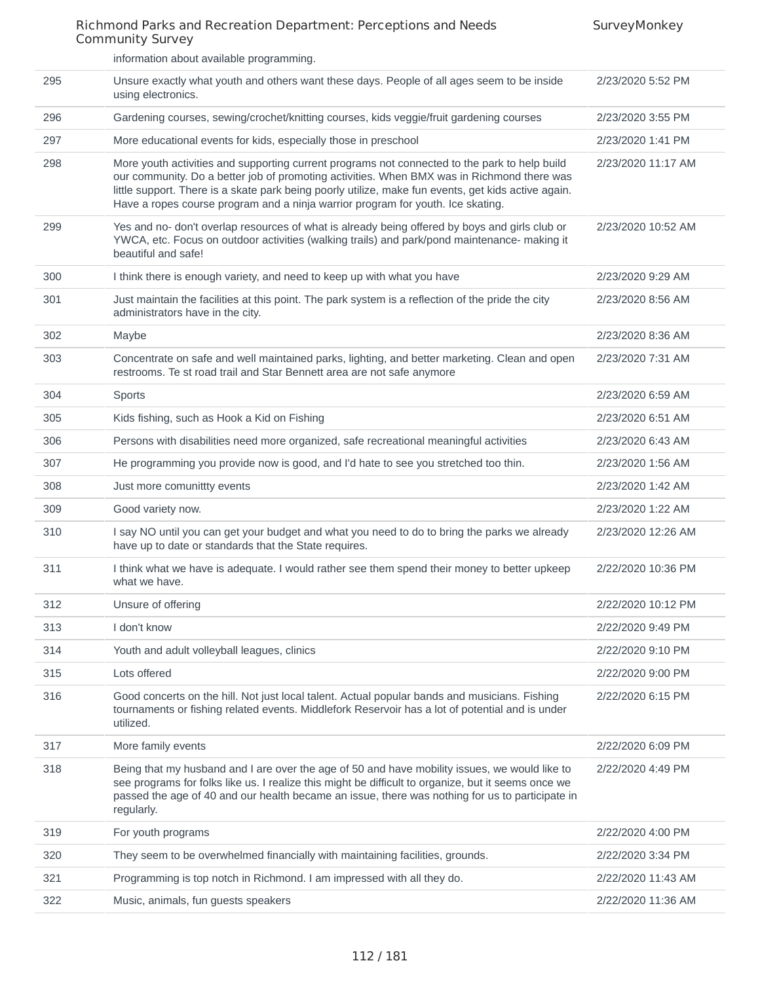|     | information about available programming.                                                                                                                                                                                                                                                                                                                                              |                    |
|-----|---------------------------------------------------------------------------------------------------------------------------------------------------------------------------------------------------------------------------------------------------------------------------------------------------------------------------------------------------------------------------------------|--------------------|
| 295 | Unsure exactly what youth and others want these days. People of all ages seem to be inside<br>using electronics.                                                                                                                                                                                                                                                                      | 2/23/2020 5:52 PM  |
| 296 | Gardening courses, sewing/crochet/knitting courses, kids veggie/fruit gardening courses                                                                                                                                                                                                                                                                                               | 2/23/2020 3:55 PM  |
| 297 | More educational events for kids, especially those in preschool                                                                                                                                                                                                                                                                                                                       | 2/23/2020 1:41 PM  |
| 298 | More youth activities and supporting current programs not connected to the park to help build<br>our community. Do a better job of promoting activities. When BMX was in Richmond there was<br>little support. There is a skate park being poorly utilize, make fun events, get kids active again.<br>Have a ropes course program and a ninja warrior program for youth. Ice skating. | 2/23/2020 11:17 AM |
| 299 | Yes and no- don't overlap resources of what is already being offered by boys and girls club or<br>YWCA, etc. Focus on outdoor activities (walking trails) and park/pond maintenance- making it<br>beautiful and safe!                                                                                                                                                                 | 2/23/2020 10:52 AM |
| 300 | I think there is enough variety, and need to keep up with what you have                                                                                                                                                                                                                                                                                                               | 2/23/2020 9:29 AM  |
| 301 | Just maintain the facilities at this point. The park system is a reflection of the pride the city<br>administrators have in the city.                                                                                                                                                                                                                                                 | 2/23/2020 8:56 AM  |
| 302 | Maybe                                                                                                                                                                                                                                                                                                                                                                                 | 2/23/2020 8:36 AM  |
| 303 | Concentrate on safe and well maintained parks, lighting, and better marketing. Clean and open<br>restrooms. Te st road trail and Star Bennett area are not safe anymore                                                                                                                                                                                                               | 2/23/2020 7:31 AM  |
| 304 | <b>Sports</b>                                                                                                                                                                                                                                                                                                                                                                         | 2/23/2020 6:59 AM  |
| 305 | Kids fishing, such as Hook a Kid on Fishing                                                                                                                                                                                                                                                                                                                                           | 2/23/2020 6:51 AM  |
| 306 | Persons with disabilities need more organized, safe recreational meaningful activities                                                                                                                                                                                                                                                                                                | 2/23/2020 6:43 AM  |
| 307 | He programming you provide now is good, and I'd hate to see you stretched too thin.                                                                                                                                                                                                                                                                                                   | 2/23/2020 1:56 AM  |
| 308 | Just more comunitity events                                                                                                                                                                                                                                                                                                                                                           | 2/23/2020 1:42 AM  |
| 309 | Good variety now.                                                                                                                                                                                                                                                                                                                                                                     | 2/23/2020 1:22 AM  |
| 310 | I say NO until you can get your budget and what you need to do to bring the parks we already<br>have up to date or standards that the State requires.                                                                                                                                                                                                                                 | 2/23/2020 12:26 AM |
| 311 | I think what we have is adequate. I would rather see them spend their money to better upkeep<br>what we have.                                                                                                                                                                                                                                                                         | 2/22/2020 10:36 PM |
| 312 | Unsure of offering                                                                                                                                                                                                                                                                                                                                                                    | 2/22/2020 10:12 PM |
| 313 | I don't know                                                                                                                                                                                                                                                                                                                                                                          | 2/22/2020 9:49 PM  |
| 314 | Youth and adult volleyball leagues, clinics                                                                                                                                                                                                                                                                                                                                           | 2/22/2020 9:10 PM  |
| 315 | Lots offered                                                                                                                                                                                                                                                                                                                                                                          | 2/22/2020 9:00 PM  |
| 316 | Good concerts on the hill. Not just local talent. Actual popular bands and musicians. Fishing<br>tournaments or fishing related events. Middlefork Reservoir has a lot of potential and is under<br>utilized.                                                                                                                                                                         | 2/22/2020 6:15 PM  |
| 317 | More family events                                                                                                                                                                                                                                                                                                                                                                    | 2/22/2020 6:09 PM  |
| 318 | Being that my husband and I are over the age of 50 and have mobility issues, we would like to<br>see programs for folks like us. I realize this might be difficult to organize, but it seems once we<br>passed the age of 40 and our health became an issue, there was nothing for us to participate in<br>regularly.                                                                 | 2/22/2020 4:49 PM  |
| 319 | For youth programs                                                                                                                                                                                                                                                                                                                                                                    | 2/22/2020 4:00 PM  |
| 320 | They seem to be overwhelmed financially with maintaining facilities, grounds.                                                                                                                                                                                                                                                                                                         | 2/22/2020 3:34 PM  |
| 321 | Programming is top notch in Richmond. I am impressed with all they do.                                                                                                                                                                                                                                                                                                                | 2/22/2020 11:43 AM |
| 322 | Music, animals, fun guests speakers                                                                                                                                                                                                                                                                                                                                                   | 2/22/2020 11:36 AM |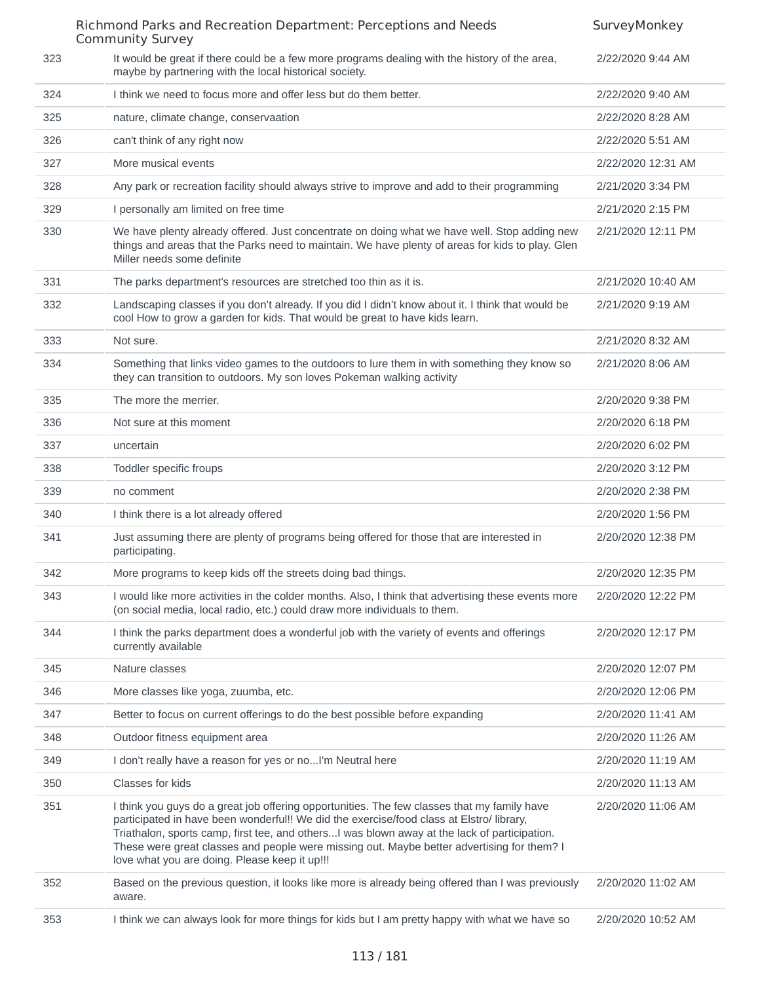|     | Richmond Parks and Recreation Department: Perceptions and Needs                                                                                                                                                                                                                                                                                                                                                                        | SurveyMonkey       |
|-----|----------------------------------------------------------------------------------------------------------------------------------------------------------------------------------------------------------------------------------------------------------------------------------------------------------------------------------------------------------------------------------------------------------------------------------------|--------------------|
| 323 | <b>Community Survey</b><br>It would be great if there could be a few more programs dealing with the history of the area,<br>maybe by partnering with the local historical society.                                                                                                                                                                                                                                                     | 2/22/2020 9:44 AM  |
| 324 | I think we need to focus more and offer less but do them better.                                                                                                                                                                                                                                                                                                                                                                       | 2/22/2020 9:40 AM  |
| 325 | nature, climate change, conservaation                                                                                                                                                                                                                                                                                                                                                                                                  | 2/22/2020 8:28 AM  |
| 326 | can't think of any right now                                                                                                                                                                                                                                                                                                                                                                                                           | 2/22/2020 5:51 AM  |
| 327 | More musical events                                                                                                                                                                                                                                                                                                                                                                                                                    | 2/22/2020 12:31 AM |
| 328 | Any park or recreation facility should always strive to improve and add to their programming                                                                                                                                                                                                                                                                                                                                           | 2/21/2020 3:34 PM  |
| 329 | I personally am limited on free time                                                                                                                                                                                                                                                                                                                                                                                                   | 2/21/2020 2:15 PM  |
| 330 | We have plenty already offered. Just concentrate on doing what we have well. Stop adding new<br>things and areas that the Parks need to maintain. We have plenty of areas for kids to play. Glen<br>Miller needs some definite                                                                                                                                                                                                         | 2/21/2020 12:11 PM |
| 331 | The parks department's resources are stretched too thin as it is.                                                                                                                                                                                                                                                                                                                                                                      | 2/21/2020 10:40 AM |
| 332 | Landscaping classes if you don't already. If you did I didn't know about it. I think that would be<br>cool How to grow a garden for kids. That would be great to have kids learn.                                                                                                                                                                                                                                                      | 2/21/2020 9:19 AM  |
| 333 | Not sure.                                                                                                                                                                                                                                                                                                                                                                                                                              | 2/21/2020 8:32 AM  |
| 334 | Something that links video games to the outdoors to lure them in with something they know so<br>they can transition to outdoors. My son loves Pokeman walking activity                                                                                                                                                                                                                                                                 | 2/21/2020 8:06 AM  |
| 335 | The more the merrier.                                                                                                                                                                                                                                                                                                                                                                                                                  | 2/20/2020 9:38 PM  |
| 336 | Not sure at this moment                                                                                                                                                                                                                                                                                                                                                                                                                | 2/20/2020 6:18 PM  |
| 337 | uncertain                                                                                                                                                                                                                                                                                                                                                                                                                              | 2/20/2020 6:02 PM  |
| 338 | Toddler specific froups                                                                                                                                                                                                                                                                                                                                                                                                                | 2/20/2020 3:12 PM  |
| 339 | no comment                                                                                                                                                                                                                                                                                                                                                                                                                             | 2/20/2020 2:38 PM  |
| 340 | I think there is a lot already offered                                                                                                                                                                                                                                                                                                                                                                                                 | 2/20/2020 1:56 PM  |
| 341 | Just assuming there are plenty of programs being offered for those that are interested in<br>participating.                                                                                                                                                                                                                                                                                                                            | 2/20/2020 12:38 PM |
| 342 | More programs to keep kids off the streets doing bad things.                                                                                                                                                                                                                                                                                                                                                                           | 2/20/2020 12:35 PM |
| 343 | I would like more activities in the colder months. Also, I think that advertising these events more<br>(on social media, local radio, etc.) could draw more individuals to them.                                                                                                                                                                                                                                                       | 2/20/2020 12:22 PM |
| 344 | I think the parks department does a wonderful job with the variety of events and offerings<br>currently available                                                                                                                                                                                                                                                                                                                      | 2/20/2020 12:17 PM |
| 345 | Nature classes                                                                                                                                                                                                                                                                                                                                                                                                                         | 2/20/2020 12:07 PM |
| 346 | More classes like yoga, zuumba, etc.                                                                                                                                                                                                                                                                                                                                                                                                   | 2/20/2020 12:06 PM |
| 347 | Better to focus on current offerings to do the best possible before expanding                                                                                                                                                                                                                                                                                                                                                          | 2/20/2020 11:41 AM |
| 348 | Outdoor fitness equipment area                                                                                                                                                                                                                                                                                                                                                                                                         | 2/20/2020 11:26 AM |
| 349 | I don't really have a reason for yes or noI'm Neutral here                                                                                                                                                                                                                                                                                                                                                                             | 2/20/2020 11:19 AM |
| 350 | Classes for kids                                                                                                                                                                                                                                                                                                                                                                                                                       | 2/20/2020 11:13 AM |
| 351 | I think you guys do a great job offering opportunities. The few classes that my family have<br>participated in have been wonderful!! We did the exercise/food class at Elstro/ library,<br>Triathalon, sports camp, first tee, and othersI was blown away at the lack of participation.<br>These were great classes and people were missing out. Maybe better advertising for them? I<br>love what you are doing. Please keep it up!!! | 2/20/2020 11:06 AM |
| 352 | Based on the previous question, it looks like more is already being offered than I was previously<br>aware.                                                                                                                                                                                                                                                                                                                            | 2/20/2020 11:02 AM |
| 353 | I think we can always look for more things for kids but I am pretty happy with what we have so                                                                                                                                                                                                                                                                                                                                         | 2/20/2020 10:52 AM |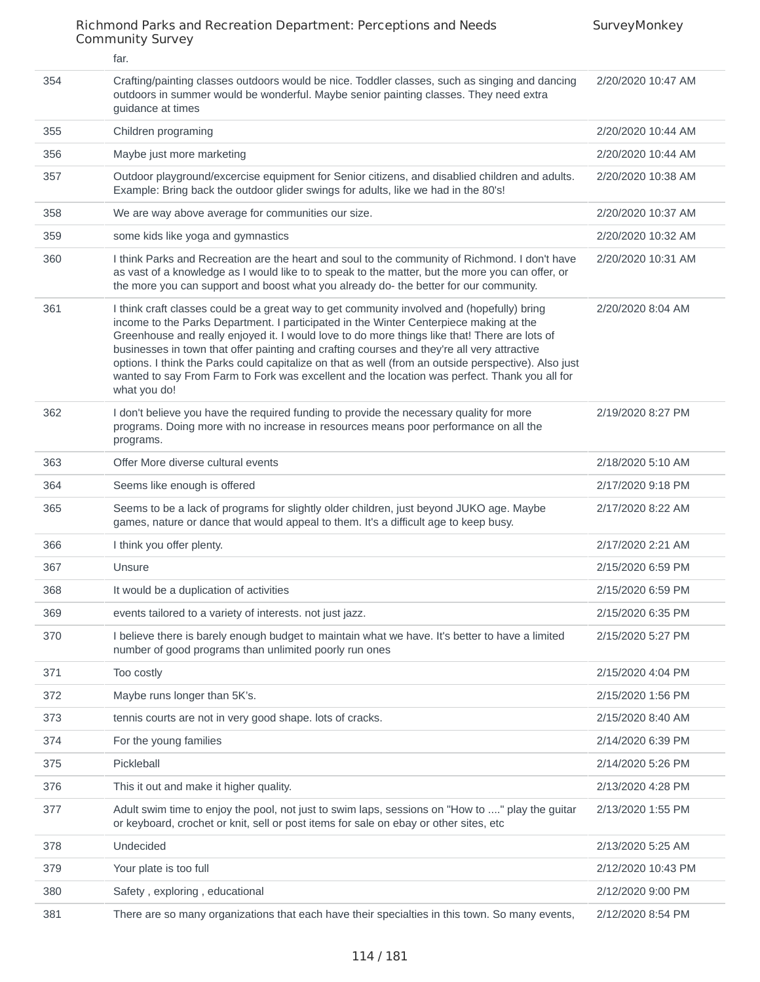|     | far.                                                                                                                                                                                                                                                                                                                                                                                                                                                                                                                                                                                                          |                    |
|-----|---------------------------------------------------------------------------------------------------------------------------------------------------------------------------------------------------------------------------------------------------------------------------------------------------------------------------------------------------------------------------------------------------------------------------------------------------------------------------------------------------------------------------------------------------------------------------------------------------------------|--------------------|
| 354 | Crafting/painting classes outdoors would be nice. Toddler classes, such as singing and dancing<br>outdoors in summer would be wonderful. Maybe senior painting classes. They need extra<br>guidance at times                                                                                                                                                                                                                                                                                                                                                                                                  | 2/20/2020 10:47 AM |
| 355 | Children programing                                                                                                                                                                                                                                                                                                                                                                                                                                                                                                                                                                                           | 2/20/2020 10:44 AM |
| 356 | Maybe just more marketing                                                                                                                                                                                                                                                                                                                                                                                                                                                                                                                                                                                     | 2/20/2020 10:44 AM |
| 357 | Outdoor playground/excercise equipment for Senior citizens, and disablied children and adults.<br>Example: Bring back the outdoor glider swings for adults, like we had in the 80's!                                                                                                                                                                                                                                                                                                                                                                                                                          | 2/20/2020 10:38 AM |
| 358 | We are way above average for communities our size.                                                                                                                                                                                                                                                                                                                                                                                                                                                                                                                                                            | 2/20/2020 10:37 AM |
| 359 | some kids like yoga and gymnastics                                                                                                                                                                                                                                                                                                                                                                                                                                                                                                                                                                            | 2/20/2020 10:32 AM |
| 360 | I think Parks and Recreation are the heart and soul to the community of Richmond. I don't have<br>as vast of a knowledge as I would like to to speak to the matter, but the more you can offer, or<br>the more you can support and boost what you already do- the better for our community.                                                                                                                                                                                                                                                                                                                   | 2/20/2020 10:31 AM |
| 361 | I think craft classes could be a great way to get community involved and (hopefully) bring<br>income to the Parks Department. I participated in the Winter Centerpiece making at the<br>Greenhouse and really enjoyed it. I would love to do more things like that! There are lots of<br>businesses in town that offer painting and crafting courses and they're all very attractive<br>options. I think the Parks could capitalize on that as well (from an outside perspective). Also just<br>wanted to say From Farm to Fork was excellent and the location was perfect. Thank you all for<br>what you do! | 2/20/2020 8:04 AM  |
| 362 | I don't believe you have the required funding to provide the necessary quality for more<br>programs. Doing more with no increase in resources means poor performance on all the<br>programs.                                                                                                                                                                                                                                                                                                                                                                                                                  | 2/19/2020 8:27 PM  |
| 363 | Offer More diverse cultural events                                                                                                                                                                                                                                                                                                                                                                                                                                                                                                                                                                            | 2/18/2020 5:10 AM  |
| 364 | Seems like enough is offered                                                                                                                                                                                                                                                                                                                                                                                                                                                                                                                                                                                  | 2/17/2020 9:18 PM  |
| 365 | Seems to be a lack of programs for slightly older children, just beyond JUKO age. Maybe<br>games, nature or dance that would appeal to them. It's a difficult age to keep busy.                                                                                                                                                                                                                                                                                                                                                                                                                               | 2/17/2020 8:22 AM  |
| 366 | I think you offer plenty.                                                                                                                                                                                                                                                                                                                                                                                                                                                                                                                                                                                     | 2/17/2020 2:21 AM  |
| 367 | Unsure                                                                                                                                                                                                                                                                                                                                                                                                                                                                                                                                                                                                        | 2/15/2020 6:59 PM  |
| 368 | It would be a duplication of activities                                                                                                                                                                                                                                                                                                                                                                                                                                                                                                                                                                       | 2/15/2020 6:59 PM  |
| 369 | events tailored to a variety of interests. not just jazz.                                                                                                                                                                                                                                                                                                                                                                                                                                                                                                                                                     | 2/15/2020 6:35 PM  |
| 370 | I believe there is barely enough budget to maintain what we have. It's better to have a limited<br>number of good programs than unlimited poorly run ones                                                                                                                                                                                                                                                                                                                                                                                                                                                     | 2/15/2020 5:27 PM  |
| 371 | Too costly                                                                                                                                                                                                                                                                                                                                                                                                                                                                                                                                                                                                    | 2/15/2020 4:04 PM  |
| 372 | Maybe runs longer than 5K's.                                                                                                                                                                                                                                                                                                                                                                                                                                                                                                                                                                                  | 2/15/2020 1:56 PM  |
| 373 | tennis courts are not in very good shape. lots of cracks.                                                                                                                                                                                                                                                                                                                                                                                                                                                                                                                                                     | 2/15/2020 8:40 AM  |
| 374 | For the young families                                                                                                                                                                                                                                                                                                                                                                                                                                                                                                                                                                                        | 2/14/2020 6:39 PM  |
| 375 | Pickleball                                                                                                                                                                                                                                                                                                                                                                                                                                                                                                                                                                                                    | 2/14/2020 5:26 PM  |
| 376 | This it out and make it higher quality.                                                                                                                                                                                                                                                                                                                                                                                                                                                                                                                                                                       | 2/13/2020 4:28 PM  |
| 377 | Adult swim time to enjoy the pool, not just to swim laps, sessions on "How to " play the guitar<br>or keyboard, crochet or knit, sell or post items for sale on ebay or other sites, etc                                                                                                                                                                                                                                                                                                                                                                                                                      | 2/13/2020 1:55 PM  |
| 378 | Undecided                                                                                                                                                                                                                                                                                                                                                                                                                                                                                                                                                                                                     | 2/13/2020 5:25 AM  |
| 379 | Your plate is too full                                                                                                                                                                                                                                                                                                                                                                                                                                                                                                                                                                                        | 2/12/2020 10:43 PM |
| 380 | Safety, exploring, educational                                                                                                                                                                                                                                                                                                                                                                                                                                                                                                                                                                                | 2/12/2020 9:00 PM  |
| 381 | There are so many organizations that each have their specialties in this town. So many events,                                                                                                                                                                                                                                                                                                                                                                                                                                                                                                                | 2/12/2020 8:54 PM  |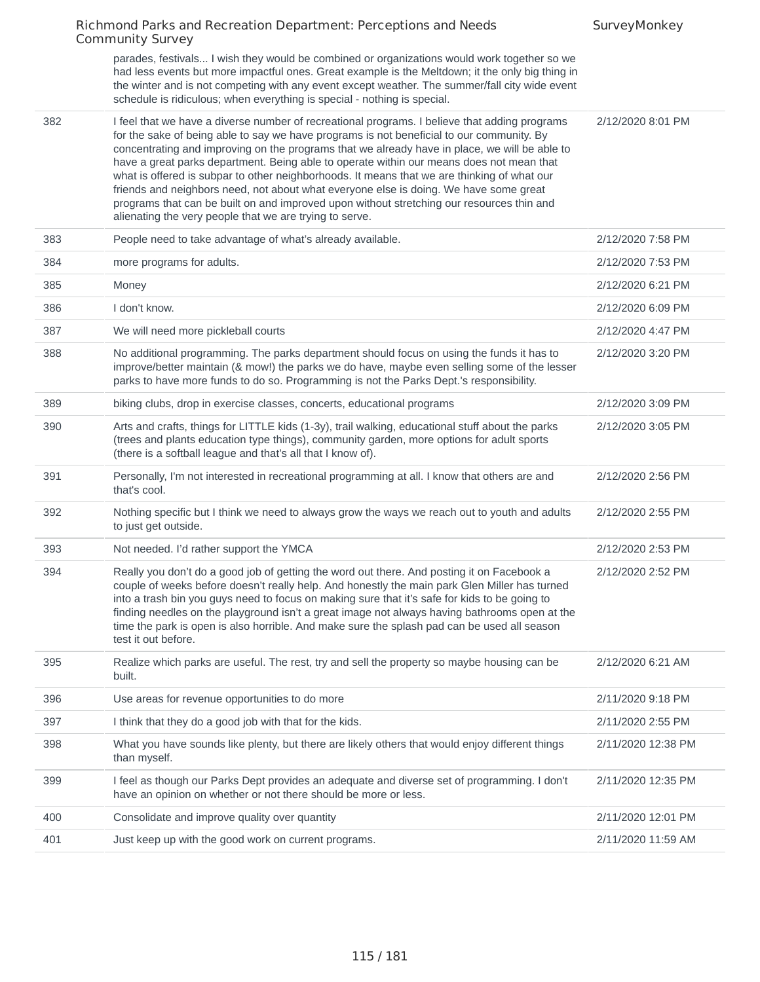|     | Richmond Parks and Recreation Department: Perceptions and Needs<br><b>Community Survey</b>                                                                                                                                                                                                                                                                                                                                                                                                                                                                                                                                                                                                                                              | SurveyMonkey       |
|-----|-----------------------------------------------------------------------------------------------------------------------------------------------------------------------------------------------------------------------------------------------------------------------------------------------------------------------------------------------------------------------------------------------------------------------------------------------------------------------------------------------------------------------------------------------------------------------------------------------------------------------------------------------------------------------------------------------------------------------------------------|--------------------|
|     | parades, festivals I wish they would be combined or organizations would work together so we<br>had less events but more impactful ones. Great example is the Meltdown; it the only big thing in<br>the winter and is not competing with any event except weather. The summer/fall city wide event<br>schedule is ridiculous; when everything is special - nothing is special.                                                                                                                                                                                                                                                                                                                                                           |                    |
| 382 | I feel that we have a diverse number of recreational programs. I believe that adding programs<br>for the sake of being able to say we have programs is not beneficial to our community. By<br>concentrating and improving on the programs that we already have in place, we will be able to<br>have a great parks department. Being able to operate within our means does not mean that<br>what is offered is subpar to other neighborhoods. It means that we are thinking of what our<br>friends and neighbors need, not about what everyone else is doing. We have some great<br>programs that can be built on and improved upon without stretching our resources thin and<br>alienating the very people that we are trying to serve. | 2/12/2020 8:01 PM  |
| 383 | People need to take advantage of what's already available.                                                                                                                                                                                                                                                                                                                                                                                                                                                                                                                                                                                                                                                                              | 2/12/2020 7:58 PM  |
| 384 | more programs for adults.                                                                                                                                                                                                                                                                                                                                                                                                                                                                                                                                                                                                                                                                                                               | 2/12/2020 7:53 PM  |
| 385 | Money                                                                                                                                                                                                                                                                                                                                                                                                                                                                                                                                                                                                                                                                                                                                   | 2/12/2020 6:21 PM  |
| 386 | I don't know.                                                                                                                                                                                                                                                                                                                                                                                                                                                                                                                                                                                                                                                                                                                           | 2/12/2020 6:09 PM  |
| 387 | We will need more pickleball courts                                                                                                                                                                                                                                                                                                                                                                                                                                                                                                                                                                                                                                                                                                     | 2/12/2020 4:47 PM  |
| 388 | No additional programming. The parks department should focus on using the funds it has to<br>improve/better maintain (& mow!) the parks we do have, maybe even selling some of the lesser<br>parks to have more funds to do so. Programming is not the Parks Dept.'s responsibility.                                                                                                                                                                                                                                                                                                                                                                                                                                                    | 2/12/2020 3:20 PM  |
| 389 | biking clubs, drop in exercise classes, concerts, educational programs                                                                                                                                                                                                                                                                                                                                                                                                                                                                                                                                                                                                                                                                  | 2/12/2020 3:09 PM  |
| 390 | Arts and crafts, things for LITTLE kids (1-3y), trail walking, educational stuff about the parks<br>(trees and plants education type things), community garden, more options for adult sports<br>(there is a softball league and that's all that I know of).                                                                                                                                                                                                                                                                                                                                                                                                                                                                            | 2/12/2020 3:05 PM  |
| 391 | Personally, I'm not interested in recreational programming at all. I know that others are and<br>that's cool.                                                                                                                                                                                                                                                                                                                                                                                                                                                                                                                                                                                                                           | 2/12/2020 2:56 PM  |
| 392 | Nothing specific but I think we need to always grow the ways we reach out to youth and adults<br>to just get outside.                                                                                                                                                                                                                                                                                                                                                                                                                                                                                                                                                                                                                   | 2/12/2020 2:55 PM  |
| 393 | Not needed. I'd rather support the YMCA                                                                                                                                                                                                                                                                                                                                                                                                                                                                                                                                                                                                                                                                                                 | 2/12/2020 2:53 PM  |
| 394 | Really you don't do a good job of getting the word out there. And posting it on Facebook a<br>couple of weeks before doesn't really help. And honestly the main park Glen Miller has turned<br>into a trash bin you guys need to focus on making sure that it's safe for kids to be going to<br>finding needles on the playground isn't a great image not always having bathrooms open at the<br>time the park is open is also horrible. And make sure the splash pad can be used all season<br>test it out before.                                                                                                                                                                                                                     | 2/12/2020 2:52 PM  |
| 395 | Realize which parks are useful. The rest, try and sell the property so maybe housing can be<br>built.                                                                                                                                                                                                                                                                                                                                                                                                                                                                                                                                                                                                                                   | 2/12/2020 6:21 AM  |
| 396 | Use areas for revenue opportunities to do more                                                                                                                                                                                                                                                                                                                                                                                                                                                                                                                                                                                                                                                                                          | 2/11/2020 9:18 PM  |
| 397 | I think that they do a good job with that for the kids.                                                                                                                                                                                                                                                                                                                                                                                                                                                                                                                                                                                                                                                                                 | 2/11/2020 2:55 PM  |
| 398 | What you have sounds like plenty, but there are likely others that would enjoy different things<br>than myself.                                                                                                                                                                                                                                                                                                                                                                                                                                                                                                                                                                                                                         | 2/11/2020 12:38 PM |
| 399 | I feel as though our Parks Dept provides an adequate and diverse set of programming. I don't<br>have an opinion on whether or not there should be more or less.                                                                                                                                                                                                                                                                                                                                                                                                                                                                                                                                                                         | 2/11/2020 12:35 PM |
| 400 | Consolidate and improve quality over quantity                                                                                                                                                                                                                                                                                                                                                                                                                                                                                                                                                                                                                                                                                           | 2/11/2020 12:01 PM |
| 401 | Just keep up with the good work on current programs.                                                                                                                                                                                                                                                                                                                                                                                                                                                                                                                                                                                                                                                                                    | 2/11/2020 11:59 AM |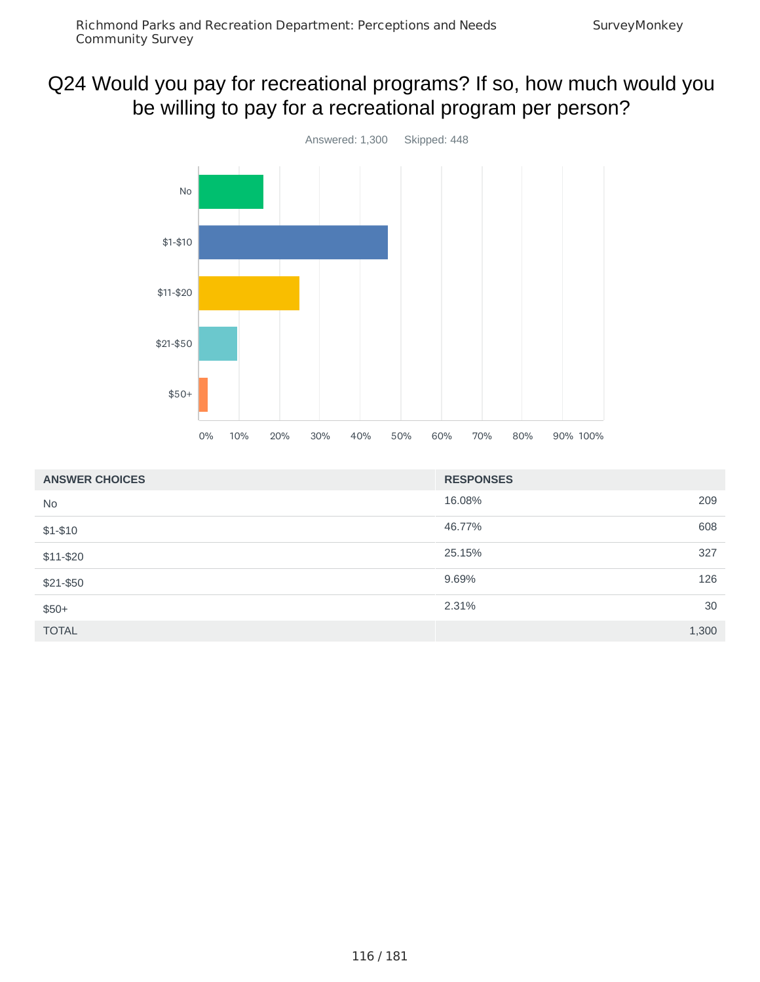# Q24 Would you pay for recreational programs? If so, how much would you be willing to pay for a recreational program per person?



| <b>ANSWER CHOICES</b> | <b>RESPONSES</b> |       |
|-----------------------|------------------|-------|
| <b>No</b>             | 16.08%           | 209   |
| $$1-$10$              | 46.77%           | 608   |
| \$11-\$20             | 25.15%           | 327   |
| \$21-\$50             | 9.69%            | 126   |
| $$50+$                | 2.31%            | 30    |
| <b>TOTAL</b>          |                  | 1,300 |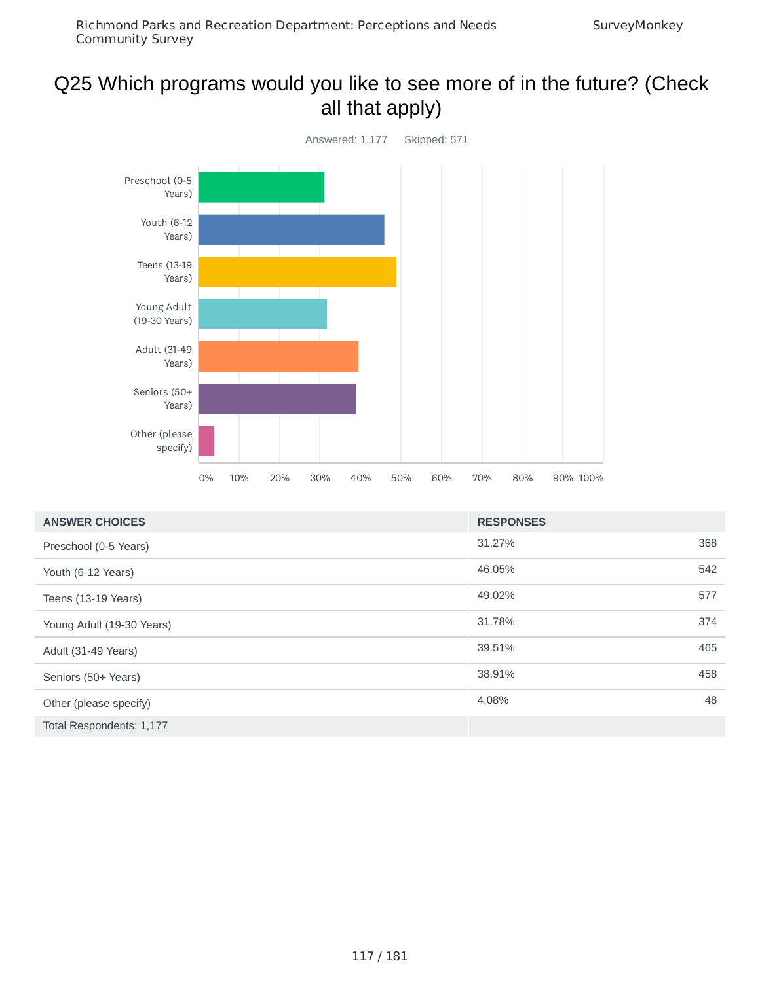## Q25 Which programs would you like to see more of in the future? (Check all that apply)



| <b>ANSWER CHOICES</b>     | <b>RESPONSES</b> |     |
|---------------------------|------------------|-----|
| Preschool (0-5 Years)     | 31.27%           | 368 |
| Youth (6-12 Years)        | 46.05%           | 542 |
| Teens (13-19 Years)       | 49.02%           | 577 |
| Young Adult (19-30 Years) | 31.78%           | 374 |
| Adult (31-49 Years)       | 39.51%           | 465 |
| Seniors (50+ Years)       | 38.91%           | 458 |
| Other (please specify)    | 4.08%            | 48  |
| Total Respondents: 1,177  |                  |     |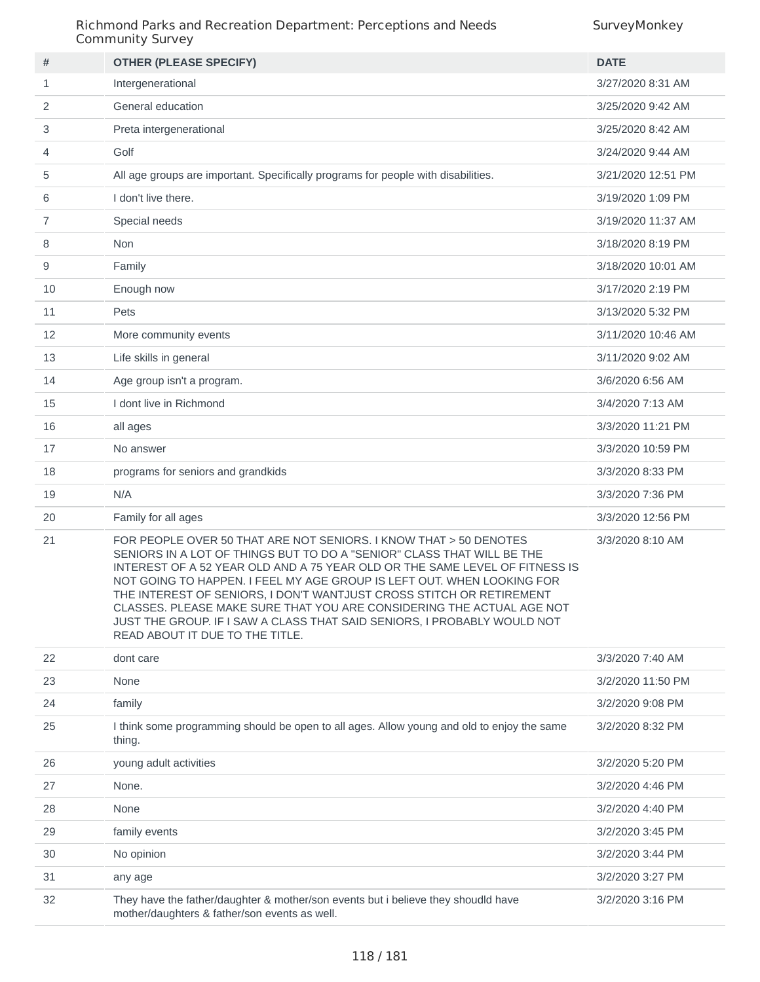| #  | <b>OTHER (PLEASE SPECIFY)</b>                                                                                                                                                                                                                                                                                                                                                                                                                                                                                                                                        | <b>DATE</b>        |
|----|----------------------------------------------------------------------------------------------------------------------------------------------------------------------------------------------------------------------------------------------------------------------------------------------------------------------------------------------------------------------------------------------------------------------------------------------------------------------------------------------------------------------------------------------------------------------|--------------------|
| 1  | Intergenerational                                                                                                                                                                                                                                                                                                                                                                                                                                                                                                                                                    | 3/27/2020 8:31 AM  |
| 2  | General education                                                                                                                                                                                                                                                                                                                                                                                                                                                                                                                                                    | 3/25/2020 9:42 AM  |
| 3  | Preta intergenerational                                                                                                                                                                                                                                                                                                                                                                                                                                                                                                                                              | 3/25/2020 8:42 AM  |
| 4  | Golf                                                                                                                                                                                                                                                                                                                                                                                                                                                                                                                                                                 | 3/24/2020 9:44 AM  |
| 5  | All age groups are important. Specifically programs for people with disabilities.                                                                                                                                                                                                                                                                                                                                                                                                                                                                                    | 3/21/2020 12:51 PM |
| 6  | I don't live there.                                                                                                                                                                                                                                                                                                                                                                                                                                                                                                                                                  | 3/19/2020 1:09 PM  |
| 7  | Special needs                                                                                                                                                                                                                                                                                                                                                                                                                                                                                                                                                        | 3/19/2020 11:37 AM |
| 8  | Non                                                                                                                                                                                                                                                                                                                                                                                                                                                                                                                                                                  | 3/18/2020 8:19 PM  |
| 9  | Family                                                                                                                                                                                                                                                                                                                                                                                                                                                                                                                                                               | 3/18/2020 10:01 AM |
| 10 | Enough now                                                                                                                                                                                                                                                                                                                                                                                                                                                                                                                                                           | 3/17/2020 2:19 PM  |
| 11 | Pets                                                                                                                                                                                                                                                                                                                                                                                                                                                                                                                                                                 | 3/13/2020 5:32 PM  |
| 12 | More community events                                                                                                                                                                                                                                                                                                                                                                                                                                                                                                                                                | 3/11/2020 10:46 AM |
| 13 | Life skills in general                                                                                                                                                                                                                                                                                                                                                                                                                                                                                                                                               | 3/11/2020 9:02 AM  |
| 14 | Age group isn't a program.                                                                                                                                                                                                                                                                                                                                                                                                                                                                                                                                           | 3/6/2020 6:56 AM   |
| 15 | I dont live in Richmond                                                                                                                                                                                                                                                                                                                                                                                                                                                                                                                                              | 3/4/2020 7:13 AM   |
| 16 | all ages                                                                                                                                                                                                                                                                                                                                                                                                                                                                                                                                                             | 3/3/2020 11:21 PM  |
| 17 | No answer                                                                                                                                                                                                                                                                                                                                                                                                                                                                                                                                                            | 3/3/2020 10:59 PM  |
| 18 | programs for seniors and grandkids                                                                                                                                                                                                                                                                                                                                                                                                                                                                                                                                   | 3/3/2020 8:33 PM   |
| 19 | N/A                                                                                                                                                                                                                                                                                                                                                                                                                                                                                                                                                                  | 3/3/2020 7:36 PM   |
| 20 | Family for all ages                                                                                                                                                                                                                                                                                                                                                                                                                                                                                                                                                  | 3/3/2020 12:56 PM  |
| 21 | FOR PEOPLE OVER 50 THAT ARE NOT SENIORS. I KNOW THAT > 50 DENOTES<br>SENIORS IN A LOT OF THINGS BUT TO DO A "SENIOR" CLASS THAT WILL BE THE<br>INTEREST OF A 52 YEAR OLD AND A 75 YEAR OLD OR THE SAME LEVEL OF FITNESS IS<br>NOT GOING TO HAPPEN. I FEEL MY AGE GROUP IS LEFT OUT. WHEN LOOKING FOR<br>THE INTEREST OF SENIORS, I DON'T WANTJUST CROSS STITCH OR RETIREMENT<br>CLASSES. PLEASE MAKE SURE THAT YOU ARE CONSIDERING THE ACTUAL AGE NOT<br>JUST THE GROUP. IF I SAW A CLASS THAT SAID SENIORS, I PROBABLY WOULD NOT<br>READ ABOUT IT DUE TO THE TITLE. | 3/3/2020 8:10 AM   |
| 22 | dont care                                                                                                                                                                                                                                                                                                                                                                                                                                                                                                                                                            | 3/3/2020 7:40 AM   |
| 23 | None                                                                                                                                                                                                                                                                                                                                                                                                                                                                                                                                                                 | 3/2/2020 11:50 PM  |
| 24 | family                                                                                                                                                                                                                                                                                                                                                                                                                                                                                                                                                               | 3/2/2020 9:08 PM   |
| 25 | I think some programming should be open to all ages. Allow young and old to enjoy the same<br>thing.                                                                                                                                                                                                                                                                                                                                                                                                                                                                 | 3/2/2020 8:32 PM   |
| 26 | young adult activities                                                                                                                                                                                                                                                                                                                                                                                                                                                                                                                                               | 3/2/2020 5:20 PM   |
| 27 | None.                                                                                                                                                                                                                                                                                                                                                                                                                                                                                                                                                                | 3/2/2020 4:46 PM   |
| 28 | None                                                                                                                                                                                                                                                                                                                                                                                                                                                                                                                                                                 | 3/2/2020 4:40 PM   |
| 29 | family events                                                                                                                                                                                                                                                                                                                                                                                                                                                                                                                                                        | 3/2/2020 3:45 PM   |
| 30 | No opinion                                                                                                                                                                                                                                                                                                                                                                                                                                                                                                                                                           | 3/2/2020 3:44 PM   |
| 31 | any age                                                                                                                                                                                                                                                                                                                                                                                                                                                                                                                                                              | 3/2/2020 3:27 PM   |
| 32 | They have the father/daughter & mother/son events but i believe they shoudld have<br>mother/daughters & father/son events as well.                                                                                                                                                                                                                                                                                                                                                                                                                                   | 3/2/2020 3:16 PM   |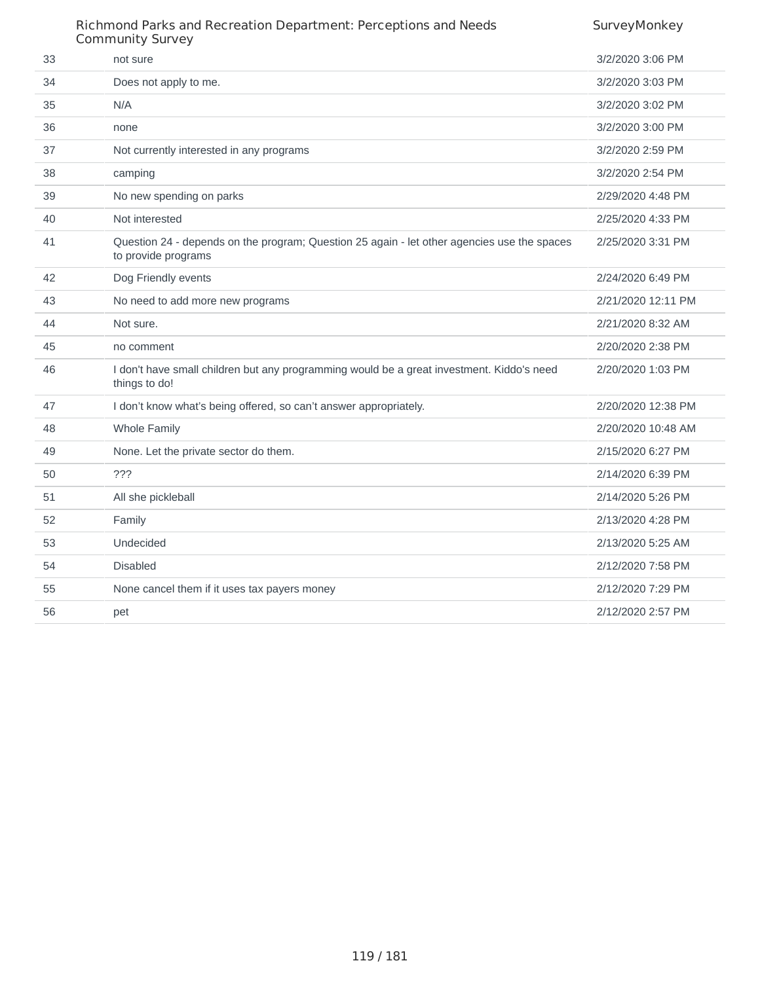|    | Richmond Parks and Recreation Department: Perceptions and Needs<br><b>Community Survey</b>                         | SurveyMonkey       |
|----|--------------------------------------------------------------------------------------------------------------------|--------------------|
| 33 | not sure                                                                                                           | 3/2/2020 3:06 PM   |
| 34 | Does not apply to me.                                                                                              | 3/2/2020 3:03 PM   |
| 35 | N/A                                                                                                                | 3/2/2020 3:02 PM   |
| 36 | none                                                                                                               | 3/2/2020 3:00 PM   |
| 37 | Not currently interested in any programs                                                                           | 3/2/2020 2:59 PM   |
| 38 | camping                                                                                                            | 3/2/2020 2:54 PM   |
| 39 | No new spending on parks                                                                                           | 2/29/2020 4:48 PM  |
| 40 | Not interested                                                                                                     | 2/25/2020 4:33 PM  |
| 41 | Question 24 - depends on the program; Question 25 again - let other agencies use the spaces<br>to provide programs | 2/25/2020 3:31 PM  |
| 42 | Dog Friendly events                                                                                                | 2/24/2020 6:49 PM  |
| 43 | No need to add more new programs                                                                                   | 2/21/2020 12:11 PM |
| 44 | Not sure.                                                                                                          | 2/21/2020 8:32 AM  |
| 45 | no comment                                                                                                         | 2/20/2020 2:38 PM  |
| 46 | I don't have small children but any programming would be a great investment. Kiddo's need<br>things to do!         | 2/20/2020 1:03 PM  |
| 47 | I don't know what's being offered, so can't answer appropriately.                                                  | 2/20/2020 12:38 PM |
| 48 | <b>Whole Family</b>                                                                                                | 2/20/2020 10:48 AM |
| 49 | None. Let the private sector do them.                                                                              | 2/15/2020 6:27 PM  |
| 50 | ???                                                                                                                | 2/14/2020 6:39 PM  |
| 51 | All she pickleball                                                                                                 | 2/14/2020 5:26 PM  |
| 52 | Family                                                                                                             | 2/13/2020 4:28 PM  |
| 53 | Undecided                                                                                                          | 2/13/2020 5:25 AM  |
| 54 | <b>Disabled</b>                                                                                                    | 2/12/2020 7:58 PM  |
| 55 | None cancel them if it uses tax payers money                                                                       | 2/12/2020 7:29 PM  |
| 56 | pet                                                                                                                | 2/12/2020 2:57 PM  |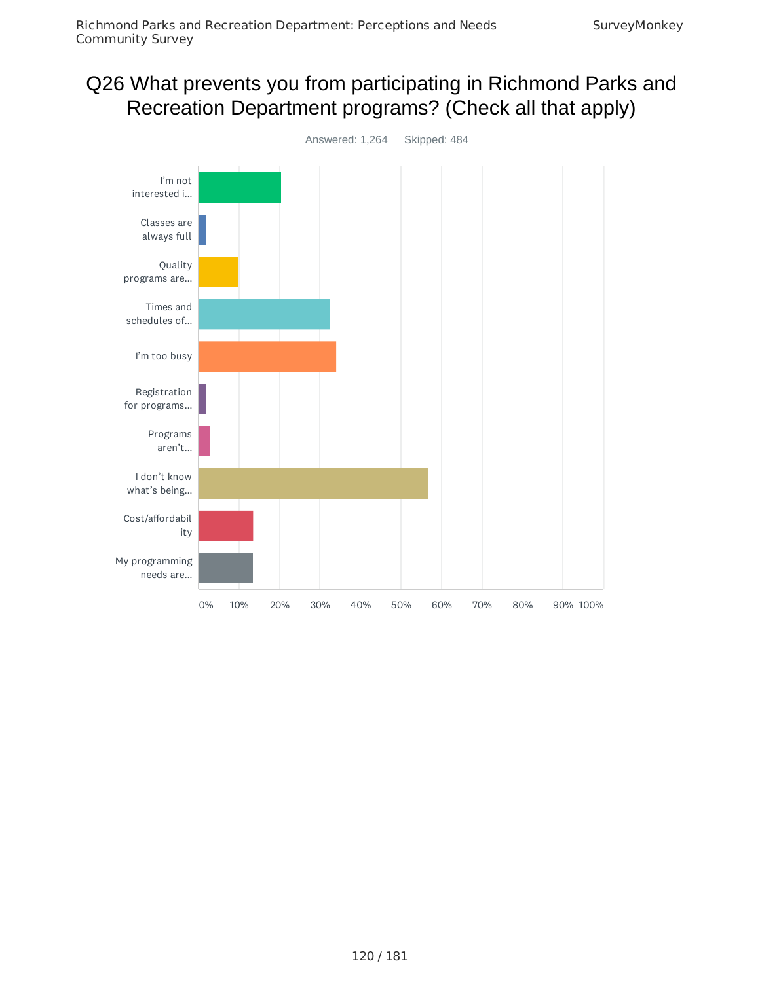# Q26 What prevents you from participating in Richmond Parks and Recreation Department programs? (Check all that apply)

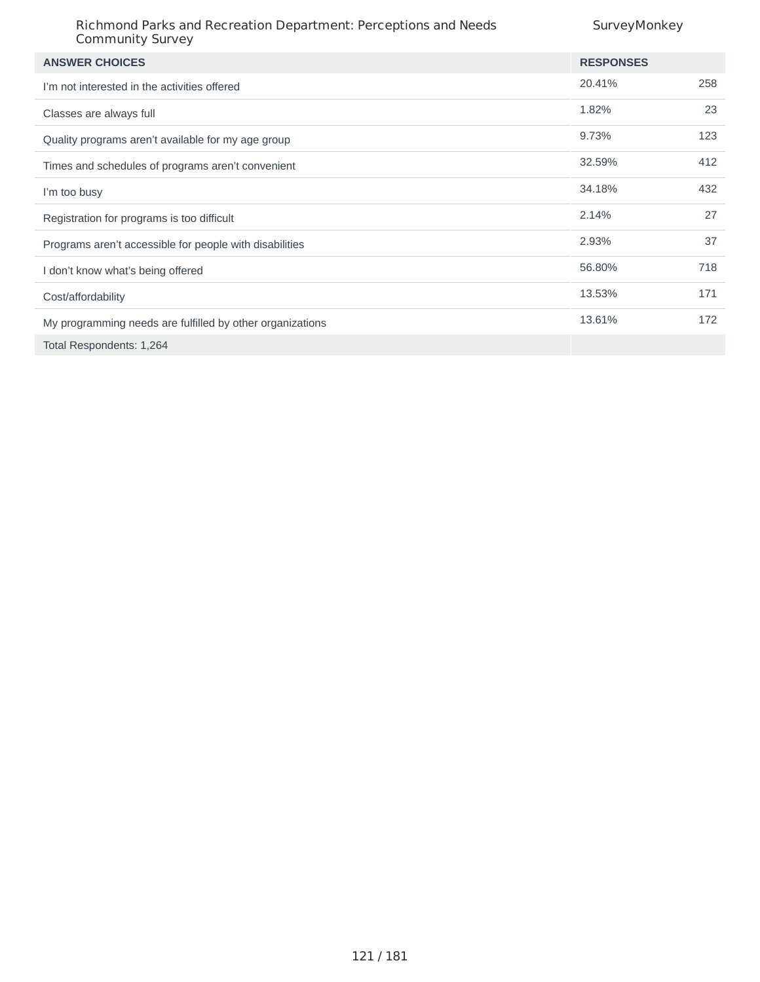| <b>ANSWER CHOICES</b>                                     | <b>RESPONSES</b> |     |
|-----------------------------------------------------------|------------------|-----|
| I'm not interested in the activities offered              | 20.41%           | 258 |
| Classes are always full                                   | 1.82%            | 23  |
| Quality programs aren't available for my age group        | 9.73%            | 123 |
| Times and schedules of programs aren't convenient         | 32.59%           | 412 |
| I'm too busy                                              | 34.18%           | 432 |
| Registration for programs is too difficult                | 2.14%            | 27  |
| Programs aren't accessible for people with disabilities   | 2.93%            | 37  |
| I don't know what's being offered                         | 56.80%           | 718 |
| Cost/affordability                                        | 13.53%           | 171 |
| My programming needs are fulfilled by other organizations | 13.61%           | 172 |
| Total Respondents: 1,264                                  |                  |     |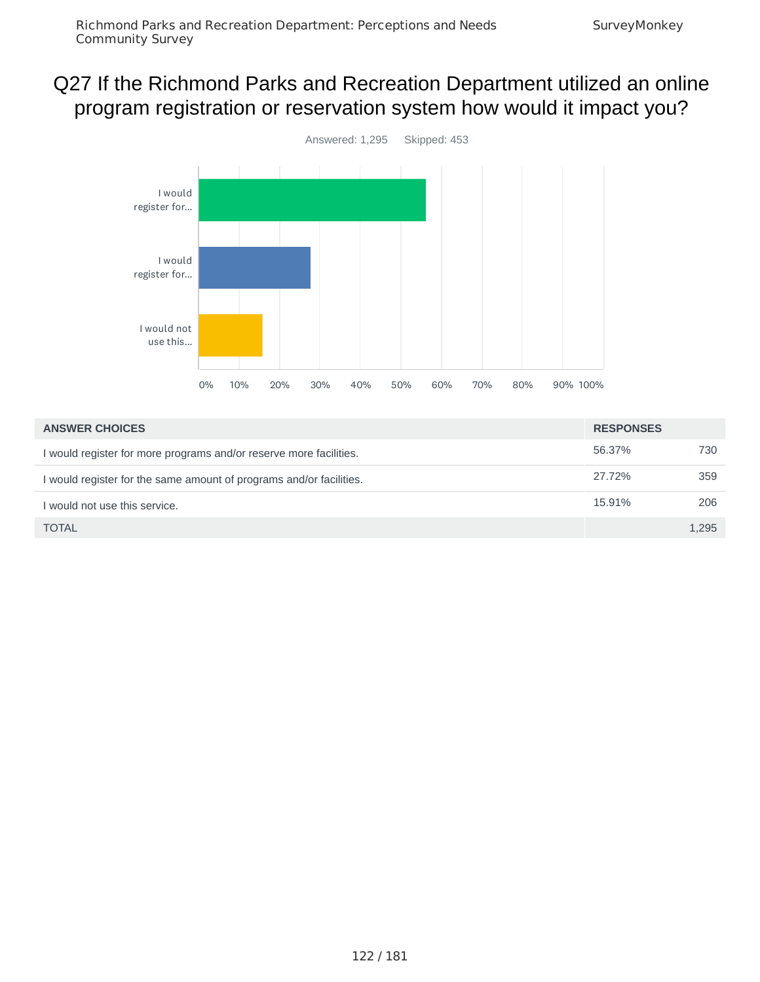## Q27 If the Richmond Parks and Recreation Department utilized an online program registration or reservation system how would it impact you?



| <b>ANSWER CHOICES</b>                                               | <b>RESPONSES</b> |       |
|---------------------------------------------------------------------|------------------|-------|
| I would register for more programs and/or reserve more facilities.  | 56.37%           | 730   |
| I would register for the same amount of programs and/or facilities. | 27.72%           | 359   |
| I would not use this service.                                       | 15.91%           | 206   |
| <b>TOTAL</b>                                                        |                  | 1.295 |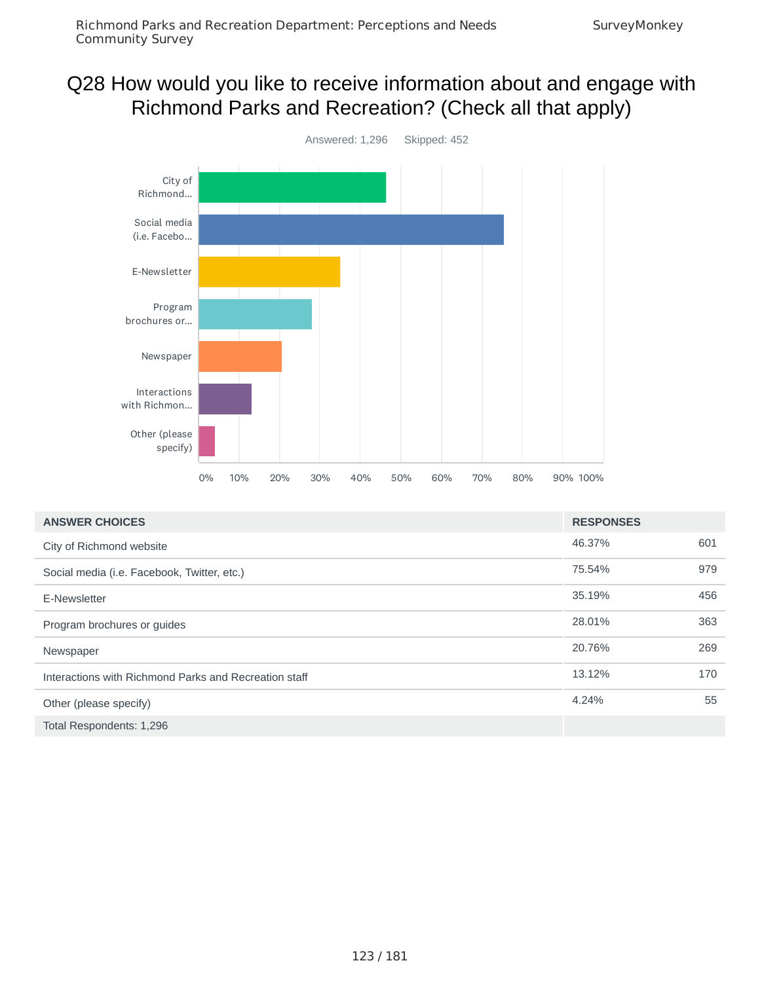## Q28 How would you like to receive information about and engage with Richmond Parks and Recreation? (Check all that apply)



| <b>ANSWER CHOICES</b>                                 | <b>RESPONSES</b> |     |
|-------------------------------------------------------|------------------|-----|
| City of Richmond website                              | 46.37%           | 601 |
| Social media (i.e. Facebook, Twitter, etc.)           | 75.54%           | 979 |
| E-Newsletter                                          | 35.19%           | 456 |
| Program brochures or guides                           | 28.01%           | 363 |
| Newspaper                                             | 20.76%           | 269 |
| Interactions with Richmond Parks and Recreation staff | 13.12%           | 170 |
| Other (please specify)                                | 4.24%            | 55  |
| Total Respondents: 1,296                              |                  |     |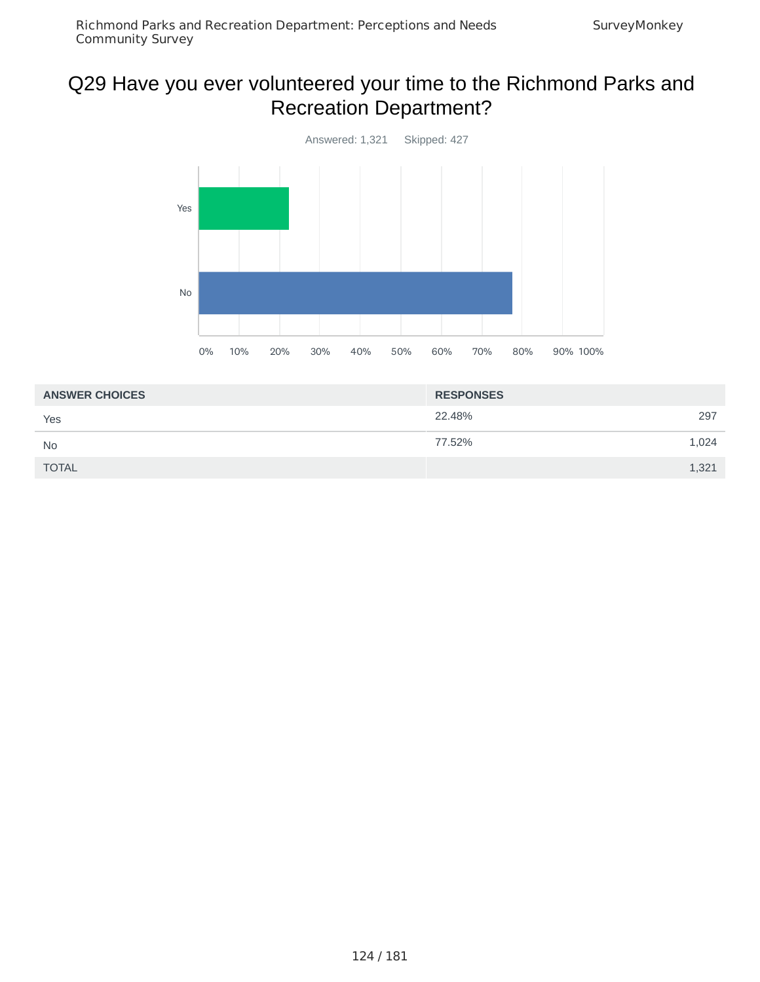# Q29 Have you ever volunteered your time to the Richmond Parks and Recreation Department?



| <b>ANSWER CHOICES</b> | <b>RESPONSES</b> |  |
|-----------------------|------------------|--|
| Yes                   | 22.48%<br>297    |  |
| <b>No</b>             | 77.52%<br>1,024  |  |
| <b>TOTAL</b>          | 1,321            |  |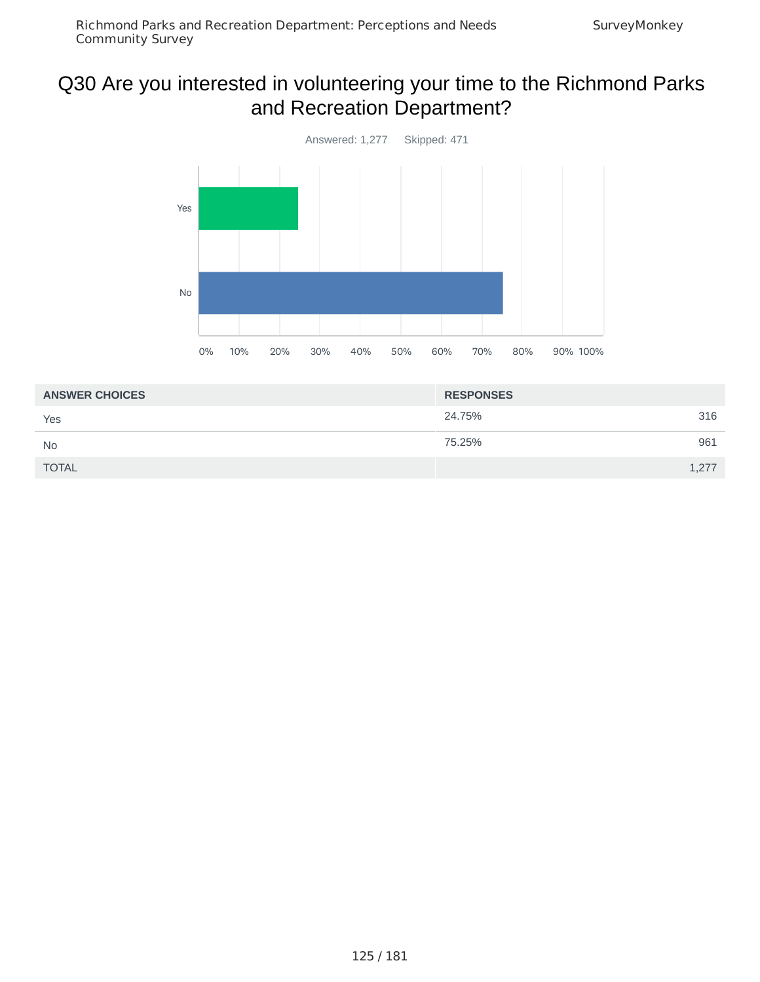# Q30 Are you interested in volunteering your time to the Richmond Parks and Recreation Department?



| <b>ANSWER CHOICES</b> | <b>RESPONSES</b> |       |
|-----------------------|------------------|-------|
| Yes                   | 24.75%           | 316   |
| No                    | 75.25%           | 961   |
| <b>TOTAL</b>          |                  | 1,277 |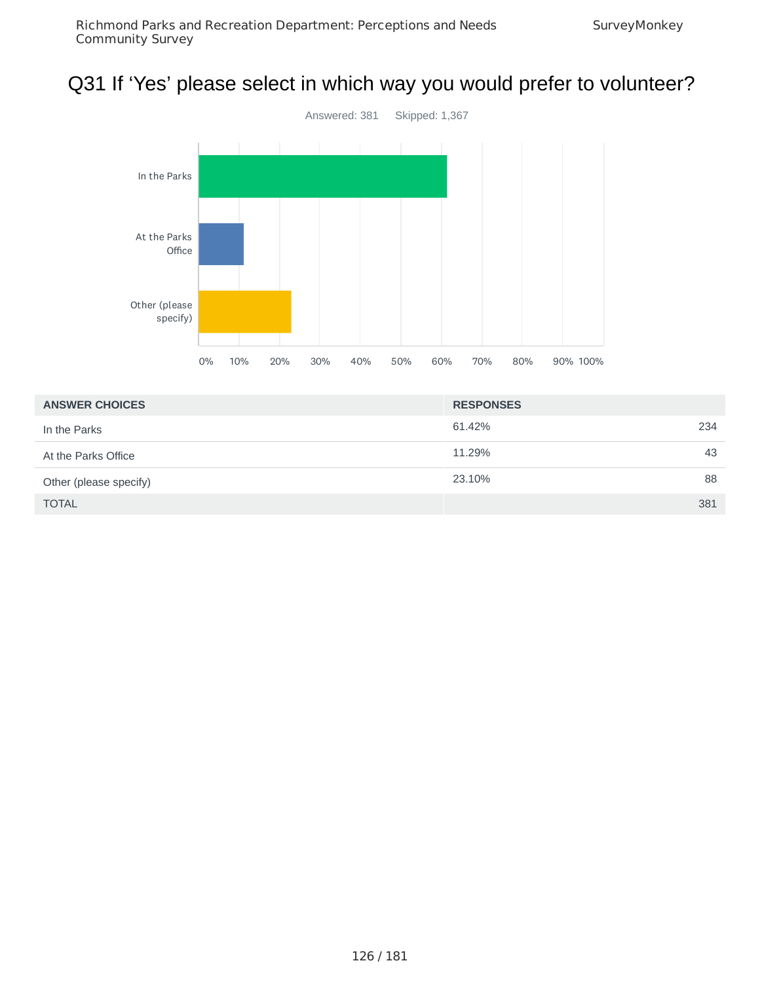# Q31 If 'Yes' please select in which way you would prefer to volunteer?



| <b>ANSWER CHOICES</b>  | <b>RESPONSES</b> |
|------------------------|------------------|
| In the Parks           | 61.42%<br>234    |
| At the Parks Office    | 43<br>11.29%     |
| Other (please specify) | 88<br>23.10%     |
| <b>TOTAL</b>           | 381              |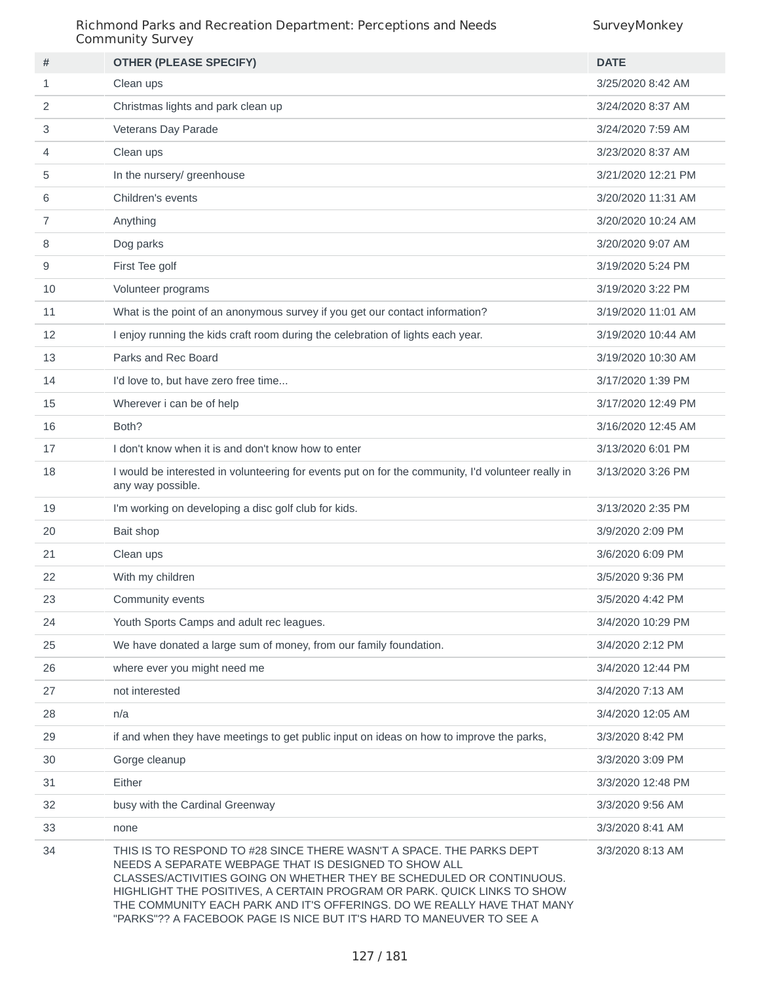| #  | <b>OTHER (PLEASE SPECIFY)</b>                                                                                                                                                                                                                                                                                                                                                                                                       | <b>DATE</b>        |
|----|-------------------------------------------------------------------------------------------------------------------------------------------------------------------------------------------------------------------------------------------------------------------------------------------------------------------------------------------------------------------------------------------------------------------------------------|--------------------|
| 1  | Clean ups                                                                                                                                                                                                                                                                                                                                                                                                                           | 3/25/2020 8:42 AM  |
| 2  | Christmas lights and park clean up                                                                                                                                                                                                                                                                                                                                                                                                  | 3/24/2020 8:37 AM  |
| 3  | Veterans Day Parade                                                                                                                                                                                                                                                                                                                                                                                                                 | 3/24/2020 7:59 AM  |
| 4  | Clean ups                                                                                                                                                                                                                                                                                                                                                                                                                           | 3/23/2020 8:37 AM  |
| 5  | In the nursery/ greenhouse                                                                                                                                                                                                                                                                                                                                                                                                          | 3/21/2020 12:21 PM |
| 6  | Children's events                                                                                                                                                                                                                                                                                                                                                                                                                   | 3/20/2020 11:31 AM |
| 7  | Anything                                                                                                                                                                                                                                                                                                                                                                                                                            | 3/20/2020 10:24 AM |
| 8  | Dog parks                                                                                                                                                                                                                                                                                                                                                                                                                           | 3/20/2020 9:07 AM  |
| 9  | First Tee golf                                                                                                                                                                                                                                                                                                                                                                                                                      | 3/19/2020 5:24 PM  |
| 10 | Volunteer programs                                                                                                                                                                                                                                                                                                                                                                                                                  | 3/19/2020 3:22 PM  |
| 11 | What is the point of an anonymous survey if you get our contact information?                                                                                                                                                                                                                                                                                                                                                        | 3/19/2020 11:01 AM |
| 12 | I enjoy running the kids craft room during the celebration of lights each year.                                                                                                                                                                                                                                                                                                                                                     | 3/19/2020 10:44 AM |
| 13 | Parks and Rec Board                                                                                                                                                                                                                                                                                                                                                                                                                 | 3/19/2020 10:30 AM |
| 14 | I'd love to, but have zero free time                                                                                                                                                                                                                                                                                                                                                                                                | 3/17/2020 1:39 PM  |
| 15 | Wherever i can be of help                                                                                                                                                                                                                                                                                                                                                                                                           | 3/17/2020 12:49 PM |
| 16 | Both?                                                                                                                                                                                                                                                                                                                                                                                                                               | 3/16/2020 12:45 AM |
| 17 | I don't know when it is and don't know how to enter                                                                                                                                                                                                                                                                                                                                                                                 | 3/13/2020 6:01 PM  |
| 18 | I would be interested in volunteering for events put on for the community, I'd volunteer really in<br>any way possible.                                                                                                                                                                                                                                                                                                             | 3/13/2020 3:26 PM  |
| 19 | I'm working on developing a disc golf club for kids.                                                                                                                                                                                                                                                                                                                                                                                | 3/13/2020 2:35 PM  |
| 20 | Bait shop                                                                                                                                                                                                                                                                                                                                                                                                                           | 3/9/2020 2:09 PM   |
| 21 | Clean ups                                                                                                                                                                                                                                                                                                                                                                                                                           | 3/6/2020 6:09 PM   |
| 22 | With my children                                                                                                                                                                                                                                                                                                                                                                                                                    | 3/5/2020 9:36 PM   |
| 23 | Community events                                                                                                                                                                                                                                                                                                                                                                                                                    | 3/5/2020 4:42 PM   |
| 24 | Youth Sports Camps and adult rec leagues.                                                                                                                                                                                                                                                                                                                                                                                           | 3/4/2020 10:29 PM  |
| 25 | We have donated a large sum of money, from our family foundation.                                                                                                                                                                                                                                                                                                                                                                   | 3/4/2020 2:12 PM   |
| 26 | where ever you might need me                                                                                                                                                                                                                                                                                                                                                                                                        | 3/4/2020 12:44 PM  |
| 27 | not interested                                                                                                                                                                                                                                                                                                                                                                                                                      | 3/4/2020 7:13 AM   |
| 28 | n/a                                                                                                                                                                                                                                                                                                                                                                                                                                 | 3/4/2020 12:05 AM  |
| 29 | if and when they have meetings to get public input on ideas on how to improve the parks,                                                                                                                                                                                                                                                                                                                                            | 3/3/2020 8:42 PM   |
| 30 | Gorge cleanup                                                                                                                                                                                                                                                                                                                                                                                                                       | 3/3/2020 3:09 PM   |
| 31 | Either                                                                                                                                                                                                                                                                                                                                                                                                                              | 3/3/2020 12:48 PM  |
| 32 | busy with the Cardinal Greenway                                                                                                                                                                                                                                                                                                                                                                                                     | 3/3/2020 9:56 AM   |
| 33 | none                                                                                                                                                                                                                                                                                                                                                                                                                                | 3/3/2020 8:41 AM   |
| 34 | THIS IS TO RESPOND TO #28 SINCE THERE WASN'T A SPACE. THE PARKS DEPT<br>NEEDS A SEPARATE WEBPAGE THAT IS DESIGNED TO SHOW ALL<br>CLASSES/ACTIVITIES GOING ON WHETHER THEY BE SCHEDULED OR CONTINUOUS.<br>HIGHLIGHT THE POSITIVES, A CERTAIN PROGRAM OR PARK. QUICK LINKS TO SHOW<br>THE COMMUNITY EACH PARK AND IT'S OFFERINGS. DO WE REALLY HAVE THAT MANY<br>"PARKS"?? A FACEBOOK PAGE IS NICE BUT IT'S HARD TO MANEUVER TO SEE A | 3/3/2020 8:13 AM   |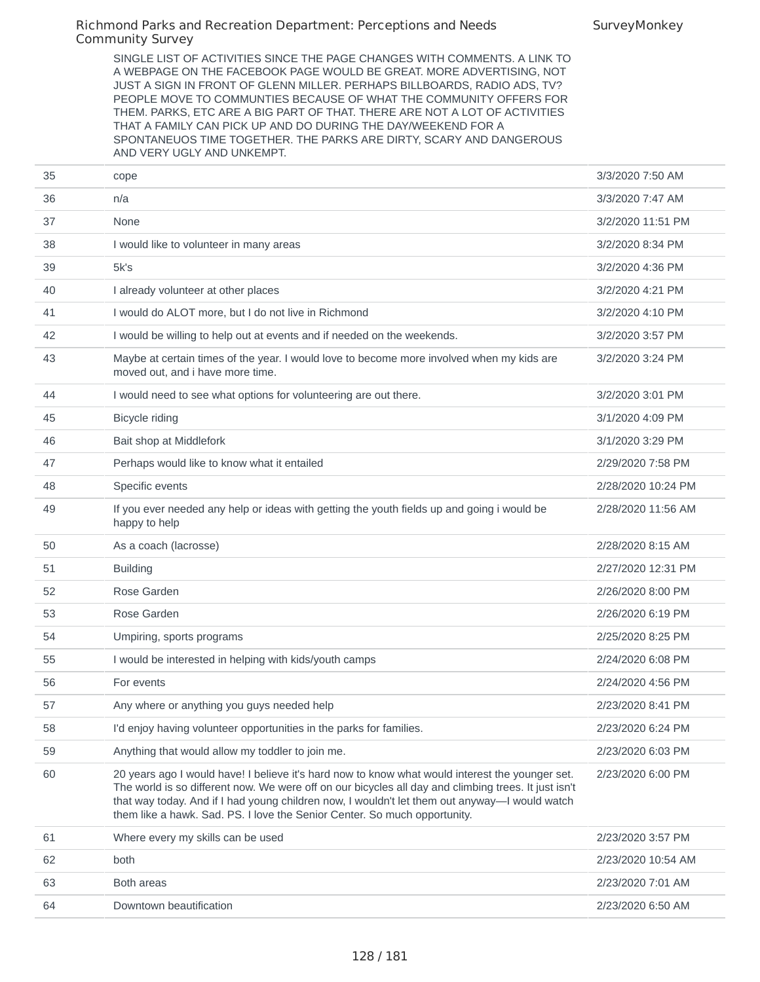SurveyMonkey

SINGLE LIST OF ACTIVITIES SINCE THE PAGE CHANGES WITH COMMENTS. A LINK TO A WEBPAGE ON THE FACEBOOK PAGE WOULD BE GREAT. MORE ADVERTISING, NOT JUST A SIGN IN FRONT OF GLENN MILLER. PERHAPS BILLBOARDS, RADIO ADS, TV? PEOPLE MOVE TO COMMUNTIES BECAUSE OF WHAT THE COMMUNITY OFFERS FOR THEM. PARKS, ETC ARE A BIG PART OF THAT. THERE ARE NOT A LOT OF ACTIVITIES THAT A FAMILY CAN PICK UP AND DO DURING THE DAY/WEEKEND FOR A SPONTANEUOS TIME TOGETHER. THE PARKS ARE DIRTY, SCARY AND DANGEROUS AND VERY UGLY AND UNKEMPT.

| 36<br>3/3/2020 7:47 AM<br>n/a<br>None<br>3/2/2020 11:51 PM<br>37<br>38<br>I would like to volunteer in many areas<br>3/2/2020 8:34 PM<br>39<br>5k's<br>3/2/2020 4:36 PM<br>40<br>I already volunteer at other places<br>3/2/2020 4:21 PM<br>I would do ALOT more, but I do not live in Richmond<br>3/2/2020 4:10 PM<br>41<br>I would be willing to help out at events and if needed on the weekends.<br>3/2/2020 3:57 PM<br>42<br>43<br>Maybe at certain times of the year. I would love to become more involved when my kids are<br>3/2/2020 3:24 PM<br>moved out, and i have more time.<br>I would need to see what options for volunteering are out there.<br>3/2/2020 3:01 PM<br>44<br>Bicycle riding<br>3/1/2020 4:09 PM<br>45<br>Bait shop at Middlefork<br>3/1/2020 3:29 PM<br>46<br>47<br>Perhaps would like to know what it entailed<br>2/29/2020 7:58 PM<br>Specific events<br>2/28/2020 10:24 PM<br>48<br>If you ever needed any help or ideas with getting the youth fields up and going i would be<br>2/28/2020 11:56 AM<br>49<br>happy to help<br>As a coach (lacrosse)<br>2/28/2020 8:15 AM<br>50<br><b>Building</b><br>2/27/2020 12:31 PM<br>51<br>52<br>Rose Garden<br>2/26/2020 8:00 PM<br>53<br>Rose Garden<br>2/26/2020 6:19 PM<br>54<br>2/25/2020 8:25 PM<br>Umpiring, sports programs<br>I would be interested in helping with kids/youth camps<br>2/24/2020 6:08 PM<br>55<br>56<br>For events<br>2/24/2020 4:56 PM<br>Any where or anything you guys needed help<br>2/23/2020 8:41 PM<br>57<br>I'd enjoy having volunteer opportunities in the parks for families.<br>58<br>2/23/2020 6:24 PM<br>Anything that would allow my toddler to join me.<br>59<br>2/23/2020 6:03 PM<br>60<br>20 years ago I would have! I believe it's hard now to know what would interest the younger set.<br>2/23/2020 6:00 PM<br>The world is so different now. We were off on our bicycles all day and climbing trees. It just isn't<br>that way today. And if I had young children now, I wouldn't let them out anyway—I would watch<br>them like a hawk. Sad. PS. I love the Senior Center. So much opportunity.<br>61<br>Where every my skills can be used<br>2/23/2020 3:57 PM<br>62<br>both<br>2/23/2020 10:54 AM<br>63<br>Both areas<br>2/23/2020 7:01 AM<br>Downtown beautification<br>64<br>2/23/2020 6:50 AM | 35 | cope | 3/3/2020 7:50 AM |
|----------------------------------------------------------------------------------------------------------------------------------------------------------------------------------------------------------------------------------------------------------------------------------------------------------------------------------------------------------------------------------------------------------------------------------------------------------------------------------------------------------------------------------------------------------------------------------------------------------------------------------------------------------------------------------------------------------------------------------------------------------------------------------------------------------------------------------------------------------------------------------------------------------------------------------------------------------------------------------------------------------------------------------------------------------------------------------------------------------------------------------------------------------------------------------------------------------------------------------------------------------------------------------------------------------------------------------------------------------------------------------------------------------------------------------------------------------------------------------------------------------------------------------------------------------------------------------------------------------------------------------------------------------------------------------------------------------------------------------------------------------------------------------------------------------------------------------------------------------------------------------------------------------------------------------------------------------------------------------------------------------------------------------------------------------------------------------------------------------------------------------------------------------------------------------------------------------------------------------------------------------------------------------------------------------------------------|----|------|------------------|
|                                                                                                                                                                                                                                                                                                                                                                                                                                                                                                                                                                                                                                                                                                                                                                                                                                                                                                                                                                                                                                                                                                                                                                                                                                                                                                                                                                                                                                                                                                                                                                                                                                                                                                                                                                                                                                                                                                                                                                                                                                                                                                                                                                                                                                                                                                                            |    |      |                  |
|                                                                                                                                                                                                                                                                                                                                                                                                                                                                                                                                                                                                                                                                                                                                                                                                                                                                                                                                                                                                                                                                                                                                                                                                                                                                                                                                                                                                                                                                                                                                                                                                                                                                                                                                                                                                                                                                                                                                                                                                                                                                                                                                                                                                                                                                                                                            |    |      |                  |
|                                                                                                                                                                                                                                                                                                                                                                                                                                                                                                                                                                                                                                                                                                                                                                                                                                                                                                                                                                                                                                                                                                                                                                                                                                                                                                                                                                                                                                                                                                                                                                                                                                                                                                                                                                                                                                                                                                                                                                                                                                                                                                                                                                                                                                                                                                                            |    |      |                  |
|                                                                                                                                                                                                                                                                                                                                                                                                                                                                                                                                                                                                                                                                                                                                                                                                                                                                                                                                                                                                                                                                                                                                                                                                                                                                                                                                                                                                                                                                                                                                                                                                                                                                                                                                                                                                                                                                                                                                                                                                                                                                                                                                                                                                                                                                                                                            |    |      |                  |
|                                                                                                                                                                                                                                                                                                                                                                                                                                                                                                                                                                                                                                                                                                                                                                                                                                                                                                                                                                                                                                                                                                                                                                                                                                                                                                                                                                                                                                                                                                                                                                                                                                                                                                                                                                                                                                                                                                                                                                                                                                                                                                                                                                                                                                                                                                                            |    |      |                  |
|                                                                                                                                                                                                                                                                                                                                                                                                                                                                                                                                                                                                                                                                                                                                                                                                                                                                                                                                                                                                                                                                                                                                                                                                                                                                                                                                                                                                                                                                                                                                                                                                                                                                                                                                                                                                                                                                                                                                                                                                                                                                                                                                                                                                                                                                                                                            |    |      |                  |
|                                                                                                                                                                                                                                                                                                                                                                                                                                                                                                                                                                                                                                                                                                                                                                                                                                                                                                                                                                                                                                                                                                                                                                                                                                                                                                                                                                                                                                                                                                                                                                                                                                                                                                                                                                                                                                                                                                                                                                                                                                                                                                                                                                                                                                                                                                                            |    |      |                  |
|                                                                                                                                                                                                                                                                                                                                                                                                                                                                                                                                                                                                                                                                                                                                                                                                                                                                                                                                                                                                                                                                                                                                                                                                                                                                                                                                                                                                                                                                                                                                                                                                                                                                                                                                                                                                                                                                                                                                                                                                                                                                                                                                                                                                                                                                                                                            |    |      |                  |
|                                                                                                                                                                                                                                                                                                                                                                                                                                                                                                                                                                                                                                                                                                                                                                                                                                                                                                                                                                                                                                                                                                                                                                                                                                                                                                                                                                                                                                                                                                                                                                                                                                                                                                                                                                                                                                                                                                                                                                                                                                                                                                                                                                                                                                                                                                                            |    |      |                  |
|                                                                                                                                                                                                                                                                                                                                                                                                                                                                                                                                                                                                                                                                                                                                                                                                                                                                                                                                                                                                                                                                                                                                                                                                                                                                                                                                                                                                                                                                                                                                                                                                                                                                                                                                                                                                                                                                                                                                                                                                                                                                                                                                                                                                                                                                                                                            |    |      |                  |
|                                                                                                                                                                                                                                                                                                                                                                                                                                                                                                                                                                                                                                                                                                                                                                                                                                                                                                                                                                                                                                                                                                                                                                                                                                                                                                                                                                                                                                                                                                                                                                                                                                                                                                                                                                                                                                                                                                                                                                                                                                                                                                                                                                                                                                                                                                                            |    |      |                  |
|                                                                                                                                                                                                                                                                                                                                                                                                                                                                                                                                                                                                                                                                                                                                                                                                                                                                                                                                                                                                                                                                                                                                                                                                                                                                                                                                                                                                                                                                                                                                                                                                                                                                                                                                                                                                                                                                                                                                                                                                                                                                                                                                                                                                                                                                                                                            |    |      |                  |
|                                                                                                                                                                                                                                                                                                                                                                                                                                                                                                                                                                                                                                                                                                                                                                                                                                                                                                                                                                                                                                                                                                                                                                                                                                                                                                                                                                                                                                                                                                                                                                                                                                                                                                                                                                                                                                                                                                                                                                                                                                                                                                                                                                                                                                                                                                                            |    |      |                  |
|                                                                                                                                                                                                                                                                                                                                                                                                                                                                                                                                                                                                                                                                                                                                                                                                                                                                                                                                                                                                                                                                                                                                                                                                                                                                                                                                                                                                                                                                                                                                                                                                                                                                                                                                                                                                                                                                                                                                                                                                                                                                                                                                                                                                                                                                                                                            |    |      |                  |
|                                                                                                                                                                                                                                                                                                                                                                                                                                                                                                                                                                                                                                                                                                                                                                                                                                                                                                                                                                                                                                                                                                                                                                                                                                                                                                                                                                                                                                                                                                                                                                                                                                                                                                                                                                                                                                                                                                                                                                                                                                                                                                                                                                                                                                                                                                                            |    |      |                  |
|                                                                                                                                                                                                                                                                                                                                                                                                                                                                                                                                                                                                                                                                                                                                                                                                                                                                                                                                                                                                                                                                                                                                                                                                                                                                                                                                                                                                                                                                                                                                                                                                                                                                                                                                                                                                                                                                                                                                                                                                                                                                                                                                                                                                                                                                                                                            |    |      |                  |
|                                                                                                                                                                                                                                                                                                                                                                                                                                                                                                                                                                                                                                                                                                                                                                                                                                                                                                                                                                                                                                                                                                                                                                                                                                                                                                                                                                                                                                                                                                                                                                                                                                                                                                                                                                                                                                                                                                                                                                                                                                                                                                                                                                                                                                                                                                                            |    |      |                  |
|                                                                                                                                                                                                                                                                                                                                                                                                                                                                                                                                                                                                                                                                                                                                                                                                                                                                                                                                                                                                                                                                                                                                                                                                                                                                                                                                                                                                                                                                                                                                                                                                                                                                                                                                                                                                                                                                                                                                                                                                                                                                                                                                                                                                                                                                                                                            |    |      |                  |
|                                                                                                                                                                                                                                                                                                                                                                                                                                                                                                                                                                                                                                                                                                                                                                                                                                                                                                                                                                                                                                                                                                                                                                                                                                                                                                                                                                                                                                                                                                                                                                                                                                                                                                                                                                                                                                                                                                                                                                                                                                                                                                                                                                                                                                                                                                                            |    |      |                  |
|                                                                                                                                                                                                                                                                                                                                                                                                                                                                                                                                                                                                                                                                                                                                                                                                                                                                                                                                                                                                                                                                                                                                                                                                                                                                                                                                                                                                                                                                                                                                                                                                                                                                                                                                                                                                                                                                                                                                                                                                                                                                                                                                                                                                                                                                                                                            |    |      |                  |
|                                                                                                                                                                                                                                                                                                                                                                                                                                                                                                                                                                                                                                                                                                                                                                                                                                                                                                                                                                                                                                                                                                                                                                                                                                                                                                                                                                                                                                                                                                                                                                                                                                                                                                                                                                                                                                                                                                                                                                                                                                                                                                                                                                                                                                                                                                                            |    |      |                  |
|                                                                                                                                                                                                                                                                                                                                                                                                                                                                                                                                                                                                                                                                                                                                                                                                                                                                                                                                                                                                                                                                                                                                                                                                                                                                                                                                                                                                                                                                                                                                                                                                                                                                                                                                                                                                                                                                                                                                                                                                                                                                                                                                                                                                                                                                                                                            |    |      |                  |
|                                                                                                                                                                                                                                                                                                                                                                                                                                                                                                                                                                                                                                                                                                                                                                                                                                                                                                                                                                                                                                                                                                                                                                                                                                                                                                                                                                                                                                                                                                                                                                                                                                                                                                                                                                                                                                                                                                                                                                                                                                                                                                                                                                                                                                                                                                                            |    |      |                  |
|                                                                                                                                                                                                                                                                                                                                                                                                                                                                                                                                                                                                                                                                                                                                                                                                                                                                                                                                                                                                                                                                                                                                                                                                                                                                                                                                                                                                                                                                                                                                                                                                                                                                                                                                                                                                                                                                                                                                                                                                                                                                                                                                                                                                                                                                                                                            |    |      |                  |
|                                                                                                                                                                                                                                                                                                                                                                                                                                                                                                                                                                                                                                                                                                                                                                                                                                                                                                                                                                                                                                                                                                                                                                                                                                                                                                                                                                                                                                                                                                                                                                                                                                                                                                                                                                                                                                                                                                                                                                                                                                                                                                                                                                                                                                                                                                                            |    |      |                  |
|                                                                                                                                                                                                                                                                                                                                                                                                                                                                                                                                                                                                                                                                                                                                                                                                                                                                                                                                                                                                                                                                                                                                                                                                                                                                                                                                                                                                                                                                                                                                                                                                                                                                                                                                                                                                                                                                                                                                                                                                                                                                                                                                                                                                                                                                                                                            |    |      |                  |
|                                                                                                                                                                                                                                                                                                                                                                                                                                                                                                                                                                                                                                                                                                                                                                                                                                                                                                                                                                                                                                                                                                                                                                                                                                                                                                                                                                                                                                                                                                                                                                                                                                                                                                                                                                                                                                                                                                                                                                                                                                                                                                                                                                                                                                                                                                                            |    |      |                  |
|                                                                                                                                                                                                                                                                                                                                                                                                                                                                                                                                                                                                                                                                                                                                                                                                                                                                                                                                                                                                                                                                                                                                                                                                                                                                                                                                                                                                                                                                                                                                                                                                                                                                                                                                                                                                                                                                                                                                                                                                                                                                                                                                                                                                                                                                                                                            |    |      |                  |
|                                                                                                                                                                                                                                                                                                                                                                                                                                                                                                                                                                                                                                                                                                                                                                                                                                                                                                                                                                                                                                                                                                                                                                                                                                                                                                                                                                                                                                                                                                                                                                                                                                                                                                                                                                                                                                                                                                                                                                                                                                                                                                                                                                                                                                                                                                                            |    |      |                  |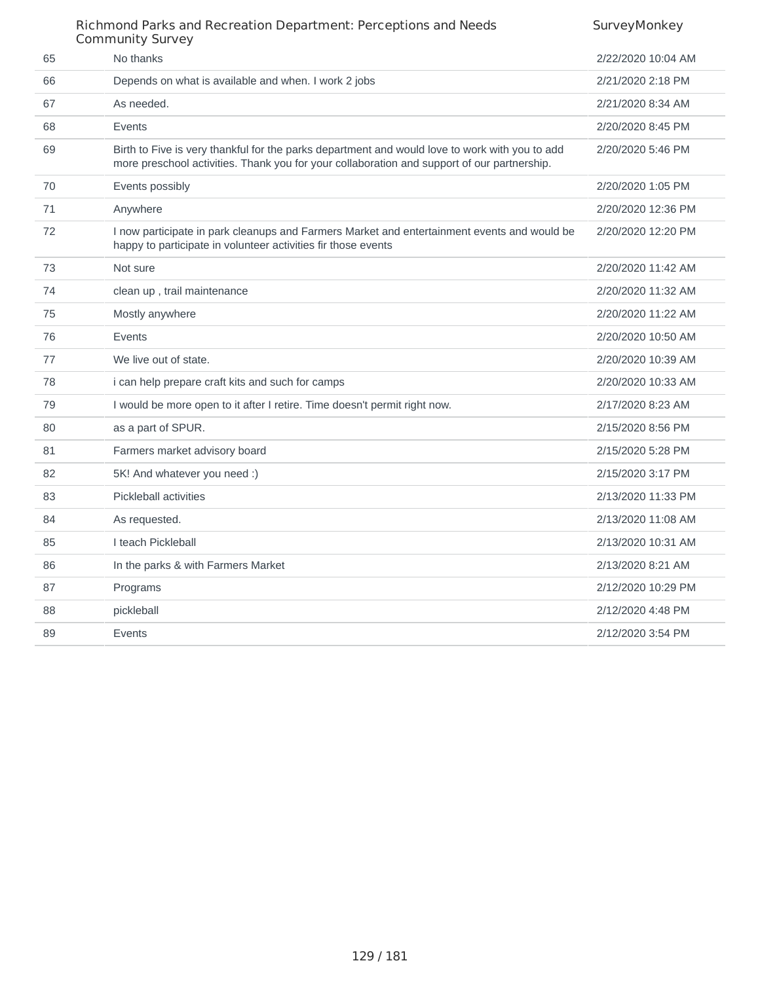|    | CONNINGINGY JUIVEY                                                                                                                                                                            |                    |
|----|-----------------------------------------------------------------------------------------------------------------------------------------------------------------------------------------------|--------------------|
| 65 | No thanks                                                                                                                                                                                     | 2/22/2020 10:04 AM |
| 66 | Depends on what is available and when. I work 2 jobs                                                                                                                                          | 2/21/2020 2:18 PM  |
| 67 | As needed.                                                                                                                                                                                    | 2/21/2020 8:34 AM  |
| 68 | Events                                                                                                                                                                                        | 2/20/2020 8:45 PM  |
| 69 | Birth to Five is very thankful for the parks department and would love to work with you to add<br>more preschool activities. Thank you for your collaboration and support of our partnership. | 2/20/2020 5:46 PM  |
| 70 | Events possibly                                                                                                                                                                               | 2/20/2020 1:05 PM  |
| 71 | Anywhere                                                                                                                                                                                      | 2/20/2020 12:36 PM |
| 72 | I now participate in park cleanups and Farmers Market and entertainment events and would be<br>happy to participate in volunteer activities fir those events                                  | 2/20/2020 12:20 PM |
| 73 | Not sure                                                                                                                                                                                      | 2/20/2020 11:42 AM |
| 74 | clean up, trail maintenance                                                                                                                                                                   | 2/20/2020 11:32 AM |
| 75 | Mostly anywhere                                                                                                                                                                               | 2/20/2020 11:22 AM |
| 76 | Events                                                                                                                                                                                        | 2/20/2020 10:50 AM |
| 77 | We live out of state.                                                                                                                                                                         | 2/20/2020 10:39 AM |
| 78 | i can help prepare craft kits and such for camps                                                                                                                                              | 2/20/2020 10:33 AM |
| 79 | I would be more open to it after I retire. Time doesn't permit right now.                                                                                                                     | 2/17/2020 8:23 AM  |
| 80 | as a part of SPUR.                                                                                                                                                                            | 2/15/2020 8:56 PM  |
| 81 | Farmers market advisory board                                                                                                                                                                 | 2/15/2020 5:28 PM  |
| 82 | 5K! And whatever you need :)                                                                                                                                                                  | 2/15/2020 3:17 PM  |
| 83 | Pickleball activities                                                                                                                                                                         | 2/13/2020 11:33 PM |
| 84 | As requested.                                                                                                                                                                                 | 2/13/2020 11:08 AM |
| 85 | I teach Pickleball                                                                                                                                                                            | 2/13/2020 10:31 AM |
| 86 | In the parks & with Farmers Market                                                                                                                                                            | 2/13/2020 8:21 AM  |
| 87 | Programs                                                                                                                                                                                      | 2/12/2020 10:29 PM |
| 88 | pickleball                                                                                                                                                                                    | 2/12/2020 4:48 PM  |
| 89 | Events                                                                                                                                                                                        | 2/12/2020 3:54 PM  |
|    |                                                                                                                                                                                               |                    |